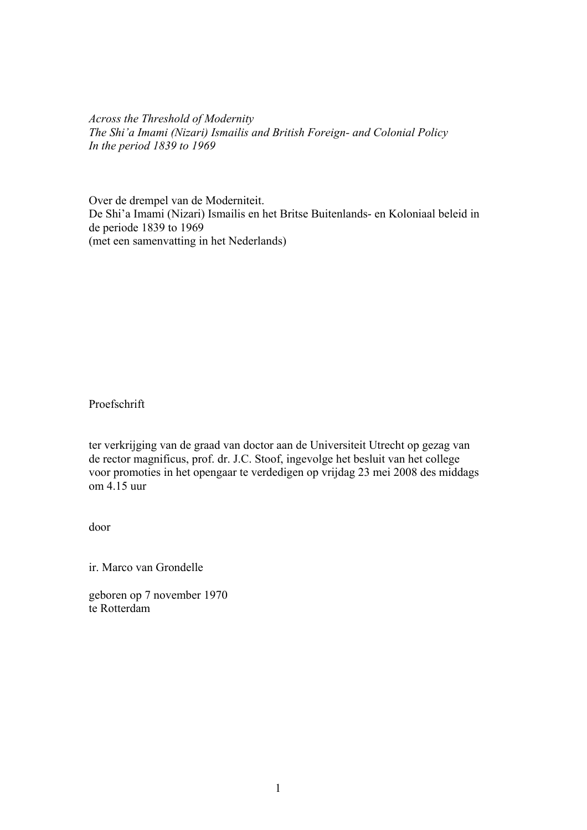*Across the Threshold of Modernity The Shi'a Imami (Nizari) Ismailis and British Foreign- and Colonial Policy In the period 1839 to 1969* 

Over de drempel van de Moderniteit. De Shi'a Imami (Nizari) Ismailis en het Britse Buitenlands- en Koloniaal beleid in de periode 1839 to 1969 (met een samenvatting in het Nederlands)

Proefschrift

ter verkrijging van de graad van doctor aan de Universiteit Utrecht op gezag van de rector magnificus, prof. dr. J.C. Stoof, ingevolge het besluit van het college voor promoties in het opengaar te verdedigen op vrijdag 23 mei 2008 des middags om 4.15 uur

door

ir. Marco van Grondelle

geboren op 7 november 1970 te Rotterdam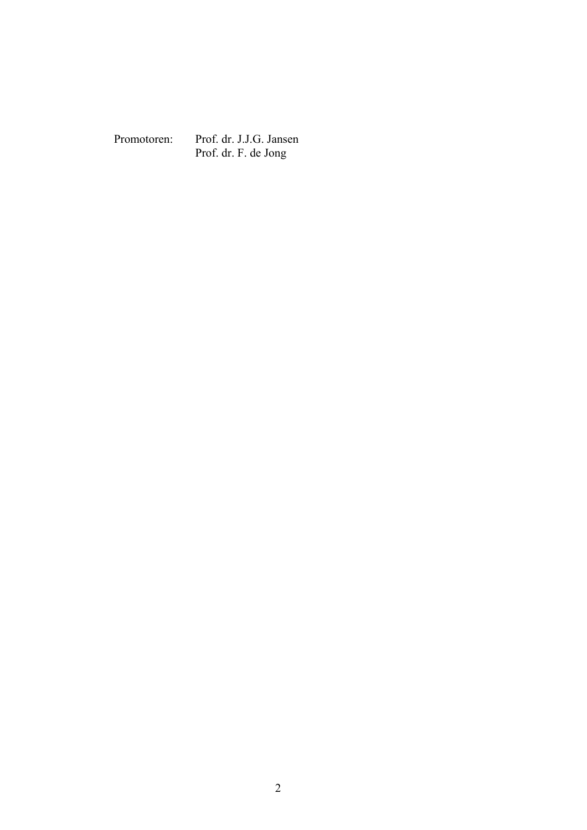Promotoren: Prof. dr. J.J.G. Jansen Prof. dr. F. de Jong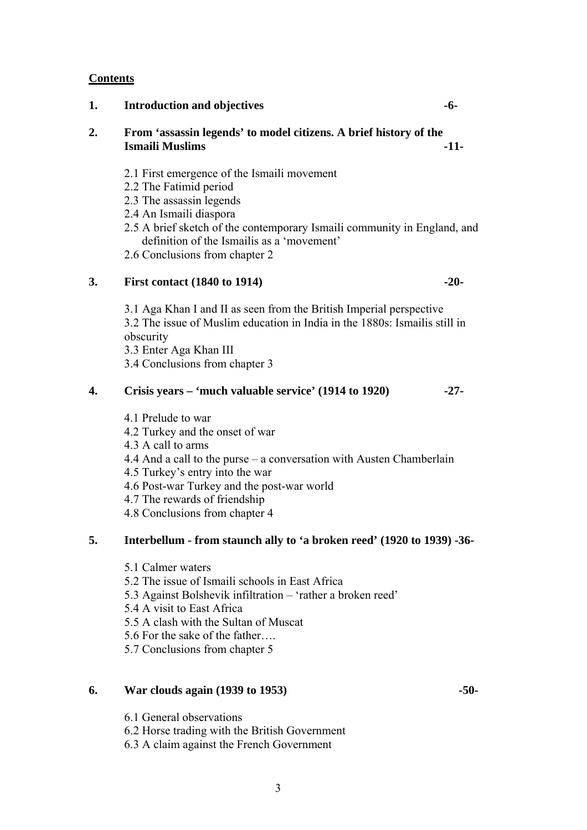# **Contents**

**2. From 'assassin legends' to model citizens. A brief history of the Ismaili Muslims** -11-

**1. Introduction and objectives -6-** 

- 2.1 First emergence of the Ismaili movement
- 2.2 The Fatimid period
- 2.3 The assassin legends
- 2.4 An Ismaili diaspora
- 2.5 A brief sketch of the contemporary Ismaili community in England, and definition of the Ismailis as a 'movement'
- 2.6 Conclusions from chapter 2

# **3. First contact (1840 to 1914) -20-**

3.1 Aga Khan I and II as seen from the British Imperial perspective 3.2 The issue of Muslim education in India in the 1880s: Ismailis still in obscurity

3.3 Enter Aga Khan III 3.4 Conclusions from chapter 3

## **4. Crisis years – 'much valuable service' (1914 to 1920) -27-**

- 4.1 Prelude to war
- 4.2 Turkey and the onset of war

4.3 A call to arms

- 4.4 And a call to the purse a conversation with Austen Chamberlain
- 4.5 Turkey's entry into the war
- 4.6 Post-war Turkey and the post-war world
- 4.7 The rewards of friendship
- 4.8 Conclusions from chapter 4

# **5. Interbellum - from staunch ally to 'a broken reed' (1920 to 1939) -36-**

- 5.1 Calmer waters
- 5.2 The issue of Ismaili schools in East Africa
- 5.3 Against Bolshevik infiltration 'rather a broken reed'
- 5.4 A visit to East Africa
- 5.5 A clash with the Sultan of Muscat
- 5.6 For the sake of the father….
- 5.7 Conclusions from chapter 5

## **6. War clouds again (1939 to 1953) -50-**

- 6.1 General observations
- 6.2 Horse trading with the British Government
- 6.3 A claim against the French Government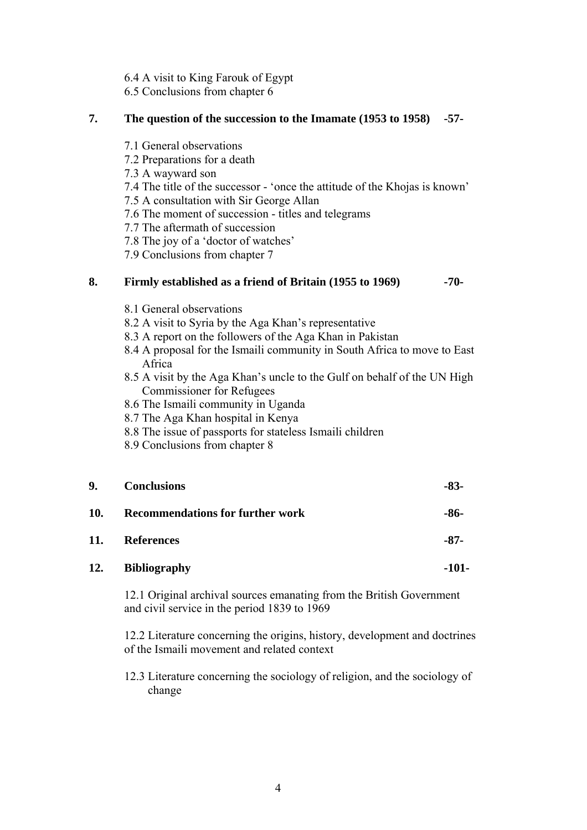- 6.4 A visit to King Farouk of Egypt
- 6.5 Conclusions from chapter 6

# **7. The question of the succession to the Imamate (1953 to 1958) -57-**

- 7.1 General observations
- 7.2 Preparations for a death
- 7.3 A wayward son
- 7.4 The title of the successor 'once the attitude of the Khojas is known'
- 7.5 A consultation with Sir George Allan
- 7.6 The moment of succession titles and telegrams
- 7.7 The aftermath of succession
- 7.8 The joy of a 'doctor of watches'
- 7.9 Conclusions from chapter 7

# **8. Firmly established as a friend of Britain (1955 to 1969) -70-**

- 8.1 General observations
- 8.2 A visit to Syria by the Aga Khan's representative
- 8.3 A report on the followers of the Aga Khan in Pakistan
- 8.4 A proposal for the Ismaili community in South Africa to move to East Africa
- 8.5 A visit by the Aga Khan's uncle to the Gulf on behalf of the UN High Commissioner for Refugees
- 8.6 The Ismaili community in Uganda
- 8.7 The Aga Khan hospital in Kenya
- 8.8 The issue of passports for stateless Ismaili children
- 8.9 Conclusions from chapter 8

| 9.         | <b>Conclusions</b>                      | -83-    |
|------------|-----------------------------------------|---------|
| <b>10.</b> | <b>Recommendations for further work</b> | -86-    |
| 11.        | <b>References</b>                       | $-87-$  |
| 12.        | <b>Bibliography</b>                     | $-101-$ |

12.1 Original archival sources emanating from the British Government and civil service in the period 1839 to 1969

12.2 Literature concerning the origins, history, development and doctrines of the Ismaili movement and related context

12.3 Literature concerning the sociology of religion, and the sociology of change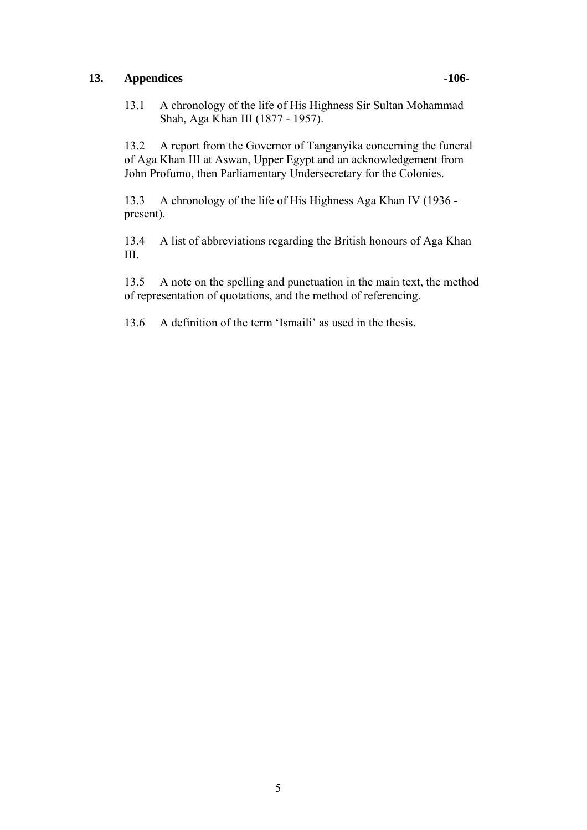# 13. Appendices **106**-

13.1 A chronology of the life of His Highness Sir Sultan Mohammad Shah, Aga Khan III (1877 - 1957).

13.2 A report from the Governor of Tanganyika concerning the funeral of Aga Khan III at Aswan, Upper Egypt and an acknowledgement from John Profumo, then Parliamentary Undersecretary for the Colonies.

13.3 A chronology of the life of His Highness Aga Khan IV (1936 present).

13.4 A list of abbreviations regarding the British honours of Aga Khan III.

13.5 A note on the spelling and punctuation in the main text, the method of representation of quotations, and the method of referencing.

13.6 A definition of the term 'Ismaili' as used in the thesis.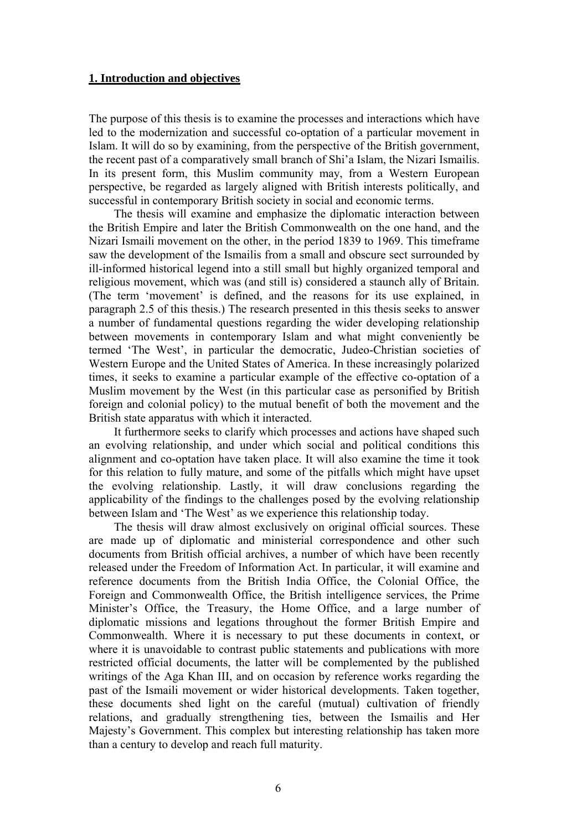## **1. Introduction and objectives**

The purpose of this thesis is to examine the processes and interactions which have led to the modernization and successful co-optation of a particular movement in Islam. It will do so by examining, from the perspective of the British government, the recent past of a comparatively small branch of Shi'a Islam, the Nizari Ismailis. In its present form, this Muslim community may, from a Western European perspective, be regarded as largely aligned with British interests politically, and successful in contemporary British society in social and economic terms.

The thesis will examine and emphasize the diplomatic interaction between the British Empire and later the British Commonwealth on the one hand, and the Nizari Ismaili movement on the other, in the period 1839 to 1969. This timeframe saw the development of the Ismailis from a small and obscure sect surrounded by ill-informed historical legend into a still small but highly organized temporal and religious movement, which was (and still is) considered a staunch ally of Britain. (The term 'movement' is defined, and the reasons for its use explained, in paragraph 2.5 of this thesis.) The research presented in this thesis seeks to answer a number of fundamental questions regarding the wider developing relationship between movements in contemporary Islam and what might conveniently be termed 'The West', in particular the democratic, Judeo-Christian societies of Western Europe and the United States of America. In these increasingly polarized times, it seeks to examine a particular example of the effective co-optation of a Muslim movement by the West (in this particular case as personified by British foreign and colonial policy) to the mutual benefit of both the movement and the British state apparatus with which it interacted.

It furthermore seeks to clarify which processes and actions have shaped such an evolving relationship, and under which social and political conditions this alignment and co-optation have taken place. It will also examine the time it took for this relation to fully mature, and some of the pitfalls which might have upset the evolving relationship. Lastly, it will draw conclusions regarding the applicability of the findings to the challenges posed by the evolving relationship between Islam and 'The West' as we experience this relationship today.

The thesis will draw almost exclusively on original official sources. These are made up of diplomatic and ministerial correspondence and other such documents from British official archives, a number of which have been recently released under the Freedom of Information Act. In particular, it will examine and reference documents from the British India Office, the Colonial Office, the Foreign and Commonwealth Office, the British intelligence services, the Prime Minister's Office, the Treasury, the Home Office, and a large number of diplomatic missions and legations throughout the former British Empire and Commonwealth. Where it is necessary to put these documents in context, or where it is unavoidable to contrast public statements and publications with more restricted official documents, the latter will be complemented by the published writings of the Aga Khan III, and on occasion by reference works regarding the past of the Ismaili movement or wider historical developments. Taken together, these documents shed light on the careful (mutual) cultivation of friendly relations, and gradually strengthening ties, between the Ismailis and Her Majesty's Government. This complex but interesting relationship has taken more than a century to develop and reach full maturity.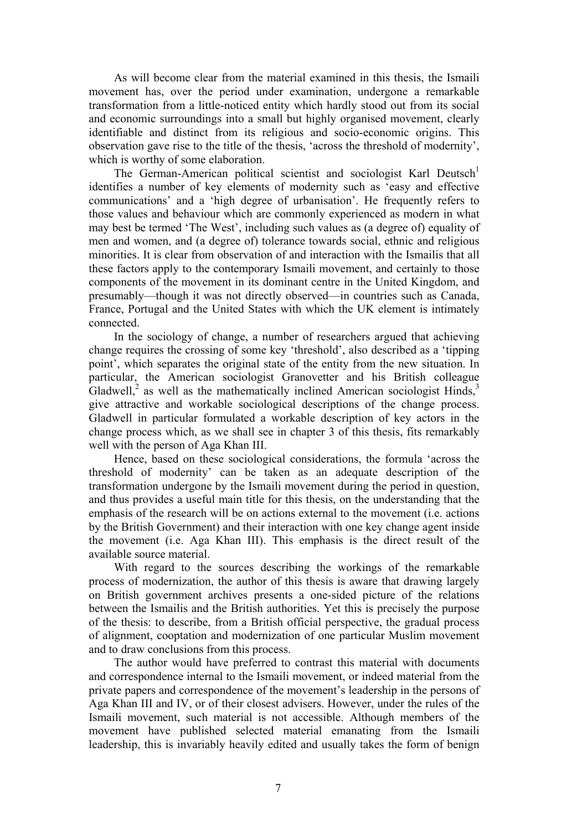As will become clear from the material examined in this thesis, the Ismaili movement has, over the period under examination, undergone a remarkable transformation from a little-noticed entity which hardly stood out from its social and economic surroundings into a small but highly organised movement, clearly identifiable and distinct from its religious and socio-economic origins. This observation gave rise to the title of the thesis, 'across the threshold of modernity', which is worthy of some elaboration.

The German-American political scientist and sociologist Karl Deutsch<sup>1</sup> identifies a number of key elements of modernity such as 'easy and effective communications' and a 'high degree of urbanisation'. He frequently refers to those values and behaviour which are commonly experienced as modern in what may best be termed 'The West', including such values as (a degree of) equality of men and women, and (a degree of) tolerance towards social, ethnic and religious minorities. It is clear from observation of and interaction with the Ismailis that all these factors apply to the contemporary Ismaili movement, and certainly to those components of the movement in its dominant centre in the United Kingdom, and presumably—though it was not directly observed—in countries such as Canada, France, Portugal and the United States with which the UK element is intimately connected.

In the sociology of change, a number of researchers argued that achieving change requires the crossing of some key 'threshold', also described as a 'tipping point', which separates the original state of the entity from the new situation. In particular, the American sociologist Granovetter and his British colleague Gladwell, $^2$  as well as the mathematically inclined American sociologist Hinds, $^3$ give attractive and workable sociological descriptions of the change process. Gladwell in particular formulated a workable description of key actors in the change process which, as we shall see in chapter 3 of this thesis, fits remarkably well with the person of Aga Khan III.

Hence, based on these sociological considerations, the formula 'across the threshold of modernity' can be taken as an adequate description of the transformation undergone by the Ismaili movement during the period in question, and thus provides a useful main title for this thesis, on the understanding that the emphasis of the research will be on actions external to the movement (i.e. actions by the British Government) and their interaction with one key change agent inside the movement (i.e. Aga Khan III). This emphasis is the direct result of the available source material.

With regard to the sources describing the workings of the remarkable process of modernization, the author of this thesis is aware that drawing largely on British government archives presents a one-sided picture of the relations between the Ismailis and the British authorities. Yet this is precisely the purpose of the thesis: to describe, from a British official perspective, the gradual process of alignment, cooptation and modernization of one particular Muslim movement and to draw conclusions from this process.

The author would have preferred to contrast this material with documents and correspondence internal to the Ismaili movement, or indeed material from the private papers and correspondence of the movement's leadership in the persons of Aga Khan III and IV, or of their closest advisers. However, under the rules of the Ismaili movement, such material is not accessible. Although members of the movement have published selected material emanating from the Ismaili leadership, this is invariably heavily edited and usually takes the form of benign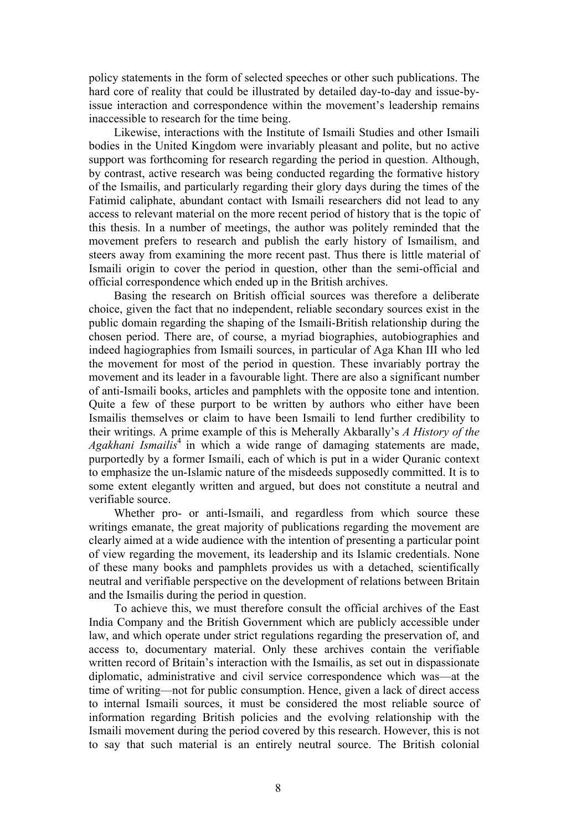policy statements in the form of selected speeches or other such publications. The hard core of reality that could be illustrated by detailed day-to-day and issue-byissue interaction and correspondence within the movement's leadership remains inaccessible to research for the time being.

Likewise, interactions with the Institute of Ismaili Studies and other Ismaili bodies in the United Kingdom were invariably pleasant and polite, but no active support was forthcoming for research regarding the period in question. Although, by contrast, active research was being conducted regarding the formative history of the Ismailis, and particularly regarding their glory days during the times of the Fatimid caliphate, abundant contact with Ismaili researchers did not lead to any access to relevant material on the more recent period of history that is the topic of this thesis. In a number of meetings, the author was politely reminded that the movement prefers to research and publish the early history of Ismailism, and steers away from examining the more recent past. Thus there is little material of Ismaili origin to cover the period in question, other than the semi-official and official correspondence which ended up in the British archives.

Basing the research on British official sources was therefore a deliberate choice, given the fact that no independent, reliable secondary sources exist in the public domain regarding the shaping of the Ismaili-British relationship during the chosen period. There are, of course, a myriad biographies, autobiographies and indeed hagiographies from Ismaili sources, in particular of Aga Khan III who led the movement for most of the period in question. These invariably portray the movement and its leader in a favourable light. There are also a significant number of anti-Ismaili books, articles and pamphlets with the opposite tone and intention. Quite a few of these purport to be written by authors who either have been Ismailis themselves or claim to have been Ismaili to lend further credibility to their writings. A prime example of this is Meherally Akbarally's *A History of the Agakhani Ismailis*<sup>4</sup> in which a wide range of damaging statements are made, purportedly by a former Ismaili, each of which is put in a wider Quranic context to emphasize the un-Islamic nature of the misdeeds supposedly committed. It is to some extent elegantly written and argued, but does not constitute a neutral and verifiable source.

Whether pro- or anti-Ismaili, and regardless from which source these writings emanate, the great majority of publications regarding the movement are clearly aimed at a wide audience with the intention of presenting a particular point of view regarding the movement, its leadership and its Islamic credentials. None of these many books and pamphlets provides us with a detached, scientifically neutral and verifiable perspective on the development of relations between Britain and the Ismailis during the period in question.

To achieve this, we must therefore consult the official archives of the East India Company and the British Government which are publicly accessible under law, and which operate under strict regulations regarding the preservation of, and access to, documentary material. Only these archives contain the verifiable written record of Britain's interaction with the Ismailis, as set out in dispassionate diplomatic, administrative and civil service correspondence which was—at the time of writing—not for public consumption. Hence, given a lack of direct access to internal Ismaili sources, it must be considered the most reliable source of information regarding British policies and the evolving relationship with the Ismaili movement during the period covered by this research. However, this is not to say that such material is an entirely neutral source. The British colonial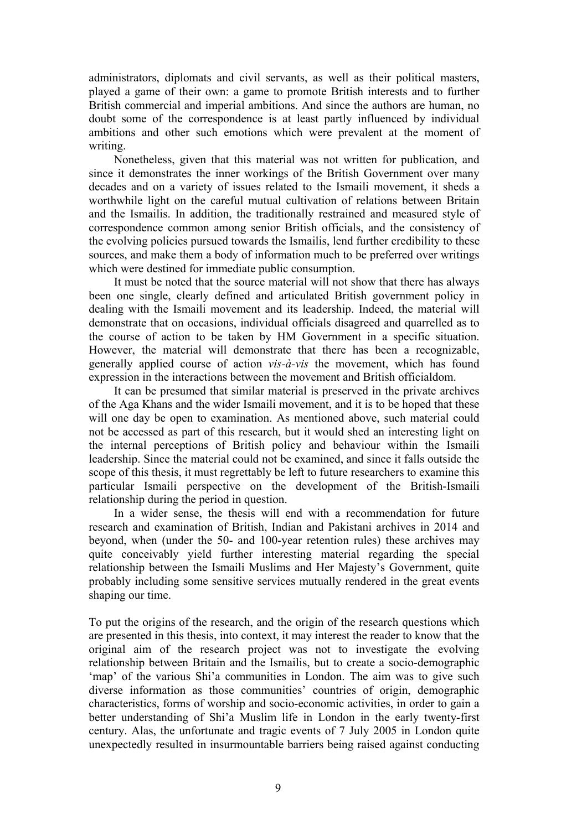administrators, diplomats and civil servants, as well as their political masters, played a game of their own: a game to promote British interests and to further British commercial and imperial ambitions. And since the authors are human, no doubt some of the correspondence is at least partly influenced by individual ambitions and other such emotions which were prevalent at the moment of writing.

Nonetheless, given that this material was not written for publication, and since it demonstrates the inner workings of the British Government over many decades and on a variety of issues related to the Ismaili movement, it sheds a worthwhile light on the careful mutual cultivation of relations between Britain and the Ismailis. In addition, the traditionally restrained and measured style of correspondence common among senior British officials, and the consistency of the evolving policies pursued towards the Ismailis, lend further credibility to these sources, and make them a body of information much to be preferred over writings which were destined for immediate public consumption.

It must be noted that the source material will not show that there has always been one single, clearly defined and articulated British government policy in dealing with the Ismaili movement and its leadership. Indeed, the material will demonstrate that on occasions, individual officials disagreed and quarrelled as to the course of action to be taken by HM Government in a specific situation. However, the material will demonstrate that there has been a recognizable, generally applied course of action *vis-à-vis* the movement, which has found expression in the interactions between the movement and British officialdom.

It can be presumed that similar material is preserved in the private archives of the Aga Khans and the wider Ismaili movement, and it is to be hoped that these will one day be open to examination. As mentioned above, such material could not be accessed as part of this research, but it would shed an interesting light on the internal perceptions of British policy and behaviour within the Ismaili leadership. Since the material could not be examined, and since it falls outside the scope of this thesis, it must regrettably be left to future researchers to examine this particular Ismaili perspective on the development of the British-Ismaili relationship during the period in question.

In a wider sense, the thesis will end with a recommendation for future research and examination of British, Indian and Pakistani archives in 2014 and beyond, when (under the 50- and 100-year retention rules) these archives may quite conceivably yield further interesting material regarding the special relationship between the Ismaili Muslims and Her Majesty's Government, quite probably including some sensitive services mutually rendered in the great events shaping our time.

To put the origins of the research, and the origin of the research questions which are presented in this thesis, into context, it may interest the reader to know that the original aim of the research project was not to investigate the evolving relationship between Britain and the Ismailis, but to create a socio-demographic 'map' of the various Shi'a communities in London. The aim was to give such diverse information as those communities' countries of origin, demographic characteristics, forms of worship and socio-economic activities, in order to gain a better understanding of Shi'a Muslim life in London in the early twenty-first century. Alas, the unfortunate and tragic events of 7 July 2005 in London quite unexpectedly resulted in insurmountable barriers being raised against conducting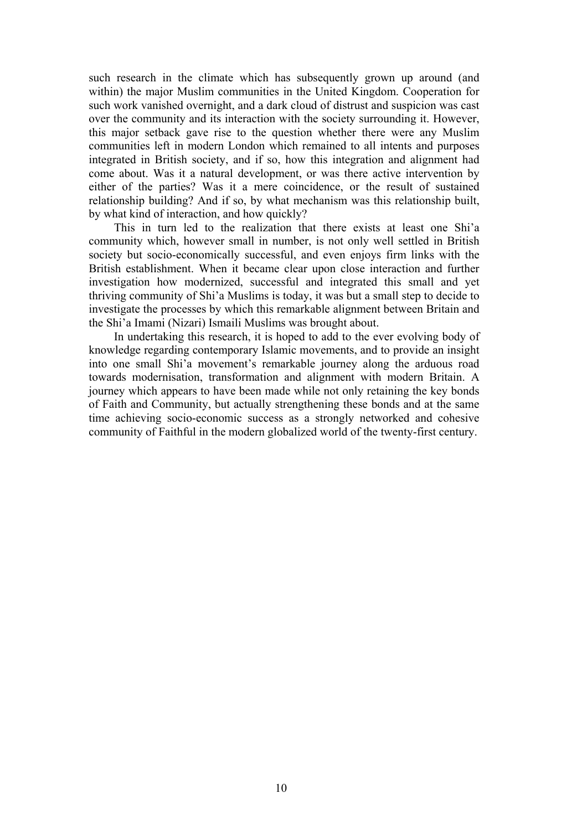such research in the climate which has subsequently grown up around (and within) the major Muslim communities in the United Kingdom. Cooperation for such work vanished overnight, and a dark cloud of distrust and suspicion was cast over the community and its interaction with the society surrounding it. However, this major setback gave rise to the question whether there were any Muslim communities left in modern London which remained to all intents and purposes integrated in British society, and if so, how this integration and alignment had come about. Was it a natural development, or was there active intervention by either of the parties? Was it a mere coincidence, or the result of sustained relationship building? And if so, by what mechanism was this relationship built, by what kind of interaction, and how quickly?

This in turn led to the realization that there exists at least one Shi'a community which, however small in number, is not only well settled in British society but socio-economically successful, and even enjoys firm links with the British establishment. When it became clear upon close interaction and further investigation how modernized, successful and integrated this small and yet thriving community of Shi'a Muslims is today, it was but a small step to decide to investigate the processes by which this remarkable alignment between Britain and the Shi'a Imami (Nizari) Ismaili Muslims was brought about.

In undertaking this research, it is hoped to add to the ever evolving body of knowledge regarding contemporary Islamic movements, and to provide an insight into one small Shi'a movement's remarkable journey along the arduous road towards modernisation, transformation and alignment with modern Britain. A journey which appears to have been made while not only retaining the key bonds of Faith and Community, but actually strengthening these bonds and at the same time achieving socio-economic success as a strongly networked and cohesive community of Faithful in the modern globalized world of the twenty-first century.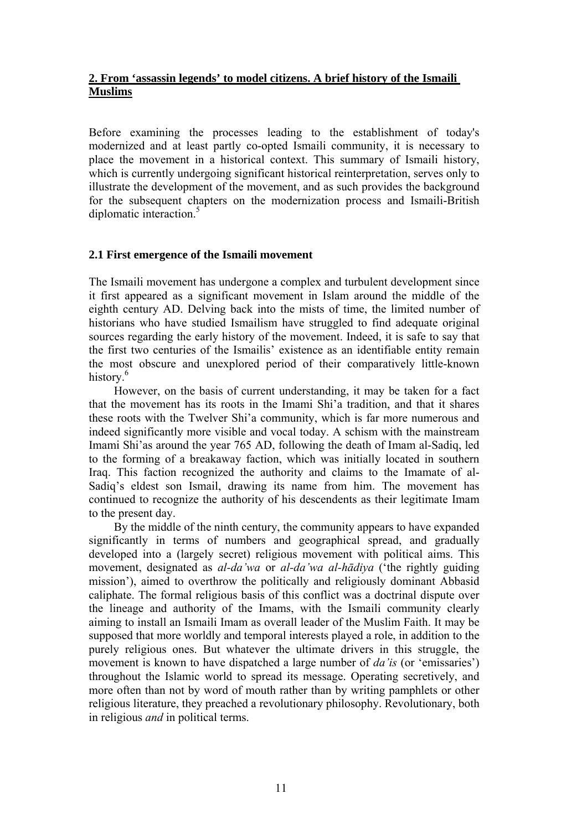# **2. From 'assassin legends' to model citizens. A brief history of the Ismaili Muslims**

Before examining the processes leading to the establishment of today's modernized and at least partly co-opted Ismaili community, it is necessary to place the movement in a historical context. This summary of Ismaili history, which is currently undergoing significant historical reinterpretation, serves only to illustrate the development of the movement, and as such provides the background for the subsequent chapters on the modernization process and Ismaili-British diplomatic interaction.<sup>5</sup>

## **2.1 First emergence of the Ismaili movement**

The Ismaili movement has undergone a complex and turbulent development since it first appeared as a significant movement in Islam around the middle of the eighth century AD. Delving back into the mists of time, the limited number of historians who have studied Ismailism have struggled to find adequate original sources regarding the early history of the movement. Indeed, it is safe to say that the first two centuries of the Ismailis' existence as an identifiable entity remain the most obscure and unexplored period of their comparatively little-known history.<sup>6</sup>

However, on the basis of current understanding, it may be taken for a fact that the movement has its roots in the Imami Shi'a tradition, and that it shares these roots with the Twelver Shi'a community, which is far more numerous and indeed significantly more visible and vocal today. A schism with the mainstream Imami Shi'as around the year 765 AD, following the death of Imam al-Sadiq, led to the forming of a breakaway faction, which was initially located in southern Iraq. This faction recognized the authority and claims to the Imamate of al-Sadiq's eldest son Ismail, drawing its name from him. The movement has continued to recognize the authority of his descendents as their legitimate Imam to the present day.

By the middle of the ninth century, the community appears to have expanded significantly in terms of numbers and geographical spread, and gradually developed into a (largely secret) religious movement with political aims. This movement, designated as *al-da'wa* or *al-da'wa al-hādiya* ('the rightly guiding mission'), aimed to overthrow the politically and religiously dominant Abbasid caliphate. The formal religious basis of this conflict was a doctrinal dispute over the lineage and authority of the Imams, with the Ismaili community clearly aiming to install an Ismaili Imam as overall leader of the Muslim Faith. It may be supposed that more worldly and temporal interests played a role, in addition to the purely religious ones. But whatever the ultimate drivers in this struggle, the movement is known to have dispatched a large number of *da'is* (or 'emissaries') throughout the Islamic world to spread its message. Operating secretively, and more often than not by word of mouth rather than by writing pamphlets or other religious literature, they preached a revolutionary philosophy. Revolutionary, both in religious *and* in political terms.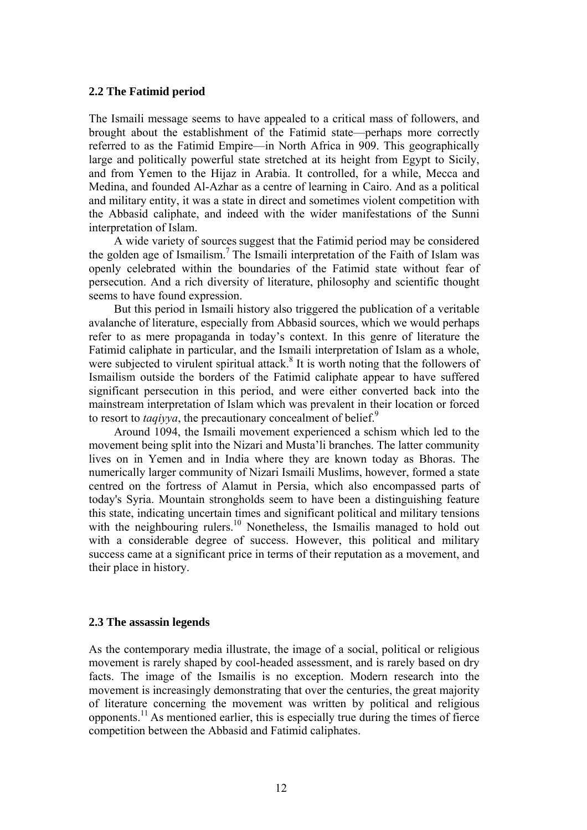#### **2.2 The Fatimid period**

The Ismaili message seems to have appealed to a critical mass of followers, and brought about the establishment of the Fatimid state—perhaps more correctly referred to as the Fatimid Empire—in North Africa in 909. This geographically large and politically powerful state stretched at its height from Egypt to Sicily, and from Yemen to the Hijaz in Arabia. It controlled, for a while, Mecca and Medina, and founded Al-Azhar as a centre of learning in Cairo. And as a political and military entity, it was a state in direct and sometimes violent competition with the Abbasid caliphate, and indeed with the wider manifestations of the Sunni interpretation of Islam.

A wide variety of sources suggest that the Fatimid period may be considered the golden age of Ismailism. <sup>7</sup> The Ismaili interpretation of the Faith of Islam was openly celebrated within the boundaries of the Fatimid state without fear of persecution. And a rich diversity of literature, philosophy and scientific thought seems to have found expression.

But this period in Ismaili history also triggered the publication of a veritable avalanche of literature, especially from Abbasid sources, which we would perhaps refer to as mere propaganda in today's context. In this genre of literature the Fatimid caliphate in particular, and the Ismaili interpretation of Islam as a whole, were subjected to virulent spiritual attack.<sup>8</sup> It is worth noting that the followers of Ismailism outside the borders of the Fatimid caliphate appear to have suffered significant persecution in this period, and were either converted back into the mainstream interpretation of Islam which was prevalent in their location or forced to resort to *taqiyya*, the precautionary concealment of belief.<sup>9</sup>

Around 1094, the Ismaili movement experienced a schism which led to the movement being split into the Nizari and Musta'li branches. The latter community lives on in Yemen and in India where they are known today as Bhoras. The numerically larger community of Nizari Ismaili Muslims, however, formed a state centred on the fortress of Alamut in Persia, which also encompassed parts of today's Syria. Mountain strongholds seem to have been a distinguishing feature this state, indicating uncertain times and significant political and military tensions with the neighbouring rulers.<sup>10</sup> Nonetheless, the Ismailis managed to hold out with a considerable degree of success. However, this political and military success came at a significant price in terms of their reputation as a movement, and their place in history.

#### **2.3 The assassin legends**

As the contemporary media illustrate, the image of a social, political or religious movement is rarely shaped by cool-headed assessment, and is rarely based on dry facts. The image of the Ismailis is no exception. Modern research into the movement is increasingly demonstrating that over the centuries, the great majority of literature concerning the movement was written by political and religious opponents.11 As mentioned earlier, this is especially true during the times of fierce competition between the Abbasid and Fatimid caliphates.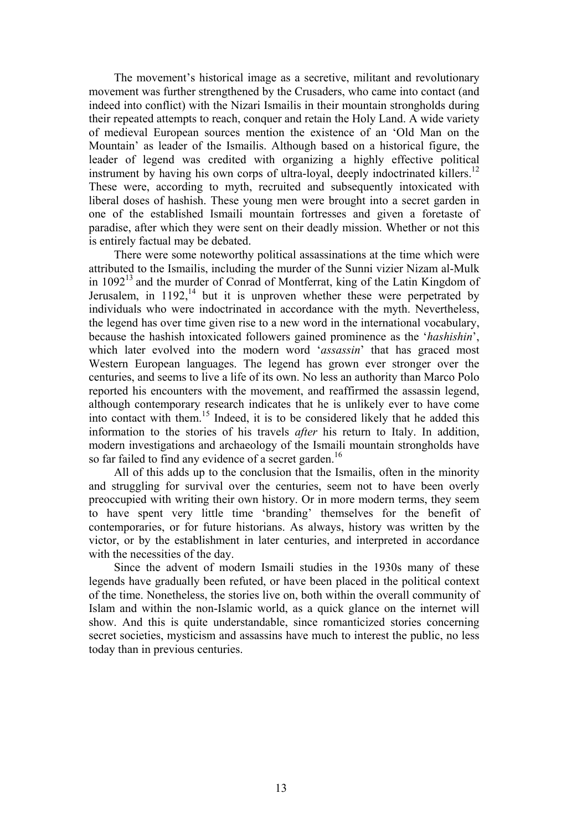The movement's historical image as a secretive, militant and revolutionary movement was further strengthened by the Crusaders, who came into contact (and indeed into conflict) with the Nizari Ismailis in their mountain strongholds during their repeated attempts to reach, conquer and retain the Holy Land. A wide variety of medieval European sources mention the existence of an 'Old Man on the Mountain' as leader of the Ismailis. Although based on a historical figure, the leader of legend was credited with organizing a highly effective political instrument by having his own corps of ultra-loyal, deeply indoctrinated killers.<sup>12</sup> These were, according to myth, recruited and subsequently intoxicated with liberal doses of hashish. These young men were brought into a secret garden in one of the established Ismaili mountain fortresses and given a foretaste of paradise, after which they were sent on their deadly mission. Whether or not this is entirely factual may be debated.

There were some noteworthy political assassinations at the time which were attributed to the Ismailis, including the murder of the Sunni vizier Nizam al-Mulk in  $1092<sup>13</sup>$  and the murder of Conrad of Montferrat, king of the Latin Kingdom of Jerusalem, in  $1192$ , <sup>14</sup> but it is unproven whether these were perpetrated by individuals who were indoctrinated in accordance with the myth. Nevertheless, the legend has over time given rise to a new word in the international vocabulary, because the hashish intoxicated followers gained prominence as the '*hashishin*', which later evolved into the modern word '*assassin*' that has graced most Western European languages. The legend has grown ever stronger over the centuries, and seems to live a life of its own. No less an authority than Marco Polo reported his encounters with the movement, and reaffirmed the assassin legend, although contemporary research indicates that he is unlikely ever to have come into contact with them. 15 Indeed, it is to be considered likely that he added this information to the stories of his travels *after* his return to Italy. In addition, modern investigations and archaeology of the Ismaili mountain strongholds have so far failed to find any evidence of a secret garden.<sup>16</sup>

All of this adds up to the conclusion that the Ismailis, often in the minority and struggling for survival over the centuries, seem not to have been overly preoccupied with writing their own history. Or in more modern terms, they seem to have spent very little time 'branding' themselves for the benefit of contemporaries, or for future historians. As always, history was written by the victor, or by the establishment in later centuries, and interpreted in accordance with the necessities of the day.

Since the advent of modern Ismaili studies in the 1930s many of these legends have gradually been refuted, or have been placed in the political context of the time. Nonetheless, the stories live on, both within the overall community of Islam and within the non-Islamic world, as a quick glance on the internet will show. And this is quite understandable, since romanticized stories concerning secret societies, mysticism and assassins have much to interest the public, no less today than in previous centuries.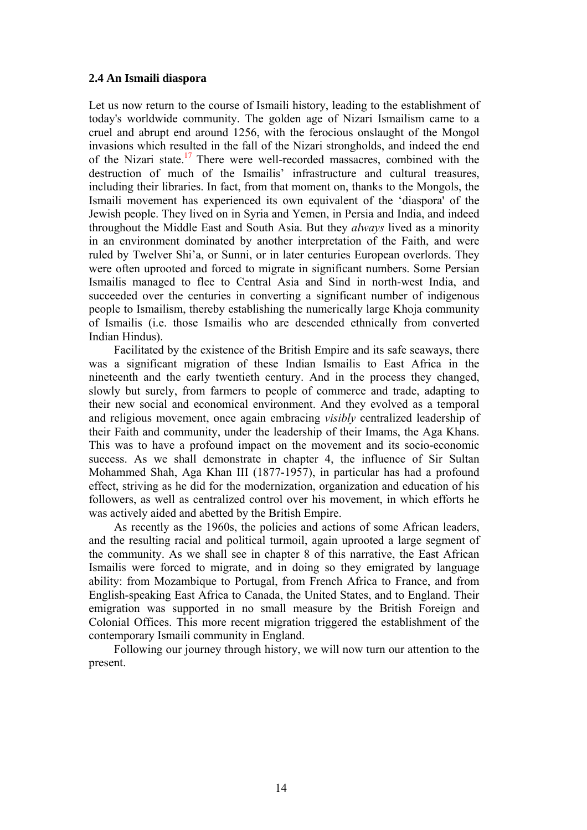## **2.4 An Ismaili diaspora**

Let us now return to the course of Ismaili history, leading to the establishment of today's worldwide community. The golden age of Nizari Ismailism came to a cruel and abrupt end around 1256, with the ferocious onslaught of the Mongol invasions which resulted in the fall of the Nizari strongholds, and indeed the end of the Nizari state.<sup>17</sup> There were well-recorded massacres, combined with the destruction of much of the Ismailis' infrastructure and cultural treasures, including their libraries. In fact, from that moment on, thanks to the Mongols, the Ismaili movement has experienced its own equivalent of the 'diaspora' of the Jewish people. They lived on in Syria and Yemen, in Persia and India, and indeed throughout the Middle East and South Asia. But they *always* lived as a minority in an environment dominated by another interpretation of the Faith, and were ruled by Twelver Shi'a, or Sunni, or in later centuries European overlords. They were often uprooted and forced to migrate in significant numbers. Some Persian Ismailis managed to flee to Central Asia and Sind in north-west India, and succeeded over the centuries in converting a significant number of indigenous people to Ismailism, thereby establishing the numerically large Khoja community of Ismailis (i.e. those Ismailis who are descended ethnically from converted Indian Hindus).

Facilitated by the existence of the British Empire and its safe seaways, there was a significant migration of these Indian Ismailis to East Africa in the nineteenth and the early twentieth century. And in the process they changed, slowly but surely, from farmers to people of commerce and trade, adapting to their new social and economical environment. And they evolved as a temporal and religious movement, once again embracing *visibly* centralized leadership of their Faith and community, under the leadership of their Imams, the Aga Khans. This was to have a profound impact on the movement and its socio-economic success. As we shall demonstrate in chapter 4, the influence of Sir Sultan Mohammed Shah, Aga Khan III (1877-1957), in particular has had a profound effect, striving as he did for the modernization, organization and education of his followers, as well as centralized control over his movement, in which efforts he was actively aided and abetted by the British Empire.

As recently as the 1960s, the policies and actions of some African leaders, and the resulting racial and political turmoil, again uprooted a large segment of the community. As we shall see in chapter 8 of this narrative, the East African Ismailis were forced to migrate, and in doing so they emigrated by language ability: from Mozambique to Portugal, from French Africa to France, and from English-speaking East Africa to Canada, the United States, and to England. Their emigration was supported in no small measure by the British Foreign and Colonial Offices. This more recent migration triggered the establishment of the contemporary Ismaili community in England.

Following our journey through history, we will now turn our attention to the present.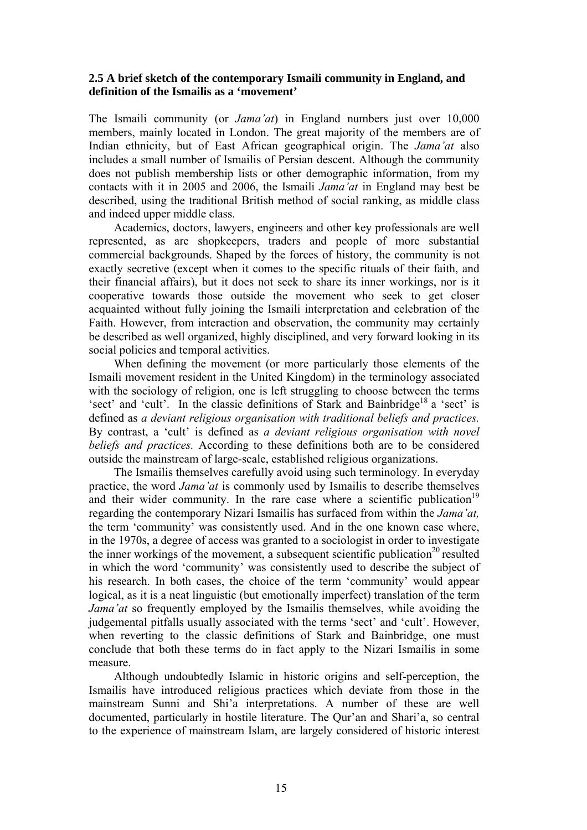## **2.5 A brief sketch of the contemporary Ismaili community in England, and definition of the Ismailis as a 'movement'**

The Ismaili community (or *Jama'at*) in England numbers just over 10,000 members, mainly located in London. The great majority of the members are of Indian ethnicity, but of East African geographical origin. The *Jama'at* also includes a small number of Ismailis of Persian descent. Although the community does not publish membership lists or other demographic information, from my contacts with it in 2005 and 2006, the Ismaili *Jama'at* in England may best be described, using the traditional British method of social ranking, as middle class and indeed upper middle class.

Academics, doctors, lawyers, engineers and other key professionals are well represented, as are shopkeepers, traders and people of more substantial commercial backgrounds. Shaped by the forces of history, the community is not exactly secretive (except when it comes to the specific rituals of their faith, and their financial affairs), but it does not seek to share its inner workings, nor is it cooperative towards those outside the movement who seek to get closer acquainted without fully joining the Ismaili interpretation and celebration of the Faith. However, from interaction and observation, the community may certainly be described as well organized, highly disciplined, and very forward looking in its social policies and temporal activities.

When defining the movement (or more particularly those elements of the Ismaili movement resident in the United Kingdom) in the terminology associated with the sociology of religion, one is left struggling to choose between the terms 'sect' and 'cult'. In the classic definitions of Stark and Bainbridge<sup>18</sup> a 'sect' is defined as *a deviant religious organisation with traditional beliefs and practices.*  By contrast, a 'cult' is defined as *a deviant religious organisation with novel beliefs and practices.* According to these definitions both are to be considered outside the mainstream of large-scale, established religious organizations.

The Ismailis themselves carefully avoid using such terminology. In everyday practice, the word *Jama'at* is commonly used by Ismailis to describe themselves and their wider community. In the rare case where a scientific publication<sup>19</sup> regarding the contemporary Nizari Ismailis has surfaced from within the *Jama'at,* the term 'community' was consistently used. And in the one known case where, in the 1970s, a degree of access was granted to a sociologist in order to investigate the inner workings of the movement, a subsequent scientific publication<sup>20</sup> resulted in which the word 'community' was consistently used to describe the subject of his research. In both cases, the choice of the term 'community' would appear logical, as it is a neat linguistic (but emotionally imperfect) translation of the term *Jama'at* so frequently employed by the Ismailis themselves, while avoiding the judgemental pitfalls usually associated with the terms 'sect' and 'cult'. However, when reverting to the classic definitions of Stark and Bainbridge, one must conclude that both these terms do in fact apply to the Nizari Ismailis in some measure.

Although undoubtedly Islamic in historic origins and self-perception, the Ismailis have introduced religious practices which deviate from those in the mainstream Sunni and Shi'a interpretations. A number of these are well documented, particularly in hostile literature. The Qur'an and Shari'a, so central to the experience of mainstream Islam, are largely considered of historic interest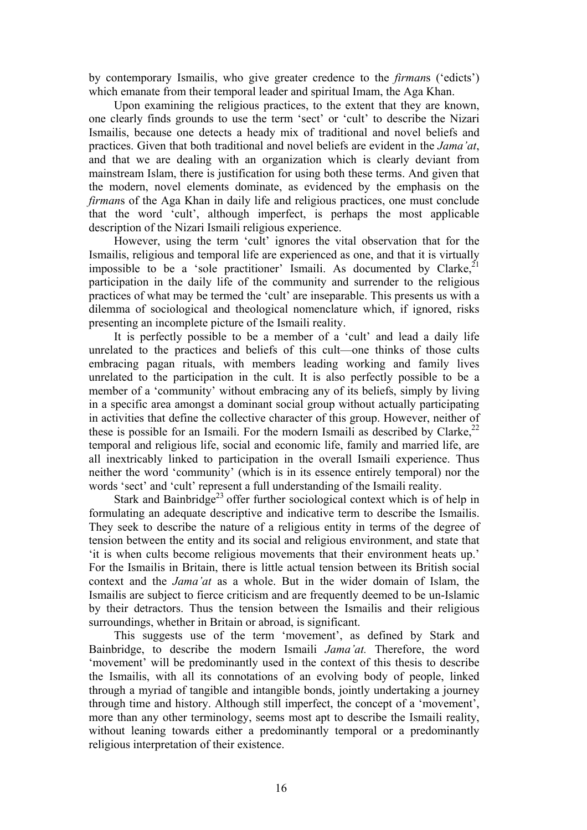by contemporary Ismailis, who give greater credence to the *firman*s ('edicts') which emanate from their temporal leader and spiritual Imam, the Aga Khan.

Upon examining the religious practices, to the extent that they are known, one clearly finds grounds to use the term 'sect' or 'cult' to describe the Nizari Ismailis, because one detects a heady mix of traditional and novel beliefs and practices. Given that both traditional and novel beliefs are evident in the *Jama'at*, and that we are dealing with an organization which is clearly deviant from mainstream Islam, there is justification for using both these terms. And given that the modern, novel elements dominate, as evidenced by the emphasis on the *firman*s of the Aga Khan in daily life and religious practices, one must conclude that the word 'cult', although imperfect, is perhaps the most applicable description of the Nizari Ismaili religious experience.

However, using the term 'cult' ignores the vital observation that for the Ismailis, religious and temporal life are experienced as one, and that it is virtually impossible to be a 'sole practitioner' Ismaili. As documented by Clarke,  $2^1$ participation in the daily life of the community and surrender to the religious practices of what may be termed the 'cult' are inseparable. This presents us with a dilemma of sociological and theological nomenclature which, if ignored, risks presenting an incomplete picture of the Ismaili reality.

It is perfectly possible to be a member of a 'cult' and lead a daily life unrelated to the practices and beliefs of this cult—one thinks of those cults embracing pagan rituals, with members leading working and family lives unrelated to the participation in the cult. It is also perfectly possible to be a member of a 'community' without embracing any of its beliefs, simply by living in a specific area amongst a dominant social group without actually participating in activities that define the collective character of this group. However, neither of these is possible for an Ismaili. For the modern Ismaili as described by Clarke, $^{22}$ temporal and religious life, social and economic life, family and married life, are all inextricably linked to participation in the overall Ismaili experience. Thus neither the word 'community' (which is in its essence entirely temporal) nor the words 'sect' and 'cult' represent a full understanding of the Ismaili reality.

Stark and Bainbridge<sup>23</sup> offer further sociological context which is of help in formulating an adequate descriptive and indicative term to describe the Ismailis. They seek to describe the nature of a religious entity in terms of the degree of tension between the entity and its social and religious environment, and state that 'it is when cults become religious movements that their environment heats up.' For the Ismailis in Britain, there is little actual tension between its British social context and the *Jama'at* as a whole. But in the wider domain of Islam, the Ismailis are subject to fierce criticism and are frequently deemed to be un-Islamic by their detractors. Thus the tension between the Ismailis and their religious surroundings, whether in Britain or abroad, is significant.

This suggests use of the term 'movement', as defined by Stark and Bainbridge, to describe the modern Ismaili *Jama'at.* Therefore, the word 'movement' will be predominantly used in the context of this thesis to describe the Ismailis, with all its connotations of an evolving body of people, linked through a myriad of tangible and intangible bonds, jointly undertaking a journey through time and history. Although still imperfect, the concept of a 'movement', more than any other terminology, seems most apt to describe the Ismaili reality, without leaning towards either a predominantly temporal or a predominantly religious interpretation of their existence.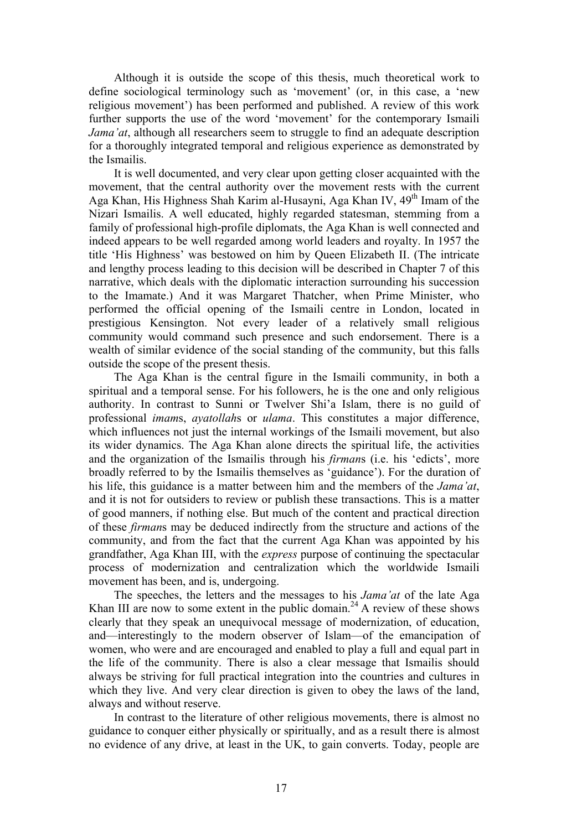Although it is outside the scope of this thesis, much theoretical work to define sociological terminology such as 'movement' (or, in this case, a 'new religious movement') has been performed and published. A review of this work further supports the use of the word 'movement' for the contemporary Ismaili *Jama'at*, although all researchers seem to struggle to find an adequate description for a thoroughly integrated temporal and religious experience as demonstrated by the Ismailis.

It is well documented, and very clear upon getting closer acquainted with the movement, that the central authority over the movement rests with the current Aga Khan, His Highness Shah Karim al-Husayni, Aga Khan IV, 49<sup>th</sup> Imam of the Nizari Ismailis. A well educated, highly regarded statesman, stemming from a family of professional high-profile diplomats, the Aga Khan is well connected and indeed appears to be well regarded among world leaders and royalty. In 1957 the title 'His Highness' was bestowed on him by Queen Elizabeth II. (The intricate and lengthy process leading to this decision will be described in Chapter 7 of this narrative, which deals with the diplomatic interaction surrounding his succession to the Imamate.) And it was Margaret Thatcher, when Prime Minister, who performed the official opening of the Ismaili centre in London, located in prestigious Kensington. Not every leader of a relatively small religious community would command such presence and such endorsement. There is a wealth of similar evidence of the social standing of the community, but this falls outside the scope of the present thesis.

The Aga Khan is the central figure in the Ismaili community, in both a spiritual and a temporal sense. For his followers, he is the one and only religious authority. In contrast to Sunni or Twelver Shi'a Islam, there is no guild of professional *imam*s, *ayatollah*s or *ulama*. This constitutes a major difference, which influences not just the internal workings of the Ismaili movement, but also its wider dynamics. The Aga Khan alone directs the spiritual life, the activities and the organization of the Ismailis through his *firman*s (i.e. his 'edicts', more broadly referred to by the Ismailis themselves as 'guidance'). For the duration of his life, this guidance is a matter between him and the members of the *Jama'at*, and it is not for outsiders to review or publish these transactions. This is a matter of good manners, if nothing else. But much of the content and practical direction of these *firman*s may be deduced indirectly from the structure and actions of the community, and from the fact that the current Aga Khan was appointed by his grandfather, Aga Khan III, with the *express* purpose of continuing the spectacular process of modernization and centralization which the worldwide Ismaili movement has been, and is, undergoing.

The speeches, the letters and the messages to his *Jama'at* of the late Aga Khan III are now to some extent in the public domain.<sup>24</sup> A review of these shows clearly that they speak an unequivocal message of modernization, of education, and—interestingly to the modern observer of Islam—of the emancipation of women, who were and are encouraged and enabled to play a full and equal part in the life of the community. There is also a clear message that Ismailis should always be striving for full practical integration into the countries and cultures in which they live. And very clear direction is given to obey the laws of the land, always and without reserve.

In contrast to the literature of other religious movements, there is almost no guidance to conquer either physically or spiritually, and as a result there is almost no evidence of any drive, at least in the UK, to gain converts. Today, people are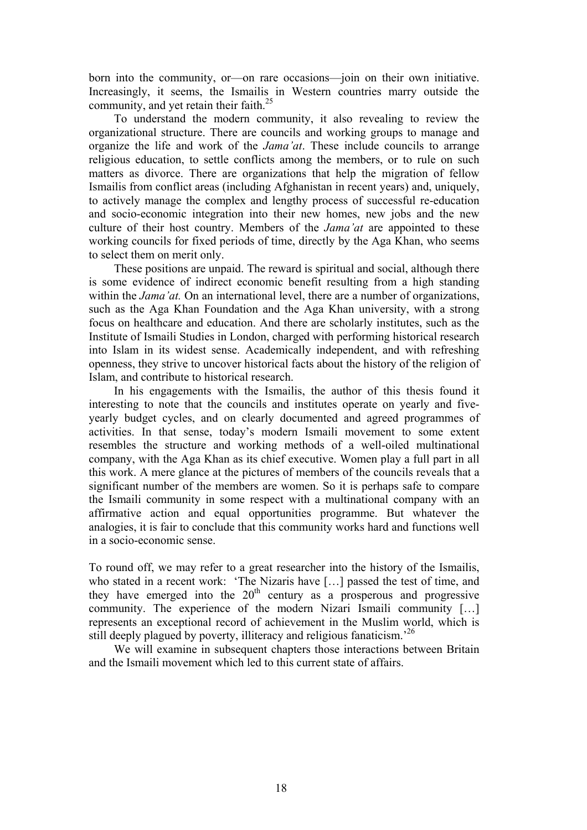born into the community, or—on rare occasions—join on their own initiative. Increasingly, it seems, the Ismailis in Western countries marry outside the community, and yet retain their faith.<sup>25</sup>

To understand the modern community, it also revealing to review the organizational structure. There are councils and working groups to manage and organize the life and work of the *Jama'at*. These include councils to arrange religious education, to settle conflicts among the members, or to rule on such matters as divorce. There are organizations that help the migration of fellow Ismailis from conflict areas (including Afghanistan in recent years) and, uniquely, to actively manage the complex and lengthy process of successful re-education and socio-economic integration into their new homes, new jobs and the new culture of their host country. Members of the *Jama'at* are appointed to these working councils for fixed periods of time, directly by the Aga Khan, who seems to select them on merit only.

These positions are unpaid. The reward is spiritual and social, although there is some evidence of indirect economic benefit resulting from a high standing within the *Jama'at*. On an international level, there are a number of organizations, such as the Aga Khan Foundation and the Aga Khan university, with a strong focus on healthcare and education. And there are scholarly institutes, such as the Institute of Ismaili Studies in London, charged with performing historical research into Islam in its widest sense. Academically independent, and with refreshing openness, they strive to uncover historical facts about the history of the religion of Islam, and contribute to historical research.

In his engagements with the Ismailis, the author of this thesis found it interesting to note that the councils and institutes operate on yearly and fiveyearly budget cycles, and on clearly documented and agreed programmes of activities. In that sense, today's modern Ismaili movement to some extent resembles the structure and working methods of a well-oiled multinational company, with the Aga Khan as its chief executive. Women play a full part in all this work. A mere glance at the pictures of members of the councils reveals that a significant number of the members are women. So it is perhaps safe to compare the Ismaili community in some respect with a multinational company with an affirmative action and equal opportunities programme. But whatever the analogies, it is fair to conclude that this community works hard and functions well in a socio-economic sense.

To round off, we may refer to a great researcher into the history of the Ismailis, who stated in a recent work: 'The Nizaris have […] passed the test of time, and they have emerged into the  $20<sup>th</sup>$  century as a prosperous and progressive community. The experience of the modern Nizari Ismaili community […] represents an exceptional record of achievement in the Muslim world, which is still deeply plagued by poverty, illiteracy and religious fanaticism.<sup>26</sup>

We will examine in subsequent chapters those interactions between Britain and the Ismaili movement which led to this current state of affairs.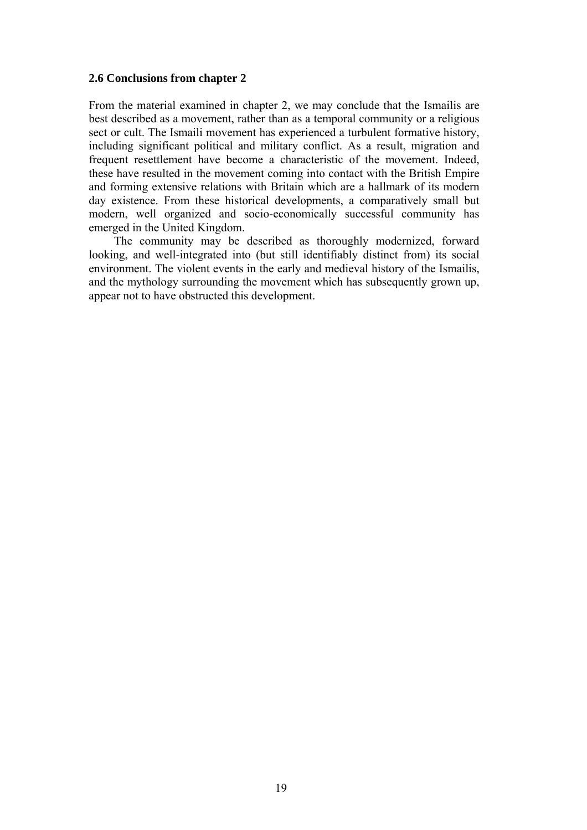## **2.6 Conclusions from chapter 2**

From the material examined in chapter 2, we may conclude that the Ismailis are best described as a movement, rather than as a temporal community or a religious sect or cult. The Ismaili movement has experienced a turbulent formative history, including significant political and military conflict. As a result, migration and frequent resettlement have become a characteristic of the movement. Indeed, these have resulted in the movement coming into contact with the British Empire and forming extensive relations with Britain which are a hallmark of its modern day existence. From these historical developments, a comparatively small but modern, well organized and socio-economically successful community has emerged in the United Kingdom.

The community may be described as thoroughly modernized, forward looking, and well-integrated into (but still identifiably distinct from) its social environment. The violent events in the early and medieval history of the Ismailis, and the mythology surrounding the movement which has subsequently grown up, appear not to have obstructed this development.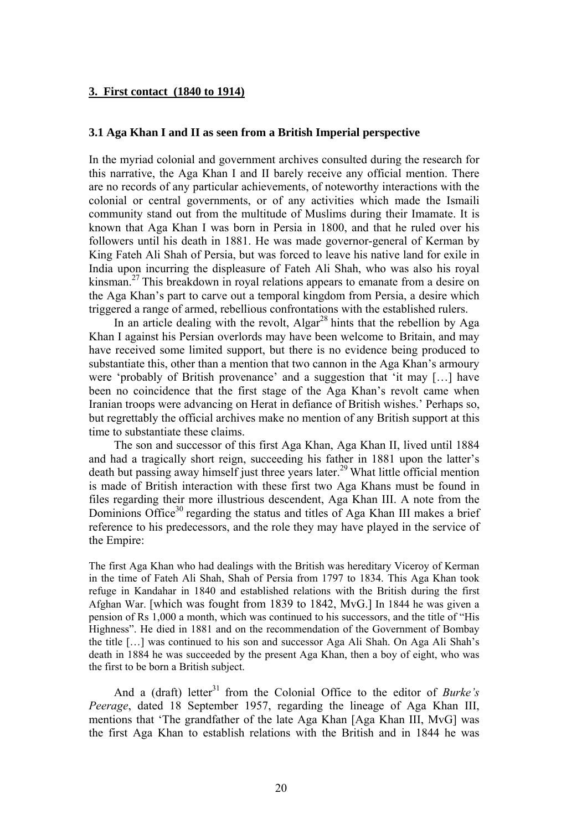### **3. First contact (1840 to 1914)**

### **3.1 Aga Khan I and II as seen from a British Imperial perspective**

In the myriad colonial and government archives consulted during the research for this narrative, the Aga Khan I and II barely receive any official mention. There are no records of any particular achievements, of noteworthy interactions with the colonial or central governments, or of any activities which made the Ismaili community stand out from the multitude of Muslims during their Imamate. It is known that Aga Khan I was born in Persia in 1800, and that he ruled over his followers until his death in 1881. He was made governor-general of Kerman by King Fateh Ali Shah of Persia, but was forced to leave his native land for exile in India upon incurring the displeasure of Fateh Ali Shah, who was also his royal kinsman.27 This breakdown in royal relations appears to emanate from a desire on the Aga Khan's part to carve out a temporal kingdom from Persia, a desire which triggered a range of armed, rebellious confrontations with the established rulers.

In an article dealing with the revolt,  $\text{Algar}^{28}$  hints that the rebellion by Aga Khan I against his Persian overlords may have been welcome to Britain, and may have received some limited support, but there is no evidence being produced to substantiate this, other than a mention that two cannon in the Aga Khan's armoury were 'probably of British provenance' and a suggestion that 'it may […] have been no coincidence that the first stage of the Aga Khan's revolt came when Iranian troops were advancing on Herat in defiance of British wishes.' Perhaps so, but regrettably the official archives make no mention of any British support at this time to substantiate these claims.

The son and successor of this first Aga Khan, Aga Khan II, lived until 1884 and had a tragically short reign, succeeding his father in 1881 upon the latter's death but passing away himself just three years later.<sup>29</sup> What little official mention is made of British interaction with these first two Aga Khans must be found in files regarding their more illustrious descendent, Aga Khan III. A note from the Dominions Office<sup>30</sup> regarding the status and titles of Aga Khan III makes a brief reference to his predecessors, and the role they may have played in the service of the Empire:

The first Aga Khan who had dealings with the British was hereditary Viceroy of Kerman in the time of Fateh Ali Shah, Shah of Persia from 1797 to 1834. This Aga Khan took refuge in Kandahar in 1840 and established relations with the British during the first Afghan War. [which was fought from 1839 to 1842, MvG.] In 1844 he was given a pension of Rs 1,000 a month, which was continued to his successors, and the title of "His Highness". He died in 1881 and on the recommendation of the Government of Bombay the title […] was continued to his son and successor Aga Ali Shah. On Aga Ali Shah's death in 1884 he was succeeded by the present Aga Khan, then a boy of eight, who was the first to be born a British subject.

And a (draft) letter<sup>31</sup> from the Colonial Office to the editor of *Burke's Peerage*, dated 18 September 1957, regarding the lineage of Aga Khan III, mentions that 'The grandfather of the late Aga Khan [Aga Khan III, MvG] was the first Aga Khan to establish relations with the British and in 1844 he was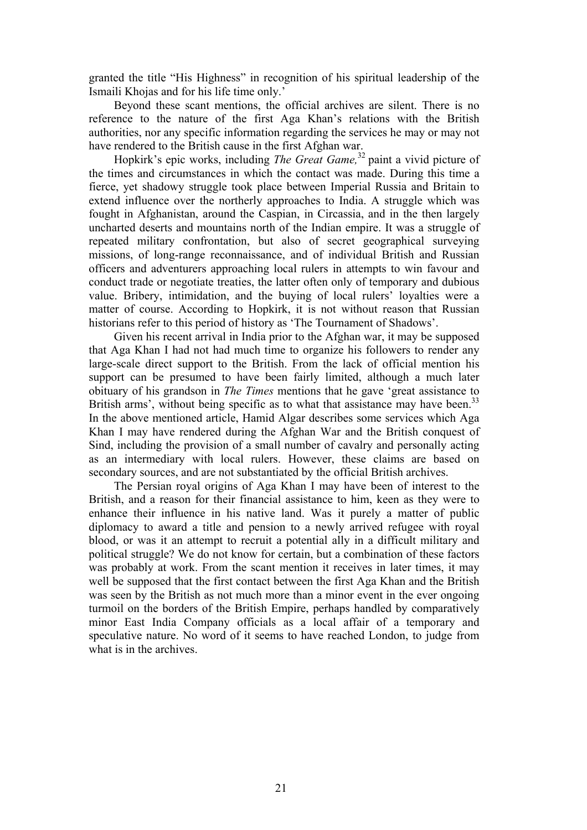granted the title "His Highness" in recognition of his spiritual leadership of the Ismaili Khojas and for his life time only.'

Beyond these scant mentions, the official archives are silent. There is no reference to the nature of the first Aga Khan's relations with the British authorities, nor any specific information regarding the services he may or may not have rendered to the British cause in the first Afghan war.

Hopkirk's epic works, including *The Great Game,*32 paint a vivid picture of the times and circumstances in which the contact was made. During this time a fierce, yet shadowy struggle took place between Imperial Russia and Britain to extend influence over the northerly approaches to India. A struggle which was fought in Afghanistan, around the Caspian, in Circassia, and in the then largely uncharted deserts and mountains north of the Indian empire. It was a struggle of repeated military confrontation, but also of secret geographical surveying missions, of long-range reconnaissance, and of individual British and Russian officers and adventurers approaching local rulers in attempts to win favour and conduct trade or negotiate treaties, the latter often only of temporary and dubious value. Bribery, intimidation, and the buying of local rulers' loyalties were a matter of course. According to Hopkirk, it is not without reason that Russian historians refer to this period of history as 'The Tournament of Shadows'.

Given his recent arrival in India prior to the Afghan war, it may be supposed that Aga Khan I had not had much time to organize his followers to render any large-scale direct support to the British. From the lack of official mention his support can be presumed to have been fairly limited, although a much later obituary of his grandson in *The Times* mentions that he gave 'great assistance to British arms', without being specific as to what that assistance may have been.<sup>33</sup> In the above mentioned article, Hamid Algar describes some services which Aga Khan I may have rendered during the Afghan War and the British conquest of Sind, including the provision of a small number of cavalry and personally acting as an intermediary with local rulers. However, these claims are based on secondary sources, and are not substantiated by the official British archives.

The Persian royal origins of Aga Khan I may have been of interest to the British, and a reason for their financial assistance to him, keen as they were to enhance their influence in his native land. Was it purely a matter of public diplomacy to award a title and pension to a newly arrived refugee with royal blood, or was it an attempt to recruit a potential ally in a difficult military and political struggle? We do not know for certain, but a combination of these factors was probably at work. From the scant mention it receives in later times, it may well be supposed that the first contact between the first Aga Khan and the British was seen by the British as not much more than a minor event in the ever ongoing turmoil on the borders of the British Empire, perhaps handled by comparatively minor East India Company officials as a local affair of a temporary and speculative nature. No word of it seems to have reached London, to judge from what is in the archives.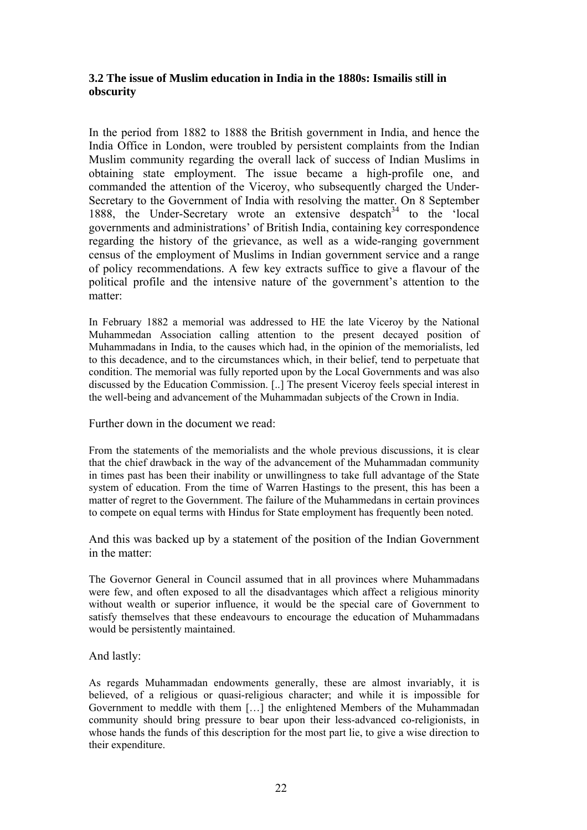# **3.2 The issue of Muslim education in India in the 1880s: Ismailis still in obscurity**

In the period from 1882 to 1888 the British government in India, and hence the India Office in London, were troubled by persistent complaints from the Indian Muslim community regarding the overall lack of success of Indian Muslims in obtaining state employment. The issue became a high-profile one, and commanded the attention of the Viceroy, who subsequently charged the Under-Secretary to the Government of India with resolving the matter. On 8 September 1888, the Under-Secretary wrote an extensive despatch<sup>34</sup> to the 'local governments and administrations' of British India, containing key correspondence regarding the history of the grievance, as well as a wide-ranging government census of the employment of Muslims in Indian government service and a range of policy recommendations. A few key extracts suffice to give a flavour of the political profile and the intensive nature of the government's attention to the matter:

In February 1882 a memorial was addressed to HE the late Viceroy by the National Muhammedan Association calling attention to the present decayed position of Muhammadans in India, to the causes which had, in the opinion of the memorialists, led to this decadence, and to the circumstances which, in their belief, tend to perpetuate that condition. The memorial was fully reported upon by the Local Governments and was also discussed by the Education Commission. [..] The present Viceroy feels special interest in the well-being and advancement of the Muhammadan subjects of the Crown in India.

Further down in the document we read:

From the statements of the memorialists and the whole previous discussions, it is clear that the chief drawback in the way of the advancement of the Muhammadan community in times past has been their inability or unwillingness to take full advantage of the State system of education. From the time of Warren Hastings to the present, this has been a matter of regret to the Government. The failure of the Muhammedans in certain provinces to compete on equal terms with Hindus for State employment has frequently been noted.

And this was backed up by a statement of the position of the Indian Government in the matter:

The Governor General in Council assumed that in all provinces where Muhammadans were few, and often exposed to all the disadvantages which affect a religious minority without wealth or superior influence, it would be the special care of Government to satisfy themselves that these endeavours to encourage the education of Muhammadans would be persistently maintained.

## And lastly:

As regards Muhammadan endowments generally, these are almost invariably, it is believed, of a religious or quasi-religious character; and while it is impossible for Government to meddle with them […] the enlightened Members of the Muhammadan community should bring pressure to bear upon their less-advanced co-religionists, in whose hands the funds of this description for the most part lie, to give a wise direction to their expenditure.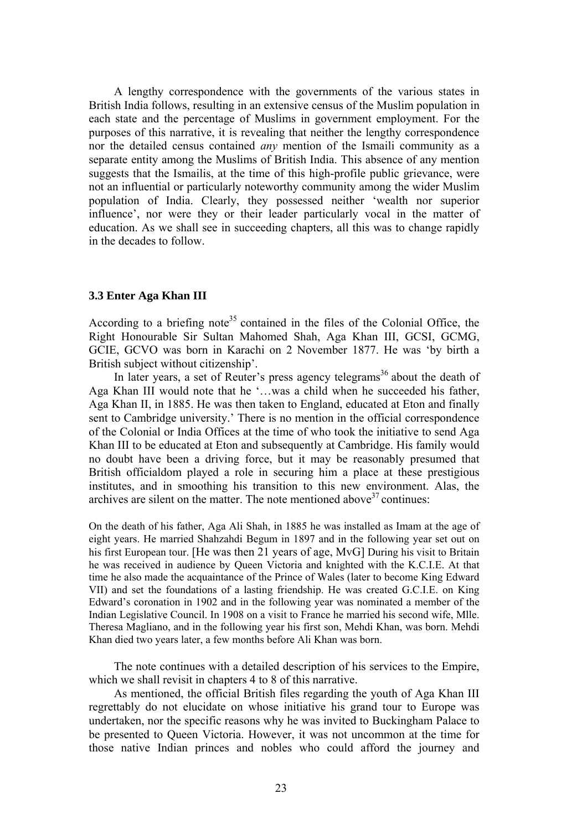A lengthy correspondence with the governments of the various states in British India follows, resulting in an extensive census of the Muslim population in each state and the percentage of Muslims in government employment. For the purposes of this narrative, it is revealing that neither the lengthy correspondence nor the detailed census contained *any* mention of the Ismaili community as a separate entity among the Muslims of British India. This absence of any mention suggests that the Ismailis, at the time of this high-profile public grievance, were not an influential or particularly noteworthy community among the wider Muslim population of India. Clearly, they possessed neither 'wealth nor superior influence', nor were they or their leader particularly vocal in the matter of education. As we shall see in succeeding chapters, all this was to change rapidly in the decades to follow.

#### **3.3 Enter Aga Khan III**

According to a briefing note<sup>35</sup> contained in the files of the Colonial Office, the Right Honourable Sir Sultan Mahomed Shah, Aga Khan III, GCSI, GCMG, GCIE, GCVO was born in Karachi on 2 November 1877. He was 'by birth a British subject without citizenship'.

In later years, a set of Reuter's press agency telegrams<sup>36</sup> about the death of Aga Khan III would note that he '…was a child when he succeeded his father, Aga Khan II, in 1885. He was then taken to England, educated at Eton and finally sent to Cambridge university.' There is no mention in the official correspondence of the Colonial or India Offices at the time of who took the initiative to send Aga Khan III to be educated at Eton and subsequently at Cambridge. His family would no doubt have been a driving force, but it may be reasonably presumed that British officialdom played a role in securing him a place at these prestigious institutes, and in smoothing his transition to this new environment. Alas, the archives are silent on the matter. The note mentioned above  $37$  continues:

On the death of his father, Aga Ali Shah, in 1885 he was installed as Imam at the age of eight years. He married Shahzahdi Begum in 1897 and in the following year set out on his first European tour. [He was then 21 years of age, MvG] During his visit to Britain he was received in audience by Queen Victoria and knighted with the K.C.I.E. At that time he also made the acquaintance of the Prince of Wales (later to become King Edward VII) and set the foundations of a lasting friendship. He was created G.C.I.E. on King Edward's coronation in 1902 and in the following year was nominated a member of the Indian Legislative Council. In 1908 on a visit to France he married his second wife, Mlle. Theresa Magliano, and in the following year his first son, Mehdi Khan, was born. Mehdi Khan died two years later, a few months before Ali Khan was born.

The note continues with a detailed description of his services to the Empire, which we shall revisit in chapters 4 to 8 of this narrative.

As mentioned, the official British files regarding the youth of Aga Khan III regrettably do not elucidate on whose initiative his grand tour to Europe was undertaken, nor the specific reasons why he was invited to Buckingham Palace to be presented to Queen Victoria. However, it was not uncommon at the time for those native Indian princes and nobles who could afford the journey and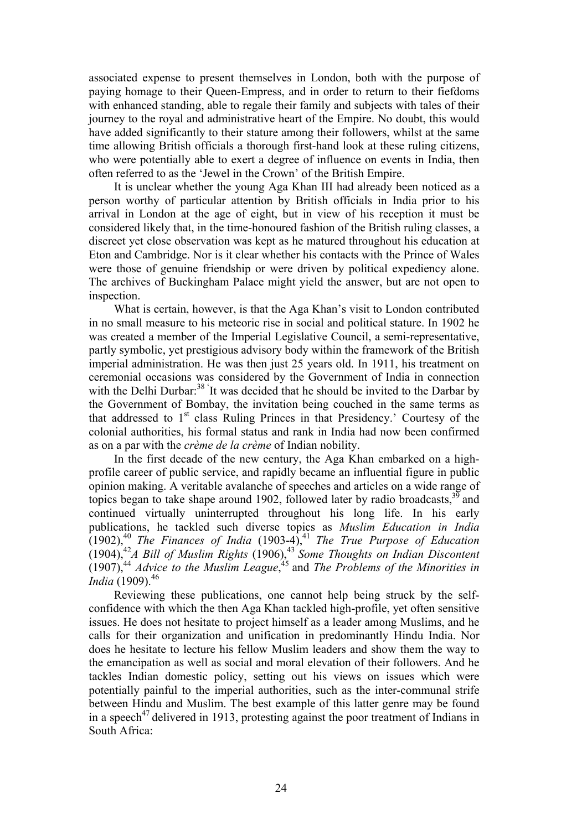associated expense to present themselves in London, both with the purpose of paying homage to their Queen-Empress, and in order to return to their fiefdoms with enhanced standing, able to regale their family and subjects with tales of their journey to the royal and administrative heart of the Empire. No doubt, this would have added significantly to their stature among their followers, whilst at the same time allowing British officials a thorough first-hand look at these ruling citizens, who were potentially able to exert a degree of influence on events in India, then often referred to as the 'Jewel in the Crown' of the British Empire.

It is unclear whether the young Aga Khan III had already been noticed as a person worthy of particular attention by British officials in India prior to his arrival in London at the age of eight, but in view of his reception it must be considered likely that, in the time-honoured fashion of the British ruling classes, a discreet yet close observation was kept as he matured throughout his education at Eton and Cambridge. Nor is it clear whether his contacts with the Prince of Wales were those of genuine friendship or were driven by political expediency alone. The archives of Buckingham Palace might yield the answer, but are not open to inspection.

What is certain, however, is that the Aga Khan's visit to London contributed in no small measure to his meteoric rise in social and political stature. In 1902 he was created a member of the Imperial Legislative Council, a semi-representative, partly symbolic, yet prestigious advisory body within the framework of the British imperial administration. He was then just 25 years old. In 1911, his treatment on ceremonial occasions was considered by the Government of India in connection with the Delhi Durbar:<sup>38</sup> It was decided that he should be invited to the Darbar by the Government of Bombay, the invitation being couched in the same terms as that addressed to  $1<sup>st</sup>$  class Ruling Princes in that Presidency.' Courtesy of the colonial authorities, his formal status and rank in India had now been confirmed as on a par with the *crème de la crème* of Indian nobility.

In the first decade of the new century, the Aga Khan embarked on a highprofile career of public service, and rapidly became an influential figure in public opinion making. A veritable avalanche of speeches and articles on a wide range of topics began to take shape around 1902, followed later by radio broadcasts,  $39$  and continued virtually uninterrupted throughout his long life. In his early publications, he tackled such diverse topics as *Muslim Education in India* (1902),40 *The Finances of India* (1903-4),41 *The True Purpose of Education* (1904),42*A Bill of Muslim Rights* (1906),<sup>43</sup>*Some Thoughts on Indian Discontent* (1907),44 *Advice to the Muslim League*, 45 and *The Problems of the Minorities in India* (1909).<sup>46</sup>

Reviewing these publications, one cannot help being struck by the selfconfidence with which the then Aga Khan tackled high-profile, yet often sensitive issues. He does not hesitate to project himself as a leader among Muslims, and he calls for their organization and unification in predominantly Hindu India. Nor does he hesitate to lecture his fellow Muslim leaders and show them the way to the emancipation as well as social and moral elevation of their followers. And he tackles Indian domestic policy, setting out his views on issues which were potentially painful to the imperial authorities, such as the inter-communal strife between Hindu and Muslim. The best example of this latter genre may be found in a speech<sup>47</sup> delivered in 1913, protesting against the poor treatment of Indians in South Africa: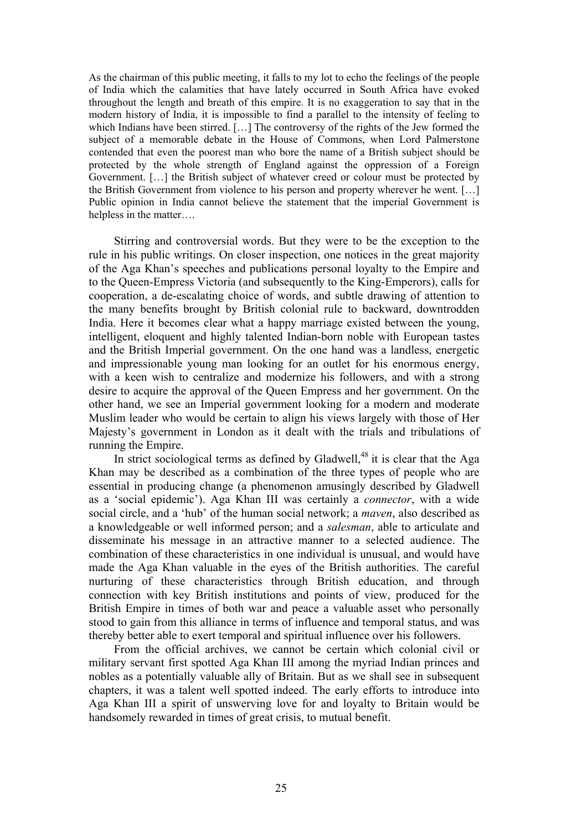As the chairman of this public meeting, it falls to my lot to echo the feelings of the people of India which the calamities that have lately occurred in South Africa have evoked throughout the length and breath of this empire. It is no exaggeration to say that in the modern history of India, it is impossible to find a parallel to the intensity of feeling to which Indians have been stirred. […] The controversy of the rights of the Jew formed the subject of a memorable debate in the House of Commons, when Lord Palmerstone contended that even the poorest man who bore the name of a British subject should be protected by the whole strength of England against the oppression of a Foreign Government. […] the British subject of whatever creed or colour must be protected by the British Government from violence to his person and property wherever he went. […] Public opinion in India cannot believe the statement that the imperial Government is helpless in the matter….

Stirring and controversial words. But they were to be the exception to the rule in his public writings. On closer inspection, one notices in the great majority of the Aga Khan's speeches and publications personal loyalty to the Empire and to the Queen-Empress Victoria (and subsequently to the King-Emperors), calls for cooperation, a de-escalating choice of words, and subtle drawing of attention to the many benefits brought by British colonial rule to backward, downtrodden India. Here it becomes clear what a happy marriage existed between the young, intelligent, eloquent and highly talented Indian-born noble with European tastes and the British Imperial government. On the one hand was a landless, energetic and impressionable young man looking for an outlet for his enormous energy, with a keen wish to centralize and modernize his followers, and with a strong desire to acquire the approval of the Queen Empress and her government. On the other hand, we see an Imperial government looking for a modern and moderate Muslim leader who would be certain to align his views largely with those of Her Majesty's government in London as it dealt with the trials and tribulations of running the Empire.

In strict sociological terms as defined by Gladwell, $^{48}$  it is clear that the Aga Khan may be described as a combination of the three types of people who are essential in producing change (a phenomenon amusingly described by Gladwell as a 'social epidemic'). Aga Khan III was certainly a *connector*, with a wide social circle, and a 'hub' of the human social network; a *maven*, also described as a knowledgeable or well informed person; and a *salesman*, able to articulate and disseminate his message in an attractive manner to a selected audience. The combination of these characteristics in one individual is unusual, and would have made the Aga Khan valuable in the eyes of the British authorities. The careful nurturing of these characteristics through British education, and through connection with key British institutions and points of view, produced for the British Empire in times of both war and peace a valuable asset who personally stood to gain from this alliance in terms of influence and temporal status, and was thereby better able to exert temporal and spiritual influence over his followers.

From the official archives, we cannot be certain which colonial civil or military servant first spotted Aga Khan III among the myriad Indian princes and nobles as a potentially valuable ally of Britain. But as we shall see in subsequent chapters, it was a talent well spotted indeed. The early efforts to introduce into Aga Khan III a spirit of unswerving love for and loyalty to Britain would be handsomely rewarded in times of great crisis, to mutual benefit.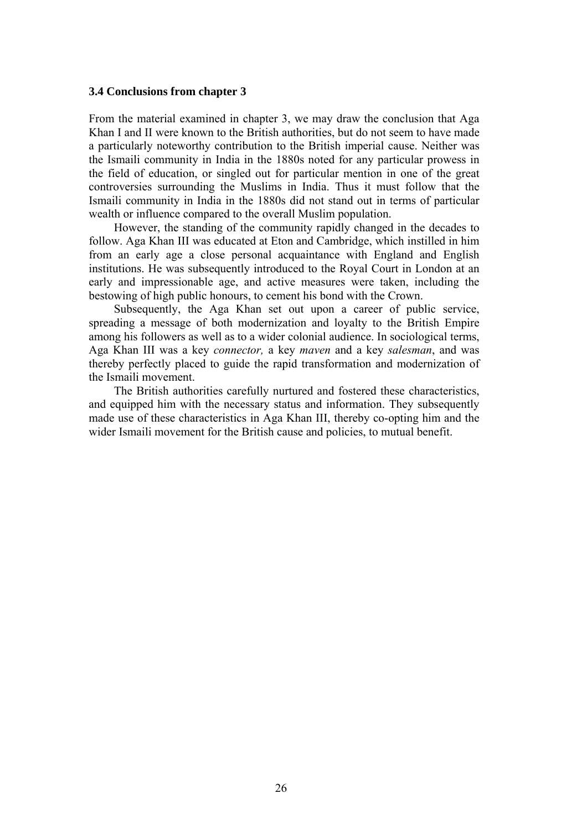#### **3.4 Conclusions from chapter 3**

From the material examined in chapter 3, we may draw the conclusion that Aga Khan I and II were known to the British authorities, but do not seem to have made a particularly noteworthy contribution to the British imperial cause. Neither was the Ismaili community in India in the 1880s noted for any particular prowess in the field of education, or singled out for particular mention in one of the great controversies surrounding the Muslims in India. Thus it must follow that the Ismaili community in India in the 1880s did not stand out in terms of particular wealth or influence compared to the overall Muslim population.

However, the standing of the community rapidly changed in the decades to follow. Aga Khan III was educated at Eton and Cambridge, which instilled in him from an early age a close personal acquaintance with England and English institutions. He was subsequently introduced to the Royal Court in London at an early and impressionable age, and active measures were taken, including the bestowing of high public honours, to cement his bond with the Crown.

Subsequently, the Aga Khan set out upon a career of public service, spreading a message of both modernization and loyalty to the British Empire among his followers as well as to a wider colonial audience. In sociological terms, Aga Khan III was a key *connector,* a key *maven* and a key *salesman*, and was thereby perfectly placed to guide the rapid transformation and modernization of the Ismaili movement.

The British authorities carefully nurtured and fostered these characteristics, and equipped him with the necessary status and information. They subsequently made use of these characteristics in Aga Khan III, thereby co-opting him and the wider Ismaili movement for the British cause and policies, to mutual benefit.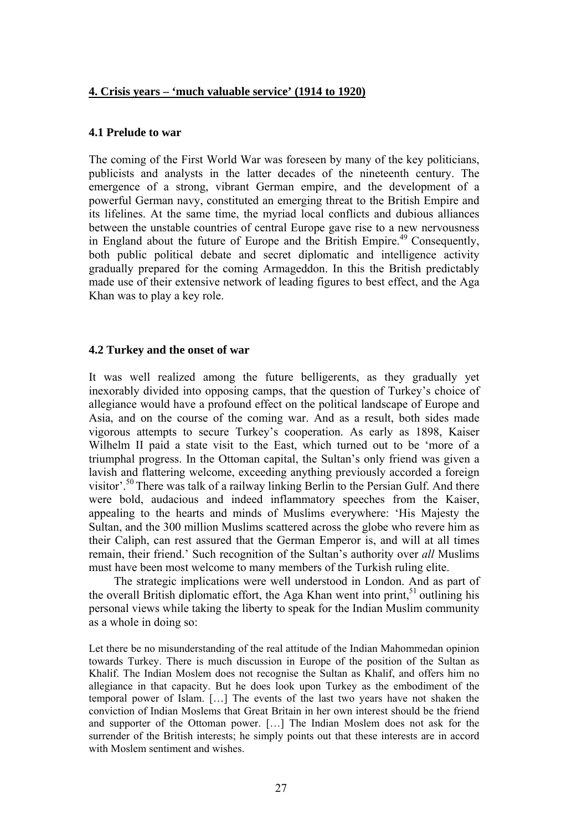### **4. Crisis years – 'much valuable service' (1914 to 1920)**

## **4.1 Prelude to war**

The coming of the First World War was foreseen by many of the key politicians, publicists and analysts in the latter decades of the nineteenth century. The emergence of a strong, vibrant German empire, and the development of a powerful German navy, constituted an emerging threat to the British Empire and its lifelines. At the same time, the myriad local conflicts and dubious alliances between the unstable countries of central Europe gave rise to a new nervousness in England about the future of Europe and the British Empire.<sup>49</sup> Consequently, both public political debate and secret diplomatic and intelligence activity gradually prepared for the coming Armageddon. In this the British predictably made use of their extensive network of leading figures to best effect, and the Aga Khan was to play a key role.

## **4.2 Turkey and the onset of war**

It was well realized among the future belligerents, as they gradually yet inexorably divided into opposing camps, that the question of Turkey's choice of allegiance would have a profound effect on the political landscape of Europe and Asia, and on the course of the coming war. And as a result, both sides made vigorous attempts to secure Turkey's cooperation. As early as 1898, Kaiser Wilhelm II paid a state visit to the East, which turned out to be 'more of a triumphal progress. In the Ottoman capital, the Sultan's only friend was given a lavish and flattering welcome, exceeding anything previously accorded a foreign visitor'.50 There was talk of a railway linking Berlin to the Persian Gulf. And there were bold, audacious and indeed inflammatory speeches from the Kaiser, appealing to the hearts and minds of Muslims everywhere: 'His Majesty the Sultan, and the 300 million Muslims scattered across the globe who revere him as their Caliph, can rest assured that the German Emperor is, and will at all times remain, their friend.' Such recognition of the Sultan's authority over *all* Muslims must have been most welcome to many members of the Turkish ruling elite.

The strategic implications were well understood in London. And as part of the overall British diplomatic effort, the Aga Khan went into print,  $51$  outlining his personal views while taking the liberty to speak for the Indian Muslim community as a whole in doing so:

Let there be no misunderstanding of the real attitude of the Indian Mahommedan opinion towards Turkey. There is much discussion in Europe of the position of the Sultan as Khalif. The Indian Moslem does not recognise the Sultan as Khalif, and offers him no allegiance in that capacity. But he does look upon Turkey as the embodiment of the temporal power of Islam. […] The events of the last two years have not shaken the conviction of Indian Moslems that Great Britain in her own interest should be the friend and supporter of the Ottoman power. […] The Indian Moslem does not ask for the surrender of the British interests; he simply points out that these interests are in accord with Moslem sentiment and wishes.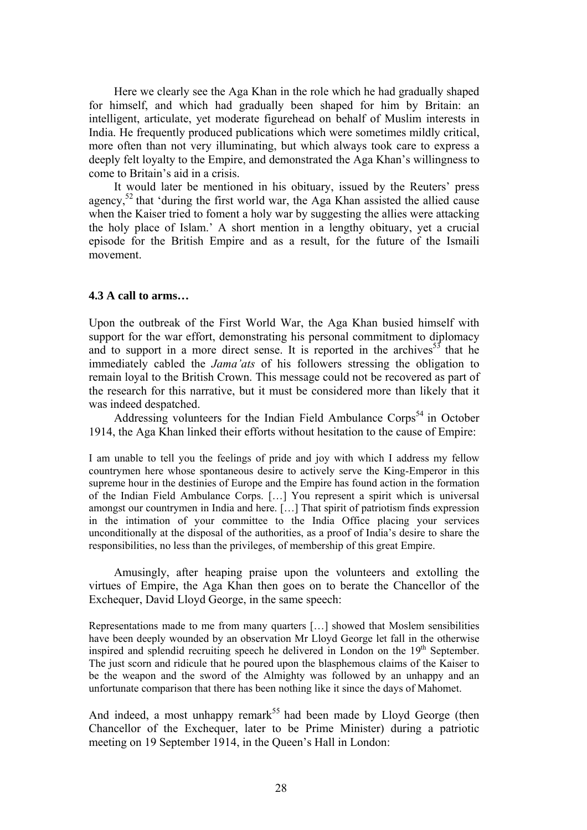Here we clearly see the Aga Khan in the role which he had gradually shaped for himself, and which had gradually been shaped for him by Britain: an intelligent, articulate, yet moderate figurehead on behalf of Muslim interests in India. He frequently produced publications which were sometimes mildly critical, more often than not very illuminating, but which always took care to express a deeply felt loyalty to the Empire, and demonstrated the Aga Khan's willingness to come to Britain's aid in a crisis.

It would later be mentioned in his obituary, issued by the Reuters' press agency,<sup>52</sup> that 'during the first world war, the Aga Khan assisted the allied cause when the Kaiser tried to foment a holy war by suggesting the allies were attacking the holy place of Islam.' A short mention in a lengthy obituary, yet a crucial episode for the British Empire and as a result, for the future of the Ismaili movement.

#### **4.3 A call to arms…**

Upon the outbreak of the First World War, the Aga Khan busied himself with support for the war effort, demonstrating his personal commitment to diplomacy and to support in a more direct sense. It is reported in the archives<sup>53</sup> that he immediately cabled the *Jama'ats* of his followers stressing the obligation to remain loyal to the British Crown. This message could not be recovered as part of the research for this narrative, but it must be considered more than likely that it was indeed despatched.

Addressing volunteers for the Indian Field Ambulance  $\text{Corps}^{\text{54}}$  in October 1914, the Aga Khan linked their efforts without hesitation to the cause of Empire:

I am unable to tell you the feelings of pride and joy with which I address my fellow countrymen here whose spontaneous desire to actively serve the King-Emperor in this supreme hour in the destinies of Europe and the Empire has found action in the formation of the Indian Field Ambulance Corps. […] You represent a spirit which is universal amongst our countrymen in India and here. […] That spirit of patriotism finds expression in the intimation of your committee to the India Office placing your services unconditionally at the disposal of the authorities, as a proof of India's desire to share the responsibilities, no less than the privileges, of membership of this great Empire.

Amusingly, after heaping praise upon the volunteers and extolling the virtues of Empire, the Aga Khan then goes on to berate the Chancellor of the Exchequer, David Lloyd George, in the same speech:

Representations made to me from many quarters […] showed that Moslem sensibilities have been deeply wounded by an observation Mr Lloyd George let fall in the otherwise inspired and splendid recruiting speech he delivered in London on the  $19<sup>th</sup>$  September. The just scorn and ridicule that he poured upon the blasphemous claims of the Kaiser to be the weapon and the sword of the Almighty was followed by an unhappy and an unfortunate comparison that there has been nothing like it since the days of Mahomet.

And indeed, a most unhappy remark<sup>55</sup> had been made by Lloyd George (then Chancellor of the Exchequer, later to be Prime Minister) during a patriotic meeting on 19 September 1914, in the Queen's Hall in London: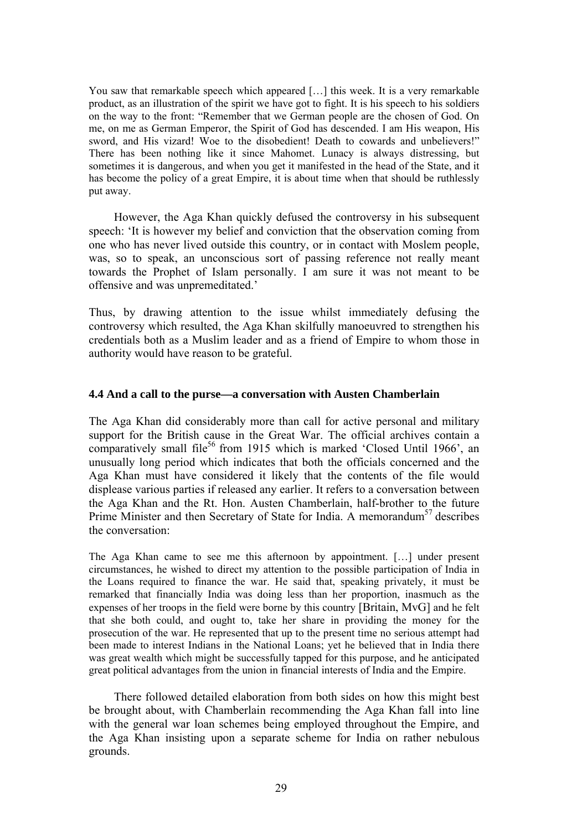You saw that remarkable speech which appeared [...] this week. It is a very remarkable product, as an illustration of the spirit we have got to fight. It is his speech to his soldiers on the way to the front: "Remember that we German people are the chosen of God. On me, on me as German Emperor, the Spirit of God has descended. I am His weapon, His sword, and His vizard! Woe to the disobedient! Death to cowards and unbelievers!" There has been nothing like it since Mahomet. Lunacy is always distressing, but sometimes it is dangerous, and when you get it manifested in the head of the State, and it has become the policy of a great Empire, it is about time when that should be ruthlessly put away.

However, the Aga Khan quickly defused the controversy in his subsequent speech: 'It is however my belief and conviction that the observation coming from one who has never lived outside this country, or in contact with Moslem people, was, so to speak, an unconscious sort of passing reference not really meant towards the Prophet of Islam personally. I am sure it was not meant to be offensive and was unpremeditated.'

Thus, by drawing attention to the issue whilst immediately defusing the controversy which resulted, the Aga Khan skilfully manoeuvred to strengthen his credentials both as a Muslim leader and as a friend of Empire to whom those in authority would have reason to be grateful.

## **4.4 And a call to the purse—a conversation with Austen Chamberlain**

The Aga Khan did considerably more than call for active personal and military support for the British cause in the Great War. The official archives contain a comparatively small file<sup>56</sup> from 1915 which is marked 'Closed Until 1966', an unusually long period which indicates that both the officials concerned and the Aga Khan must have considered it likely that the contents of the file would displease various parties if released any earlier. It refers to a conversation between the Aga Khan and the Rt. Hon. Austen Chamberlain, half-brother to the future Prime Minister and then Secretary of State for India. A memorandum<sup>57</sup> describes the conversation:

The Aga Khan came to see me this afternoon by appointment. […] under present circumstances, he wished to direct my attention to the possible participation of India in the Loans required to finance the war. He said that, speaking privately, it must be remarked that financially India was doing less than her proportion, inasmuch as the expenses of her troops in the field were borne by this country [Britain, MvG] and he felt that she both could, and ought to, take her share in providing the money for the prosecution of the war. He represented that up to the present time no serious attempt had been made to interest Indians in the National Loans; yet he believed that in India there was great wealth which might be successfully tapped for this purpose, and he anticipated great political advantages from the union in financial interests of India and the Empire.

There followed detailed elaboration from both sides on how this might best be brought about, with Chamberlain recommending the Aga Khan fall into line with the general war loan schemes being employed throughout the Empire, and the Aga Khan insisting upon a separate scheme for India on rather nebulous grounds.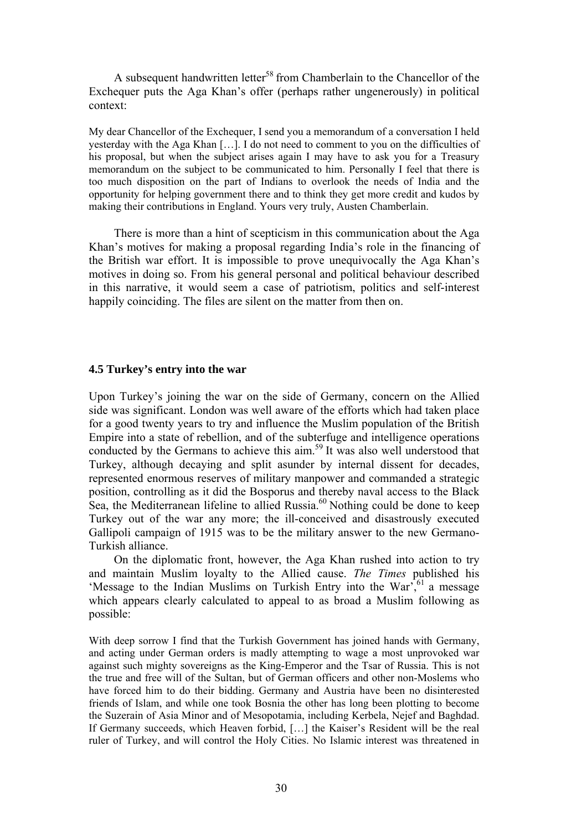A subsequent handwritten letter<sup>58</sup> from Chamberlain to the Chancellor of the Exchequer puts the Aga Khan's offer (perhaps rather ungenerously) in political context:

My dear Chancellor of the Exchequer, I send you a memorandum of a conversation I held yesterday with the Aga Khan […]. I do not need to comment to you on the difficulties of his proposal, but when the subject arises again I may have to ask you for a Treasury memorandum on the subject to be communicated to him. Personally I feel that there is too much disposition on the part of Indians to overlook the needs of India and the opportunity for helping government there and to think they get more credit and kudos by making their contributions in England. Yours very truly, Austen Chamberlain.

There is more than a hint of scepticism in this communication about the Aga Khan's motives for making a proposal regarding India's role in the financing of the British war effort. It is impossible to prove unequivocally the Aga Khan's motives in doing so. From his general personal and political behaviour described in this narrative, it would seem a case of patriotism, politics and self-interest happily coinciding. The files are silent on the matter from then on.

### **4.5 Turkey's entry into the war**

Upon Turkey's joining the war on the side of Germany, concern on the Allied side was significant. London was well aware of the efforts which had taken place for a good twenty years to try and influence the Muslim population of the British Empire into a state of rebellion, and of the subterfuge and intelligence operations conducted by the Germans to achieve this aim. 59 It was also well understood that Turkey, although decaying and split asunder by internal dissent for decades, represented enormous reserves of military manpower and commanded a strategic position, controlling as it did the Bosporus and thereby naval access to the Black Sea, the Mediterranean lifeline to allied Russia.<sup>60</sup> Nothing could be done to keep Turkey out of the war any more; the ill-conceived and disastrously executed Gallipoli campaign of 1915 was to be the military answer to the new Germano-Turkish alliance.

On the diplomatic front, however, the Aga Khan rushed into action to try and maintain Muslim loyalty to the Allied cause. *The Times* published his 'Message to the Indian Muslims on Turkish Entry into the War',  $61$  a message which appears clearly calculated to appeal to as broad a Muslim following as possible:

With deep sorrow I find that the Turkish Government has joined hands with Germany, and acting under German orders is madly attempting to wage a most unprovoked war against such mighty sovereigns as the King-Emperor and the Tsar of Russia. This is not the true and free will of the Sultan, but of German officers and other non-Moslems who have forced him to do their bidding. Germany and Austria have been no disinterested friends of Islam, and while one took Bosnia the other has long been plotting to become the Suzerain of Asia Minor and of Mesopotamia, including Kerbela, Nejef and Baghdad. If Germany succeeds, which Heaven forbid, […] the Kaiser's Resident will be the real ruler of Turkey, and will control the Holy Cities. No Islamic interest was threatened in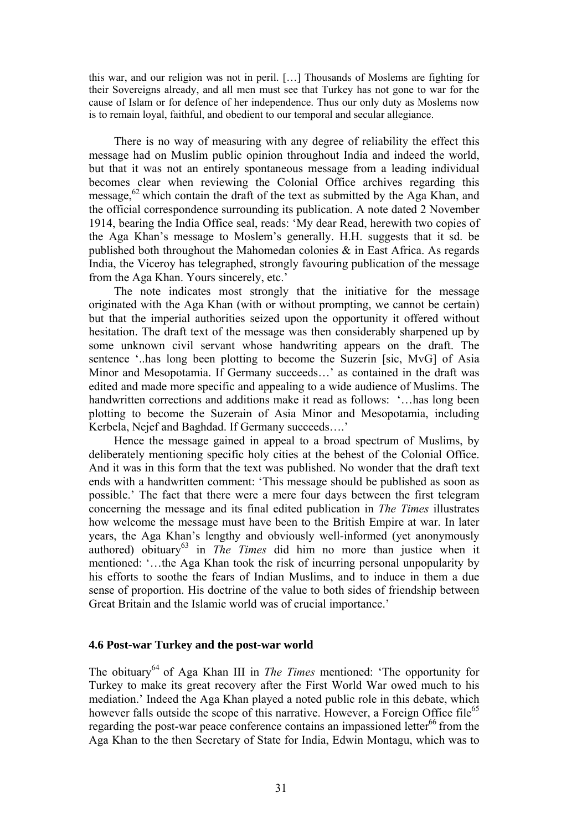this war, and our religion was not in peril. […] Thousands of Moslems are fighting for their Sovereigns already, and all men must see that Turkey has not gone to war for the cause of Islam or for defence of her independence. Thus our only duty as Moslems now is to remain loyal, faithful, and obedient to our temporal and secular allegiance.

There is no way of measuring with any degree of reliability the effect this message had on Muslim public opinion throughout India and indeed the world, but that it was not an entirely spontaneous message from a leading individual becomes clear when reviewing the Colonial Office archives regarding this message,<sup>62</sup> which contain the draft of the text as submitted by the Aga Khan, and the official correspondence surrounding its publication. A note dated 2 November 1914, bearing the India Office seal, reads: 'My dear Read, herewith two copies of the Aga Khan's message to Moslem's generally. H.H. suggests that it sd. be published both throughout the Mahomedan colonies & in East Africa. As regards India, the Viceroy has telegraphed, strongly favouring publication of the message from the Aga Khan. Yours sincerely, etc.'

The note indicates most strongly that the initiative for the message originated with the Aga Khan (with or without prompting, we cannot be certain) but that the imperial authorities seized upon the opportunity it offered without hesitation. The draft text of the message was then considerably sharpened up by some unknown civil servant whose handwriting appears on the draft. The sentence '..has long been plotting to become the Suzerin [sic, MvG] of Asia Minor and Mesopotamia. If Germany succeeds…' as contained in the draft was edited and made more specific and appealing to a wide audience of Muslims. The handwritten corrections and additions make it read as follows: '...has long been plotting to become the Suzerain of Asia Minor and Mesopotamia, including Kerbela, Nejef and Baghdad. If Germany succeeds….'

Hence the message gained in appeal to a broad spectrum of Muslims, by deliberately mentioning specific holy cities at the behest of the Colonial Office. And it was in this form that the text was published. No wonder that the draft text ends with a handwritten comment: 'This message should be published as soon as possible.' The fact that there were a mere four days between the first telegram concerning the message and its final edited publication in *The Times* illustrates how welcome the message must have been to the British Empire at war. In later years, the Aga Khan's lengthy and obviously well-informed (yet anonymously authored) obituary<sup>63</sup> in *The Times* did him no more than justice when it mentioned: '…the Aga Khan took the risk of incurring personal unpopularity by his efforts to soothe the fears of Indian Muslims, and to induce in them a due sense of proportion. His doctrine of the value to both sides of friendship between Great Britain and the Islamic world was of crucial importance.'

### **4.6 Post-war Turkey and the post-war world**

The obituary 64 of Aga Khan III in *The Times* mentioned: 'The opportunity for Turkey to make its great recovery after the First World War owed much to his mediation.' Indeed the Aga Khan played a noted public role in this debate, which however falls outside the scope of this narrative. However, a Foreign Office file<sup>65</sup> regarding the post-war peace conference contains an impassioned letter<sup>66</sup> from the Aga Khan to the then Secretary of State for India, Edwin Montagu, which was to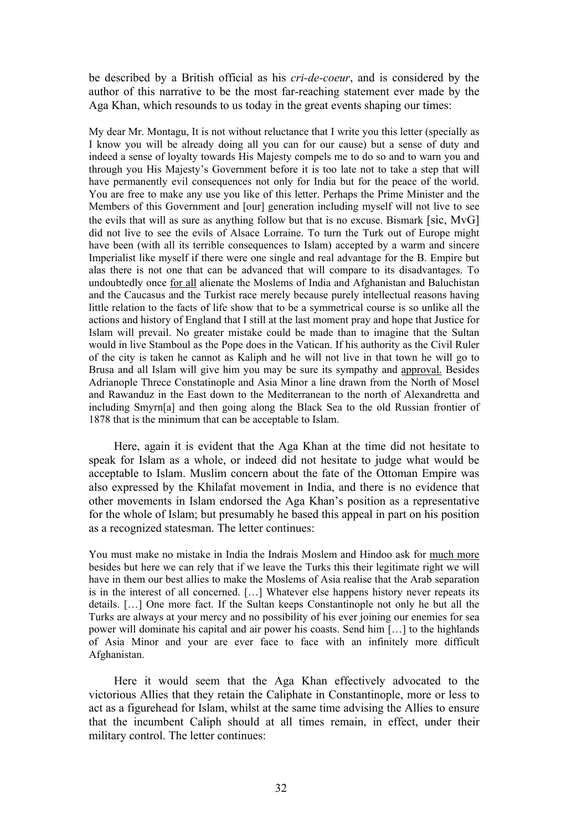be described by a British official as his *cri-de-coeur*, and is considered by the author of this narrative to be the most far-reaching statement ever made by the Aga Khan, which resounds to us today in the great events shaping our times:

My dear Mr. Montagu, It is not without reluctance that I write you this letter (specially as I know you will be already doing all you can for our cause) but a sense of duty and indeed a sense of loyalty towards His Majesty compels me to do so and to warn you and through you His Majesty's Government before it is too late not to take a step that will have permanently evil consequences not only for India but for the peace of the world. You are free to make any use you like of this letter. Perhaps the Prime Minister and the Members of this Government and [our] generation including myself will not live to see the evils that will as sure as anything follow but that is no excuse. Bismark [sic, MvG] did not live to see the evils of Alsace Lorraine. To turn the Turk out of Europe might have been (with all its terrible consequences to Islam) accepted by a warm and sincere Imperialist like myself if there were one single and real advantage for the B. Empire but alas there is not one that can be advanced that will compare to its disadvantages. To undoubtedly once for all alienate the Moslems of India and Afghanistan and Baluchistan and the Caucasus and the Turkist race merely because purely intellectual reasons having little relation to the facts of life show that to be a symmetrical course is so unlike all the actions and history of England that I still at the last moment pray and hope that Justice for Islam will prevail. No greater mistake could be made than to imagine that the Sultan would in live Stamboul as the Pope does in the Vatican. If his authority as the Civil Ruler of the city is taken he cannot as Kaliph and he will not live in that town he will go to Brusa and all Islam will give him you may be sure its sympathy and approval. Besides Adrianople Threce Constatinople and Asia Minor a line drawn from the North of Mosel and Rawanduz in the East down to the Mediterranean to the north of Alexandretta and including Smyrn[a] and then going along the Black Sea to the old Russian frontier of 1878 that is the minimum that can be acceptable to Islam.

Here, again it is evident that the Aga Khan at the time did not hesitate to speak for Islam as a whole, or indeed did not hesitate to judge what would be acceptable to Islam. Muslim concern about the fate of the Ottoman Empire was also expressed by the Khilafat movement in India, and there is no evidence that other movements in Islam endorsed the Aga Khan's position as a representative for the whole of Islam; but presumably he based this appeal in part on his position as a recognized statesman. The letter continues:

You must make no mistake in India the Indrais Moslem and Hindoo ask for much more besides but here we can rely that if we leave the Turks this their legitimate right we will have in them our best allies to make the Moslems of Asia realise that the Arab separation is in the interest of all concerned. […] Whatever else happens history never repeats its details. […] One more fact. If the Sultan keeps Constantinople not only he but all the Turks are always at your mercy and no possibility of his ever joining our enemies for sea power will dominate his capital and air power his coasts. Send him […] to the highlands of Asia Minor and your are ever face to face with an infinitely more difficult Afghanistan.

Here it would seem that the Aga Khan effectively advocated to the victorious Allies that they retain the Caliphate in Constantinople, more or less to act as a figurehead for Islam, whilst at the same time advising the Allies to ensure that the incumbent Caliph should at all times remain, in effect, under their military control. The letter continues: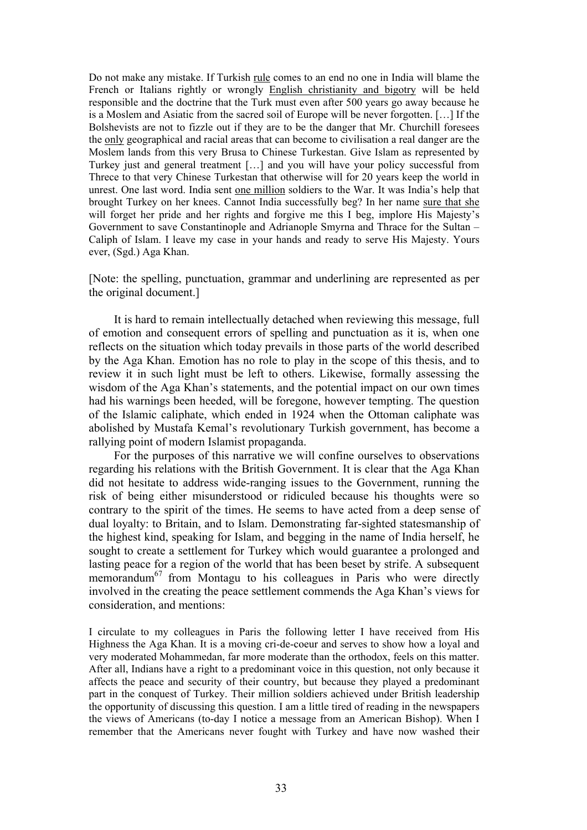Do not make any mistake. If Turkish rule comes to an end no one in India will blame the French or Italians rightly or wrongly English christianity and bigotry will be held responsible and the doctrine that the Turk must even after 500 years go away because he is a Moslem and Asiatic from the sacred soil of Europe will be never forgotten. […] If the Bolshevists are not to fizzle out if they are to be the danger that Mr. Churchill foresees the only geographical and racial areas that can become to civilisation a real danger are the Moslem lands from this very Brusa to Chinese Turkestan. Give Islam as represented by Turkey just and general treatment […] and you will have your policy successful from Threce to that very Chinese Turkestan that otherwise will for 20 years keep the world in unrest. One last word. India sent one million soldiers to the War. It was India's help that brought Turkey on her knees. Cannot India successfully beg? In her name sure that she will forget her pride and her rights and forgive me this I beg, implore His Majesty's Government to save Constantinople and Adrianople Smyrna and Thrace for the Sultan – Caliph of Islam. I leave my case in your hands and ready to serve His Majesty. Yours ever, (Sgd.) Aga Khan.

[Note: the spelling, punctuation, grammar and underlining are represented as per the original document.]

It is hard to remain intellectually detached when reviewing this message, full of emotion and consequent errors of spelling and punctuation as it is, when one reflects on the situation which today prevails in those parts of the world described by the Aga Khan. Emotion has no role to play in the scope of this thesis, and to review it in such light must be left to others. Likewise, formally assessing the wisdom of the Aga Khan's statements, and the potential impact on our own times had his warnings been heeded, will be foregone, however tempting. The question of the Islamic caliphate, which ended in 1924 when the Ottoman caliphate was abolished by Mustafa Kemal's revolutionary Turkish government, has become a rallying point of modern Islamist propaganda.

For the purposes of this narrative we will confine ourselves to observations regarding his relations with the British Government. It is clear that the Aga Khan did not hesitate to address wide-ranging issues to the Government, running the risk of being either misunderstood or ridiculed because his thoughts were so contrary to the spirit of the times. He seems to have acted from a deep sense of dual loyalty: to Britain, and to Islam. Demonstrating far-sighted statesmanship of the highest kind, speaking for Islam, and begging in the name of India herself, he sought to create a settlement for Turkey which would guarantee a prolonged and lasting peace for a region of the world that has been beset by strife. A subsequent memorandum<sup>67</sup> from Montagu to his colleagues in Paris who were directly involved in the creating the peace settlement commends the Aga Khan's views for consideration, and mentions:

I circulate to my colleagues in Paris the following letter I have received from His Highness the Aga Khan. It is a moving cri-de-coeur and serves to show how a loyal and very moderated Mohammedan, far more moderate than the orthodox, feels on this matter. After all, Indians have a right to a predominant voice in this question, not only because it affects the peace and security of their country, but because they played a predominant part in the conquest of Turkey. Their million soldiers achieved under British leadership the opportunity of discussing this question. I am a little tired of reading in the newspapers the views of Americans (to-day I notice a message from an American Bishop). When I remember that the Americans never fought with Turkey and have now washed their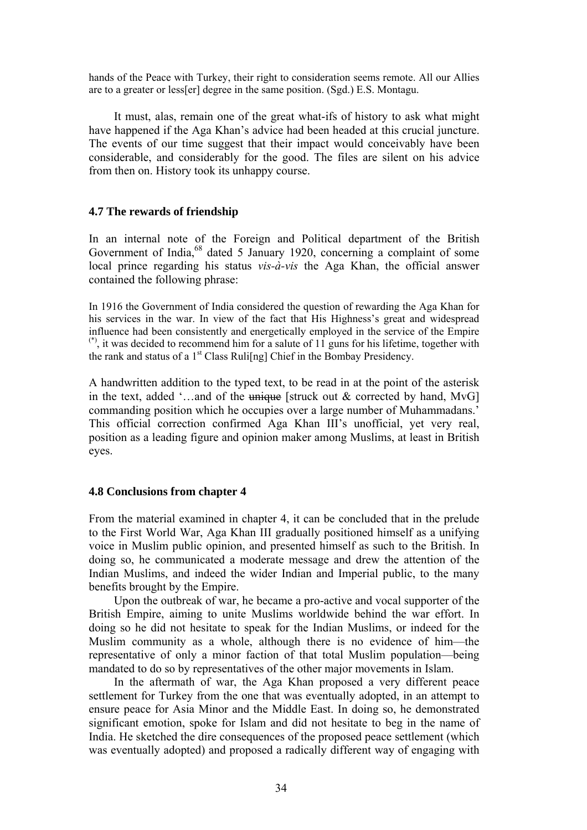hands of the Peace with Turkey, their right to consideration seems remote. All our Allies are to a greater or less[er] degree in the same position. (Sgd.) E.S. Montagu.

It must, alas, remain one of the great what-ifs of history to ask what might have happened if the Aga Khan's advice had been headed at this crucial juncture. The events of our time suggest that their impact would conceivably have been considerable, and considerably for the good. The files are silent on his advice from then on. History took its unhappy course.

## **4.7 The rewards of friendship**

In an internal note of the Foreign and Political department of the British Government of India,<sup>68</sup> dated 5 January 1920, concerning a complaint of some local prince regarding his status *vis-à-vis* the Aga Khan, the official answer contained the following phrase:

In 1916 the Government of India considered the question of rewarding the Aga Khan for his services in the war. In view of the fact that His Highness's great and widespread influence had been consistently and energetically employed in the service of the Empire  $^{(*)}$ , it was decided to recommend him for a salute of 11 guns for his lifetime, together with the rank and status of a  $1<sup>st</sup>$  Class Ruli[ng] Chief in the Bombay Presidency.

A handwritten addition to the typed text, to be read in at the point of the asterisk in the text, added '...and of the  $\mu$  unique [struck out & corrected by hand, MvG] commanding position which he occupies over a large number of Muhammadans.' This official correction confirmed Aga Khan III's unofficial, yet very real, position as a leading figure and opinion maker among Muslims, at least in British eyes.

### **4.8 Conclusions from chapter 4**

From the material examined in chapter 4, it can be concluded that in the prelude to the First World War, Aga Khan III gradually positioned himself as a unifying voice in Muslim public opinion, and presented himself as such to the British. In doing so, he communicated a moderate message and drew the attention of the Indian Muslims, and indeed the wider Indian and Imperial public, to the many benefits brought by the Empire.

Upon the outbreak of war, he became a pro-active and vocal supporter of the British Empire, aiming to unite Muslims worldwide behind the war effort. In doing so he did not hesitate to speak for the Indian Muslims, or indeed for the Muslim community as a whole, although there is no evidence of him—the representative of only a minor faction of that total Muslim population—being mandated to do so by representatives of the other major movements in Islam.

In the aftermath of war, the Aga Khan proposed a very different peace settlement for Turkey from the one that was eventually adopted, in an attempt to ensure peace for Asia Minor and the Middle East. In doing so, he demonstrated significant emotion, spoke for Islam and did not hesitate to beg in the name of India. He sketched the dire consequences of the proposed peace settlement (which was eventually adopted) and proposed a radically different way of engaging with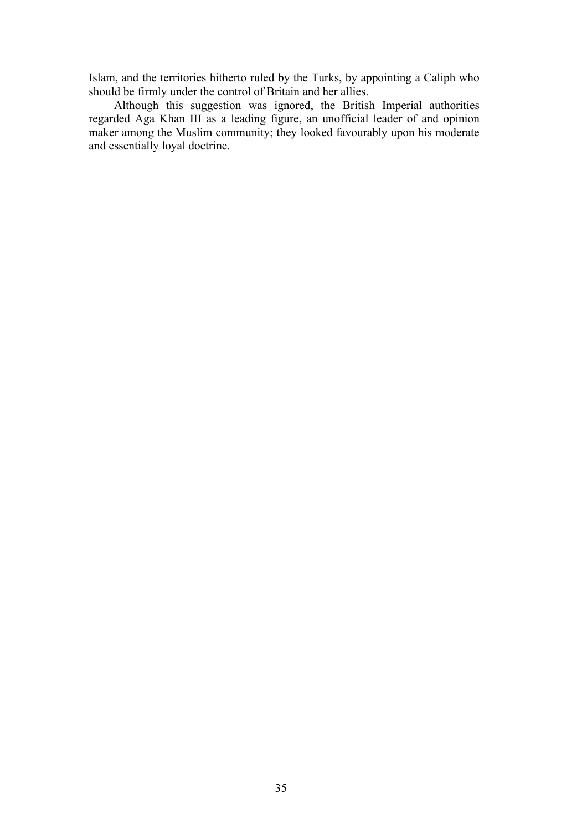Islam, and the territories hitherto ruled by the Turks, by appointing a Caliph who should be firmly under the control of Britain and her allies.

Although this suggestion was ignored, the British Imperial authorities regarded Aga Khan III as a leading figure, an unofficial leader of and opinion maker among the Muslim community; they looked favourably upon his moderate and essentially loyal doctrine.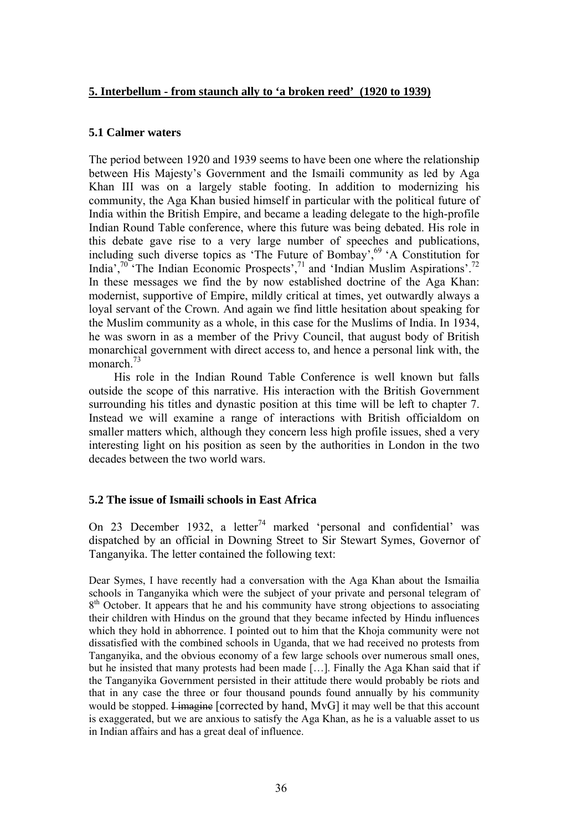## **5. Interbellum - from staunch ally to 'a broken reed' (1920 to 1939)**

## **5.1 Calmer waters**

The period between 1920 and 1939 seems to have been one where the relationship between His Majesty's Government and the Ismaili community as led by Aga Khan III was on a largely stable footing. In addition to modernizing his community, the Aga Khan busied himself in particular with the political future of India within the British Empire, and became a leading delegate to the high-profile Indian Round Table conference, where this future was being debated. His role in this debate gave rise to a very large number of speeches and publications, including such diverse topics as 'The Future of Bombay',  $69^\circ$  'A Constitution for India',70 'The Indian Economic Prospects',71 and 'Indian Muslim Aspirations'.72 In these messages we find the by now established doctrine of the Aga Khan: modernist, supportive of Empire, mildly critical at times, yet outwardly always a loyal servant of the Crown. And again we find little hesitation about speaking for the Muslim community as a whole, in this case for the Muslims of India. In 1934, he was sworn in as a member of the Privy Council, that august body of British monarchical government with direct access to, and hence a personal link with, the monarch<sup>73</sup>

His role in the Indian Round Table Conference is well known but falls outside the scope of this narrative. His interaction with the British Government surrounding his titles and dynastic position at this time will be left to chapter 7. Instead we will examine a range of interactions with British officialdom on smaller matters which, although they concern less high profile issues, shed a very interesting light on his position as seen by the authorities in London in the two decades between the two world wars.

## **5.2 The issue of Ismaili schools in East Africa**

On 23 December 1932, a letter<sup>74</sup> marked 'personal and confidential' was dispatched by an official in Downing Street to Sir Stewart Symes, Governor of Tanganyika. The letter contained the following text:

Dear Symes, I have recently had a conversation with the Aga Khan about the Ismailia schools in Tanganyika which were the subject of your private and personal telegram of  $8<sup>th</sup>$  October. It appears that he and his community have strong objections to associating their children with Hindus on the ground that they became infected by Hindu influences which they hold in abhorrence. I pointed out to him that the Khoja community were not dissatisfied with the combined schools in Uganda, that we had received no protests from Tanganyika, and the obvious economy of a few large schools over numerous small ones, but he insisted that many protests had been made […]. Finally the Aga Khan said that if the Tanganyika Government persisted in their attitude there would probably be riots and that in any case the three or four thousand pounds found annually by his community would be stopped. <del>I imagine</del> [corrected by hand, MvG] it may well be that this account is exaggerated, but we are anxious to satisfy the Aga Khan, as he is a valuable asset to us in Indian affairs and has a great deal of influence.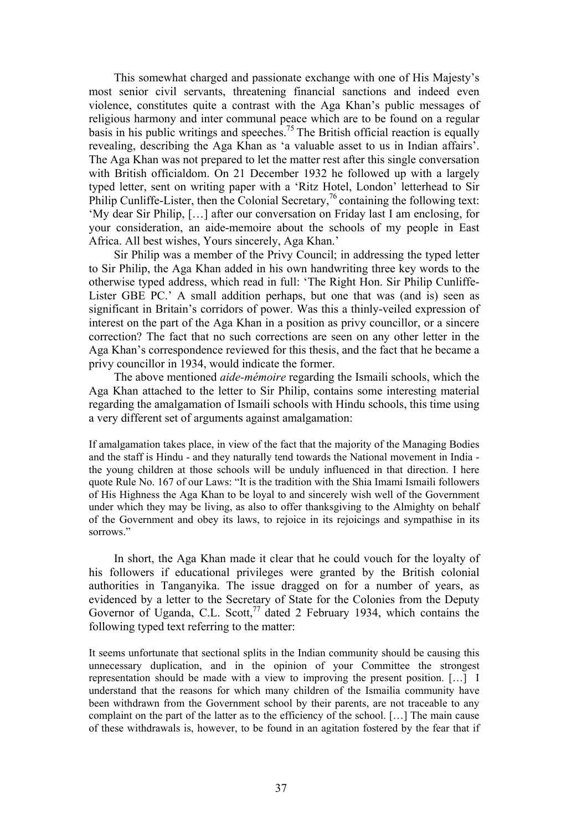This somewhat charged and passionate exchange with one of His Majesty's most senior civil servants, threatening financial sanctions and indeed even violence, constitutes quite a contrast with the Aga Khan's public messages of religious harmony and inter communal peace which are to be found on a regular basis in his public writings and speeches.<sup>75</sup> The British official reaction is equally revealing, describing the Aga Khan as 'a valuable asset to us in Indian affairs'. The Aga Khan was not prepared to let the matter rest after this single conversation with British officialdom. On 21 December 1932 he followed up with a largely typed letter, sent on writing paper with a 'Ritz Hotel, London' letterhead to Sir Philip Cunliffe-Lister, then the Colonial Secretary,<sup>76</sup> containing the following text: 'My dear Sir Philip, […] after our conversation on Friday last I am enclosing, for your consideration, an aide-memoire about the schools of my people in East Africa. All best wishes, Yours sincerely, Aga Khan.'

Sir Philip was a member of the Privy Council; in addressing the typed letter to Sir Philip, the Aga Khan added in his own handwriting three key words to the otherwise typed address, which read in full: 'The Right Hon. Sir Philip Cunliffe-Lister GBE PC.' A small addition perhaps, but one that was (and is) seen as significant in Britain's corridors of power. Was this a thinly-veiled expression of interest on the part of the Aga Khan in a position as privy councillor, or a sincere correction? The fact that no such corrections are seen on any other letter in the Aga Khan's correspondence reviewed for this thesis, and the fact that he became a privy councillor in 1934, would indicate the former.

The above mentioned *aide-mémoire* regarding the Ismaili schools, which the Aga Khan attached to the letter to Sir Philip, contains some interesting material regarding the amalgamation of Ismaili schools with Hindu schools, this time using a very different set of arguments against amalgamation:

If amalgamation takes place, in view of the fact that the majority of the Managing Bodies and the staff is Hindu - and they naturally tend towards the National movement in India the young children at those schools will be unduly influenced in that direction. I here quote Rule No. 167 of our Laws: "It is the tradition with the Shia Imami Ismaili followers of His Highness the Aga Khan to be loyal to and sincerely wish well of the Government under which they may be living, as also to offer thanksgiving to the Almighty on behalf of the Government and obey its laws, to rejoice in its rejoicings and sympathise in its sorrows."

In short, the Aga Khan made it clear that he could vouch for the loyalty of his followers if educational privileges were granted by the British colonial authorities in Tanganyika. The issue dragged on for a number of years, as evidenced by a letter to the Secretary of State for the Colonies from the Deputy Governor of Uganda, C.L. Scott,<sup>77</sup> dated 2 February 1934, which contains the following typed text referring to the matter:

It seems unfortunate that sectional splits in the Indian community should be causing this unnecessary duplication, and in the opinion of your Committee the strongest representation should be made with a view to improving the present position. […] I understand that the reasons for which many children of the Ismailia community have been withdrawn from the Government school by their parents, are not traceable to any complaint on the part of the latter as to the efficiency of the school. […] The main cause of these withdrawals is, however, to be found in an agitation fostered by the fear that if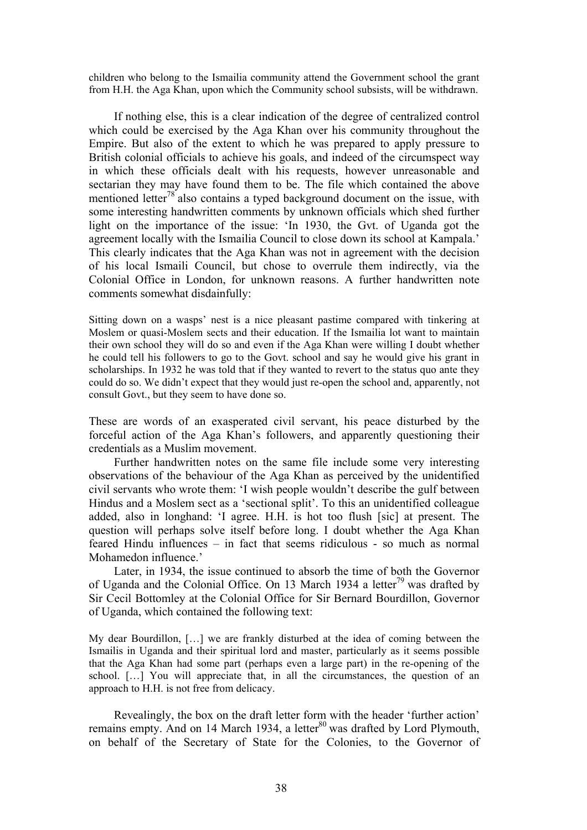children who belong to the Ismailia community attend the Government school the grant from H.H. the Aga Khan, upon which the Community school subsists, will be withdrawn.

If nothing else, this is a clear indication of the degree of centralized control which could be exercised by the Aga Khan over his community throughout the Empire. But also of the extent to which he was prepared to apply pressure to British colonial officials to achieve his goals, and indeed of the circumspect way in which these officials dealt with his requests, however unreasonable and sectarian they may have found them to be. The file which contained the above mentioned letter<sup>78</sup> also contains a typed background document on the issue, with some interesting handwritten comments by unknown officials which shed further light on the importance of the issue: 'In 1930, the Gvt. of Uganda got the agreement locally with the Ismailia Council to close down its school at Kampala.' This clearly indicates that the Aga Khan was not in agreement with the decision of his local Ismaili Council, but chose to overrule them indirectly, via the Colonial Office in London, for unknown reasons. A further handwritten note comments somewhat disdainfully:

Sitting down on a wasps' nest is a nice pleasant pastime compared with tinkering at Moslem or quasi-Moslem sects and their education. If the Ismailia lot want to maintain their own school they will do so and even if the Aga Khan were willing I doubt whether he could tell his followers to go to the Govt. school and say he would give his grant in scholarships. In 1932 he was told that if they wanted to revert to the status quo ante they could do so. We didn't expect that they would just re-open the school and, apparently, not consult Govt., but they seem to have done so.

These are words of an exasperated civil servant, his peace disturbed by the forceful action of the Aga Khan's followers, and apparently questioning their credentials as a Muslim movement.

Further handwritten notes on the same file include some very interesting observations of the behaviour of the Aga Khan as perceived by the unidentified civil servants who wrote them: 'I wish people wouldn't describe the gulf between Hindus and a Moslem sect as a 'sectional split'. To this an unidentified colleague added, also in longhand: 'I agree. H.H. is hot too flush [sic] at present. The question will perhaps solve itself before long. I doubt whether the Aga Khan feared Hindu influences – in fact that seems ridiculous - so much as normal Mohamedon influence.'

Later, in 1934, the issue continued to absorb the time of both the Governor of Uganda and the Colonial Office. On 13 March 1934 a letter<sup>79</sup> was drafted by Sir Cecil Bottomley at the Colonial Office for Sir Bernard Bourdillon, Governor of Uganda, which contained the following text:

My dear Bourdillon, […] we are frankly disturbed at the idea of coming between the Ismailis in Uganda and their spiritual lord and master, particularly as it seems possible that the Aga Khan had some part (perhaps even a large part) in the re-opening of the school. […] You will appreciate that, in all the circumstances, the question of an approach to H.H. is not free from delicacy.

Revealingly, the box on the draft letter form with the header 'further action' remains empty. And on 14 March 1934, a letter<sup>80</sup> was drafted by Lord Plymouth, on behalf of the Secretary of State for the Colonies, to the Governor of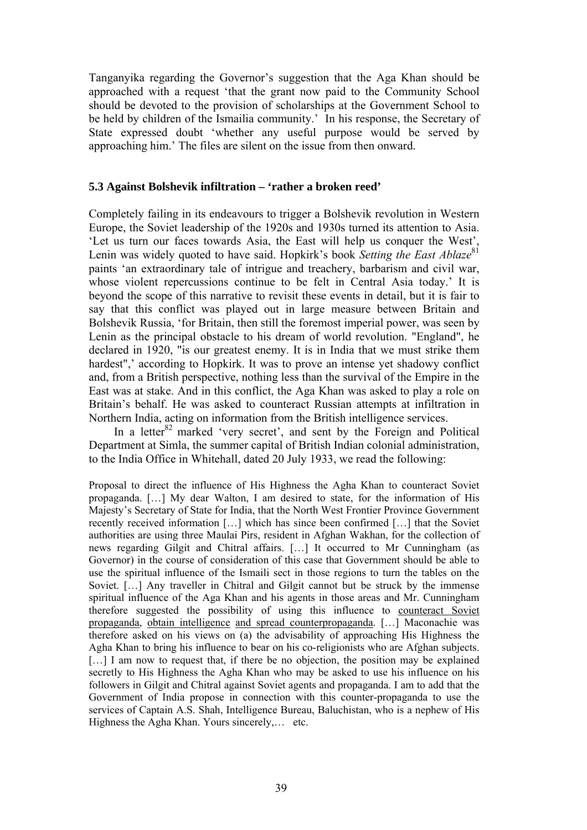Tanganyika regarding the Governor's suggestion that the Aga Khan should be approached with a request 'that the grant now paid to the Community School should be devoted to the provision of scholarships at the Government School to be held by children of the Ismailia community.'In his response, the Secretary of State expressed doubt 'whether any useful purpose would be served by approaching him.' The files are silent on the issue from then onward.

# **5.3 Against Bolshevik infiltration – 'rather a broken reed'**

Completely failing in its endeavours to trigger a Bolshevik revolution in Western Europe, the Soviet leadership of the 1920s and 1930s turned its attention to Asia. 'Let us turn our faces towards Asia, the East will help us conquer the West', Lenin was widely quoted to have said. Hopkirk's book *Setting the East Ablaze*<sup>81</sup> paints 'an extraordinary tale of intrigue and treachery, barbarism and civil war, whose violent repercussions continue to be felt in Central Asia today.' It is beyond the scope of this narrative to revisit these events in detail, but it is fair to say that this conflict was played out in large measure between Britain and Bolshevik Russia, 'for Britain, then still the foremost imperial power, was seen by Lenin as the principal obstacle to his dream of world revolution. "England", he declared in 1920, "is our greatest enemy. It is in India that we must strike them hardest",' according to Hopkirk. It was to prove an intense yet shadowy conflict and, from a British perspective, nothing less than the survival of the Empire in the East was at stake. And in this conflict, the Aga Khan was asked to play a role on Britain's behalf. He was asked to counteract Russian attempts at infiltration in Northern India, acting on information from the British intelligence services.

In a letter<sup>82</sup> marked 'very secret', and sent by the Foreign and Political Department at Simla, the summer capital of British Indian colonial administration, to the India Office in Whitehall, dated 20 July 1933, we read the following:

Proposal to direct the influence of His Highness the Agha Khan to counteract Soviet propaganda. […] My dear Walton, I am desired to state, for the information of His Majesty's Secretary of State for India, that the North West Frontier Province Government recently received information […] which has since been confirmed […] that the Soviet authorities are using three Maulai Pirs, resident in Afghan Wakhan, for the collection of news regarding Gilgit and Chitral affairs. […] It occurred to Mr Cunningham (as Governor) in the course of consideration of this case that Government should be able to use the spiritual influence of the Ismaili sect in those regions to turn the tables on the Soviet. […] Any traveller in Chitral and Gilgit cannot but be struck by the immense spiritual influence of the Aga Khan and his agents in those areas and Mr. Cunningham therefore suggested the possibility of using this influence to counteract Soviet propaganda, obtain intelligence and spread counterpropaganda. […] Maconachie was therefore asked on his views on (a) the advisability of approaching His Highness the Agha Khan to bring his influence to bear on his co-religionists who are Afghan subjects. [...] I am now to request that, if there be no objection, the position may be explained secretly to His Highness the Agha Khan who may be asked to use his influence on his followers in Gilgit and Chitral against Soviet agents and propaganda. I am to add that the Government of India propose in connection with this counter-propaganda to use the services of Captain A.S. Shah, Intelligence Bureau, Baluchistan, who is a nephew of His Highness the Agha Khan. Yours sincerely,… etc.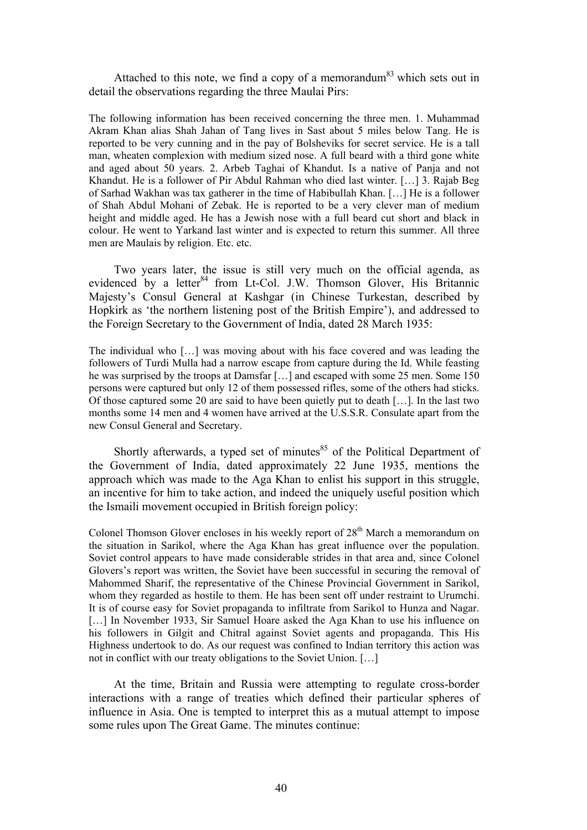Attached to this note, we find a copy of a memorandum<sup>83</sup> which sets out in detail the observations regarding the three Maulai Pirs:

The following information has been received concerning the three men. 1. Muhammad Akram Khan alias Shah Jahan of Tang lives in Sast about 5 miles below Tang. He is reported to be very cunning and in the pay of Bolsheviks for secret service. He is a tall man, wheaten complexion with medium sized nose. A full beard with a third gone white and aged about 50 years. 2. Arbeb Taghai of Khandut. Is a native of Panja and not Khandut. He is a follower of Pir Abdul Rahman who died last winter. […] 3. Rajab Beg of Sarhad Wakhan was tax gatherer in the time of Habibullah Khan. […] He is a follower of Shah Abdul Mohani of Zebak. He is reported to be a very clever man of medium height and middle aged. He has a Jewish nose with a full beard cut short and black in colour. He went to Yarkand last winter and is expected to return this summer. All three men are Maulais by religion. Etc. etc.

Two years later, the issue is still very much on the official agenda, as evidenced by a letter $84$  from Lt-Col. J.W. Thomson Glover, His Britannic Majesty's Consul General at Kashgar (in Chinese Turkestan, described by Hopkirk as 'the northern listening post of the British Empire'), and addressed to the Foreign Secretary to the Government of India, dated 28 March 1935:

The individual who […] was moving about with his face covered and was leading the followers of Turdi Mulla had a narrow escape from capture during the Id. While feasting he was surprised by the troops at Damsfar […] and escaped with some 25 men. Some 150 persons were captured but only 12 of them possessed rifles, some of the others had sticks. Of those captured some 20 are said to have been quietly put to death […]. In the last two months some 14 men and 4 women have arrived at the U.S.S.R. Consulate apart from the new Consul General and Secretary.

Shortly afterwards, a typed set of minutes $85$  of the Political Department of the Government of India, dated approximately 22 June 1935, mentions the approach which was made to the Aga Khan to enlist his support in this struggle, an incentive for him to take action, and indeed the uniquely useful position which the Ismaili movement occupied in British foreign policy:

Colonel Thomson Glover encloses in his weekly report of  $28<sup>th</sup>$  March a memorandum on the situation in Sarikol, where the Aga Khan has great influence over the population. Soviet control appears to have made considerable strides in that area and, since Colonel Glovers's report was written, the Soviet have been successful in securing the removal of Mahommed Sharif, the representative of the Chinese Provincial Government in Sarikol, whom they regarded as hostile to them. He has been sent off under restraint to Urumchi. It is of course easy for Soviet propaganda to infiltrate from Sarikol to Hunza and Nagar. [...] In November 1933, Sir Samuel Hoare asked the Aga Khan to use his influence on his followers in Gilgit and Chitral against Soviet agents and propaganda. This His Highness undertook to do. As our request was confined to Indian territory this action was not in conflict with our treaty obligations to the Soviet Union. […]

At the time, Britain and Russia were attempting to regulate cross-border interactions with a range of treaties which defined their particular spheres of influence in Asia. One is tempted to interpret this as a mutual attempt to impose some rules upon The Great Game. The minutes continue: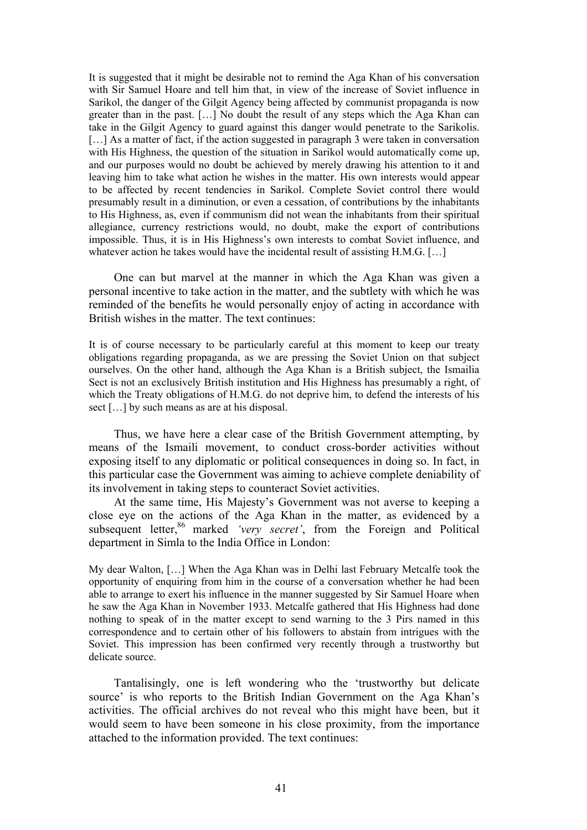It is suggested that it might be desirable not to remind the Aga Khan of his conversation with Sir Samuel Hoare and tell him that, in view of the increase of Soviet influence in Sarikol, the danger of the Gilgit Agency being affected by communist propaganda is now greater than in the past. […] No doubt the result of any steps which the Aga Khan can take in the Gilgit Agency to guard against this danger would penetrate to the Sarikolis. [...] As a matter of fact, if the action suggested in paragraph 3 were taken in conversation with His Highness, the question of the situation in Sarikol would automatically come up, and our purposes would no doubt be achieved by merely drawing his attention to it and leaving him to take what action he wishes in the matter. His own interests would appear to be affected by recent tendencies in Sarikol. Complete Soviet control there would presumably result in a diminution, or even a cessation, of contributions by the inhabitants to His Highness, as, even if communism did not wean the inhabitants from their spiritual allegiance, currency restrictions would, no doubt, make the export of contributions impossible. Thus, it is in His Highness's own interests to combat Soviet influence, and whatever action he takes would have the incidental result of assisting H.M.G. [...]

One can but marvel at the manner in which the Aga Khan was given a personal incentive to take action in the matter, and the subtlety with which he was reminded of the benefits he would personally enjoy of acting in accordance with British wishes in the matter. The text continues:

It is of course necessary to be particularly careful at this moment to keep our treaty obligations regarding propaganda, as we are pressing the Soviet Union on that subject ourselves. On the other hand, although the Aga Khan is a British subject, the Ismailia Sect is not an exclusively British institution and His Highness has presumably a right, of which the Treaty obligations of H.M.G. do not deprive him, to defend the interests of his sect […] by such means as are at his disposal.

Thus, we have here a clear case of the British Government attempting, by means of the Ismaili movement, to conduct cross-border activities without exposing itself to any diplomatic or political consequences in doing so. In fact, in this particular case the Government was aiming to achieve complete deniability of its involvement in taking steps to counteract Soviet activities.

At the same time, His Majesty's Government was not averse to keeping a close eye on the actions of the Aga Khan in the matter, as evidenced by a subsequent letter,<sup>86</sup> marked *'very secret'*, from the Foreign and Political department in Simla to the India Office in London:

My dear Walton, […] When the Aga Khan was in Delhi last February Metcalfe took the opportunity of enquiring from him in the course of a conversation whether he had been able to arrange to exert his influence in the manner suggested by Sir Samuel Hoare when he saw the Aga Khan in November 1933. Metcalfe gathered that His Highness had done nothing to speak of in the matter except to send warning to the 3 Pirs named in this correspondence and to certain other of his followers to abstain from intrigues with the Soviet. This impression has been confirmed very recently through a trustworthy but delicate source.

Tantalisingly, one is left wondering who the 'trustworthy but delicate source' is who reports to the British Indian Government on the Aga Khan's activities. The official archives do not reveal who this might have been, but it would seem to have been someone in his close proximity, from the importance attached to the information provided. The text continues: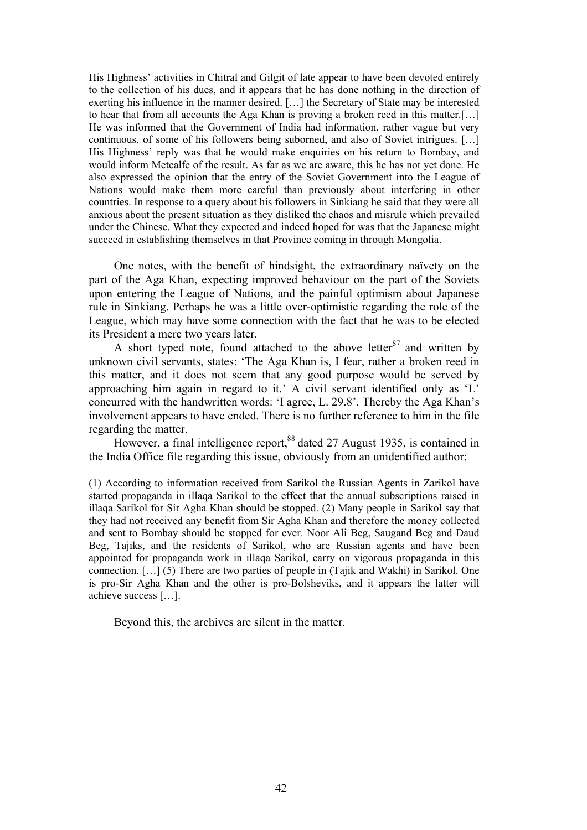His Highness' activities in Chitral and Gilgit of late appear to have been devoted entirely to the collection of his dues, and it appears that he has done nothing in the direction of exerting his influence in the manner desired. […] the Secretary of State may be interested to hear that from all accounts the Aga Khan is proving a broken reed in this matter.[…] He was informed that the Government of India had information, rather vague but very continuous, of some of his followers being suborned, and also of Soviet intrigues. […] His Highness' reply was that he would make enquiries on his return to Bombay, and would inform Metcalfe of the result. As far as we are aware, this he has not yet done. He also expressed the opinion that the entry of the Soviet Government into the League of Nations would make them more careful than previously about interfering in other countries. In response to a query about his followers in Sinkiang he said that they were all anxious about the present situation as they disliked the chaos and misrule which prevailed under the Chinese. What they expected and indeed hoped for was that the Japanese might succeed in establishing themselves in that Province coming in through Mongolia.

One notes, with the benefit of hindsight, the extraordinary naïvety on the part of the Aga Khan, expecting improved behaviour on the part of the Soviets upon entering the League of Nations, and the painful optimism about Japanese rule in Sinkiang. Perhaps he was a little over-optimistic regarding the role of the League, which may have some connection with the fact that he was to be elected its President a mere two years later.

A short typed note, found attached to the above letter  $87$  and written by unknown civil servants, states: 'The Aga Khan is, I fear, rather a broken reed in this matter, and it does not seem that any good purpose would be served by approaching him again in regard to it.' A civil servant identified only as 'L' concurred with the handwritten words: 'I agree, L. 29.8'. Thereby the Aga Khan's involvement appears to have ended. There is no further reference to him in the file regarding the matter.

However, a final intelligence report,<sup>88</sup> dated 27 August 1935, is contained in the India Office file regarding this issue, obviously from an unidentified author:

(1) According to information received from Sarikol the Russian Agents in Zarikol have started propaganda in illaqa Sarikol to the effect that the annual subscriptions raised in illaqa Sarikol for Sir Agha Khan should be stopped. (2) Many people in Sarikol say that they had not received any benefit from Sir Agha Khan and therefore the money collected and sent to Bombay should be stopped for ever. Noor Ali Beg, Saugand Beg and Daud Beg, Tajiks, and the residents of Sarikol, who are Russian agents and have been appointed for propaganda work in illaqa Sarikol, carry on vigorous propaganda in this connection. […] (5) There are two parties of people in (Tajik and Wakhi) in Sarikol. One is pro-Sir Agha Khan and the other is pro-Bolsheviks, and it appears the latter will achieve success […].

Beyond this, the archives are silent in the matter.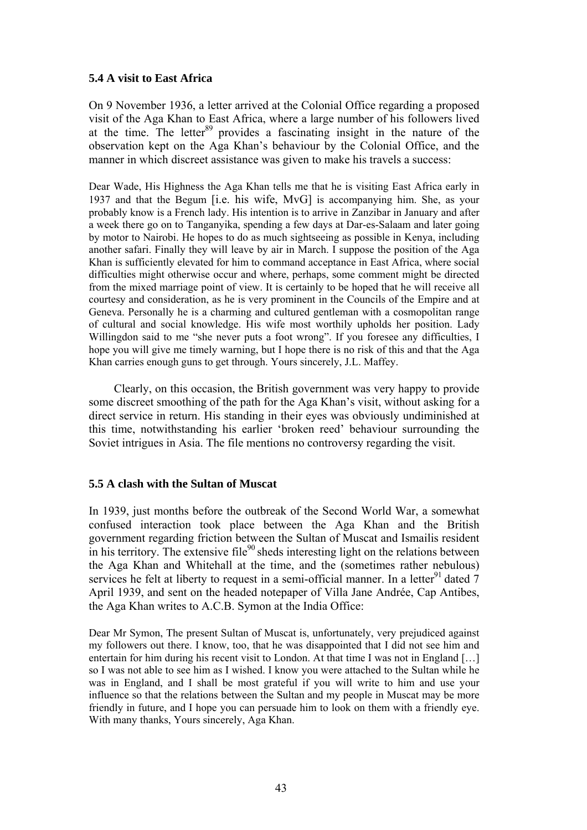# **5.4 A visit to East Africa**

On 9 November 1936, a letter arrived at the Colonial Office regarding a proposed visit of the Aga Khan to East Africa, where a large number of his followers lived at the time. The letter  $89$  provides a fascinating insight in the nature of the observation kept on the Aga Khan's behaviour by the Colonial Office, and the manner in which discreet assistance was given to make his travels a success:

Dear Wade, His Highness the Aga Khan tells me that he is visiting East Africa early in 1937 and that the Begum [i.e. his wife, MvG] is accompanying him. She, as your probably know is a French lady. His intention is to arrive in Zanzibar in January and after a week there go on to Tanganyika, spending a few days at Dar-es-Salaam and later going by motor to Nairobi. He hopes to do as much sightseeing as possible in Kenya, including another safari. Finally they will leave by air in March. I suppose the position of the Aga Khan is sufficiently elevated for him to command acceptance in East Africa, where social difficulties might otherwise occur and where, perhaps, some comment might be directed from the mixed marriage point of view. It is certainly to be hoped that he will receive all courtesy and consideration, as he is very prominent in the Councils of the Empire and at Geneva. Personally he is a charming and cultured gentleman with a cosmopolitan range of cultural and social knowledge. His wife most worthily upholds her position. Lady Willingdon said to me "she never puts a foot wrong". If you foresee any difficulties, I hope you will give me timely warning, but I hope there is no risk of this and that the Aga Khan carries enough guns to get through. Yours sincerely, J.L. Maffey.

Clearly, on this occasion, the British government was very happy to provide some discreet smoothing of the path for the Aga Khan's visit, without asking for a direct service in return. His standing in their eyes was obviously undiminished at this time, notwithstanding his earlier 'broken reed' behaviour surrounding the Soviet intrigues in Asia. The file mentions no controversy regarding the visit.

# **5.5 A clash with the Sultan of Muscat**

In 1939, just months before the outbreak of the Second World War, a somewhat confused interaction took place between the Aga Khan and the British government regarding friction between the Sultan of Muscat and Ismailis resident in his territory. The extensive file<sup>90</sup> sheds interesting light on the relations between the Aga Khan and Whitehall at the time, and the (sometimes rather nebulous) services he felt at liberty to request in a semi-official manner. In a letter<sup>91</sup> dated  $7$ April 1939, and sent on the headed notepaper of Villa Jane Andrée, Cap Antibes, the Aga Khan writes to A.C.B. Symon at the India Office:

Dear Mr Symon, The present Sultan of Muscat is, unfortunately, very prejudiced against my followers out there. I know, too, that he was disappointed that I did not see him and entertain for him during his recent visit to London. At that time I was not in England […] so I was not able to see him as I wished. I know you were attached to the Sultan while he was in England, and I shall be most grateful if you will write to him and use your influence so that the relations between the Sultan and my people in Muscat may be more friendly in future, and I hope you can persuade him to look on them with a friendly eye. With many thanks, Yours sincerely, Aga Khan.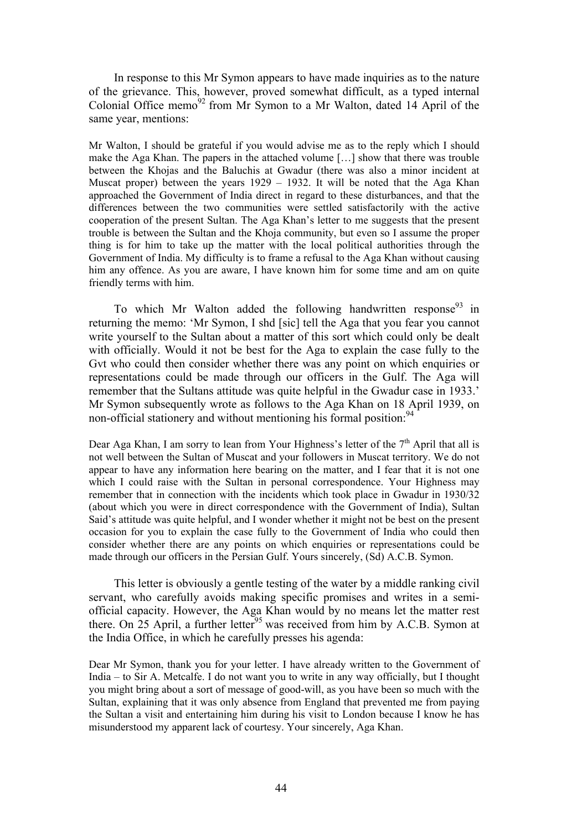In response to this Mr Symon appears to have made inquiries as to the nature of the grievance. This, however, proved somewhat difficult, as a typed internal Colonial Office memo<sup>92</sup> from Mr Symon to a Mr Walton, dated 14 April of the same year, mentions:

Mr Walton, I should be grateful if you would advise me as to the reply which I should make the Aga Khan. The papers in the attached volume […] show that there was trouble between the Khojas and the Baluchis at Gwadur (there was also a minor incident at Muscat proper) between the years 1929 – 1932. It will be noted that the Aga Khan approached the Government of India direct in regard to these disturbances, and that the differences between the two communities were settled satisfactorily with the active cooperation of the present Sultan. The Aga Khan's letter to me suggests that the present trouble is between the Sultan and the Khoja community, but even so I assume the proper thing is for him to take up the matter with the local political authorities through the Government of India. My difficulty is to frame a refusal to the Aga Khan without causing him any offence. As you are aware, I have known him for some time and am on quite friendly terms with him.

To which Mr Walton added the following handwritten response  $93$  in returning the memo: 'Mr Symon, I shd [sic] tell the Aga that you fear you cannot write yourself to the Sultan about a matter of this sort which could only be dealt with officially. Would it not be best for the Aga to explain the case fully to the Gvt who could then consider whether there was any point on which enquiries or representations could be made through our officers in the Gulf. The Aga will remember that the Sultans attitude was quite helpful in the Gwadur case in 1933.' Mr Symon subsequently wrote as follows to the Aga Khan on 18 April 1939, on non-official stationery and without mentioning his formal position: 94

Dear Aga Khan, I am sorry to lean from Your Highness's letter of the  $7<sup>th</sup>$  April that all is not well between the Sultan of Muscat and your followers in Muscat territory. We do not appear to have any information here bearing on the matter, and I fear that it is not one which I could raise with the Sultan in personal correspondence. Your Highness may remember that in connection with the incidents which took place in Gwadur in 1930/32 (about which you were in direct correspondence with the Government of India), Sultan Said's attitude was quite helpful, and I wonder whether it might not be best on the present occasion for you to explain the case fully to the Government of India who could then consider whether there are any points on which enquiries or representations could be made through our officers in the Persian Gulf. Yours sincerely, (Sd) A.C.B. Symon.

This letter is obviously a gentle testing of the water by a middle ranking civil servant, who carefully avoids making specific promises and writes in a semiofficial capacity. However, the Aga Khan would by no means let the matter rest there. On  $25$  April, a further letter<sup>95</sup> was received from him by A.C.B. Symon at the India Office, in which he carefully presses his agenda:

Dear Mr Symon, thank you for your letter. I have already written to the Government of India – to Sir A. Metcalfe. I do not want you to write in any way officially, but I thought you might bring about a sort of message of good-will, as you have been so much with the Sultan, explaining that it was only absence from England that prevented me from paying the Sultan a visit and entertaining him during his visit to London because I know he has misunderstood my apparent lack of courtesy. Your sincerely, Aga Khan.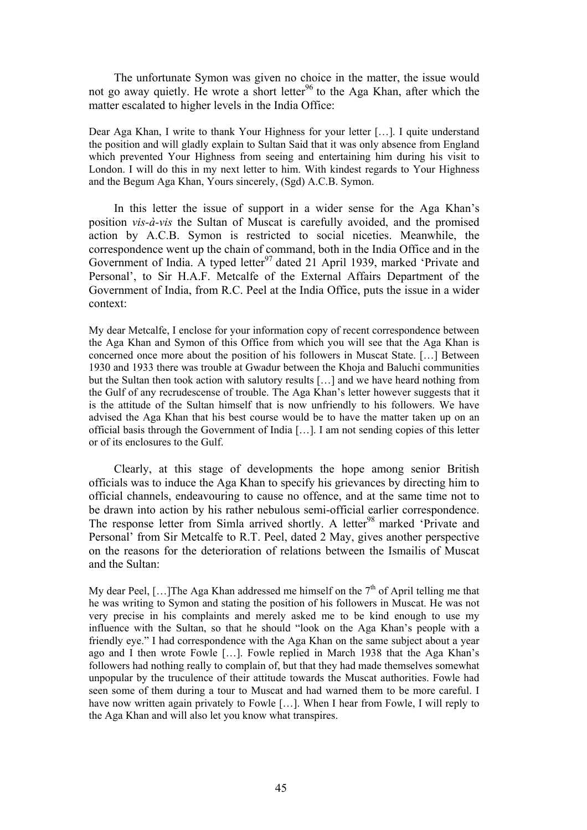The unfortunate Symon was given no choice in the matter, the issue would not go away quietly. He wrote a short letter<sup>96</sup> to the Aga Khan, after which the matter escalated to higher levels in the India Office:

Dear Aga Khan, I write to thank Your Highness for your letter […]. I quite understand the position and will gladly explain to Sultan Said that it was only absence from England which prevented Your Highness from seeing and entertaining him during his visit to London. I will do this in my next letter to him. With kindest regards to Your Highness and the Begum Aga Khan, Yours sincerely, (Sgd) A.C.B. Symon.

In this letter the issue of support in a wider sense for the Aga Khan's position *vis-à-vis* the Sultan of Muscat is carefully avoided, and the promised action by A.C.B. Symon is restricted to social niceties. Meanwhile, the correspondence went up the chain of command, both in the India Office and in the Government of India. A typed letter<sup>97</sup> dated 21 April 1939, marked 'Private and Personal', to Sir H.A.F. Metcalfe of the External Affairs Department of the Government of India, from R.C. Peel at the India Office, puts the issue in a wider context:

My dear Metcalfe, I enclose for your information copy of recent correspondence between the Aga Khan and Symon of this Office from which you will see that the Aga Khan is concerned once more about the position of his followers in Muscat State. […] Between 1930 and 1933 there was trouble at Gwadur between the Khoja and Baluchi communities but the Sultan then took action with salutory results […] and we have heard nothing from the Gulf of any recrudescense of trouble. The Aga Khan's letter however suggests that it is the attitude of the Sultan himself that is now unfriendly to his followers. We have advised the Aga Khan that his best course would be to have the matter taken up on an official basis through the Government of India […]. I am not sending copies of this letter or of its enclosures to the Gulf.

Clearly, at this stage of developments the hope among senior British officials was to induce the Aga Khan to specify his grievances by directing him to official channels, endeavouring to cause no offence, and at the same time not to be drawn into action by his rather nebulous semi-official earlier correspondence. The response letter from Simla arrived shortly. A letter<sup>98</sup> marked 'Private and Personal' from Sir Metcalfe to R.T. Peel, dated 2 May, gives another perspective on the reasons for the deterioration of relations between the Ismailis of Muscat and the Sultan:

My dear Peel,  $[...]$ The Aga Khan addressed me himself on the  $7<sup>th</sup>$  of April telling me that he was writing to Symon and stating the position of his followers in Muscat. He was not very precise in his complaints and merely asked me to be kind enough to use my influence with the Sultan, so that he should "look on the Aga Khan's people with a friendly eye." I had correspondence with the Aga Khan on the same subject about a year ago and I then wrote Fowle […]. Fowle replied in March 1938 that the Aga Khan's followers had nothing really to complain of, but that they had made themselves somewhat unpopular by the truculence of their attitude towards the Muscat authorities. Fowle had seen some of them during a tour to Muscat and had warned them to be more careful. I have now written again privately to Fowle [...]. When I hear from Fowle, I will reply to the Aga Khan and will also let you know what transpires.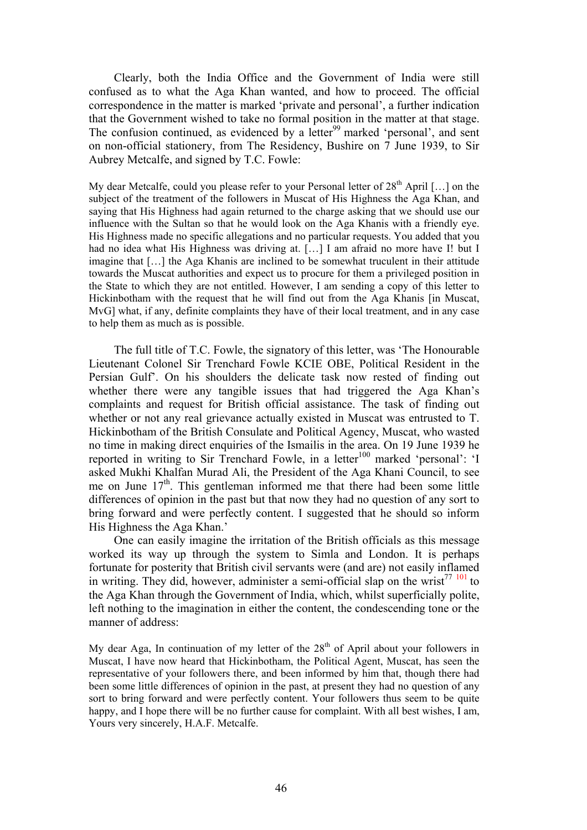Clearly, both the India Office and the Government of India were still confused as to what the Aga Khan wanted, and how to proceed. The official correspondence in the matter is marked 'private and personal', a further indication that the Government wished to take no formal position in the matter at that stage. The confusion continued, as evidenced by a letter<sup>99</sup> marked 'personal', and sent on non-official stationery, from The Residency, Bushire on 7 June 1939, to Sir Aubrey Metcalfe, and signed by T.C. Fowle:

My dear Metcalfe, could you please refer to your Personal letter of  $28<sup>th</sup>$  April [...] on the subject of the treatment of the followers in Muscat of His Highness the Aga Khan, and saying that His Highness had again returned to the charge asking that we should use our influence with the Sultan so that he would look on the Aga Khanis with a friendly eye. His Highness made no specific allegations and no particular requests. You added that you had no idea what His Highness was driving at. […] I am afraid no more have I! but I imagine that […] the Aga Khanis are inclined to be somewhat truculent in their attitude towards the Muscat authorities and expect us to procure for them a privileged position in the State to which they are not entitled. However, I am sending a copy of this letter to Hickinbotham with the request that he will find out from the Aga Khanis [in Muscat, MvG] what, if any, definite complaints they have of their local treatment, and in any case to help them as much as is possible.

The full title of T.C. Fowle, the signatory of this letter, was 'The Honourable Lieutenant Colonel Sir Trenchard Fowle KCIE OBE, Political Resident in the Persian Gulf'. On his shoulders the delicate task now rested of finding out whether there were any tangible issues that had triggered the Aga Khan's complaints and request for British official assistance. The task of finding out whether or not any real grievance actually existed in Muscat was entrusted to T. Hickinbotham of the British Consulate and Political Agency, Muscat, who wasted no time in making direct enquiries of the Ismailis in the area. On 19 June 1939 he reported in writing to Sir Trenchard Fowle, in a letter<sup>100</sup> marked 'personal': 'I asked Mukhi Khalfan Murad Ali, the President of the Aga Khani Council, to see me on June  $17<sup>th</sup>$ . This gentleman informed me that there had been some little differences of opinion in the past but that now they had no question of any sort to bring forward and were perfectly content. I suggested that he should so inform His Highness the Aga Khan.'

One can easily imagine the irritation of the British officials as this message worked its way up through the system to Simla and London. It is perhaps fortunate for posterity that British civil servants were (and are) not easily inflamed in writing. They did, however, administer a semi-official slap on the wrist<sup>77 101</sup> to the Aga Khan through the Government of India, which, whilst superficially polite, left nothing to the imagination in either the content, the condescending tone or the manner of address:

My dear Aga, In continuation of my letter of the  $28<sup>th</sup>$  of April about your followers in Muscat, I have now heard that Hickinbotham, the Political Agent, Muscat, has seen the representative of your followers there, and been informed by him that, though there had been some little differences of opinion in the past, at present they had no question of any sort to bring forward and were perfectly content. Your followers thus seem to be quite happy, and I hope there will be no further cause for complaint. With all best wishes, I am, Yours very sincerely, H.A.F. Metcalfe.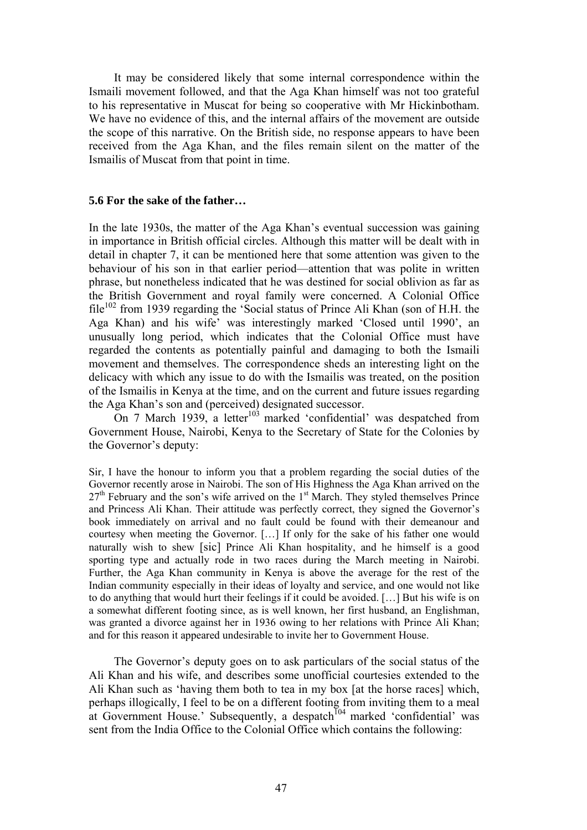It may be considered likely that some internal correspondence within the Ismaili movement followed, and that the Aga Khan himself was not too grateful to his representative in Muscat for being so cooperative with Mr Hickinbotham. We have no evidence of this, and the internal affairs of the movement are outside the scope of this narrative. On the British side, no response appears to have been received from the Aga Khan, and the files remain silent on the matter of the Ismailis of Muscat from that point in time.

# **5.6 For the sake of the father…**

In the late 1930s, the matter of the Aga Khan's eventual succession was gaining in importance in British official circles. Although this matter will be dealt with in detail in chapter 7, it can be mentioned here that some attention was given to the behaviour of his son in that earlier period—attention that was polite in written phrase, but nonetheless indicated that he was destined for social oblivion as far as the British Government and royal family were concerned. A Colonial Office  $file^{102}$  from 1939 regarding the 'Social status of Prince Ali Khan (son of H.H. the Aga Khan) and his wife' was interestingly marked 'Closed until 1990', an unusually long period, which indicates that the Colonial Office must have regarded the contents as potentially painful and damaging to both the Ismaili movement and themselves. The correspondence sheds an interesting light on the delicacy with which any issue to do with the Ismailis was treated, on the position of the Ismailis in Kenya at the time, and on the current and future issues regarding the Aga Khan's son and (perceived) designated successor.

On 7 March 1939, a letter<sup>103</sup> marked 'confidential' was despatched from Government House, Nairobi, Kenya to the Secretary of State for the Colonies by the Governor's deputy:

Sir, I have the honour to inform you that a problem regarding the social duties of the Governor recently arose in Nairobi. The son of His Highness the Aga Khan arrived on the  $27<sup>th</sup>$  February and the son's wife arrived on the  $1<sup>st</sup>$  March. They styled themselves Prince and Princess Ali Khan. Their attitude was perfectly correct, they signed the Governor's book immediately on arrival and no fault could be found with their demeanour and courtesy when meeting the Governor. […] If only for the sake of his father one would naturally wish to shew [sic] Prince Ali Khan hospitality, and he himself is a good sporting type and actually rode in two races during the March meeting in Nairobi. Further, the Aga Khan community in Kenya is above the average for the rest of the Indian community especially in their ideas of loyalty and service, and one would not like to do anything that would hurt their feelings if it could be avoided. […] But his wife is on a somewhat different footing since, as is well known, her first husband, an Englishman, was granted a divorce against her in 1936 owing to her relations with Prince Ali Khan; and for this reason it appeared undesirable to invite her to Government House.

The Governor's deputy goes on to ask particulars of the social status of the Ali Khan and his wife, and describes some unofficial courtesies extended to the Ali Khan such as 'having them both to tea in my box [at the horse races] which, perhaps illogically, I feel to be on a different footing from inviting them to a meal at Government House.' Subsequently, a despatch<sup>104</sup> marked 'confidential' was sent from the India Office to the Colonial Office which contains the following: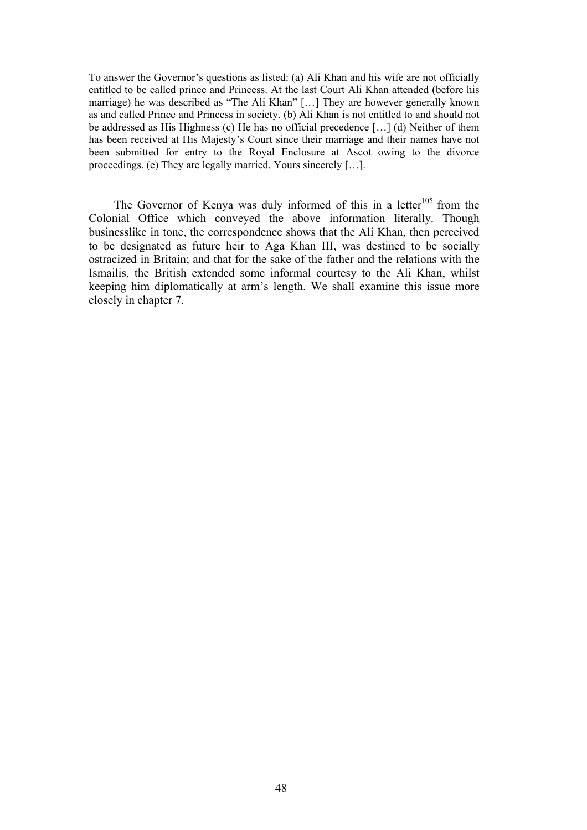To answer the Governor's questions as listed: (a) Ali Khan and his wife are not officially entitled to be called prince and Princess. At the last Court Ali Khan attended (before his marriage) he was described as "The Ali Khan" […] They are however generally known as and called Prince and Princess in society. (b) Ali Khan is not entitled to and should not be addressed as His Highness (c) He has no official precedence […] (d) Neither of them has been received at His Majesty's Court since their marriage and their names have not been submitted for entry to the Royal Enclosure at Ascot owing to the divorce proceedings. (e) They are legally married. Yours sincerely […].

The Governor of Kenya was duly informed of this in a letter<sup>105</sup> from the Colonial Office which conveyed the above information literally. Though businesslike in tone, the correspondence shows that the Ali Khan, then perceived to be designated as future heir to Aga Khan III, was destined to be socially ostracized in Britain; and that for the sake of the father and the relations with the Ismailis, the British extended some informal courtesy to the Ali Khan, whilst keeping him diplomatically at arm's length. We shall examine this issue more closely in chapter 7.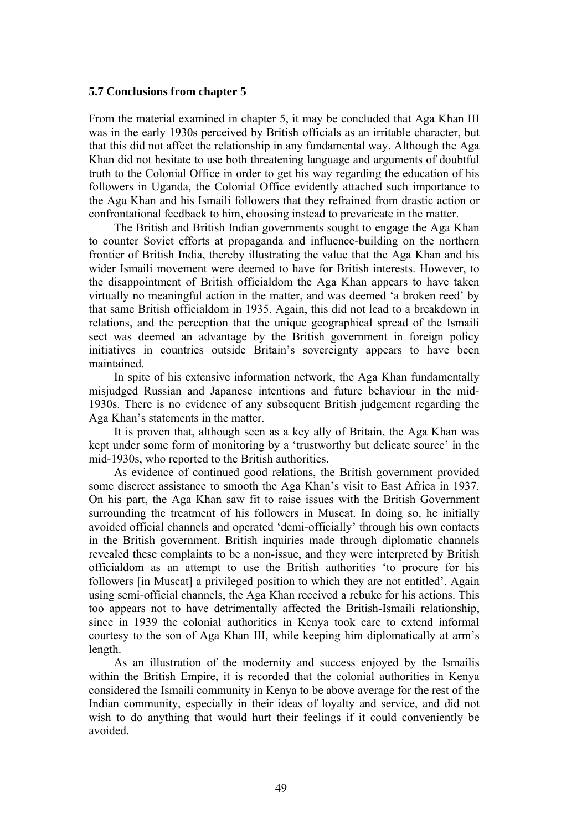#### **5.7 Conclusions from chapter 5**

From the material examined in chapter 5, it may be concluded that Aga Khan III was in the early 1930s perceived by British officials as an irritable character, but that this did not affect the relationship in any fundamental way. Although the Aga Khan did not hesitate to use both threatening language and arguments of doubtful truth to the Colonial Office in order to get his way regarding the education of his followers in Uganda, the Colonial Office evidently attached such importance to the Aga Khan and his Ismaili followers that they refrained from drastic action or confrontational feedback to him, choosing instead to prevaricate in the matter.

The British and British Indian governments sought to engage the Aga Khan to counter Soviet efforts at propaganda and influence-building on the northern frontier of British India, thereby illustrating the value that the Aga Khan and his wider Ismaili movement were deemed to have for British interests. However, to the disappointment of British officialdom the Aga Khan appears to have taken virtually no meaningful action in the matter, and was deemed 'a broken reed' by that same British officialdom in 1935. Again, this did not lead to a breakdown in relations, and the perception that the unique geographical spread of the Ismaili sect was deemed an advantage by the British government in foreign policy initiatives in countries outside Britain's sovereignty appears to have been maintained.

In spite of his extensive information network, the Aga Khan fundamentally misjudged Russian and Japanese intentions and future behaviour in the mid-1930s. There is no evidence of any subsequent British judgement regarding the Aga Khan's statements in the matter.

It is proven that, although seen as a key ally of Britain, the Aga Khan was kept under some form of monitoring by a 'trustworthy but delicate source' in the mid-1930s, who reported to the British authorities.

As evidence of continued good relations, the British government provided some discreet assistance to smooth the Aga Khan's visit to East Africa in 1937. On his part, the Aga Khan saw fit to raise issues with the British Government surrounding the treatment of his followers in Muscat. In doing so, he initially avoided official channels and operated 'demi-officially' through his own contacts in the British government. British inquiries made through diplomatic channels revealed these complaints to be a non-issue, and they were interpreted by British officialdom as an attempt to use the British authorities 'to procure for his followers [in Muscat] a privileged position to which they are not entitled'. Again using semi-official channels, the Aga Khan received a rebuke for his actions. This too appears not to have detrimentally affected the British-Ismaili relationship, since in 1939 the colonial authorities in Kenya took care to extend informal courtesy to the son of Aga Khan III, while keeping him diplomatically at arm's length.

As an illustration of the modernity and success enjoyed by the Ismailis within the British Empire, it is recorded that the colonial authorities in Kenya considered the Ismaili community in Kenya to be above average for the rest of the Indian community, especially in their ideas of loyalty and service, and did not wish to do anything that would hurt their feelings if it could conveniently be avoided.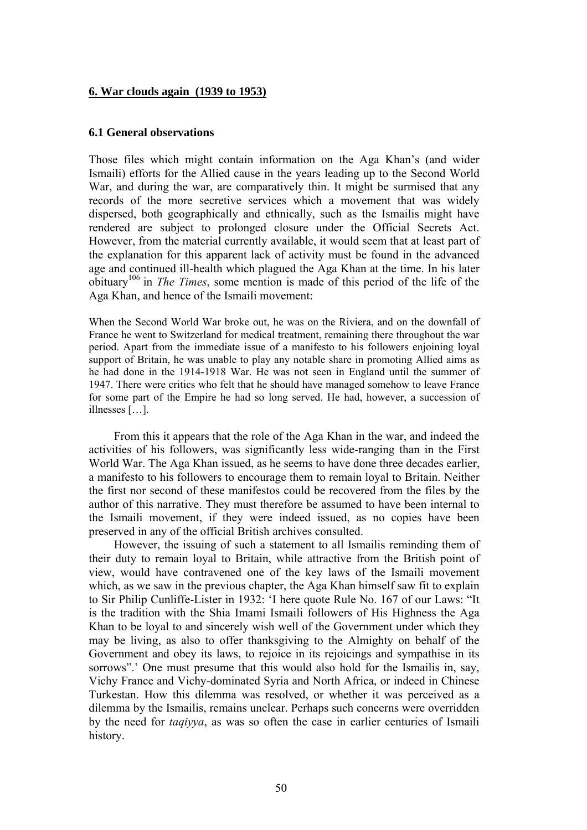#### **6. War clouds again (1939 to 1953)**

#### **6.1 General observations**

Those files which might contain information on the Aga Khan's (and wider Ismaili) efforts for the Allied cause in the years leading up to the Second World War, and during the war, are comparatively thin. It might be surmised that any records of the more secretive services which a movement that was widely dispersed, both geographically and ethnically, such as the Ismailis might have rendered are subject to prolonged closure under the Official Secrets Act. However, from the material currently available, it would seem that at least part of the explanation for this apparent lack of activity must be found in the advanced age and continued ill-health which plagued the Aga Khan at the time. In his later obituary 106 in *The Times*, some mention is made of this period of the life of the Aga Khan, and hence of the Ismaili movement:

When the Second World War broke out, he was on the Riviera, and on the downfall of France he went to Switzerland for medical treatment, remaining there throughout the war period. Apart from the immediate issue of a manifesto to his followers enjoining loyal support of Britain, he was unable to play any notable share in promoting Allied aims as he had done in the 1914-1918 War. He was not seen in England until the summer of 1947. There were critics who felt that he should have managed somehow to leave France for some part of the Empire he had so long served. He had, however, a succession of illnesses […].

From this it appears that the role of the Aga Khan in the war, and indeed the activities of his followers, was significantly less wide-ranging than in the First World War. The Aga Khan issued, as he seems to have done three decades earlier, a manifesto to his followers to encourage them to remain loyal to Britain. Neither the first nor second of these manifestos could be recovered from the files by the author of this narrative. They must therefore be assumed to have been internal to the Ismaili movement, if they were indeed issued, as no copies have been preserved in any of the official British archives consulted.

However, the issuing of such a statement to all Ismailis reminding them of their duty to remain loyal to Britain, while attractive from the British point of view, would have contravened one of the key laws of the Ismaili movement which, as we saw in the previous chapter, the Aga Khan himself saw fit to explain to Sir Philip Cunliffe-Lister in 1932: 'I here quote Rule No. 167 of our Laws: "It is the tradition with the Shia Imami Ismaili followers of His Highness the Aga Khan to be loyal to and sincerely wish well of the Government under which they may be living, as also to offer thanksgiving to the Almighty on behalf of the Government and obey its laws, to rejoice in its rejoicings and sympathise in its sorrows".' One must presume that this would also hold for the Ismailis in, say, Vichy France and Vichy-dominated Syria and North Africa, or indeed in Chinese Turkestan. How this dilemma was resolved, or whether it was perceived as a dilemma by the Ismailis, remains unclear. Perhaps such concerns were overridden by the need for *taqiyya*, as was so often the case in earlier centuries of Ismaili history.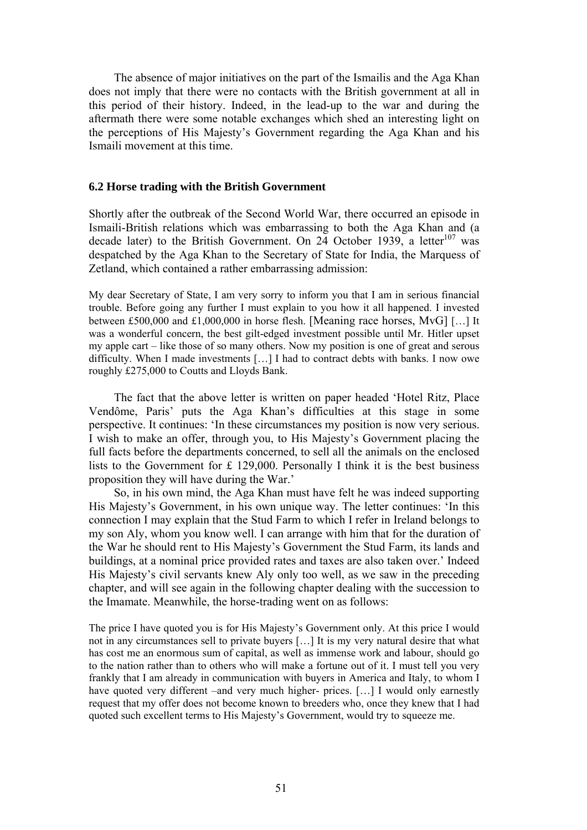The absence of major initiatives on the part of the Ismailis and the Aga Khan does not imply that there were no contacts with the British government at all in this period of their history. Indeed, in the lead-up to the war and during the aftermath there were some notable exchanges which shed an interesting light on the perceptions of His Majesty's Government regarding the Aga Khan and his Ismaili movement at this time.

#### **6.2 Horse trading with the British Government**

Shortly after the outbreak of the Second World War, there occurred an episode in Ismaili-British relations which was embarrassing to both the Aga Khan and (a decade later) to the British Government. On 24 October 1939, a letter $107$  was despatched by the Aga Khan to the Secretary of State for India, the Marquess of Zetland, which contained a rather embarrassing admission:

My dear Secretary of State, I am very sorry to inform you that I am in serious financial trouble. Before going any further I must explain to you how it all happened. I invested between £500,000 and £1,000,000 in horse flesh. [Meaning race horses, MvG] […] It was a wonderful concern, the best gilt-edged investment possible until Mr. Hitler upset my apple cart – like those of so many others. Now my position is one of great and serous difficulty. When I made investments […] I had to contract debts with banks. I now owe roughly £275,000 to Coutts and Lloyds Bank.

The fact that the above letter is written on paper headed 'Hotel Ritz, Place Vendôme, Paris' puts the Aga Khan's difficulties at this stage in some perspective. It continues: 'In these circumstances my position is now very serious. I wish to make an offer, through you, to His Majesty's Government placing the full facts before the departments concerned, to sell all the animals on the enclosed lists to the Government for £ 129,000. Personally I think it is the best business proposition they will have during the War.'

So, in his own mind, the Aga Khan must have felt he was indeed supporting His Majesty's Government, in his own unique way. The letter continues: 'In this connection I may explain that the Stud Farm to which I refer in Ireland belongs to my son Aly, whom you know well. I can arrange with him that for the duration of the War he should rent to His Majesty's Government the Stud Farm, its lands and buildings, at a nominal price provided rates and taxes are also taken over.' Indeed His Majesty's civil servants knew Aly only too well, as we saw in the preceding chapter, and will see again in the following chapter dealing with the succession to the Imamate. Meanwhile, the horse-trading went on as follows:

The price I have quoted you is for His Majesty's Government only. At this price I would not in any circumstances sell to private buyers […] It is my very natural desire that what has cost me an enormous sum of capital, as well as immense work and labour, should go to the nation rather than to others who will make a fortune out of it. I must tell you very frankly that I am already in communication with buyers in America and Italy, to whom I have quoted very different –and very much higher- prices. [...] I would only earnestly request that my offer does not become known to breeders who, once they knew that I had quoted such excellent terms to His Majesty's Government, would try to squeeze me.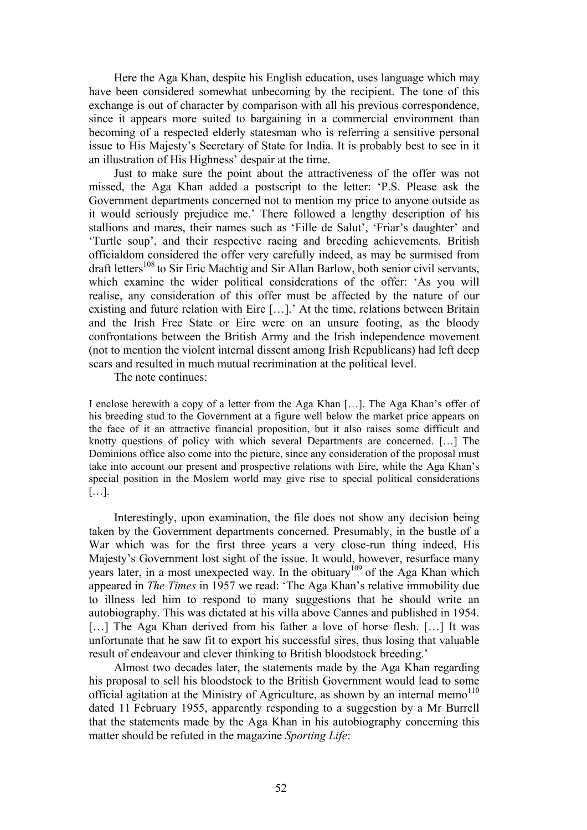Here the Aga Khan, despite his English education, uses language which may have been considered somewhat unbecoming by the recipient. The tone of this exchange is out of character by comparison with all his previous correspondence, since it appears more suited to bargaining in a commercial environment than becoming of a respected elderly statesman who is referring a sensitive personal issue to His Majesty's Secretary of State for India. It is probably best to see in it an illustration of His Highness' despair at the time.

Just to make sure the point about the attractiveness of the offer was not missed, the Aga Khan added a postscript to the letter: 'P.S. Please ask the Government departments concerned not to mention my price to anyone outside as it would seriously prejudice me.' There followed a lengthy description of his stallions and mares, their names such as 'Fille de Salut', 'Friar's daughter' and 'Turtle soup', and their respective racing and breeding achievements. British officialdom considered the offer very carefully indeed, as may be surmised from draft letters<sup>108</sup> to Sir Eric Machtig and Sir Allan Barlow, both senior civil servants, which examine the wider political considerations of the offer: 'As you will realise, any consideration of this offer must be affected by the nature of our existing and future relation with Eire […].' At the time, relations between Britain and the Irish Free State or Eire were on an unsure footing, as the bloody confrontations between the British Army and the Irish independence movement (not to mention the violent internal dissent among Irish Republicans) had left deep scars and resulted in much mutual recrimination at the political level.

The note continues:

I enclose herewith a copy of a letter from the Aga Khan […]. The Aga Khan's offer of his breeding stud to the Government at a figure well below the market price appears on the face of it an attractive financial proposition, but it also raises some difficult and knotty questions of policy with which several Departments are concerned. […] The Dominions office also come into the picture, since any consideration of the proposal must take into account our present and prospective relations with Eire, while the Aga Khan's special position in the Moslem world may give rise to special political considerations […].

Interestingly, upon examination, the file does not show any decision being taken by the Government departments concerned. Presumably, in the bustle of a War which was for the first three years a very close-run thing indeed, His Majesty's Government lost sight of the issue. It would, however, resurface many years later, in a most unexpected way. In the obituary<sup>109</sup> of the Aga Khan which appeared in *The Times* in 1957 we read: 'The Aga Khan's relative immobility due to illness led him to respond to many suggestions that he should write an autobiography. This was dictated at his villa above Cannes and published in 1954. [...] The Aga Khan derived from his father a love of horse flesh. [...] It was unfortunate that he saw fit to export his successful sires, thus losing that valuable result of endeavour and clever thinking to British bloodstock breeding.'

Almost two decades later, the statements made by the Aga Khan regarding his proposal to sell his bloodstock to the British Government would lead to some official agitation at the Ministry of Agriculture, as shown by an internal memo<sup>110</sup> dated 11 February 1955, apparently responding to a suggestion by a Mr Burrell that the statements made by the Aga Khan in his autobiography concerning this matter should be refuted in the magazine *Sporting Life*: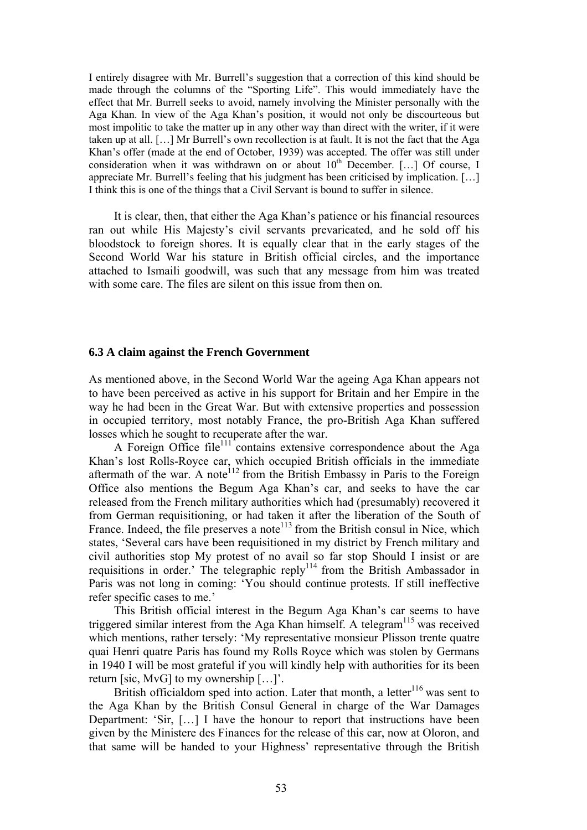I entirely disagree with Mr. Burrell's suggestion that a correction of this kind should be made through the columns of the "Sporting Life". This would immediately have the effect that Mr. Burrell seeks to avoid, namely involving the Minister personally with the Aga Khan. In view of the Aga Khan's position, it would not only be discourteous but most impolitic to take the matter up in any other way than direct with the writer, if it were taken up at all. […] Mr Burrell's own recollection is at fault. It is not the fact that the Aga Khan's offer (made at the end of October, 1939) was accepted. The offer was still under consideration when it was withdrawn on or about  $10^{th}$  December. [...] Of course, I appreciate Mr. Burrell's feeling that his judgment has been criticised by implication. […] I think this is one of the things that a Civil Servant is bound to suffer in silence.

It is clear, then, that either the Aga Khan's patience or his financial resources ran out while His Majesty's civil servants prevaricated, and he sold off his bloodstock to foreign shores. It is equally clear that in the early stages of the Second World War his stature in British official circles, and the importance attached to Ismaili goodwill, was such that any message from him was treated with some care. The files are silent on this issue from then on.

#### **6.3 A claim against the French Government**

As mentioned above, in the Second World War the ageing Aga Khan appears not to have been perceived as active in his support for Britain and her Empire in the way he had been in the Great War. But with extensive properties and possession in occupied territory, most notably France, the pro-British Aga Khan suffered losses which he sought to recuperate after the war.

A Foreign Office file<sup>111</sup> contains extensive correspondence about the Aga Khan's lost Rolls-Royce car, which occupied British officials in the immediate aftermath of the war. A note<sup>112</sup> from the British Embassy in Paris to the Foreign Office also mentions the Begum Aga Khan's car, and seeks to have the car released from the French military authorities which had (presumably) recovered it from German requisitioning, or had taken it after the liberation of the South of France. Indeed, the file preserves a note<sup>113</sup> from the British consul in Nice, which states, 'Several cars have been requisitioned in my district by French military and civil authorities stop My protest of no avail so far stop Should I insist or are requisitions in order.' The telegraphic reply114 from the British Ambassador in Paris was not long in coming: 'You should continue protests. If still ineffective refer specific cases to me.'

This British official interest in the Begum Aga Khan's car seems to have triggered similar interest from the Aga Khan himself. A telegram<sup>115</sup> was received which mentions, rather tersely: 'My representative monsieur Plisson trente quatre quai Henri quatre Paris has found my Rolls Royce which was stolen by Germans in 1940 I will be most grateful if you will kindly help with authorities for its been return [sic, MvG] to my ownership […]'.

British officialdom sped into action. Later that month, a letter<sup>116</sup> was sent to the Aga Khan by the British Consul General in charge of the War Damages Department: 'Sir, […] I have the honour to report that instructions have been given by the Ministere des Finances for the release of this car, now at Oloron, and that same will be handed to your Highness' representative through the British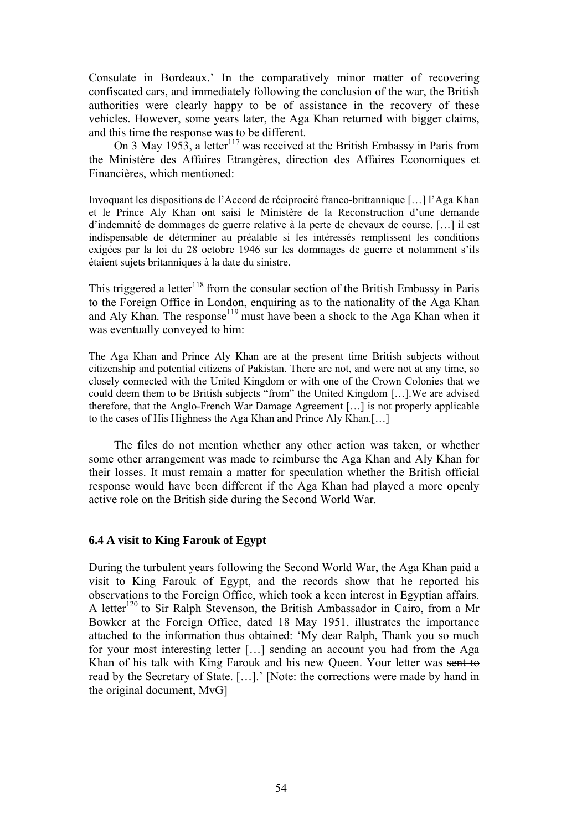Consulate in Bordeaux.' In the comparatively minor matter of recovering confiscated cars, and immediately following the conclusion of the war, the British authorities were clearly happy to be of assistance in the recovery of these vehicles. However, some years later, the Aga Khan returned with bigger claims, and this time the response was to be different.

On 3 May 1953, a letter<sup>117</sup> was received at the British Embassy in Paris from the Ministère des Affaires Etrangères, direction des Affaires Economiques et Financières, which mentioned:

Invoquant les dispositions de l'Accord de réciprocité franco-brittannique […] l'Aga Khan et le Prince Aly Khan ont saisi le Ministère de la Reconstruction d'une demande d'indemnité de dommages de guerre relative à la perte de chevaux de course. […] il est indispensable de déterminer au préalable si les intéressés remplissent les conditions exigées par la loi du 28 octobre 1946 sur les dommages de guerre et notamment s'ils étaient sujets britanniques à la date du sinistre.

This triggered a letter<sup>118</sup> from the consular section of the British Embassy in Paris to the Foreign Office in London, enquiring as to the nationality of the Aga Khan and Aly Khan. The response<sup>119</sup> must have been a shock to the Aga Khan when it was eventually conveyed to him:

The Aga Khan and Prince Aly Khan are at the present time British subjects without citizenship and potential citizens of Pakistan. There are not, and were not at any time, so closely connected with the United Kingdom or with one of the Crown Colonies that we could deem them to be British subjects "from" the United Kingdom […].We are advised therefore, that the Anglo-French War Damage Agreement […] is not properly applicable to the cases of His Highness the Aga Khan and Prince Aly Khan.[…]

The files do not mention whether any other action was taken, or whether some other arrangement was made to reimburse the Aga Khan and Aly Khan for their losses. It must remain a matter for speculation whether the British official response would have been different if the Aga Khan had played a more openly active role on the British side during the Second World War.

## **6.4 A visit to King Farouk of Egypt**

During the turbulent years following the Second World War, the Aga Khan paid a visit to King Farouk of Egypt, and the records show that he reported his observations to the Foreign Office, which took a keen interest in Egyptian affairs. A letter<sup>120</sup> to Sir Ralph Stevenson, the British Ambassador in Cairo, from a Mr Bowker at the Foreign Office, dated 18 May 1951, illustrates the importance attached to the information thus obtained: 'My dear Ralph, Thank you so much for your most interesting letter […] sending an account you had from the Aga Khan of his talk with King Farouk and his new Queen. Your letter was sent to read by the Secretary of State. […].' [Note: the corrections were made by hand in the original document, MvG]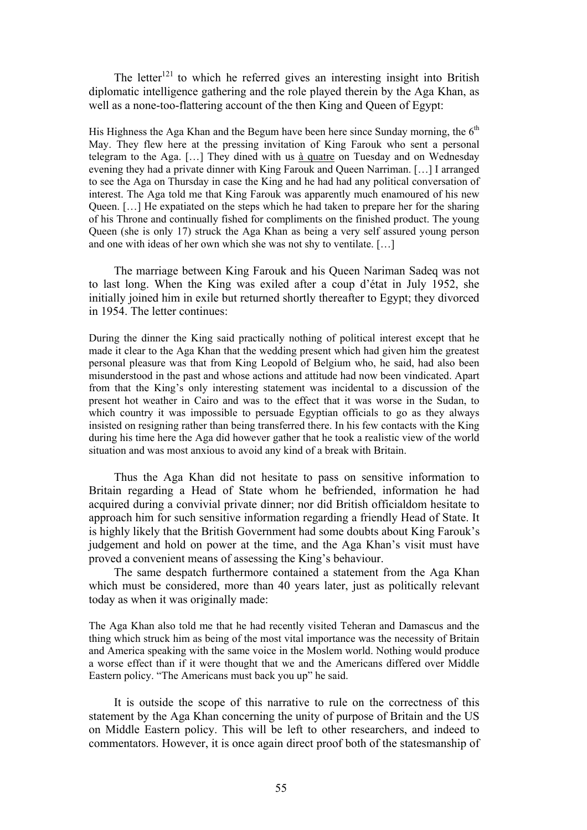The letter<sup>121</sup> to which he referred gives an interesting insight into British diplomatic intelligence gathering and the role played therein by the Aga Khan, as well as a none-too-flattering account of the then King and Queen of Egypt:

His Highness the Aga Khan and the Begum have been here since Sunday morning, the  $6<sup>th</sup>$ May. They flew here at the pressing invitation of King Farouk who sent a personal telegram to the Aga. […] They dined with us à quatre on Tuesday and on Wednesday evening they had a private dinner with King Farouk and Queen Narriman. […] I arranged to see the Aga on Thursday in case the King and he had had any political conversation of interest. The Aga told me that King Farouk was apparently much enamoured of his new Queen. […] He expatiated on the steps which he had taken to prepare her for the sharing of his Throne and continually fished for compliments on the finished product. The young Queen (she is only 17) struck the Aga Khan as being a very self assured young person and one with ideas of her own which she was not shy to ventilate. […]

The marriage between King Farouk and his Queen Nariman Sadeq was not to last long. When the King was exiled after a coup d'état in July 1952, she initially joined him in exile but returned shortly thereafter to Egypt; they divorced in 1954. The letter continues:

During the dinner the King said practically nothing of political interest except that he made it clear to the Aga Khan that the wedding present which had given him the greatest personal pleasure was that from King Leopold of Belgium who, he said, had also been misunderstood in the past and whose actions and attitude had now been vindicated. Apart from that the King's only interesting statement was incidental to a discussion of the present hot weather in Cairo and was to the effect that it was worse in the Sudan, to which country it was impossible to persuade Egyptian officials to go as they always insisted on resigning rather than being transferred there. In his few contacts with the King during his time here the Aga did however gather that he took a realistic view of the world situation and was most anxious to avoid any kind of a break with Britain.

Thus the Aga Khan did not hesitate to pass on sensitive information to Britain regarding a Head of State whom he befriended, information he had acquired during a convivial private dinner; nor did British officialdom hesitate to approach him for such sensitive information regarding a friendly Head of State. It is highly likely that the British Government had some doubts about King Farouk's judgement and hold on power at the time, and the Aga Khan's visit must have proved a convenient means of assessing the King's behaviour.

The same despatch furthermore contained a statement from the Aga Khan which must be considered, more than 40 years later, just as politically relevant today as when it was originally made:

The Aga Khan also told me that he had recently visited Teheran and Damascus and the thing which struck him as being of the most vital importance was the necessity of Britain and America speaking with the same voice in the Moslem world. Nothing would produce a worse effect than if it were thought that we and the Americans differed over Middle Eastern policy. "The Americans must back you up" he said.

It is outside the scope of this narrative to rule on the correctness of this statement by the Aga Khan concerning the unity of purpose of Britain and the US on Middle Eastern policy. This will be left to other researchers, and indeed to commentators. However, it is once again direct proof both of the statesmanship of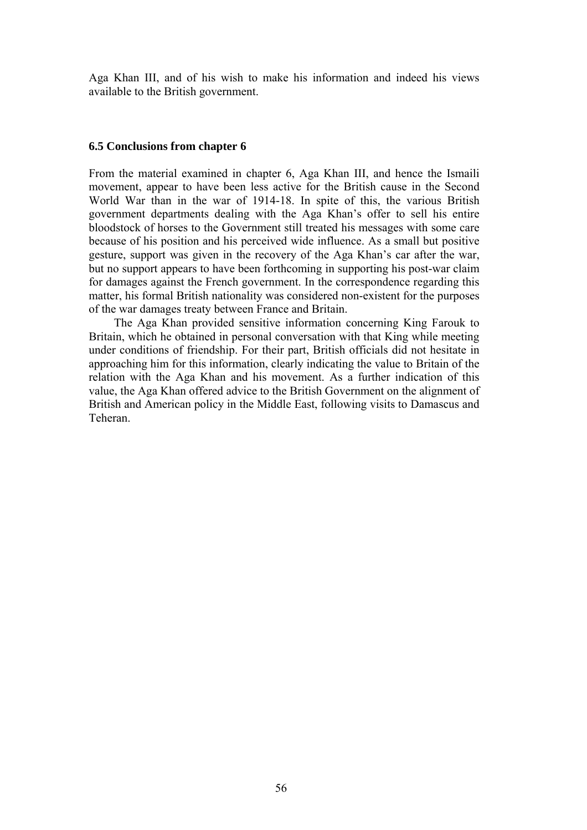Aga Khan III, and of his wish to make his information and indeed his views available to the British government.

#### **6.5 Conclusions from chapter 6**

From the material examined in chapter 6, Aga Khan III, and hence the Ismaili movement, appear to have been less active for the British cause in the Second World War than in the war of 1914-18. In spite of this, the various British government departments dealing with the Aga Khan's offer to sell his entire bloodstock of horses to the Government still treated his messages with some care because of his position and his perceived wide influence. As a small but positive gesture, support was given in the recovery of the Aga Khan's car after the war, but no support appears to have been forthcoming in supporting his post-war claim for damages against the French government. In the correspondence regarding this matter, his formal British nationality was considered non-existent for the purposes of the war damages treaty between France and Britain.

The Aga Khan provided sensitive information concerning King Farouk to Britain, which he obtained in personal conversation with that King while meeting under conditions of friendship. For their part, British officials did not hesitate in approaching him for this information, clearly indicating the value to Britain of the relation with the Aga Khan and his movement. As a further indication of this value, the Aga Khan offered advice to the British Government on the alignment of British and American policy in the Middle East, following visits to Damascus and Teheran.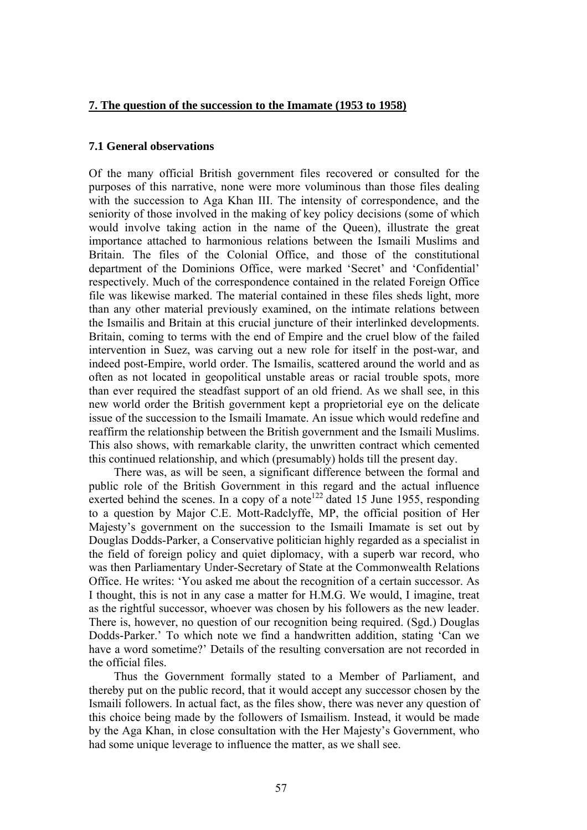### **7. The question of the succession to the Imamate (1953 to 1958)**

# **7.1 General observations**

Of the many official British government files recovered or consulted for the purposes of this narrative, none were more voluminous than those files dealing with the succession to Aga Khan III. The intensity of correspondence, and the seniority of those involved in the making of key policy decisions (some of which would involve taking action in the name of the Queen), illustrate the great importance attached to harmonious relations between the Ismaili Muslims and Britain. The files of the Colonial Office, and those of the constitutional department of the Dominions Office, were marked 'Secret' and 'Confidential' respectively. Much of the correspondence contained in the related Foreign Office file was likewise marked. The material contained in these files sheds light, more than any other material previously examined, on the intimate relations between the Ismailis and Britain at this crucial juncture of their interlinked developments. Britain, coming to terms with the end of Empire and the cruel blow of the failed intervention in Suez, was carving out a new role for itself in the post-war, and indeed post-Empire, world order. The Ismailis, scattered around the world and as often as not located in geopolitical unstable areas or racial trouble spots, more than ever required the steadfast support of an old friend. As we shall see, in this new world order the British government kept a proprietorial eye on the delicate issue of the succession to the Ismaili Imamate. An issue which would redefine and reaffirm the relationship between the British government and the Ismaili Muslims. This also shows, with remarkable clarity, the unwritten contract which cemented this continued relationship, and which (presumably) holds till the present day.

There was, as will be seen, a significant difference between the formal and public role of the British Government in this regard and the actual influence exerted behind the scenes. In a copy of a note<sup>122</sup> dated 15 June 1955, responding to a question by Major C.E. Mott-Radclyffe, MP, the official position of Her Majesty's government on the succession to the Ismaili Imamate is set out by Douglas Dodds-Parker, a Conservative politician highly regarded as a specialist in the field of foreign policy and quiet diplomacy, with a superb war record, who was then Parliamentary Under-Secretary of State at the Commonwealth Relations Office. He writes: 'You asked me about the recognition of a certain successor. As I thought, this is not in any case a matter for H.M.G. We would, I imagine, treat as the rightful successor, whoever was chosen by his followers as the new leader. There is, however, no question of our recognition being required. (Sgd.) Douglas Dodds-Parker.' To which note we find a handwritten addition, stating 'Can we have a word sometime?' Details of the resulting conversation are not recorded in the official files.

Thus the Government formally stated to a Member of Parliament, and thereby put on the public record, that it would accept any successor chosen by the Ismaili followers. In actual fact, as the files show, there was never any question of this choice being made by the followers of Ismailism. Instead, it would be made by the Aga Khan, in close consultation with the Her Majesty's Government, who had some unique leverage to influence the matter, as we shall see.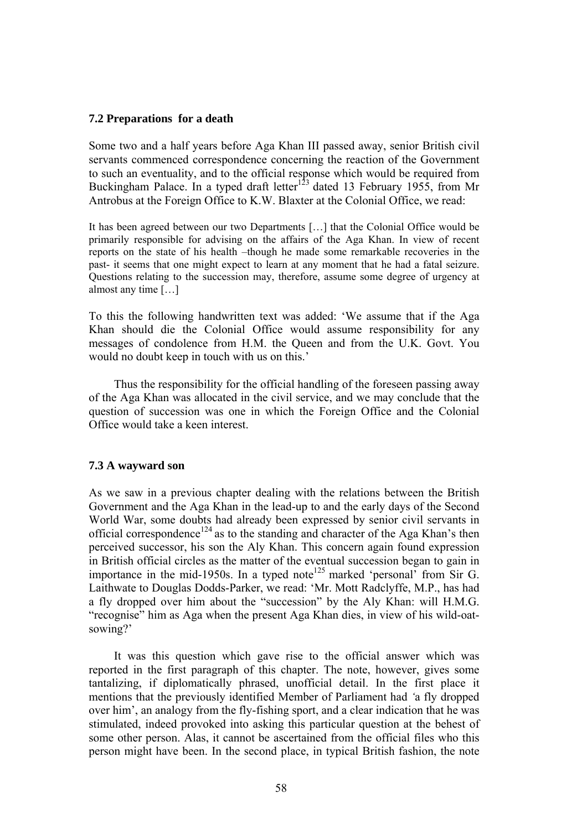### **7.2 Preparations for a death**

Some two and a half years before Aga Khan III passed away, senior British civil servants commenced correspondence concerning the reaction of the Government to such an eventuality, and to the official response which would be required from Buckingham Palace. In a typed draft letter<sup>123</sup> dated 13 February 1955, from Mr Antrobus at the Foreign Office to K.W. Blaxter at the Colonial Office, we read:

It has been agreed between our two Departments […] that the Colonial Office would be primarily responsible for advising on the affairs of the Aga Khan. In view of recent reports on the state of his health –though he made some remarkable recoveries in the past- it seems that one might expect to learn at any moment that he had a fatal seizure. Questions relating to the succession may, therefore, assume some degree of urgency at almost any time […]

To this the following handwritten text was added: 'We assume that if the Aga Khan should die the Colonial Office would assume responsibility for any messages of condolence from H.M. the Queen and from the U.K. Govt. You would no doubt keep in touch with us on this.'

Thus the responsibility for the official handling of the foreseen passing away of the Aga Khan was allocated in the civil service, and we may conclude that the question of succession was one in which the Foreign Office and the Colonial Office would take a keen interest.

### **7.3 A wayward son**

As we saw in a previous chapter dealing with the relations between the British Government and the Aga Khan in the lead-up to and the early days of the Second World War, some doubts had already been expressed by senior civil servants in official correspondence<sup>124</sup> as to the standing and character of the Aga Khan's then perceived successor, his son the Aly Khan. This concern again found expression in British official circles as the matter of the eventual succession began to gain in importance in the mid-1950s. In a typed note<sup>125</sup> marked 'personal' from Sir G. Laithwate to Douglas Dodds-Parker, we read: 'Mr. Mott Radclyffe, M.P., has had a fly dropped over him about the "succession" by the Aly Khan: will H.M.G. "recognise" him as Aga when the present Aga Khan dies, in view of his wild-oatsowing?'

It was this question which gave rise to the official answer which was reported in the first paragraph of this chapter. The note, however, gives some tantalizing, if diplomatically phrased, unofficial detail. In the first place it mentions that the previously identified Member of Parliament had *'*a fly dropped over him', an analogy from the fly-fishing sport, and a clear indication that he was stimulated, indeed provoked into asking this particular question at the behest of some other person. Alas, it cannot be ascertained from the official files who this person might have been. In the second place, in typical British fashion, the note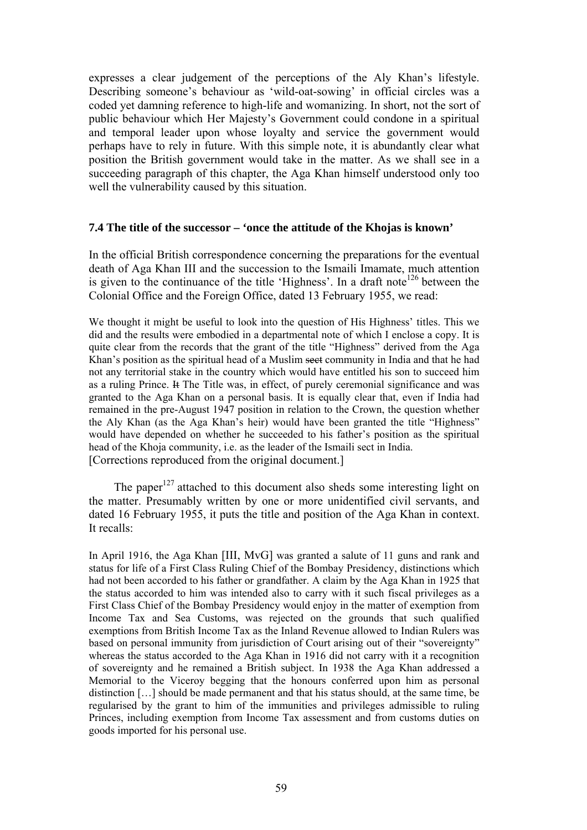expresses a clear judgement of the perceptions of the Aly Khan's lifestyle. Describing someone's behaviour as 'wild-oat-sowing' in official circles was a coded yet damning reference to high-life and womanizing. In short, not the sort of public behaviour which Her Majesty's Government could condone in a spiritual and temporal leader upon whose loyalty and service the government would perhaps have to rely in future. With this simple note, it is abundantly clear what position the British government would take in the matter. As we shall see in a succeeding paragraph of this chapter, the Aga Khan himself understood only too well the vulnerability caused by this situation.

# **7.4 The title of the successor – 'once the attitude of the Khojas is known'**

In the official British correspondence concerning the preparations for the eventual death of Aga Khan III and the succession to the Ismaili Imamate, much attention is given to the continuance of the title 'Highness'. In a draft note<sup>126</sup> between the Colonial Office and the Foreign Office, dated 13 February 1955, we read:

We thought it might be useful to look into the question of His Highness' titles. This we did and the results were embodied in a departmental note of which I enclose a copy. It is quite clear from the records that the grant of the title "Highness" derived from the Aga Khan's position as the spiritual head of a Muslim sect community in India and that he had not any territorial stake in the country which would have entitled his son to succeed him as a ruling Prince. It The Title was, in effect, of purely ceremonial significance and was granted to the Aga Khan on a personal basis. It is equally clear that, even if India had remained in the pre-August 1947 position in relation to the Crown, the question whether the Aly Khan (as the Aga Khan's heir) would have been granted the title "Highness" would have depended on whether he succeeded to his father's position as the spiritual head of the Khoja community, i.e. as the leader of the Ismaili sect in India. [Corrections reproduced from the original document.]

The paper<sup>127</sup> attached to this document also sheds some interesting light on the matter. Presumably written by one or more unidentified civil servants, and dated 16 February 1955, it puts the title and position of the Aga Khan in context. It recalls:

In April 1916, the Aga Khan [III, MvG] was granted a salute of 11 guns and rank and status for life of a First Class Ruling Chief of the Bombay Presidency, distinctions which had not been accorded to his father or grandfather. A claim by the Aga Khan in 1925 that the status accorded to him was intended also to carry with it such fiscal privileges as a First Class Chief of the Bombay Presidency would enjoy in the matter of exemption from Income Tax and Sea Customs, was rejected on the grounds that such qualified exemptions from British Income Tax as the Inland Revenue allowed to Indian Rulers was based on personal immunity from jurisdiction of Court arising out of their "sovereignty" whereas the status accorded to the Aga Khan in 1916 did not carry with it a recognition of sovereignty and he remained a British subject. In 1938 the Aga Khan addressed a Memorial to the Viceroy begging that the honours conferred upon him as personal distinction […] should be made permanent and that his status should, at the same time, be regularised by the grant to him of the immunities and privileges admissible to ruling Princes, including exemption from Income Tax assessment and from customs duties on goods imported for his personal use.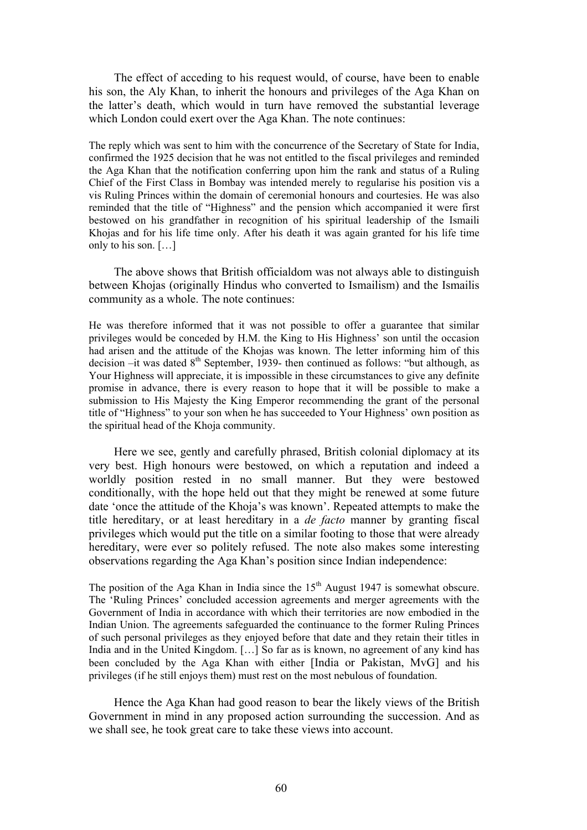The effect of acceding to his request would, of course, have been to enable his son, the Aly Khan, to inherit the honours and privileges of the Aga Khan on the latter's death, which would in turn have removed the substantial leverage which London could exert over the Aga Khan. The note continues:

The reply which was sent to him with the concurrence of the Secretary of State for India, confirmed the 1925 decision that he was not entitled to the fiscal privileges and reminded the Aga Khan that the notification conferring upon him the rank and status of a Ruling Chief of the First Class in Bombay was intended merely to regularise his position vis a vis Ruling Princes within the domain of ceremonial honours and courtesies. He was also reminded that the title of "Highness" and the pension which accompanied it were first bestowed on his grandfather in recognition of his spiritual leadership of the Ismaili Khojas and for his life time only. After his death it was again granted for his life time only to his son. […]

The above shows that British officialdom was not always able to distinguish between Khojas (originally Hindus who converted to Ismailism) and the Ismailis community as a whole. The note continues:

He was therefore informed that it was not possible to offer a guarantee that similar privileges would be conceded by H.M. the King to His Highness' son until the occasion had arisen and the attitude of the Khojas was known. The letter informing him of this decision –it was dated  $8<sup>th</sup>$  September, 1939- then continued as follows: "but although, as Your Highness will appreciate, it is impossible in these circumstances to give any definite promise in advance, there is every reason to hope that it will be possible to make a submission to His Majesty the King Emperor recommending the grant of the personal title of "Highness" to your son when he has succeeded to Your Highness' own position as the spiritual head of the Khoja community.

Here we see, gently and carefully phrased, British colonial diplomacy at its very best. High honours were bestowed, on which a reputation and indeed a worldly position rested in no small manner. But they were bestowed conditionally, with the hope held out that they might be renewed at some future date 'once the attitude of the Khoja's was known'. Repeated attempts to make the title hereditary, or at least hereditary in a *de facto* manner by granting fiscal privileges which would put the title on a similar footing to those that were already hereditary, were ever so politely refused. The note also makes some interesting observations regarding the Aga Khan's position since Indian independence:

The position of the Aga Khan in India since the 15<sup>th</sup> August 1947 is somewhat obscure. The 'Ruling Princes' concluded accession agreements and merger agreements with the Government of India in accordance with which their territories are now embodied in the Indian Union. The agreements safeguarded the continuance to the former Ruling Princes of such personal privileges as they enjoyed before that date and they retain their titles in India and in the United Kingdom. […] So far as is known, no agreement of any kind has been concluded by the Aga Khan with either [India or Pakistan, MvG] and his privileges (if he still enjoys them) must rest on the most nebulous of foundation.

Hence the Aga Khan had good reason to bear the likely views of the British Government in mind in any proposed action surrounding the succession. And as we shall see, he took great care to take these views into account.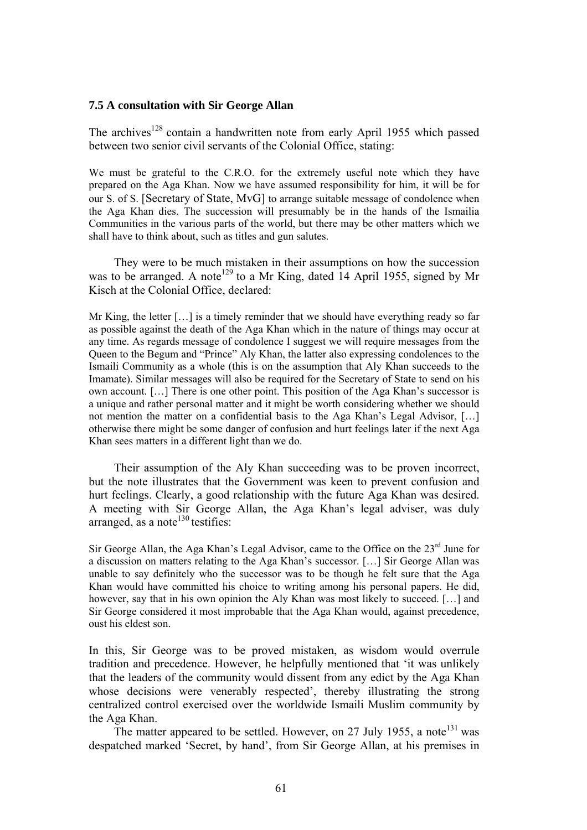#### **7.5 A consultation with Sir George Allan**

The archives<sup>128</sup> contain a handwritten note from early April 1955 which passed between two senior civil servants of the Colonial Office, stating:

We must be grateful to the C.R.O. for the extremely useful note which they have prepared on the Aga Khan. Now we have assumed responsibility for him, it will be for our S. of S. [Secretary of State, MvG] to arrange suitable message of condolence when the Aga Khan dies. The succession will presumably be in the hands of the Ismailia Communities in the various parts of the world, but there may be other matters which we shall have to think about, such as titles and gun salutes.

They were to be much mistaken in their assumptions on how the succession was to be arranged. A note<sup>129</sup> to a Mr King, dated 14 April 1955, signed by Mr Kisch at the Colonial Office, declared:

Mr King, the letter […] is a timely reminder that we should have everything ready so far as possible against the death of the Aga Khan which in the nature of things may occur at any time. As regards message of condolence I suggest we will require messages from the Queen to the Begum and "Prince" Aly Khan, the latter also expressing condolences to the Ismaili Community as a whole (this is on the assumption that Aly Khan succeeds to the Imamate). Similar messages will also be required for the Secretary of State to send on his own account. […] There is one other point. This position of the Aga Khan's successor is a unique and rather personal matter and it might be worth considering whether we should not mention the matter on a confidential basis to the Aga Khan's Legal Advisor, […] otherwise there might be some danger of confusion and hurt feelings later if the next Aga Khan sees matters in a different light than we do.

Their assumption of the Aly Khan succeeding was to be proven incorrect, but the note illustrates that the Government was keen to prevent confusion and hurt feelings. Clearly, a good relationship with the future Aga Khan was desired. A meeting with Sir George Allan, the Aga Khan's legal adviser, was duly arranged, as a note<sup>130</sup> testifies:

Sir George Allan, the Aga Khan's Legal Advisor, came to the Office on the  $23<sup>rd</sup>$  June for a discussion on matters relating to the Aga Khan's successor. […] Sir George Allan was unable to say definitely who the successor was to be though he felt sure that the Aga Khan would have committed his choice to writing among his personal papers. He did, however, say that in his own opinion the Aly Khan was most likely to succeed. [...] and Sir George considered it most improbable that the Aga Khan would, against precedence, oust his eldest son.

In this, Sir George was to be proved mistaken, as wisdom would overrule tradition and precedence. However, he helpfully mentioned that 'it was unlikely that the leaders of the community would dissent from any edict by the Aga Khan whose decisions were venerably respected', thereby illustrating the strong centralized control exercised over the worldwide Ismaili Muslim community by the Aga Khan.

The matter appeared to be settled. However, on 27 July 1955, a note<sup>131</sup> was despatched marked 'Secret, by hand', from Sir George Allan, at his premises in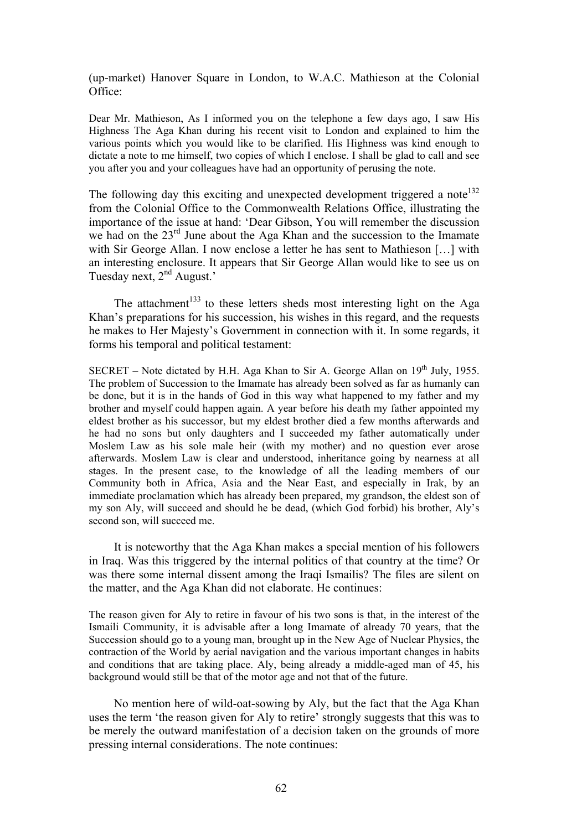(up-market) Hanover Square in London, to W.A.C. Mathieson at the Colonial Office:

Dear Mr. Mathieson, As I informed you on the telephone a few days ago, I saw His Highness The Aga Khan during his recent visit to London and explained to him the various points which you would like to be clarified. His Highness was kind enough to dictate a note to me himself, two copies of which I enclose. I shall be glad to call and see you after you and your colleagues have had an opportunity of perusing the note.

The following day this exciting and unexpected development triggered a note<sup>132</sup> from the Colonial Office to the Commonwealth Relations Office, illustrating the importance of the issue at hand: 'Dear Gibson, You will remember the discussion we had on the 23<sup>rd</sup> June about the Aga Khan and the succession to the Imamate with Sir George Allan. I now enclose a letter he has sent to Mathieson […] with an interesting enclosure. It appears that Sir George Allan would like to see us on Tuesday next, 2<sup>nd</sup> August.'

The attachment<sup>133</sup> to these letters sheds most interesting light on the Aga Khan's preparations for his succession, his wishes in this regard, and the requests he makes to Her Majesty's Government in connection with it. In some regards, it forms his temporal and political testament:

SECRET – Note dictated by H.H. Aga Khan to Sir A. George Allan on  $19<sup>th</sup>$  July, 1955. The problem of Succession to the Imamate has already been solved as far as humanly can be done, but it is in the hands of God in this way what happened to my father and my brother and myself could happen again. A year before his death my father appointed my eldest brother as his successor, but my eldest brother died a few months afterwards and he had no sons but only daughters and I succeeded my father automatically under Moslem Law as his sole male heir (with my mother) and no question ever arose afterwards. Moslem Law is clear and understood, inheritance going by nearness at all stages. In the present case, to the knowledge of all the leading members of our Community both in Africa, Asia and the Near East, and especially in Irak, by an immediate proclamation which has already been prepared, my grandson, the eldest son of my son Aly, will succeed and should he be dead, (which God forbid) his brother, Aly's second son, will succeed me.

It is noteworthy that the Aga Khan makes a special mention of his followers in Iraq. Was this triggered by the internal politics of that country at the time? Or was there some internal dissent among the Iraqi Ismailis? The files are silent on the matter, and the Aga Khan did not elaborate. He continues:

The reason given for Aly to retire in favour of his two sons is that, in the interest of the Ismaili Community, it is advisable after a long Imamate of already 70 years, that the Succession should go to a young man, brought up in the New Age of Nuclear Physics, the contraction of the World by aerial navigation and the various important changes in habits and conditions that are taking place. Aly, being already a middle-aged man of 45, his background would still be that of the motor age and not that of the future.

No mention here of wild-oat-sowing by Aly, but the fact that the Aga Khan uses the term 'the reason given for Aly to retire' strongly suggests that this was to be merely the outward manifestation of a decision taken on the grounds of more pressing internal considerations. The note continues: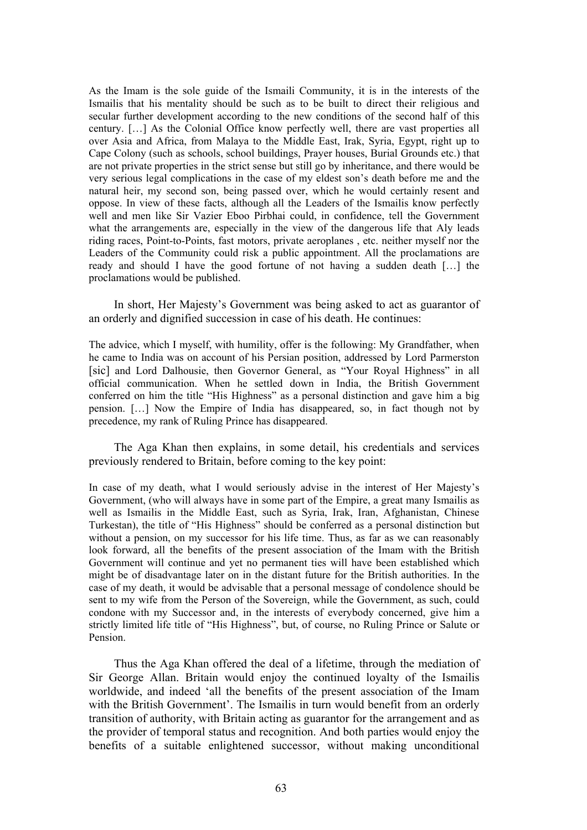As the Imam is the sole guide of the Ismaili Community, it is in the interests of the Ismailis that his mentality should be such as to be built to direct their religious and secular further development according to the new conditions of the second half of this century. […] As the Colonial Office know perfectly well, there are vast properties all over Asia and Africa, from Malaya to the Middle East, Irak, Syria, Egypt, right up to Cape Colony (such as schools, school buildings, Prayer houses, Burial Grounds etc.) that are not private properties in the strict sense but still go by inheritance, and there would be very serious legal complications in the case of my eldest son's death before me and the natural heir, my second son, being passed over, which he would certainly resent and oppose. In view of these facts, although all the Leaders of the Ismailis know perfectly well and men like Sir Vazier Eboo Pirbhai could, in confidence, tell the Government what the arrangements are, especially in the view of the dangerous life that Aly leads riding races, Point-to-Points, fast motors, private aeroplanes , etc. neither myself nor the Leaders of the Community could risk a public appointment. All the proclamations are ready and should I have the good fortune of not having a sudden death […] the proclamations would be published.

In short, Her Majesty's Government was being asked to act as guarantor of an orderly and dignified succession in case of his death. He continues:

The advice, which I myself, with humility, offer is the following: My Grandfather, when he came to India was on account of his Persian position, addressed by Lord Parmerston [sic] and Lord Dalhousie, then Governor General, as "Your Royal Highness" in all official communication. When he settled down in India, the British Government conferred on him the title "His Highness" as a personal distinction and gave him a big pension. […] Now the Empire of India has disappeared, so, in fact though not by precedence, my rank of Ruling Prince has disappeared.

The Aga Khan then explains, in some detail, his credentials and services previously rendered to Britain, before coming to the key point:

In case of my death, what I would seriously advise in the interest of Her Majesty's Government, (who will always have in some part of the Empire, a great many Ismailis as well as Ismailis in the Middle East, such as Syria, Irak, Iran, Afghanistan, Chinese Turkestan), the title of "His Highness" should be conferred as a personal distinction but without a pension, on my successor for his life time. Thus, as far as we can reasonably look forward, all the benefits of the present association of the Imam with the British Government will continue and yet no permanent ties will have been established which might be of disadvantage later on in the distant future for the British authorities. In the case of my death, it would be advisable that a personal message of condolence should be sent to my wife from the Person of the Sovereign, while the Government, as such, could condone with my Successor and, in the interests of everybody concerned, give him a strictly limited life title of "His Highness", but, of course, no Ruling Prince or Salute or Pension.

Thus the Aga Khan offered the deal of a lifetime, through the mediation of Sir George Allan. Britain would enjoy the continued loyalty of the Ismailis worldwide, and indeed 'all the benefits of the present association of the Imam with the British Government'. The Ismailis in turn would benefit from an orderly transition of authority, with Britain acting as guarantor for the arrangement and as the provider of temporal status and recognition. And both parties would enjoy the benefits of a suitable enlightened successor, without making unconditional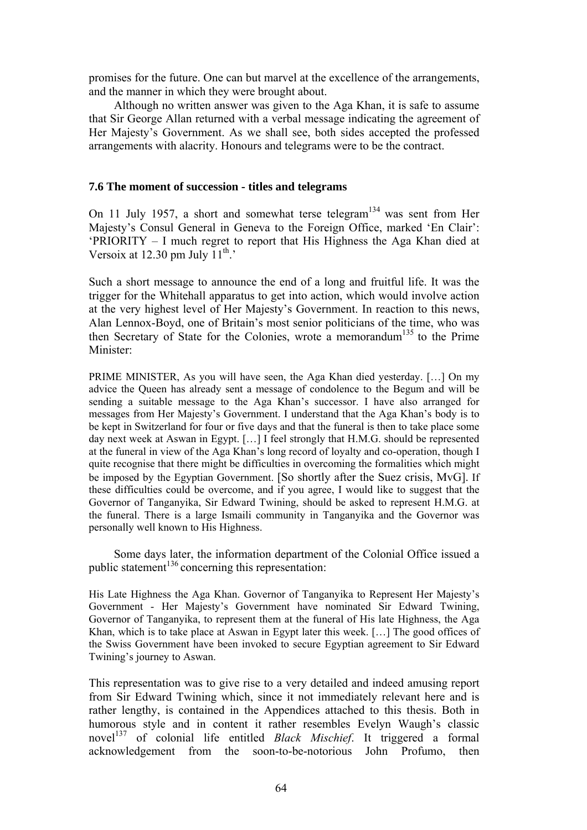promises for the future. One can but marvel at the excellence of the arrangements, and the manner in which they were brought about.

Although no written answer was given to the Aga Khan, it is safe to assume that Sir George Allan returned with a verbal message indicating the agreement of Her Majesty's Government. As we shall see, both sides accepted the professed arrangements with alacrity. Honours and telegrams were to be the contract.

## **7.6 The moment of succession - titles and telegrams**

On 11 July 1957, a short and somewhat terse telegram<sup>134</sup> was sent from Her Majesty's Consul General in Geneva to the Foreign Office, marked 'En Clair': 'PRIORITY – I much regret to report that His Highness the Aga Khan died at Versoix at 12.30 pm July  $11^{th}$ .

Such a short message to announce the end of a long and fruitful life. It was the trigger for the Whitehall apparatus to get into action, which would involve action at the very highest level of Her Majesty's Government. In reaction to this news, Alan Lennox-Boyd, one of Britain's most senior politicians of the time, who was then Secretary of State for the Colonies, wrote a memorandum<sup>135</sup> to the Prime Minister:

PRIME MINISTER, As you will have seen, the Aga Khan died yesterday. […] On my advice the Queen has already sent a message of condolence to the Begum and will be sending a suitable message to the Aga Khan's successor. I have also arranged for messages from Her Majesty's Government. I understand that the Aga Khan's body is to be kept in Switzerland for four or five days and that the funeral is then to take place some day next week at Aswan in Egypt. […] I feel strongly that H.M.G. should be represented at the funeral in view of the Aga Khan's long record of loyalty and co-operation, though I quite recognise that there might be difficulties in overcoming the formalities which might be imposed by the Egyptian Government. [So shortly after the Suez crisis, MvG]. If these difficulties could be overcome, and if you agree, I would like to suggest that the Governor of Tanganyika, Sir Edward Twining, should be asked to represent H.M.G. at the funeral. There is a large Ismaili community in Tanganyika and the Governor was personally well known to His Highness.

Some days later, the information department of the Colonial Office issued a public statement<sup>136</sup> concerning this representation:

His Late Highness the Aga Khan. Governor of Tanganyika to Represent Her Majesty's Government - Her Majesty's Government have nominated Sir Edward Twining, Governor of Tanganyika, to represent them at the funeral of His late Highness, the Aga Khan, which is to take place at Aswan in Egypt later this week. […] The good offices of the Swiss Government have been invoked to secure Egyptian agreement to Sir Edward Twining's journey to Aswan.

This representation was to give rise to a very detailed and indeed amusing report from Sir Edward Twining which, since it not immediately relevant here and is rather lengthy, is contained in the Appendices attached to this thesis. Both in humorous style and in content it rather resembles Evelyn Waugh's classic novel<sup>137</sup> of colonial life entitled *Black Mischief*. It triggered a formal acknowledgement from the soon-to-be-notorious John Profumo, then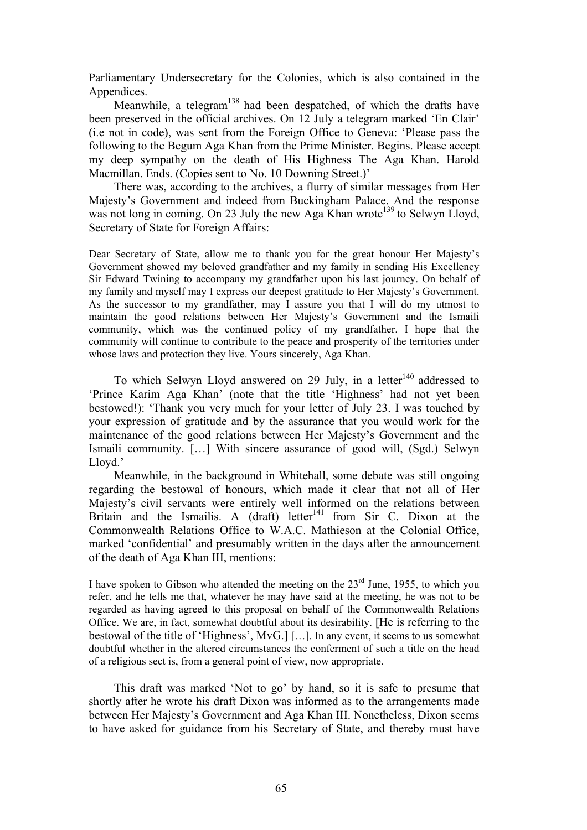Parliamentary Undersecretary for the Colonies, which is also contained in the Appendices.

Meanwhile, a telegram<sup>138</sup> had been despatched, of which the drafts have been preserved in the official archives. On 12 July a telegram marked 'En Clair' (i.e not in code), was sent from the Foreign Office to Geneva: 'Please pass the following to the Begum Aga Khan from the Prime Minister. Begins. Please accept my deep sympathy on the death of His Highness The Aga Khan. Harold Macmillan. Ends. (Copies sent to No. 10 Downing Street.)'

There was, according to the archives, a flurry of similar messages from Her Majesty's Government and indeed from Buckingham Palace. And the response was not long in coming. On 23 July the new Aga Khan wrote<sup>139</sup> to Selwyn Lloyd, Secretary of State for Foreign Affairs:

Dear Secretary of State, allow me to thank you for the great honour Her Majesty's Government showed my beloved grandfather and my family in sending His Excellency Sir Edward Twining to accompany my grandfather upon his last journey. On behalf of my family and myself may I express our deepest gratitude to Her Majesty's Government. As the successor to my grandfather, may I assure you that I will do my utmost to maintain the good relations between Her Majesty's Government and the Ismaili community, which was the continued policy of my grandfather. I hope that the community will continue to contribute to the peace and prosperity of the territories under whose laws and protection they live. Yours sincerely, Aga Khan.

To which Selwyn Lloyd answered on 29 July, in a letter<sup>140</sup> addressed to 'Prince Karim Aga Khan' (note that the title 'Highness' had not yet been bestowed!): 'Thank you very much for your letter of July 23. I was touched by your expression of gratitude and by the assurance that you would work for the maintenance of the good relations between Her Majesty's Government and the Ismaili community. […] With sincere assurance of good will, (Sgd.) Selwyn Lloyd.'

Meanwhile, in the background in Whitehall, some debate was still ongoing regarding the bestowal of honours, which made it clear that not all of Her Majesty's civil servants were entirely well informed on the relations between Britain and the Ismailis. A  $(draft)$  letter<sup>141</sup> from Sir C. Dixon at the Commonwealth Relations Office to W.A.C. Mathieson at the Colonial Office, marked 'confidential' and presumably written in the days after the announcement of the death of Aga Khan III, mentions:

I have spoken to Gibson who attended the meeting on the  $23<sup>rd</sup>$  June, 1955, to which you refer, and he tells me that, whatever he may have said at the meeting, he was not to be regarded as having agreed to this proposal on behalf of the Commonwealth Relations Office. We are, in fact, somewhat doubtful about its desirability. [He is referring to the bestowal of the title of 'Highness', MvG.] […]. In any event, it seems to us somewhat doubtful whether in the altered circumstances the conferment of such a title on the head of a religious sect is, from a general point of view, now appropriate.

This draft was marked 'Not to go' by hand, so it is safe to presume that shortly after he wrote his draft Dixon was informed as to the arrangements made between Her Majesty's Government and Aga Khan III. Nonetheless, Dixon seems to have asked for guidance from his Secretary of State, and thereby must have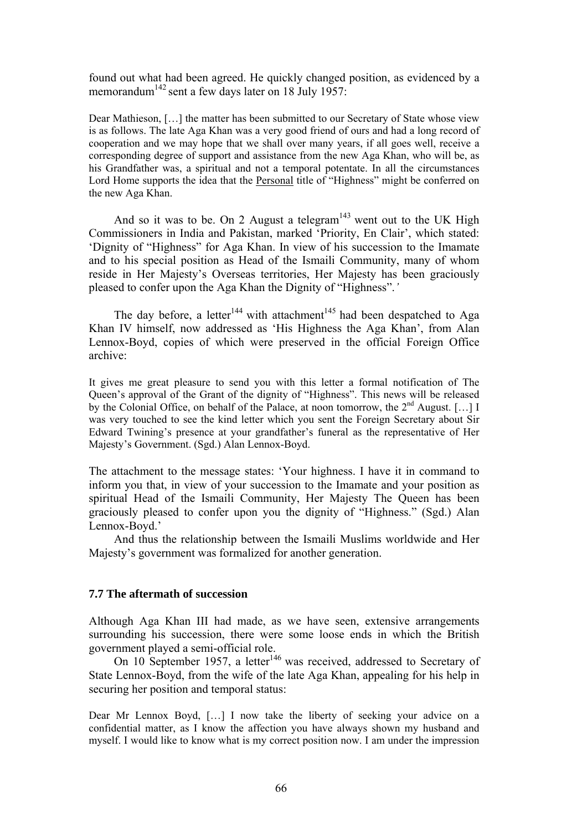found out what had been agreed. He quickly changed position, as evidenced by a memorandum<sup>142</sup> sent a few days later on 18 July 1957:

Dear Mathieson, […] the matter has been submitted to our Secretary of State whose view is as follows. The late Aga Khan was a very good friend of ours and had a long record of cooperation and we may hope that we shall over many years, if all goes well, receive a corresponding degree of support and assistance from the new Aga Khan, who will be, as his Grandfather was, a spiritual and not a temporal potentate. In all the circumstances Lord Home supports the idea that the Personal title of "Highness" might be conferred on the new Aga Khan.

And so it was to be. On 2 August a telegram<sup>143</sup> went out to the UK High Commissioners in India and Pakistan, marked 'Priority, En Clair', which stated: 'Dignity of "Highness" for Aga Khan. In view of his succession to the Imamate and to his special position as Head of the Ismaili Community, many of whom reside in Her Majesty's Overseas territories, Her Majesty has been graciously pleased to confer upon the Aga Khan the Dignity of "Highness".*'* 

The day before, a letter<sup>144</sup> with attachment<sup>145</sup> had been despatched to Aga Khan IV himself, now addressed as 'His Highness the Aga Khan', from Alan Lennox-Boyd, copies of which were preserved in the official Foreign Office archive:

It gives me great pleasure to send you with this letter a formal notification of The Queen's approval of the Grant of the dignity of "Highness". This news will be released by the Colonial Office, on behalf of the Palace, at noon tomorrow, the  $2^{nd}$  August. [...] I was very touched to see the kind letter which you sent the Foreign Secretary about Sir Edward Twining's presence at your grandfather's funeral as the representative of Her Majesty's Government. (Sgd.) Alan Lennox-Boyd.

The attachment to the message states: 'Your highness. I have it in command to inform you that, in view of your succession to the Imamate and your position as spiritual Head of the Ismaili Community, Her Majesty The Queen has been graciously pleased to confer upon you the dignity of "Highness." (Sgd.) Alan Lennox-Boyd.'

And thus the relationship between the Ismaili Muslims worldwide and Her Majesty's government was formalized for another generation.

## **7.7 The aftermath of succession**

Although Aga Khan III had made, as we have seen, extensive arrangements surrounding his succession, there were some loose ends in which the British government played a semi-official role.

On 10 September 1957, a letter<sup>146</sup> was received, addressed to Secretary of State Lennox-Boyd, from the wife of the late Aga Khan, appealing for his help in securing her position and temporal status:

Dear Mr Lennox Boyd, […] I now take the liberty of seeking your advice on a confidential matter, as I know the affection you have always shown my husband and myself. I would like to know what is my correct position now. I am under the impression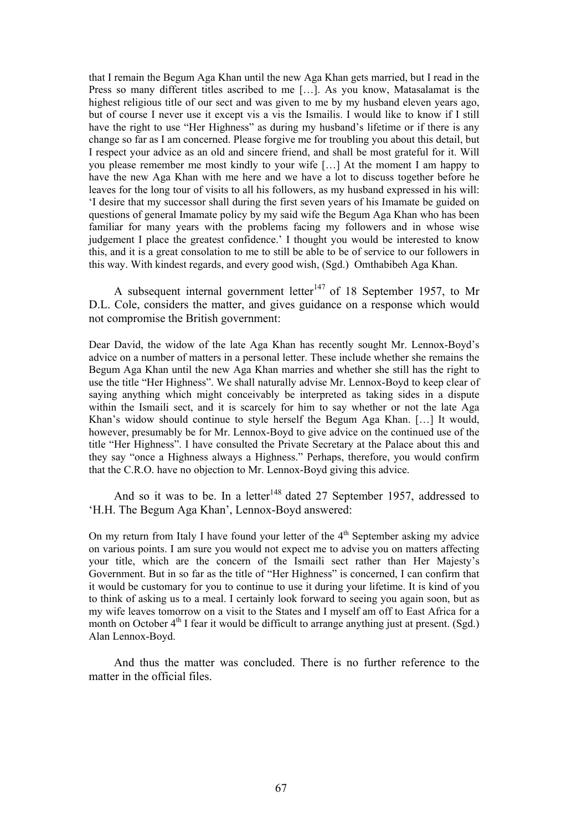that I remain the Begum Aga Khan until the new Aga Khan gets married, but I read in the Press so many different titles ascribed to me […]. As you know, Matasalamat is the highest religious title of our sect and was given to me by my husband eleven years ago, but of course I never use it except vis a vis the Ismailis. I would like to know if I still have the right to use "Her Highness" as during my husband's lifetime or if there is any change so far as I am concerned. Please forgive me for troubling you about this detail, but I respect your advice as an old and sincere friend, and shall be most grateful for it. Will you please remember me most kindly to your wife […] At the moment I am happy to have the new Aga Khan with me here and we have a lot to discuss together before he leaves for the long tour of visits to all his followers, as my husband expressed in his will: 'I desire that my successor shall during the first seven years of his Imamate be guided on questions of general Imamate policy by my said wife the Begum Aga Khan who has been familiar for many years with the problems facing my followers and in whose wise judgement I place the greatest confidence.' I thought you would be interested to know this, and it is a great consolation to me to still be able to be of service to our followers in this way. With kindest regards, and every good wish, (Sgd.) Omthabibeh Aga Khan.

A subsequent internal government letter<sup>147</sup> of 18 September 1957, to Mr D.L. Cole, considers the matter, and gives guidance on a response which would not compromise the British government:

Dear David, the widow of the late Aga Khan has recently sought Mr. Lennox-Boyd's advice on a number of matters in a personal letter. These include whether she remains the Begum Aga Khan until the new Aga Khan marries and whether she still has the right to use the title "Her Highness". We shall naturally advise Mr. Lennox-Boyd to keep clear of saying anything which might conceivably be interpreted as taking sides in a dispute within the Ismaili sect, and it is scarcely for him to say whether or not the late Aga Khan's widow should continue to style herself the Begum Aga Khan. […] It would, however, presumably be for Mr. Lennox-Boyd to give advice on the continued use of the title "Her Highness". I have consulted the Private Secretary at the Palace about this and they say "once a Highness always a Highness." Perhaps, therefore, you would confirm that the C.R.O. have no objection to Mr. Lennox-Boyd giving this advice.

And so it was to be. In a letter<sup>148</sup> dated 27 September 1957, addressed to 'H.H. The Begum Aga Khan', Lennox-Boyd answered:

On my return from Italy I have found your letter of the  $4<sup>th</sup>$  September asking my advice on various points. I am sure you would not expect me to advise you on matters affecting your title, which are the concern of the Ismaili sect rather than Her Majesty's Government. But in so far as the title of "Her Highness" is concerned, I can confirm that it would be customary for you to continue to use it during your lifetime. It is kind of you to think of asking us to a meal. I certainly look forward to seeing you again soon, but as my wife leaves tomorrow on a visit to the States and I myself am off to East Africa for a month on October  $4<sup>th</sup>$  I fear it would be difficult to arrange anything just at present. (Sgd.) Alan Lennox-Boyd.

And thus the matter was concluded. There is no further reference to the matter in the official files.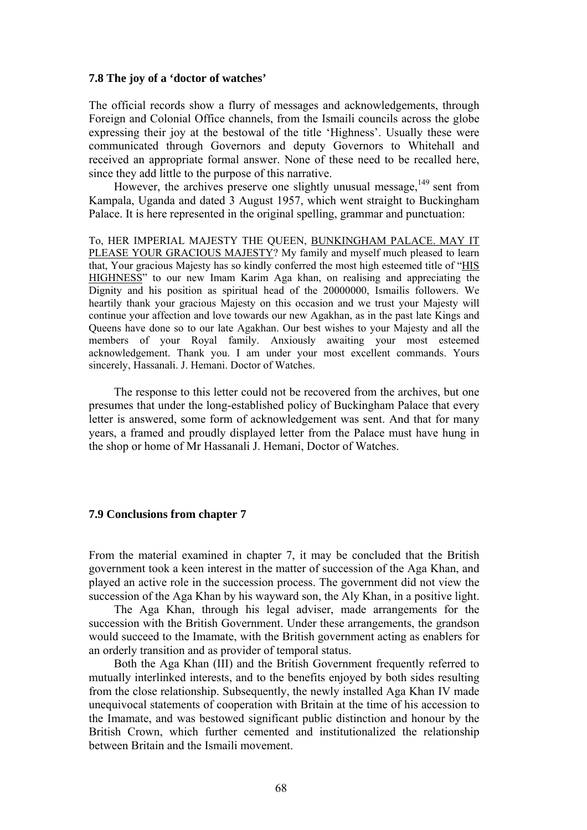#### **7.8 The joy of a 'doctor of watches'**

The official records show a flurry of messages and acknowledgements, through Foreign and Colonial Office channels, from the Ismaili councils across the globe expressing their joy at the bestowal of the title 'Highness'. Usually these were communicated through Governors and deputy Governors to Whitehall and received an appropriate formal answer. None of these need to be recalled here, since they add little to the purpose of this narrative.

However, the archives preserve one slightly unusual message.<sup>149</sup> sent from Kampala, Uganda and dated 3 August 1957, which went straight to Buckingham Palace. It is here represented in the original spelling, grammar and punctuation:

To, HER IMPERIAL MAJESTY THE QUEEN, BUNKINGHAM PALACE. MAY IT PLEASE YOUR GRACIOUS MAJESTY? My family and myself much pleased to learn that, Your gracious Majesty has so kindly conferred the most high esteemed title of "HIS HIGHNESS" to our new Imam Karim Aga khan, on realising and appreciating the Dignity and his position as spiritual head of the 20000000, Ismailis followers. We heartily thank your gracious Majesty on this occasion and we trust your Majesty will continue your affection and love towards our new Agakhan, as in the past late Kings and Queens have done so to our late Agakhan. Our best wishes to your Majesty and all the members of your Royal family. Anxiously awaiting your most esteemed acknowledgement. Thank you. I am under your most excellent commands. Yours sincerely, Hassanali. J. Hemani. Doctor of Watches.

The response to this letter could not be recovered from the archives, but one presumes that under the long-established policy of Buckingham Palace that every letter is answered, some form of acknowledgement was sent. And that for many years, a framed and proudly displayed letter from the Palace must have hung in the shop or home of Mr Hassanali J. Hemani, Doctor of Watches.

## **7.9 Conclusions from chapter 7**

From the material examined in chapter 7, it may be concluded that the British government took a keen interest in the matter of succession of the Aga Khan, and played an active role in the succession process. The government did not view the succession of the Aga Khan by his wayward son, the Aly Khan, in a positive light.

The Aga Khan, through his legal adviser, made arrangements for the succession with the British Government. Under these arrangements, the grandson would succeed to the Imamate, with the British government acting as enablers for an orderly transition and as provider of temporal status.

Both the Aga Khan (III) and the British Government frequently referred to mutually interlinked interests, and to the benefits enjoyed by both sides resulting from the close relationship. Subsequently, the newly installed Aga Khan IV made unequivocal statements of cooperation with Britain at the time of his accession to the Imamate, and was bestowed significant public distinction and honour by the British Crown, which further cemented and institutionalized the relationship between Britain and the Ismaili movement.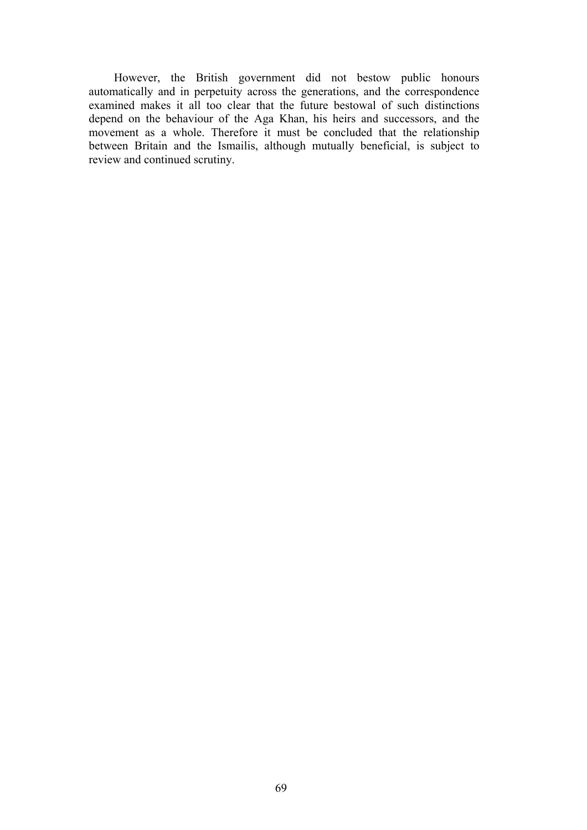However, the British government did not bestow public honours automatically and in perpetuity across the generations, and the correspondence examined makes it all too clear that the future bestowal of such distinctions depend on the behaviour of the Aga Khan, his heirs and successors, and the movement as a whole. Therefore it must be concluded that the relationship between Britain and the Ismailis, although mutually beneficial, is subject to review and continued scrutiny.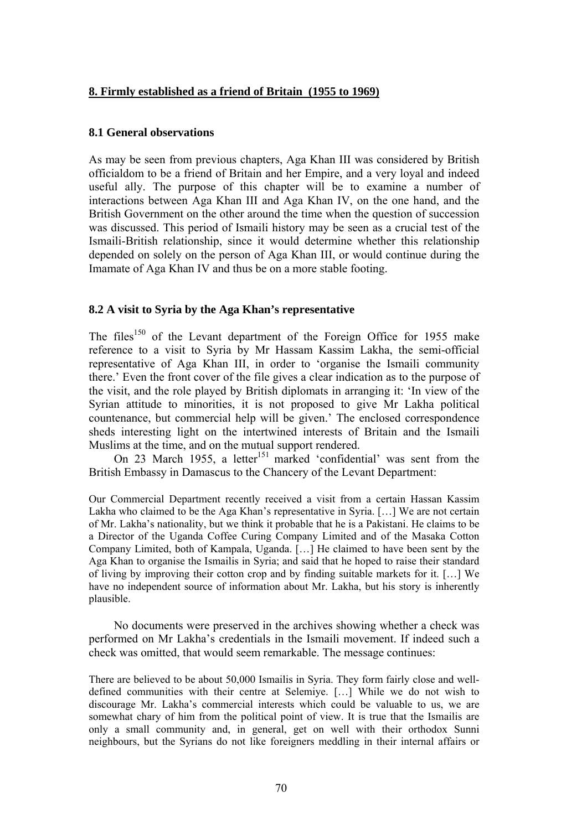# **8. Firmly established as a friend of Britain (1955 to 1969)**

### **8.1 General observations**

As may be seen from previous chapters, Aga Khan III was considered by British officialdom to be a friend of Britain and her Empire, and a very loyal and indeed useful ally. The purpose of this chapter will be to examine a number of interactions between Aga Khan III and Aga Khan IV, on the one hand, and the British Government on the other around the time when the question of succession was discussed. This period of Ismaili history may be seen as a crucial test of the Ismaili-British relationship, since it would determine whether this relationship depended on solely on the person of Aga Khan III, or would continue during the Imamate of Aga Khan IV and thus be on a more stable footing.

# **8.2 A visit to Syria by the Aga Khan's representative**

The files<sup>150</sup> of the Levant department of the Foreign Office for 1955 make reference to a visit to Syria by Mr Hassam Kassim Lakha, the semi-official representative of Aga Khan III, in order to 'organise the Ismaili community there.' Even the front cover of the file gives a clear indication as to the purpose of the visit, and the role played by British diplomats in arranging it: 'In view of the Syrian attitude to minorities, it is not proposed to give Mr Lakha political countenance, but commercial help will be given.' The enclosed correspondence sheds interesting light on the intertwined interests of Britain and the Ismaili Muslims at the time, and on the mutual support rendered.

On 23 March 1955, a letter<sup>151</sup> marked 'confidential' was sent from the British Embassy in Damascus to the Chancery of the Levant Department:

Our Commercial Department recently received a visit from a certain Hassan Kassim Lakha who claimed to be the Aga Khan's representative in Syria. […] We are not certain of Mr. Lakha's nationality, but we think it probable that he is a Pakistani. He claims to be a Director of the Uganda Coffee Curing Company Limited and of the Masaka Cotton Company Limited, both of Kampala, Uganda. […] He claimed to have been sent by the Aga Khan to organise the Ismailis in Syria; and said that he hoped to raise their standard of living by improving their cotton crop and by finding suitable markets for it. […] We have no independent source of information about Mr. Lakha, but his story is inherently plausible.

No documents were preserved in the archives showing whether a check was performed on Mr Lakha's credentials in the Ismaili movement. If indeed such a check was omitted, that would seem remarkable. The message continues:

There are believed to be about 50,000 Ismailis in Syria. They form fairly close and welldefined communities with their centre at Selemiye. […] While we do not wish to discourage Mr. Lakha's commercial interests which could be valuable to us, we are somewhat chary of him from the political point of view. It is true that the Ismailis are only a small community and, in general, get on well with their orthodox Sunni neighbours, but the Syrians do not like foreigners meddling in their internal affairs or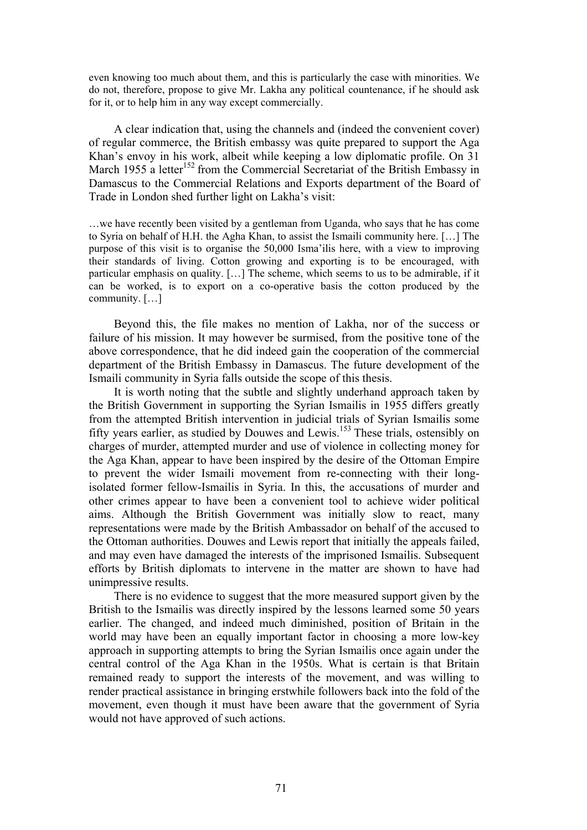even knowing too much about them, and this is particularly the case with minorities. We do not, therefore, propose to give Mr. Lakha any political countenance, if he should ask for it, or to help him in any way except commercially.

A clear indication that, using the channels and (indeed the convenient cover) of regular commerce, the British embassy was quite prepared to support the Aga Khan's envoy in his work, albeit while keeping a low diplomatic profile. On 31 March 1955 a letter<sup>152</sup> from the Commercial Secretariat of the British Embassy in Damascus to the Commercial Relations and Exports department of the Board of Trade in London shed further light on Lakha's visit:

…we have recently been visited by a gentleman from Uganda, who says that he has come to Syria on behalf of H.H. the Agha Khan, to assist the Ismaili community here. […] The purpose of this visit is to organise the 50,000 Isma'ilis here, with a view to improving their standards of living. Cotton growing and exporting is to be encouraged, with particular emphasis on quality. […] The scheme, which seems to us to be admirable, if it can be worked, is to export on a co-operative basis the cotton produced by the community. […]

Beyond this, the file makes no mention of Lakha, nor of the success or failure of his mission. It may however be surmised, from the positive tone of the above correspondence, that he did indeed gain the cooperation of the commercial department of the British Embassy in Damascus. The future development of the Ismaili community in Syria falls outside the scope of this thesis.

It is worth noting that the subtle and slightly underhand approach taken by the British Government in supporting the Syrian Ismailis in 1955 differs greatly from the attempted British intervention in judicial trials of Syrian Ismailis some fifty years earlier, as studied by Douwes and Lewis.153 These trials, ostensibly on charges of murder, attempted murder and use of violence in collecting money for the Aga Khan, appear to have been inspired by the desire of the Ottoman Empire to prevent the wider Ismaili movement from re-connecting with their longisolated former fellow-Ismailis in Syria. In this, the accusations of murder and other crimes appear to have been a convenient tool to achieve wider political aims. Although the British Government was initially slow to react, many representations were made by the British Ambassador on behalf of the accused to the Ottoman authorities. Douwes and Lewis report that initially the appeals failed, and may even have damaged the interests of the imprisoned Ismailis. Subsequent efforts by British diplomats to intervene in the matter are shown to have had unimpressive results.

There is no evidence to suggest that the more measured support given by the British to the Ismailis was directly inspired by the lessons learned some 50 years earlier. The changed, and indeed much diminished, position of Britain in the world may have been an equally important factor in choosing a more low-key approach in supporting attempts to bring the Syrian Ismailis once again under the central control of the Aga Khan in the 1950s. What is certain is that Britain remained ready to support the interests of the movement, and was willing to render practical assistance in bringing erstwhile followers back into the fold of the movement, even though it must have been aware that the government of Syria would not have approved of such actions.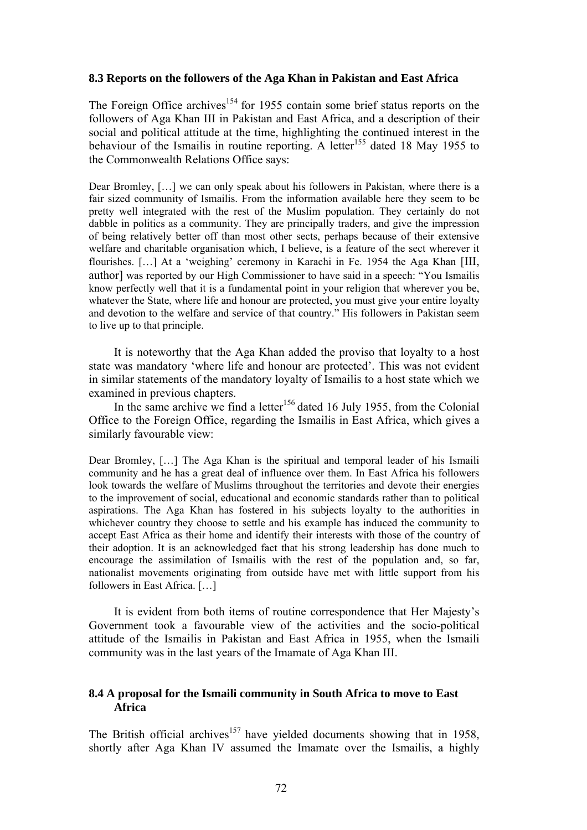## **8.3 Reports on the followers of the Aga Khan in Pakistan and East Africa**

The Foreign Office archives<sup>154</sup> for 1955 contain some brief status reports on the followers of Aga Khan III in Pakistan and East Africa, and a description of their social and political attitude at the time, highlighting the continued interest in the behaviour of the Ismailis in routine reporting. A letter<sup>155</sup> dated 18 May 1955 to the Commonwealth Relations Office says:

Dear Bromley, […] we can only speak about his followers in Pakistan, where there is a fair sized community of Ismailis. From the information available here they seem to be pretty well integrated with the rest of the Muslim population. They certainly do not dabble in politics as a community. They are principally traders, and give the impression of being relatively better off than most other sects, perhaps because of their extensive welfare and charitable organisation which, I believe, is a feature of the sect wherever it flourishes. […] At a 'weighing' ceremony in Karachi in Fe. 1954 the Aga Khan [III, author] was reported by our High Commissioner to have said in a speech: "You Ismailis know perfectly well that it is a fundamental point in your religion that wherever you be, whatever the State, where life and honour are protected, you must give your entire loyalty and devotion to the welfare and service of that country." His followers in Pakistan seem to live up to that principle.

It is noteworthy that the Aga Khan added the proviso that loyalty to a host state was mandatory 'where life and honour are protected'. This was not evident in similar statements of the mandatory loyalty of Ismailis to a host state which we examined in previous chapters.

In the same archive we find a letter<sup>156</sup> dated 16 July 1955, from the Colonial Office to the Foreign Office, regarding the Ismailis in East Africa, which gives a similarly favourable view:

Dear Bromley, […] The Aga Khan is the spiritual and temporal leader of his Ismaili community and he has a great deal of influence over them. In East Africa his followers look towards the welfare of Muslims throughout the territories and devote their energies to the improvement of social, educational and economic standards rather than to political aspirations. The Aga Khan has fostered in his subjects loyalty to the authorities in whichever country they choose to settle and his example has induced the community to accept East Africa as their home and identify their interests with those of the country of their adoption. It is an acknowledged fact that his strong leadership has done much to encourage the assimilation of Ismailis with the rest of the population and, so far, nationalist movements originating from outside have met with little support from his followers in East Africa. […]

It is evident from both items of routine correspondence that Her Majesty's Government took a favourable view of the activities and the socio-political attitude of the Ismailis in Pakistan and East Africa in 1955, when the Ismaili community was in the last years of the Imamate of Aga Khan III.

# **8.4 A proposal for the Ismaili community in South Africa to move to East Africa**

The British official archives<sup>157</sup> have yielded documents showing that in 1958, shortly after Aga Khan IV assumed the Imamate over the Ismailis, a highly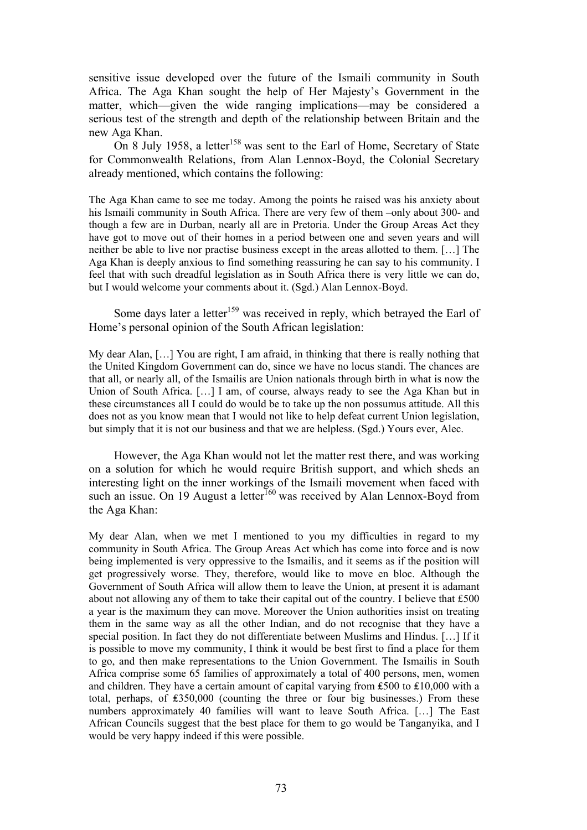sensitive issue developed over the future of the Ismaili community in South Africa. The Aga Khan sought the help of Her Majesty's Government in the matter, which—given the wide ranging implications—may be considered a serious test of the strength and depth of the relationship between Britain and the new Aga Khan.

On 8 July 1958, a letter<sup>158</sup> was sent to the Earl of Home, Secretary of State for Commonwealth Relations, from Alan Lennox-Boyd, the Colonial Secretary already mentioned, which contains the following:

The Aga Khan came to see me today. Among the points he raised was his anxiety about his Ismaili community in South Africa. There are very few of them –only about 300- and though a few are in Durban, nearly all are in Pretoria. Under the Group Areas Act they have got to move out of their homes in a period between one and seven years and will neither be able to live nor practise business except in the areas allotted to them. […] The Aga Khan is deeply anxious to find something reassuring he can say to his community. I feel that with such dreadful legislation as in South Africa there is very little we can do, but I would welcome your comments about it. (Sgd.) Alan Lennox-Boyd.

Some days later a letter<sup>159</sup> was received in reply, which betrayed the Earl of Home's personal opinion of the South African legislation:

My dear Alan, […] You are right, I am afraid, in thinking that there is really nothing that the United Kingdom Government can do, since we have no locus standi. The chances are that all, or nearly all, of the Ismailis are Union nationals through birth in what is now the Union of South Africa. […] I am, of course, always ready to see the Aga Khan but in these circumstances all I could do would be to take up the non possumus attitude. All this does not as you know mean that I would not like to help defeat current Union legislation, but simply that it is not our business and that we are helpless. (Sgd.) Yours ever, Alec.

However, the Aga Khan would not let the matter rest there, and was working on a solution for which he would require British support, and which sheds an interesting light on the inner workings of the Ismaili movement when faced with such an issue. On 19 August a letter<sup>160</sup> was received by Alan Lennox-Boyd from the Aga Khan:

My dear Alan, when we met I mentioned to you my difficulties in regard to my community in South Africa. The Group Areas Act which has come into force and is now being implemented is very oppressive to the Ismailis, and it seems as if the position will get progressively worse. They, therefore, would like to move en bloc. Although the Government of South Africa will allow them to leave the Union, at present it is adamant about not allowing any of them to take their capital out of the country. I believe that ₤500 a year is the maximum they can move. Moreover the Union authorities insist on treating them in the same way as all the other Indian, and do not recognise that they have a special position. In fact they do not differentiate between Muslims and Hindus. […] If it is possible to move my community, I think it would be best first to find a place for them to go, and then make representations to the Union Government. The Ismailis in South Africa comprise some 65 families of approximately a total of 400 persons, men, women and children. They have a certain amount of capital varying from  $£500$  to  $£10,000$  with a total, perhaps, of £350,000 (counting the three or four big businesses.) From these numbers approximately 40 families will want to leave South Africa. […] The East African Councils suggest that the best place for them to go would be Tanganyika, and I would be very happy indeed if this were possible.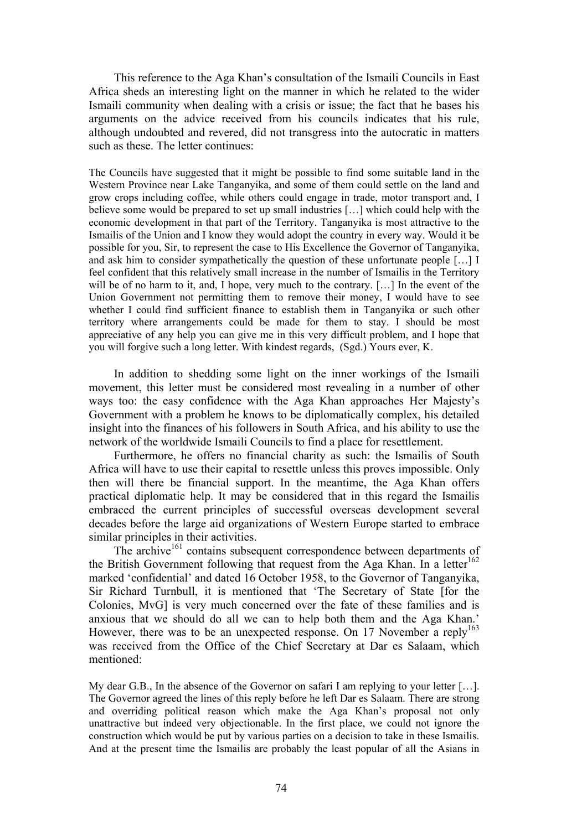This reference to the Aga Khan's consultation of the Ismaili Councils in East Africa sheds an interesting light on the manner in which he related to the wider Ismaili community when dealing with a crisis or issue; the fact that he bases his arguments on the advice received from his councils indicates that his rule, although undoubted and revered, did not transgress into the autocratic in matters such as these. The letter continues:

The Councils have suggested that it might be possible to find some suitable land in the Western Province near Lake Tanganyika, and some of them could settle on the land and grow crops including coffee, while others could engage in trade, motor transport and, I believe some would be prepared to set up small industries […] which could help with the economic development in that part of the Territory. Tanganyika is most attractive to the Ismailis of the Union and I know they would adopt the country in every way. Would it be possible for you, Sir, to represent the case to His Excellence the Governor of Tanganyika, and ask him to consider sympathetically the question of these unfortunate people […] I feel confident that this relatively small increase in the number of Ismailis in the Territory will be of no harm to it, and, I hope, very much to the contrary. [...] In the event of the Union Government not permitting them to remove their money, I would have to see whether I could find sufficient finance to establish them in Tanganyika or such other territory where arrangements could be made for them to stay. I should be most appreciative of any help you can give me in this very difficult problem, and I hope that you will forgive such a long letter. With kindest regards, (Sgd.) Yours ever, K.

In addition to shedding some light on the inner workings of the Ismaili movement, this letter must be considered most revealing in a number of other ways too: the easy confidence with the Aga Khan approaches Her Majesty's Government with a problem he knows to be diplomatically complex, his detailed insight into the finances of his followers in South Africa, and his ability to use the network of the worldwide Ismaili Councils to find a place for resettlement.

Furthermore, he offers no financial charity as such: the Ismailis of South Africa will have to use their capital to resettle unless this proves impossible. Only then will there be financial support. In the meantime, the Aga Khan offers practical diplomatic help. It may be considered that in this regard the Ismailis embraced the current principles of successful overseas development several decades before the large aid organizations of Western Europe started to embrace similar principles in their activities.

The archive<sup>161</sup> contains subsequent correspondence between departments of the British Government following that request from the Aga Khan. In a letter<sup>162</sup> marked 'confidential' and dated 16 October 1958, to the Governor of Tanganyika, Sir Richard Turnbull, it is mentioned that 'The Secretary of State [for the Colonies, MvG] is very much concerned over the fate of these families and is anxious that we should do all we can to help both them and the Aga Khan.' However, there was to be an unexpected response. On 17 November a reply<sup>163</sup> was received from the Office of the Chief Secretary at Dar es Salaam, which mentioned:

My dear G.B., In the absence of the Governor on safari I am replying to your letter [...]. The Governor agreed the lines of this reply before he left Dar es Salaam. There are strong and overriding political reason which make the Aga Khan's proposal not only unattractive but indeed very objectionable. In the first place, we could not ignore the construction which would be put by various parties on a decision to take in these Ismailis. And at the present time the Ismailis are probably the least popular of all the Asians in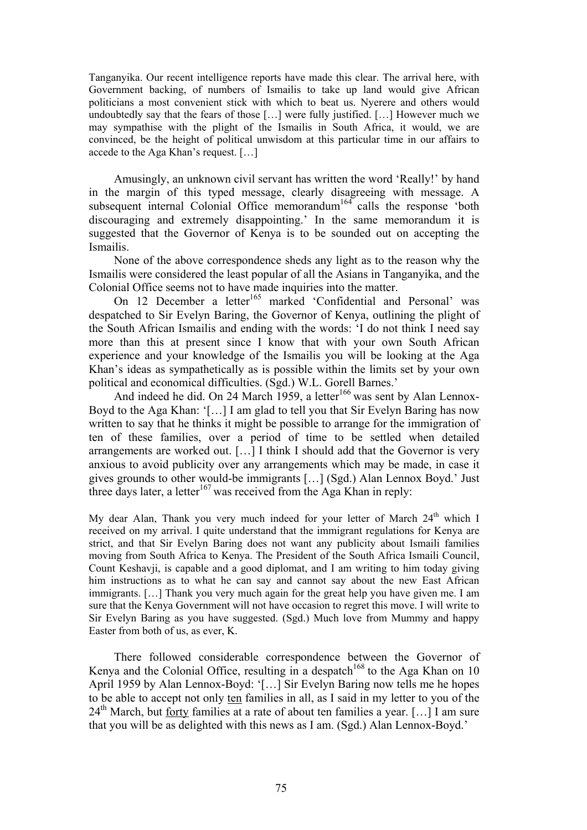Tanganyika. Our recent intelligence reports have made this clear. The arrival here, with Government backing, of numbers of Ismailis to take up land would give African politicians a most convenient stick with which to beat us. Nyerere and others would undoubtedly say that the fears of those […] were fully justified. […] However much we may sympathise with the plight of the Ismailis in South Africa, it would, we are convinced, be the height of political unwisdom at this particular time in our affairs to accede to the Aga Khan's request. […]

Amusingly, an unknown civil servant has written the word 'Really!' by hand in the margin of this typed message, clearly disagreeing with message. A subsequent internal Colonial Office memorandum<sup>164</sup> calls the response 'both discouraging and extremely disappointing.' In the same memorandum it is suggested that the Governor of Kenya is to be sounded out on accepting the Ismailis.

None of the above correspondence sheds any light as to the reason why the Ismailis were considered the least popular of all the Asians in Tanganyika, and the Colonial Office seems not to have made inquiries into the matter.

On 12 December a letter<sup>165</sup> marked 'Confidential and Personal' was despatched to Sir Evelyn Baring, the Governor of Kenya, outlining the plight of the South African Ismailis and ending with the words: 'I do not think I need say more than this at present since I know that with your own South African experience and your knowledge of the Ismailis you will be looking at the Aga Khan's ideas as sympathetically as is possible within the limits set by your own political and economical difficulties. (Sgd.) W.L. Gorell Barnes.'

And indeed he did. On 24 March 1959, a letter<sup>166</sup> was sent by Alan Lennox-Boyd to the Aga Khan: '[…] I am glad to tell you that Sir Evelyn Baring has now written to say that he thinks it might be possible to arrange for the immigration of ten of these families, over a period of time to be settled when detailed arrangements are worked out. […] I think I should add that the Governor is very anxious to avoid publicity over any arrangements which may be made, in case it gives grounds to other would-be immigrants […] (Sgd.) Alan Lennox Boyd.' Just three days later, a letter<sup>167</sup> was received from the Aga Khan in reply:

My dear Alan, Thank you very much indeed for your letter of March 24<sup>th</sup> which I received on my arrival. I quite understand that the immigrant regulations for Kenya are strict, and that Sir Evelyn Baring does not want any publicity about Ismaili families moving from South Africa to Kenya. The President of the South Africa Ismaili Council, Count Keshavji, is capable and a good diplomat, and I am writing to him today giving him instructions as to what he can say and cannot say about the new East African immigrants. […] Thank you very much again for the great help you have given me. I am sure that the Kenya Government will not have occasion to regret this move. I will write to Sir Evelyn Baring as you have suggested. (Sgd.) Much love from Mummy and happy Easter from both of us, as ever, K.

There followed considerable correspondence between the Governor of Kenya and the Colonial Office, resulting in a despatch<sup>168</sup> to the Aga Khan on 10 April 1959 by Alan Lennox-Boyd: '[…] Sir Evelyn Baring now tells me he hopes to be able to accept not only ten families in all, as I said in my letter to you of the  $24<sup>th</sup>$  March, but <u>forty</u> families at a rate of about ten families a year. [...] I am sure that you will be as delighted with this news as I am. (Sgd.) Alan Lennox-Boyd.'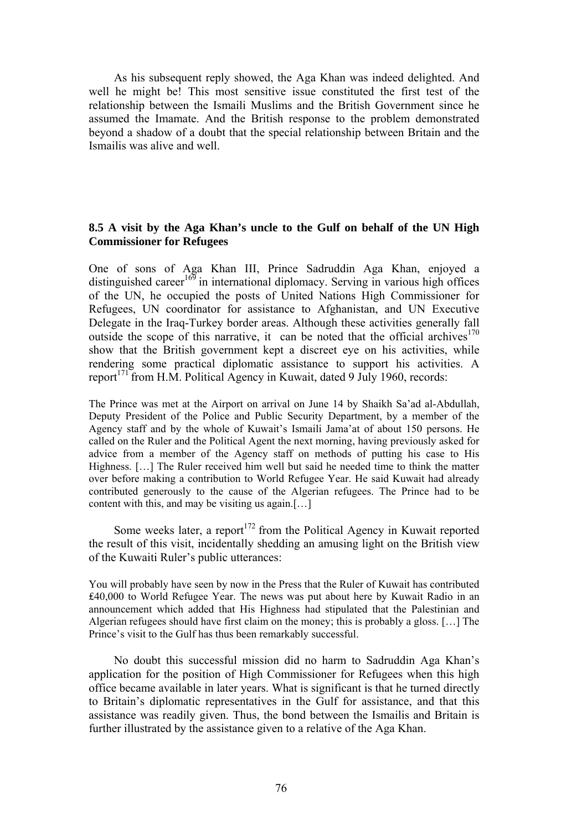As his subsequent reply showed, the Aga Khan was indeed delighted. And well he might be! This most sensitive issue constituted the first test of the relationship between the Ismaili Muslims and the British Government since he assumed the Imamate. And the British response to the problem demonstrated beyond a shadow of a doubt that the special relationship between Britain and the Ismailis was alive and well.

### **8.5 A visit by the Aga Khan's uncle to the Gulf on behalf of the UN High Commissioner for Refugees**

One of sons of Aga Khan III, Prince Sadruddin Aga Khan, enjoyed a distinguished career<sup>169</sup> in international diplomacy. Serving in various high offices of the UN, he occupied the posts of United Nations High Commissioner for Refugees, UN coordinator for assistance to Afghanistan, and UN Executive Delegate in the Iraq-Turkey border areas. Although these activities generally fall outside the scope of this narrative, it can be noted that the official archives<sup>170</sup> show that the British government kept a discreet eye on his activities, while rendering some practical diplomatic assistance to support his activities. A report<sup> $171$ </sup> from H.M. Political Agency in Kuwait, dated 9 July 1960, records:

The Prince was met at the Airport on arrival on June 14 by Shaikh Sa'ad al-Abdullah, Deputy President of the Police and Public Security Department, by a member of the Agency staff and by the whole of Kuwait's Ismaili Jama'at of about 150 persons. He called on the Ruler and the Political Agent the next morning, having previously asked for advice from a member of the Agency staff on methods of putting his case to His Highness. [...] The Ruler received him well but said he needed time to think the matter over before making a contribution to World Refugee Year. He said Kuwait had already contributed generously to the cause of the Algerian refugees. The Prince had to be content with this, and may be visiting us again.[…]

Some weeks later, a report<sup>172</sup> from the Political Agency in Kuwait reported the result of this visit, incidentally shedding an amusing light on the British view of the Kuwaiti Ruler's public utterances:

You will probably have seen by now in the Press that the Ruler of Kuwait has contributed ₤40,000 to World Refugee Year. The news was put about here by Kuwait Radio in an announcement which added that His Highness had stipulated that the Palestinian and Algerian refugees should have first claim on the money; this is probably a gloss. […] The Prince's visit to the Gulf has thus been remarkably successful.

No doubt this successful mission did no harm to Sadruddin Aga Khan's application for the position of High Commissioner for Refugees when this high office became available in later years. What is significant is that he turned directly to Britain's diplomatic representatives in the Gulf for assistance, and that this assistance was readily given. Thus, the bond between the Ismailis and Britain is further illustrated by the assistance given to a relative of the Aga Khan.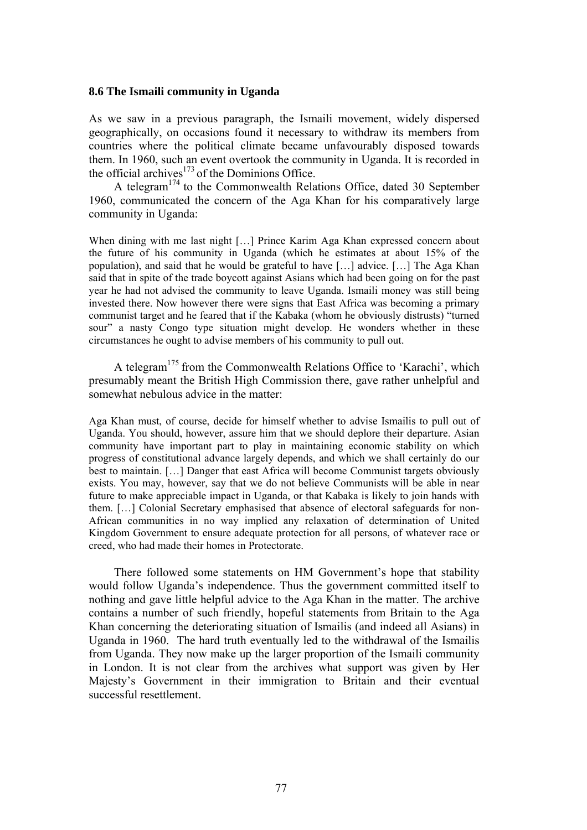#### **8.6 The Ismaili community in Uganda**

As we saw in a previous paragraph, the Ismaili movement, widely dispersed geographically, on occasions found it necessary to withdraw its members from countries where the political climate became unfavourably disposed towards them. In 1960, such an event overtook the community in Uganda. It is recorded in the official archives<sup>173</sup> of the Dominions Office.

A telegram<sup>174</sup> to the Commonwealth Relations Office, dated 30 September 1960, communicated the concern of the Aga Khan for his comparatively large community in Uganda:

When dining with me last night […] Prince Karim Aga Khan expressed concern about the future of his community in Uganda (which he estimates at about 15% of the population), and said that he would be grateful to have […] advice. […] The Aga Khan said that in spite of the trade boycott against Asians which had been going on for the past year he had not advised the community to leave Uganda. Ismaili money was still being invested there. Now however there were signs that East Africa was becoming a primary communist target and he feared that if the Kabaka (whom he obviously distrusts) "turned sour" a nasty Congo type situation might develop. He wonders whether in these circumstances he ought to advise members of his community to pull out.

A telegram<sup>175</sup> from the Commonwealth Relations Office to 'Karachi', which presumably meant the British High Commission there, gave rather unhelpful and somewhat nebulous advice in the matter:

Aga Khan must, of course, decide for himself whether to advise Ismailis to pull out of Uganda. You should, however, assure him that we should deplore their departure. Asian community have important part to play in maintaining economic stability on which progress of constitutional advance largely depends, and which we shall certainly do our best to maintain. […] Danger that east Africa will become Communist targets obviously exists. You may, however, say that we do not believe Communists will be able in near future to make appreciable impact in Uganda, or that Kabaka is likely to join hands with them. […] Colonial Secretary emphasised that absence of electoral safeguards for non-African communities in no way implied any relaxation of determination of United Kingdom Government to ensure adequate protection for all persons, of whatever race or creed, who had made their homes in Protectorate.

There followed some statements on HM Government's hope that stability would follow Uganda's independence. Thus the government committed itself to nothing and gave little helpful advice to the Aga Khan in the matter. The archive contains a number of such friendly, hopeful statements from Britain to the Aga Khan concerning the deteriorating situation of Ismailis (and indeed all Asians) in Uganda in 1960. The hard truth eventually led to the withdrawal of the Ismailis from Uganda. They now make up the larger proportion of the Ismaili community in London. It is not clear from the archives what support was given by Her Majesty's Government in their immigration to Britain and their eventual successful resettlement.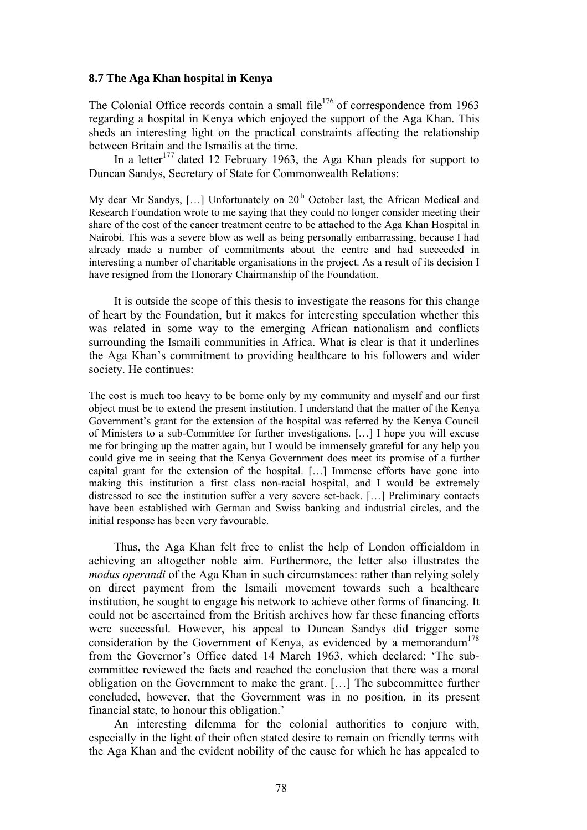### **8.7 The Aga Khan hospital in Kenya**

The Colonial Office records contain a small file<sup>176</sup> of correspondence from 1963 regarding a hospital in Kenya which enjoyed the support of the Aga Khan. This sheds an interesting light on the practical constraints affecting the relationship between Britain and the Ismailis at the time.

In a letter  $177$  dated 12 February 1963, the Aga Khan pleads for support to Duncan Sandys, Secretary of State for Commonwealth Relations:

My dear Mr Sandys,  $[...]$  Unfortunately on  $20<sup>th</sup>$  October last, the African Medical and Research Foundation wrote to me saying that they could no longer consider meeting their share of the cost of the cancer treatment centre to be attached to the Aga Khan Hospital in Nairobi. This was a severe blow as well as being personally embarrassing, because I had already made a number of commitments about the centre and had succeeded in interesting a number of charitable organisations in the project. As a result of its decision I have resigned from the Honorary Chairmanship of the Foundation.

It is outside the scope of this thesis to investigate the reasons for this change of heart by the Foundation, but it makes for interesting speculation whether this was related in some way to the emerging African nationalism and conflicts surrounding the Ismaili communities in Africa. What is clear is that it underlines the Aga Khan's commitment to providing healthcare to his followers and wider society. He continues:

The cost is much too heavy to be borne only by my community and myself and our first object must be to extend the present institution. I understand that the matter of the Kenya Government's grant for the extension of the hospital was referred by the Kenya Council of Ministers to a sub-Committee for further investigations. […] I hope you will excuse me for bringing up the matter again, but I would be immensely grateful for any help you could give me in seeing that the Kenya Government does meet its promise of a further capital grant for the extension of the hospital. […] Immense efforts have gone into making this institution a first class non-racial hospital, and I would be extremely distressed to see the institution suffer a very severe set-back. […] Preliminary contacts have been established with German and Swiss banking and industrial circles, and the initial response has been very favourable.

Thus, the Aga Khan felt free to enlist the help of London officialdom in achieving an altogether noble aim. Furthermore, the letter also illustrates the *modus operandi* of the Aga Khan in such circumstances: rather than relying solely on direct payment from the Ismaili movement towards such a healthcare institution, he sought to engage his network to achieve other forms of financing. It could not be ascertained from the British archives how far these financing efforts were successful. However, his appeal to Duncan Sandys did trigger some consideration by the Government of Kenya, as evidenced by a memorandum<sup>178</sup> from the Governor's Office dated 14 March 1963, which declared: 'The subcommittee reviewed the facts and reached the conclusion that there was a moral obligation on the Government to make the grant. […] The subcommittee further concluded, however, that the Government was in no position, in its present financial state, to honour this obligation.'

An interesting dilemma for the colonial authorities to conjure with, especially in the light of their often stated desire to remain on friendly terms with the Aga Khan and the evident nobility of the cause for which he has appealed to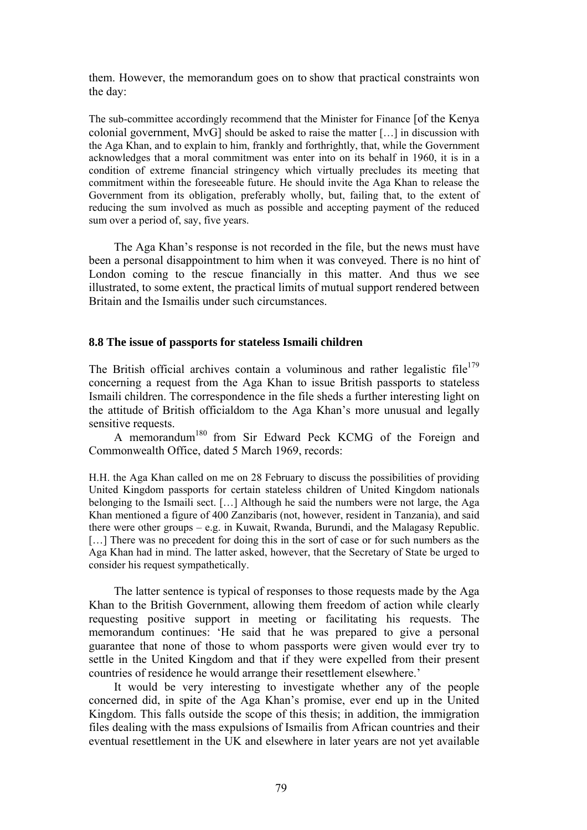them. However, the memorandum goes on to show that practical constraints won the day:

The sub-committee accordingly recommend that the Minister for Finance [of the Kenya colonial government, MvG] should be asked to raise the matter […] in discussion with the Aga Khan, and to explain to him, frankly and forthrightly, that, while the Government acknowledges that a moral commitment was enter into on its behalf in 1960, it is in a condition of extreme financial stringency which virtually precludes its meeting that commitment within the foreseeable future. He should invite the Aga Khan to release the Government from its obligation, preferably wholly, but, failing that, to the extent of reducing the sum involved as much as possible and accepting payment of the reduced sum over a period of, say, five years.

The Aga Khan's response is not recorded in the file, but the news must have been a personal disappointment to him when it was conveyed. There is no hint of London coming to the rescue financially in this matter. And thus we see illustrated, to some extent, the practical limits of mutual support rendered between Britain and the Ismailis under such circumstances.

#### **8.8 The issue of passports for stateless Ismaili children**

The British official archives contain a voluminous and rather legalistic file<sup>179</sup> concerning a request from the Aga Khan to issue British passports to stateless Ismaili children. The correspondence in the file sheds a further interesting light on the attitude of British officialdom to the Aga Khan's more unusual and legally sensitive requests.

A memorandum180 from Sir Edward Peck KCMG of the Foreign and Commonwealth Office, dated 5 March 1969, records:

H.H. the Aga Khan called on me on 28 February to discuss the possibilities of providing United Kingdom passports for certain stateless children of United Kingdom nationals belonging to the Ismaili sect. […] Although he said the numbers were not large, the Aga Khan mentioned a figure of 400 Zanzibaris (not, however, resident in Tanzania), and said there were other groups – e.g. in Kuwait, Rwanda, Burundi, and the Malagasy Republic. [...] There was no precedent for doing this in the sort of case or for such numbers as the Aga Khan had in mind. The latter asked, however, that the Secretary of State be urged to consider his request sympathetically.

The latter sentence is typical of responses to those requests made by the Aga Khan to the British Government, allowing them freedom of action while clearly requesting positive support in meeting or facilitating his requests. The memorandum continues: 'He said that he was prepared to give a personal guarantee that none of those to whom passports were given would ever try to settle in the United Kingdom and that if they were expelled from their present countries of residence he would arrange their resettlement elsewhere.'

It would be very interesting to investigate whether any of the people concerned did, in spite of the Aga Khan's promise, ever end up in the United Kingdom. This falls outside the scope of this thesis; in addition, the immigration files dealing with the mass expulsions of Ismailis from African countries and their eventual resettlement in the UK and elsewhere in later years are not yet available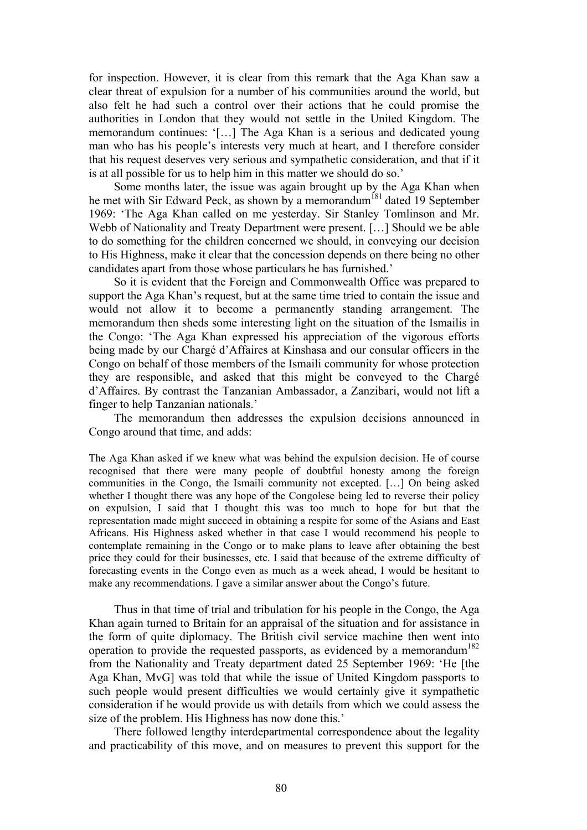for inspection. However, it is clear from this remark that the Aga Khan saw a clear threat of expulsion for a number of his communities around the world, but also felt he had such a control over their actions that he could promise the authorities in London that they would not settle in the United Kingdom. The memorandum continues: '[…] The Aga Khan is a serious and dedicated young man who has his people's interests very much at heart, and I therefore consider that his request deserves very serious and sympathetic consideration, and that if it is at all possible for us to help him in this matter we should do so.'

Some months later, the issue was again brought up by the Aga Khan when he met with Sir Edward Peck, as shown by a memorandum<sup><sup>181</sup> dated 19 September</sup> 1969: 'The Aga Khan called on me yesterday. Sir Stanley Tomlinson and Mr. Webb of Nationality and Treaty Department were present. […] Should we be able to do something for the children concerned we should, in conveying our decision to His Highness, make it clear that the concession depends on there being no other candidates apart from those whose particulars he has furnished.'

So it is evident that the Foreign and Commonwealth Office was prepared to support the Aga Khan's request, but at the same time tried to contain the issue and would not allow it to become a permanently standing arrangement. The memorandum then sheds some interesting light on the situation of the Ismailis in the Congo: 'The Aga Khan expressed his appreciation of the vigorous efforts being made by our Chargé d'Affaires at Kinshasa and our consular officers in the Congo on behalf of those members of the Ismaili community for whose protection they are responsible, and asked that this might be conveyed to the Chargé d'Affaires. By contrast the Tanzanian Ambassador, a Zanzibari, would not lift a finger to help Tanzanian nationals.'

The memorandum then addresses the expulsion decisions announced in Congo around that time, and adds:

The Aga Khan asked if we knew what was behind the expulsion decision. He of course recognised that there were many people of doubtful honesty among the foreign communities in the Congo, the Ismaili community not excepted. […] On being asked whether I thought there was any hope of the Congolese being led to reverse their policy on expulsion, I said that I thought this was too much to hope for but that the representation made might succeed in obtaining a respite for some of the Asians and East Africans. His Highness asked whether in that case I would recommend his people to contemplate remaining in the Congo or to make plans to leave after obtaining the best price they could for their businesses, etc. I said that because of the extreme difficulty of forecasting events in the Congo even as much as a week ahead, I would be hesitant to make any recommendations. I gave a similar answer about the Congo's future.

Thus in that time of trial and tribulation for his people in the Congo, the Aga Khan again turned to Britain for an appraisal of the situation and for assistance in the form of quite diplomacy. The British civil service machine then went into operation to provide the requested passports, as evidenced by a memorandum<sup>182</sup> from the Nationality and Treaty department dated 25 September 1969: 'He [the Aga Khan, MvG] was told that while the issue of United Kingdom passports to such people would present difficulties we would certainly give it sympathetic consideration if he would provide us with details from which we could assess the size of the problem. His Highness has now done this.'

There followed lengthy interdepartmental correspondence about the legality and practicability of this move, and on measures to prevent this support for the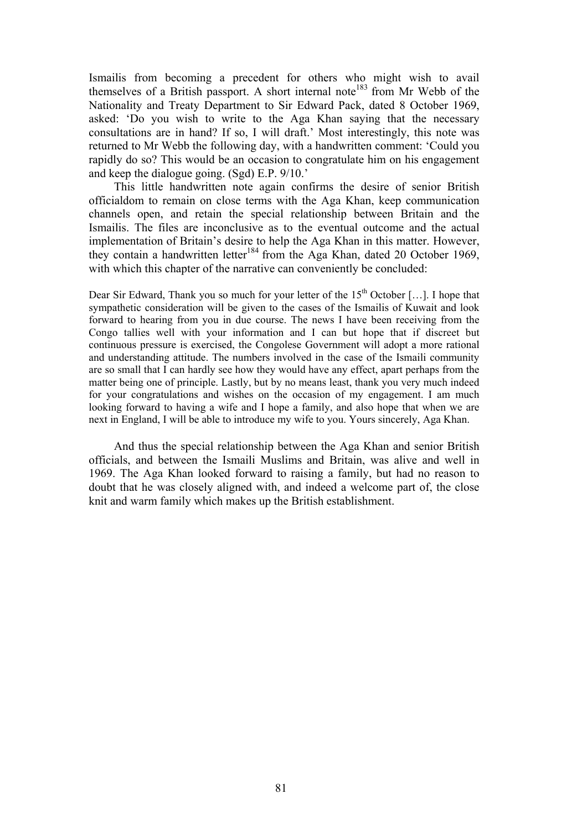Ismailis from becoming a precedent for others who might wish to avail themselves of a British passport. A short internal note<sup>183</sup> from Mr Webb of the Nationality and Treaty Department to Sir Edward Pack, dated 8 October 1969, asked: 'Do you wish to write to the Aga Khan saying that the necessary consultations are in hand? If so, I will draft.' Most interestingly, this note was returned to Mr Webb the following day, with a handwritten comment: 'Could you rapidly do so? This would be an occasion to congratulate him on his engagement and keep the dialogue going. (Sgd) E.P. 9/10.'

This little handwritten note again confirms the desire of senior British officialdom to remain on close terms with the Aga Khan, keep communication channels open, and retain the special relationship between Britain and the Ismailis. The files are inconclusive as to the eventual outcome and the actual implementation of Britain's desire to help the Aga Khan in this matter. However, they contain a handwritten letter<sup>184</sup> from the Aga Khan, dated 20 October 1969, with which this chapter of the narrative can conveniently be concluded:

Dear Sir Edward, Thank you so much for your letter of the  $15<sup>th</sup>$  October [...]. I hope that sympathetic consideration will be given to the cases of the Ismailis of Kuwait and look forward to hearing from you in due course. The news I have been receiving from the Congo tallies well with your information and I can but hope that if discreet but continuous pressure is exercised, the Congolese Government will adopt a more rational and understanding attitude. The numbers involved in the case of the Ismaili community are so small that I can hardly see how they would have any effect, apart perhaps from the matter being one of principle. Lastly, but by no means least, thank you very much indeed for your congratulations and wishes on the occasion of my engagement. I am much looking forward to having a wife and I hope a family, and also hope that when we are next in England, I will be able to introduce my wife to you. Yours sincerely, Aga Khan.

And thus the special relationship between the Aga Khan and senior British officials, and between the Ismaili Muslims and Britain, was alive and well in 1969. The Aga Khan looked forward to raising a family, but had no reason to doubt that he was closely aligned with, and indeed a welcome part of, the close knit and warm family which makes up the British establishment.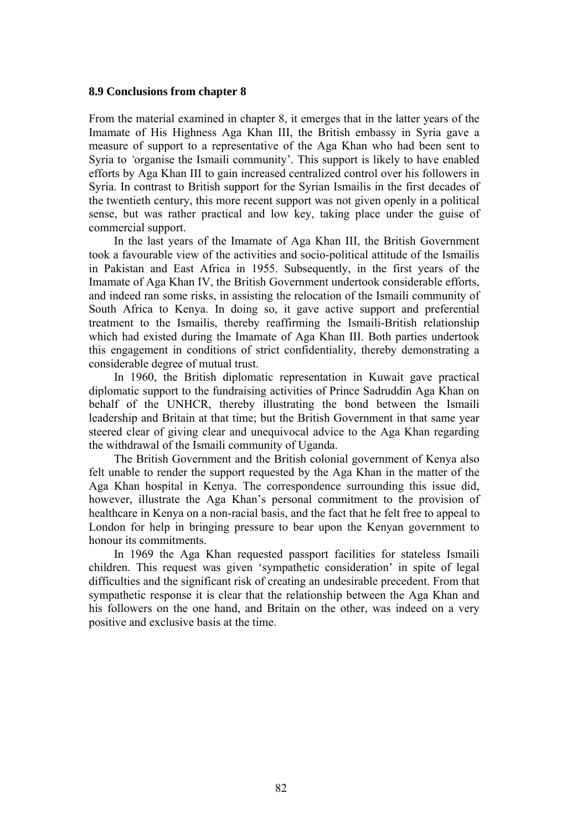#### **8.9 Conclusions from chapter 8**

From the material examined in chapter 8, it emerges that in the latter years of the Imamate of His Highness Aga Khan III, the British embassy in Syria gave a measure of support to a representative of the Aga Khan who had been sent to Syria to *'*organise the Ismaili community'. This support is likely to have enabled efforts by Aga Khan III to gain increased centralized control over his followers in Syria. In contrast to British support for the Syrian Ismailis in the first decades of the twentieth century, this more recent support was not given openly in a political sense, but was rather practical and low key, taking place under the guise of commercial support.

In the last years of the Imamate of Aga Khan III, the British Government took a favourable view of the activities and socio-political attitude of the Ismailis in Pakistan and East Africa in 1955. Subsequently, in the first years of the Imamate of Aga Khan IV, the British Government undertook considerable efforts, and indeed ran some risks, in assisting the relocation of the Ismaili community of South Africa to Kenya. In doing so, it gave active support and preferential treatment to the Ismailis, thereby reaffirming the Ismaili-British relationship which had existed during the Imamate of Aga Khan III. Both parties undertook this engagement in conditions of strict confidentiality, thereby demonstrating a considerable degree of mutual trust.

In 1960, the British diplomatic representation in Kuwait gave practical diplomatic support to the fundraising activities of Prince Sadruddin Aga Khan on behalf of the UNHCR, thereby illustrating the bond between the Ismaili leadership and Britain at that time; but the British Government in that same year steered clear of giving clear and unequivocal advice to the Aga Khan regarding the withdrawal of the Ismaili community of Uganda.

The British Government and the British colonial government of Kenya also felt unable to render the support requested by the Aga Khan in the matter of the Aga Khan hospital in Kenya. The correspondence surrounding this issue did, however, illustrate the Aga Khan's personal commitment to the provision of healthcare in Kenya on a non-racial basis, and the fact that he felt free to appeal to London for help in bringing pressure to bear upon the Kenyan government to honour its commitments.

In 1969 the Aga Khan requested passport facilities for stateless Ismaili children. This request was given 'sympathetic consideration' in spite of legal difficulties and the significant risk of creating an undesirable precedent. From that sympathetic response it is clear that the relationship between the Aga Khan and his followers on the one hand, and Britain on the other, was indeed on a very positive and exclusive basis at the time.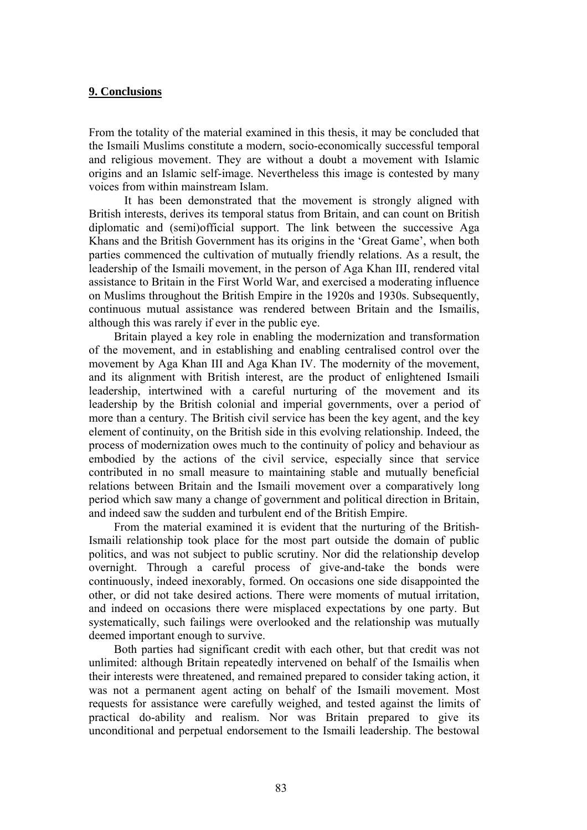### **9. Conclusions**

From the totality of the material examined in this thesis, it may be concluded that the Ismaili Muslims constitute a modern, socio-economically successful temporal and religious movement. They are without a doubt a movement with Islamic origins and an Islamic self-image. Nevertheless this image is contested by many voices from within mainstream Islam.

It has been demonstrated that the movement is strongly aligned with British interests, derives its temporal status from Britain, and can count on British diplomatic and (semi)official support. The link between the successive Aga Khans and the British Government has its origins in the 'Great Game', when both parties commenced the cultivation of mutually friendly relations. As a result, the leadership of the Ismaili movement, in the person of Aga Khan III, rendered vital assistance to Britain in the First World War, and exercised a moderating influence on Muslims throughout the British Empire in the 1920s and 1930s. Subsequently, continuous mutual assistance was rendered between Britain and the Ismailis, although this was rarely if ever in the public eye.

Britain played a key role in enabling the modernization and transformation of the movement, and in establishing and enabling centralised control over the movement by Aga Khan III and Aga Khan IV. The modernity of the movement, and its alignment with British interest, are the product of enlightened Ismaili leadership, intertwined with a careful nurturing of the movement and its leadership by the British colonial and imperial governments, over a period of more than a century. The British civil service has been the key agent, and the key element of continuity, on the British side in this evolving relationship. Indeed, the process of modernization owes much to the continuity of policy and behaviour as embodied by the actions of the civil service, especially since that service contributed in no small measure to maintaining stable and mutually beneficial relations between Britain and the Ismaili movement over a comparatively long period which saw many a change of government and political direction in Britain, and indeed saw the sudden and turbulent end of the British Empire.

From the material examined it is evident that the nurturing of the British-Ismaili relationship took place for the most part outside the domain of public politics, and was not subject to public scrutiny. Nor did the relationship develop overnight. Through a careful process of give-and-take the bonds were continuously, indeed inexorably, formed. On occasions one side disappointed the other, or did not take desired actions. There were moments of mutual irritation, and indeed on occasions there were misplaced expectations by one party. But systematically, such failings were overlooked and the relationship was mutually deemed important enough to survive.

Both parties had significant credit with each other, but that credit was not unlimited: although Britain repeatedly intervened on behalf of the Ismailis when their interests were threatened, and remained prepared to consider taking action, it was not a permanent agent acting on behalf of the Ismaili movement. Most requests for assistance were carefully weighed, and tested against the limits of practical do-ability and realism. Nor was Britain prepared to give its unconditional and perpetual endorsement to the Ismaili leadership. The bestowal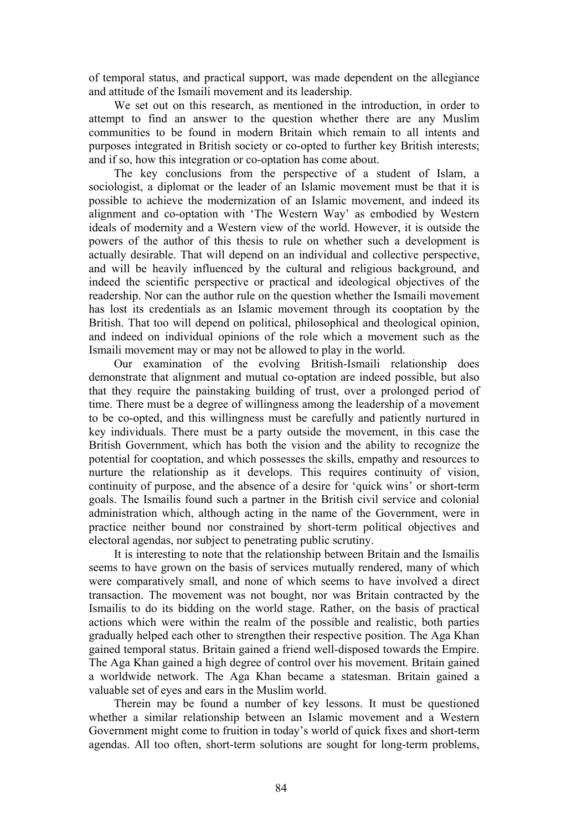of temporal status, and practical support, was made dependent on the allegiance and attitude of the Ismaili movement and its leadership.

We set out on this research, as mentioned in the introduction, in order to attempt to find an answer to the question whether there are any Muslim communities to be found in modern Britain which remain to all intents and purposes integrated in British society or co-opted to further key British interests; and if so, how this integration or co-optation has come about.

The key conclusions from the perspective of a student of Islam, a sociologist, a diplomat or the leader of an Islamic movement must be that it is possible to achieve the modernization of an Islamic movement, and indeed its alignment and co-optation with 'The Western Way' as embodied by Western ideals of modernity and a Western view of the world. However, it is outside the powers of the author of this thesis to rule on whether such a development is actually desirable. That will depend on an individual and collective perspective, and will be heavily influenced by the cultural and religious background, and indeed the scientific perspective or practical and ideological objectives of the readership. Nor can the author rule on the question whether the Ismaili movement has lost its credentials as an Islamic movement through its cooptation by the British. That too will depend on political, philosophical and theological opinion, and indeed on individual opinions of the role which a movement such as the Ismaili movement may or may not be allowed to play in the world.

Our examination of the evolving British-Ismaili relationship does demonstrate that alignment and mutual co-optation are indeed possible, but also that they require the painstaking building of trust, over a prolonged period of time. There must be a degree of willingness among the leadership of a movement to be co-opted, and this willingness must be carefully and patiently nurtured in key individuals. There must be a party outside the movement, in this case the British Government, which has both the vision and the ability to recognize the potential for cooptation, and which possesses the skills, empathy and resources to nurture the relationship as it develops. This requires continuity of vision, continuity of purpose, and the absence of a desire for 'quick wins' or short-term goals. The Ismailis found such a partner in the British civil service and colonial administration which, although acting in the name of the Government, were in practice neither bound nor constrained by short-term political objectives and electoral agendas, nor subject to penetrating public scrutiny.

It is interesting to note that the relationship between Britain and the Ismailis seems to have grown on the basis of services mutually rendered, many of which were comparatively small, and none of which seems to have involved a direct transaction. The movement was not bought, nor was Britain contracted by the Ismailis to do its bidding on the world stage. Rather, on the basis of practical actions which were within the realm of the possible and realistic, both parties gradually helped each other to strengthen their respective position. The Aga Khan gained temporal status. Britain gained a friend well-disposed towards the Empire. The Aga Khan gained a high degree of control over his movement. Britain gained a worldwide network. The Aga Khan became a statesman. Britain gained a valuable set of eyes and ears in the Muslim world.

Therein may be found a number of key lessons. It must be questioned whether a similar relationship between an Islamic movement and a Western Government might come to fruition in today's world of quick fixes and short-term agendas. All too often, short-term solutions are sought for long-term problems,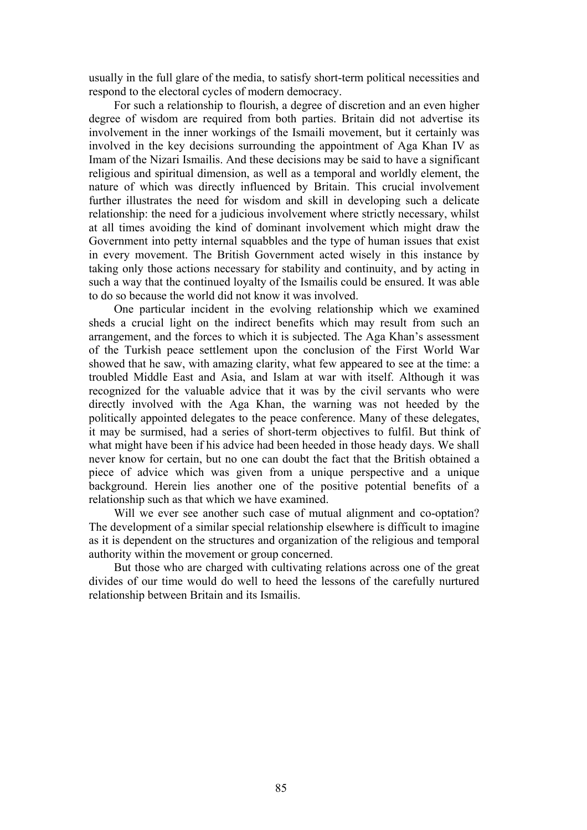usually in the full glare of the media, to satisfy short-term political necessities and respond to the electoral cycles of modern democracy.

For such a relationship to flourish, a degree of discretion and an even higher degree of wisdom are required from both parties. Britain did not advertise its involvement in the inner workings of the Ismaili movement, but it certainly was involved in the key decisions surrounding the appointment of Aga Khan IV as Imam of the Nizari Ismailis. And these decisions may be said to have a significant religious and spiritual dimension, as well as a temporal and worldly element, the nature of which was directly influenced by Britain. This crucial involvement further illustrates the need for wisdom and skill in developing such a delicate relationship: the need for a judicious involvement where strictly necessary, whilst at all times avoiding the kind of dominant involvement which might draw the Government into petty internal squabbles and the type of human issues that exist in every movement. The British Government acted wisely in this instance by taking only those actions necessary for stability and continuity, and by acting in such a way that the continued loyalty of the Ismailis could be ensured. It was able to do so because the world did not know it was involved.

One particular incident in the evolving relationship which we examined sheds a crucial light on the indirect benefits which may result from such an arrangement, and the forces to which it is subjected. The Aga Khan's assessment of the Turkish peace settlement upon the conclusion of the First World War showed that he saw, with amazing clarity, what few appeared to see at the time: a troubled Middle East and Asia, and Islam at war with itself. Although it was recognized for the valuable advice that it was by the civil servants who were directly involved with the Aga Khan, the warning was not heeded by the politically appointed delegates to the peace conference. Many of these delegates, it may be surmised, had a series of short-term objectives to fulfil. But think of what might have been if his advice had been heeded in those heady days. We shall never know for certain, but no one can doubt the fact that the British obtained a piece of advice which was given from a unique perspective and a unique background. Herein lies another one of the positive potential benefits of a relationship such as that which we have examined.

Will we ever see another such case of mutual alignment and co-optation? The development of a similar special relationship elsewhere is difficult to imagine as it is dependent on the structures and organization of the religious and temporal authority within the movement or group concerned.

But those who are charged with cultivating relations across one of the great divides of our time would do well to heed the lessons of the carefully nurtured relationship between Britain and its Ismailis.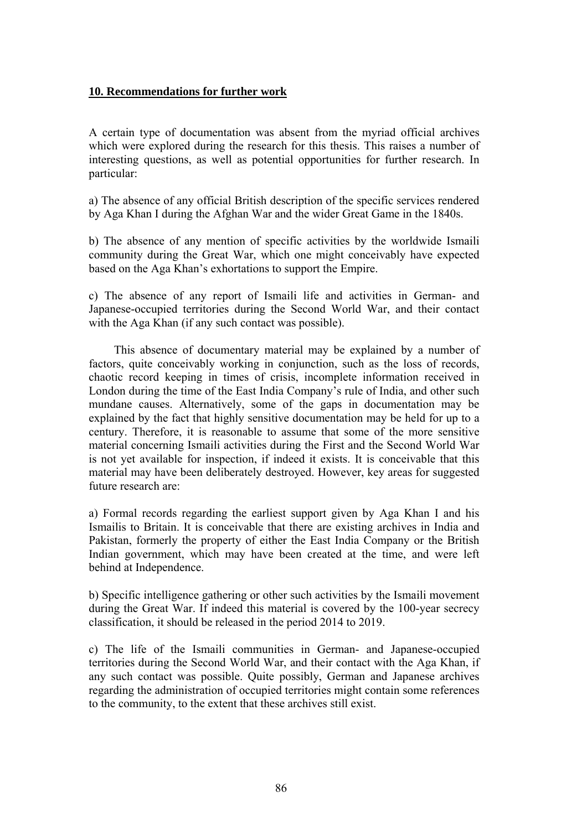### **10. Recommendations for further work**

A certain type of documentation was absent from the myriad official archives which were explored during the research for this thesis. This raises a number of interesting questions, as well as potential opportunities for further research. In particular:

a) The absence of any official British description of the specific services rendered by Aga Khan I during the Afghan War and the wider Great Game in the 1840s.

b) The absence of any mention of specific activities by the worldwide Ismaili community during the Great War, which one might conceivably have expected based on the Aga Khan's exhortations to support the Empire.

c) The absence of any report of Ismaili life and activities in German- and Japanese-occupied territories during the Second World War, and their contact with the Aga Khan (if any such contact was possible).

This absence of documentary material may be explained by a number of factors, quite conceivably working in conjunction, such as the loss of records, chaotic record keeping in times of crisis, incomplete information received in London during the time of the East India Company's rule of India, and other such mundane causes. Alternatively, some of the gaps in documentation may be explained by the fact that highly sensitive documentation may be held for up to a century. Therefore, it is reasonable to assume that some of the more sensitive material concerning Ismaili activities during the First and the Second World War is not yet available for inspection, if indeed it exists. It is conceivable that this material may have been deliberately destroyed. However, key areas for suggested future research are:

a) Formal records regarding the earliest support given by Aga Khan I and his Ismailis to Britain. It is conceivable that there are existing archives in India and Pakistan, formerly the property of either the East India Company or the British Indian government, which may have been created at the time, and were left behind at Independence.

b) Specific intelligence gathering or other such activities by the Ismaili movement during the Great War. If indeed this material is covered by the 100-year secrecy classification, it should be released in the period 2014 to 2019.

c) The life of the Ismaili communities in German- and Japanese-occupied territories during the Second World War, and their contact with the Aga Khan, if any such contact was possible. Quite possibly, German and Japanese archives regarding the administration of occupied territories might contain some references to the community, to the extent that these archives still exist.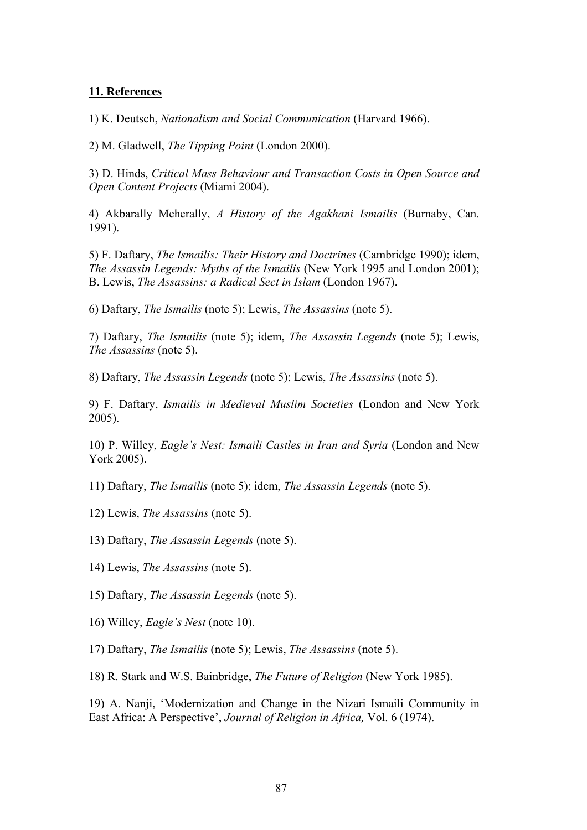### **11. References**

1) K. Deutsch, *Nationalism and Social Communication* (Harvard 1966).

2) M. Gladwell, *The Tipping Point* (London 2000).

3) D. Hinds, *Critical Mass Behaviour and Transaction Costs in Open Source and Open Content Projects* (Miami 2004).

4) Akbarally Meherally, *A History of the Agakhani Ismailis* (Burnaby, Can. 1991).

5) F. Daftary, *The Ismailis: Their History and Doctrines* (Cambridge 1990); idem, *The Assassin Legends: Myths of the Ismailis* (New York 1995 and London 2001); B. Lewis, *The Assassins: a Radical Sect in Islam* (London 1967).

6) Daftary, *The Ismailis* (note 5); Lewis, *The Assassins* (note 5).

7) Daftary, *The Ismailis* (note 5); idem, *The Assassin Legends* (note 5); Lewis, *The Assassins* (note 5).

8) Daftary, *The Assassin Legends* (note 5); Lewis, *The Assassins* (note 5).

9) F. Daftary, *Ismailis in Medieval Muslim Societies* (London and New York 2005).

10) P. Willey, *Eagle's Nest: Ismaili Castles in Iran and Syria* (London and New York 2005).

11) Daftary, *The Ismailis* (note 5); idem, *The Assassin Legends* (note 5).

12) Lewis, *The Assassins* (note 5).

13) Daftary, *The Assassin Legends* (note 5).

14) Lewis, *The Assassins* (note 5).

15) Daftary, *The Assassin Legends* (note 5).

16) Willey, *Eagle's Nest* (note 10).

17) Daftary, *The Ismailis* (note 5); Lewis, *The Assassins* (note 5).

18) R. Stark and W.S. Bainbridge, *The Future of Religion* (New York 1985).

19) A. Nanji, 'Modernization and Change in the Nizari Ismaili Community in East Africa: A Perspective', *Journal of Religion in Africa,* Vol. 6 (1974).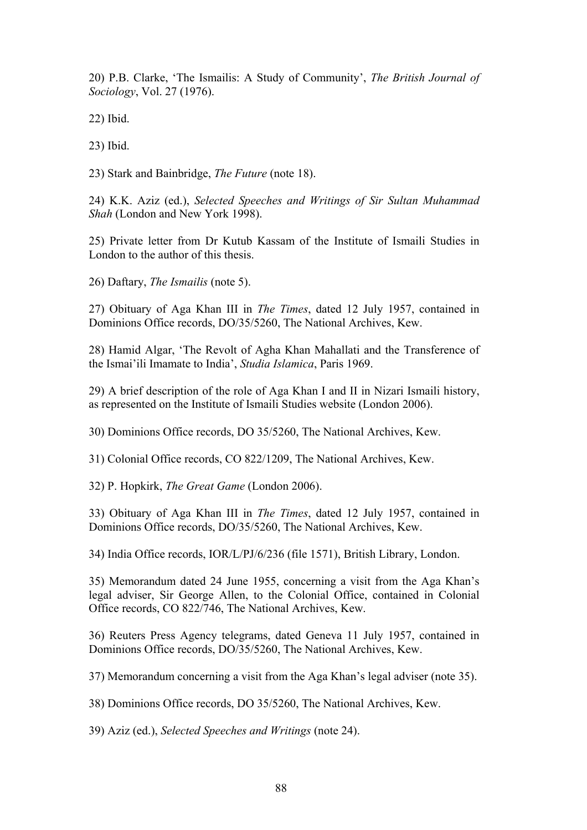20) P.B. Clarke, 'The Ismailis: A Study of Community', *The British Journal of Sociology*, Vol. 27 (1976).

22) Ibid.

23) Ibid.

23) Stark and Bainbridge, *The Future* (note 18).

24) K.K. Aziz (ed.), *Selected Speeches and Writings of Sir Sultan Muhammad Shah* (London and New York 1998).

25) Private letter from Dr Kutub Kassam of the Institute of Ismaili Studies in London to the author of this thesis.

26) Daftary, *The Ismailis* (note 5).

27) Obituary of Aga Khan III in *The Times*, dated 12 July 1957, contained in Dominions Office records, DO/35/5260, The National Archives, Kew.

28) Hamid Algar, 'The Revolt of Agha Khan Mahallati and the Transference of the Ismai'ili Imamate to India', *Studia Islamica*, Paris 1969.

29) A brief description of the role of Aga Khan I and II in Nizari Ismaili history, as represented on the Institute of Ismaili Studies website (London 2006).

30) Dominions Office records, DO 35/5260, The National Archives, Kew.

31) Colonial Office records, CO 822/1209, The National Archives, Kew.

32) P. Hopkirk, *The Great Game* (London 2006).

33) Obituary of Aga Khan III in *The Times*, dated 12 July 1957, contained in Dominions Office records, DO/35/5260, The National Archives, Kew.

34) India Office records, IOR/L/PJ/6/236 (file 1571), British Library, London.

35) Memorandum dated 24 June 1955, concerning a visit from the Aga Khan's legal adviser, Sir George Allen, to the Colonial Office, contained in Colonial Office records, CO 822/746, The National Archives, Kew.

36) Reuters Press Agency telegrams, dated Geneva 11 July 1957, contained in Dominions Office records, DO/35/5260, The National Archives, Kew.

37) Memorandum concerning a visit from the Aga Khan's legal adviser (note 35).

38) Dominions Office records, DO 35/5260, The National Archives, Kew.

39) Aziz (ed.), *Selected Speeches and Writings* (note 24).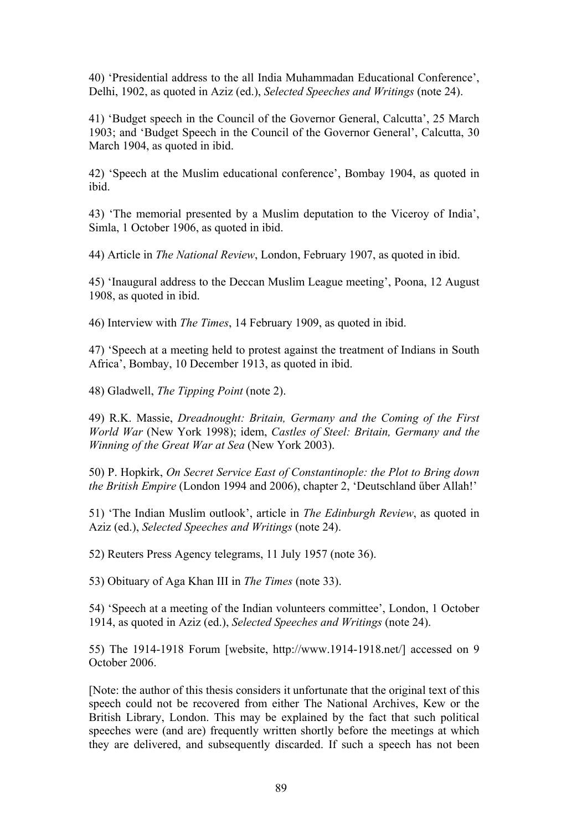40) 'Presidential address to the all India Muhammadan Educational Conference', Delhi, 1902, as quoted in Aziz (ed.), *Selected Speeches and Writings* (note 24).

41) 'Budget speech in the Council of the Governor General, Calcutta', 25 March 1903; and 'Budget Speech in the Council of the Governor General', Calcutta, 30 March 1904, as quoted in ibid.

42) 'Speech at the Muslim educational conference', Bombay 1904, as quoted in ibid.

43) 'The memorial presented by a Muslim deputation to the Viceroy of India', Simla, 1 October 1906, as quoted in ibid.

44) Article in *The National Review*, London, February 1907, as quoted in ibid.

45) 'Inaugural address to the Deccan Muslim League meeting', Poona, 12 August 1908, as quoted in ibid.

46) Interview with *The Times*, 14 February 1909, as quoted in ibid.

47) 'Speech at a meeting held to protest against the treatment of Indians in South Africa', Bombay, 10 December 1913, as quoted in ibid.

48) Gladwell, *The Tipping Point* (note 2).

49) R.K. Massie, *Dreadnought: Britain, Germany and the Coming of the First World War* (New York 1998); idem, *Castles of Steel: Britain, Germany and the Winning of the Great War at Sea* (New York 2003).

50) P. Hopkirk, *On Secret Service East of Constantinople: the Plot to Bring down the British Empire* (London 1994 and 2006), chapter 2, 'Deutschland űber Allah!'

51) 'The Indian Muslim outlook', article in *The Edinburgh Review*, as quoted in Aziz (ed.), *Selected Speeches and Writings* (note 24).

52) Reuters Press Agency telegrams, 11 July 1957 (note 36).

53) Obituary of Aga Khan III in *The Times* (note 33).

54) 'Speech at a meeting of the Indian volunteers committee', London, 1 October 1914, as quoted in Aziz (ed.), *Selected Speeches and Writings* (note 24).

55) The 1914-1918 Forum [website, http://www.1914-1918.net/] accessed on 9 October 2006.

[Note: the author of this thesis considers it unfortunate that the original text of this speech could not be recovered from either The National Archives, Kew or the British Library, London. This may be explained by the fact that such political speeches were (and are) frequently written shortly before the meetings at which they are delivered, and subsequently discarded. If such a speech has not been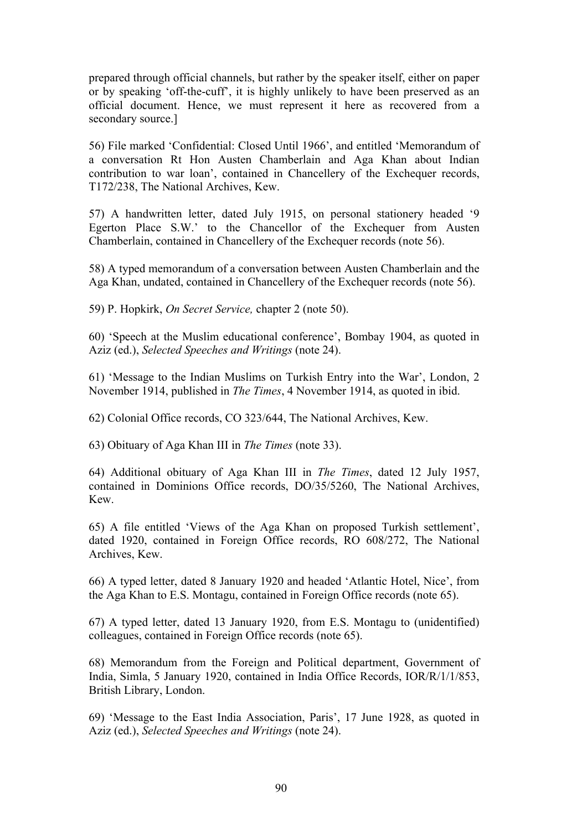prepared through official channels, but rather by the speaker itself, either on paper or by speaking 'off-the-cuff', it is highly unlikely to have been preserved as an official document. Hence, we must represent it here as recovered from a secondary source.]

56) File marked 'Confidential: Closed Until 1966', and entitled 'Memorandum of a conversation Rt Hon Austen Chamberlain and Aga Khan about Indian contribution to war loan', contained in Chancellery of the Exchequer records, T172/238, The National Archives, Kew.

57) A handwritten letter, dated July 1915, on personal stationery headed '9 Egerton Place S.W.' to the Chancellor of the Exchequer from Austen Chamberlain, contained in Chancellery of the Exchequer records (note 56).

58) A typed memorandum of a conversation between Austen Chamberlain and the Aga Khan, undated, contained in Chancellery of the Exchequer records (note 56).

59) P. Hopkirk, *On Secret Service,* chapter 2 (note 50).

60) 'Speech at the Muslim educational conference', Bombay 1904, as quoted in Aziz (ed.), *Selected Speeches and Writings* (note 24).

61) 'Message to the Indian Muslims on Turkish Entry into the War', London, 2 November 1914, published in *The Times*, 4 November 1914, as quoted in ibid.

62) Colonial Office records, CO 323/644, The National Archives, Kew.

63) Obituary of Aga Khan III in *The Times* (note 33).

64) Additional obituary of Aga Khan III in *The Times*, dated 12 July 1957, contained in Dominions Office records, DO/35/5260, The National Archives, Kew.

65) A file entitled 'Views of the Aga Khan on proposed Turkish settlement', dated 1920, contained in Foreign Office records, RO 608/272, The National Archives, Kew.

66) A typed letter, dated 8 January 1920 and headed 'Atlantic Hotel, Nice', from the Aga Khan to E.S. Montagu, contained in Foreign Office records (note 65).

67) A typed letter, dated 13 January 1920, from E.S. Montagu to (unidentified) colleagues, contained in Foreign Office records (note 65).

68) Memorandum from the Foreign and Political department, Government of India, Simla, 5 January 1920, contained in India Office Records, IOR/R/1/1/853, British Library, London.

69) 'Message to the East India Association, Paris', 17 June 1928, as quoted in Aziz (ed.), *Selected Speeches and Writings* (note 24).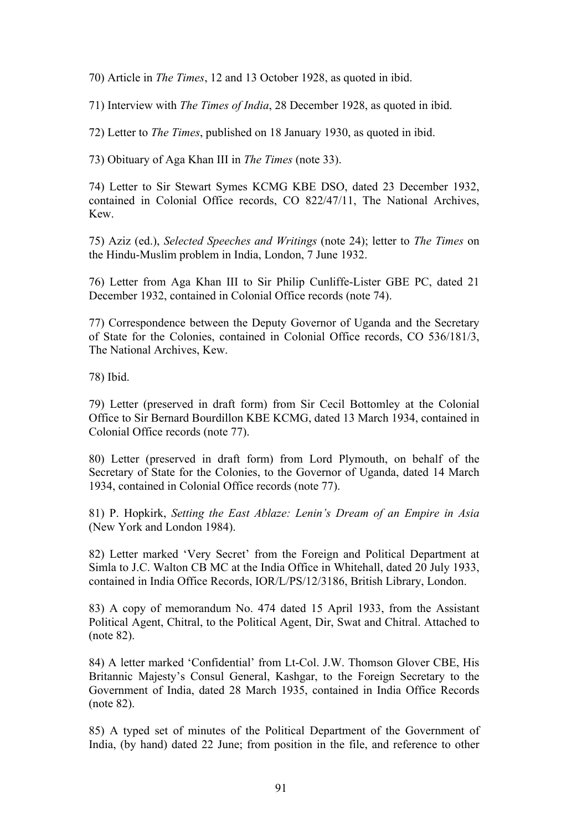70) Article in *The Times*, 12 and 13 October 1928, as quoted in ibid.

71) Interview with *The Times of India*, 28 December 1928, as quoted in ibid.

72) Letter to *The Times*, published on 18 January 1930, as quoted in ibid.

73) Obituary of Aga Khan III in *The Times* (note 33).

74) Letter to Sir Stewart Symes KCMG KBE DSO, dated 23 December 1932, contained in Colonial Office records, CO 822/47/11, The National Archives, Kew.

75) Aziz (ed.), *Selected Speeches and Writings* (note 24); letter to *The Times* on the Hindu-Muslim problem in India, London, 7 June 1932.

76) Letter from Aga Khan III to Sir Philip Cunliffe-Lister GBE PC, dated 21 December 1932, contained in Colonial Office records (note 74).

77) Correspondence between the Deputy Governor of Uganda and the Secretary of State for the Colonies, contained in Colonial Office records, CO 536/181/3, The National Archives, Kew.

78) Ibid.

79) Letter (preserved in draft form) from Sir Cecil Bottomley at the Colonial Office to Sir Bernard Bourdillon KBE KCMG, dated 13 March 1934, contained in Colonial Office records (note 77).

80) Letter (preserved in draft form) from Lord Plymouth, on behalf of the Secretary of State for the Colonies, to the Governor of Uganda, dated 14 March 1934, contained in Colonial Office records (note 77).

81) P. Hopkirk, *Setting the East Ablaze: Lenin's Dream of an Empire in Asia* (New York and London 1984).

82) Letter marked 'Very Secret' from the Foreign and Political Department at Simla to J.C. Walton CB MC at the India Office in Whitehall, dated 20 July 1933, contained in India Office Records, IOR/L/PS/12/3186, British Library, London.

83) A copy of memorandum No. 474 dated 15 April 1933, from the Assistant Political Agent, Chitral, to the Political Agent, Dir, Swat and Chitral. Attached to (note 82).

84) A letter marked 'Confidential' from Lt-Col. J.W. Thomson Glover CBE, His Britannic Majesty's Consul General, Kashgar, to the Foreign Secretary to the Government of India, dated 28 March 1935, contained in India Office Records (note 82).

85) A typed set of minutes of the Political Department of the Government of India, (by hand) dated 22 June; from position in the file, and reference to other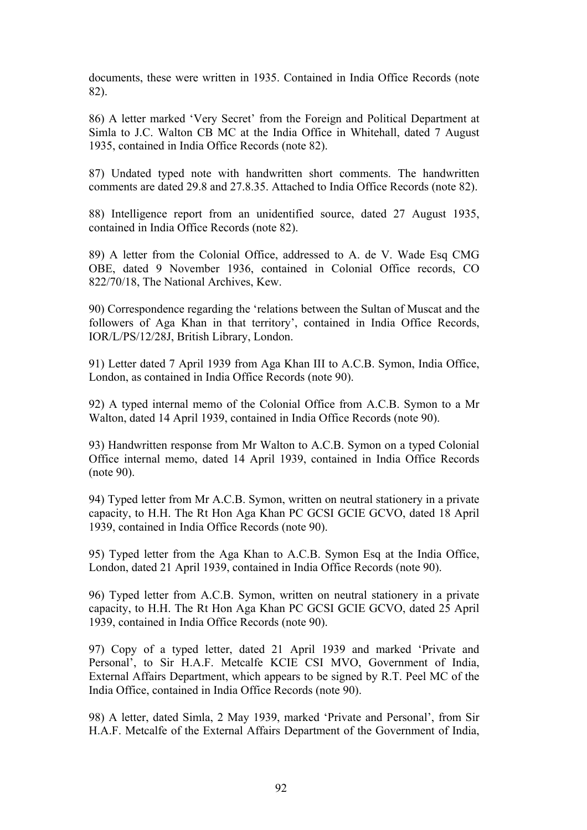documents, these were written in 1935. Contained in India Office Records (note 82).

86) A letter marked 'Very Secret' from the Foreign and Political Department at Simla to J.C. Walton CB MC at the India Office in Whitehall, dated 7 August 1935, contained in India Office Records (note 82).

87) Undated typed note with handwritten short comments. The handwritten comments are dated 29.8 and 27.8.35. Attached to India Office Records (note 82).

88) Intelligence report from an unidentified source, dated 27 August 1935, contained in India Office Records (note 82).

89) A letter from the Colonial Office, addressed to A. de V. Wade Esq CMG OBE, dated 9 November 1936, contained in Colonial Office records, CO 822/70/18, The National Archives, Kew.

90) Correspondence regarding the 'relations between the Sultan of Muscat and the followers of Aga Khan in that territory', contained in India Office Records, IOR/L/PS/12/28J, British Library, London.

91) Letter dated 7 April 1939 from Aga Khan III to A.C.B. Symon, India Office, London, as contained in India Office Records (note 90).

92) A typed internal memo of the Colonial Office from A.C.B. Symon to a Mr Walton, dated 14 April 1939, contained in India Office Records (note 90).

93) Handwritten response from Mr Walton to A.C.B. Symon on a typed Colonial Office internal memo, dated 14 April 1939, contained in India Office Records (note 90).

94) Typed letter from Mr A.C.B. Symon, written on neutral stationery in a private capacity, to H.H. The Rt Hon Aga Khan PC GCSI GCIE GCVO, dated 18 April 1939, contained in India Office Records (note 90).

95) Typed letter from the Aga Khan to A.C.B. Symon Esq at the India Office, London, dated 21 April 1939, contained in India Office Records (note 90).

96) Typed letter from A.C.B. Symon, written on neutral stationery in a private capacity, to H.H. The Rt Hon Aga Khan PC GCSI GCIE GCVO, dated 25 April 1939, contained in India Office Records (note 90).

97) Copy of a typed letter, dated 21 April 1939 and marked 'Private and Personal', to Sir H.A.F. Metcalfe KCIE CSI MVO, Government of India, External Affairs Department, which appears to be signed by R.T. Peel MC of the India Office, contained in India Office Records (note 90).

98) A letter, dated Simla, 2 May 1939, marked 'Private and Personal', from Sir H.A.F. Metcalfe of the External Affairs Department of the Government of India,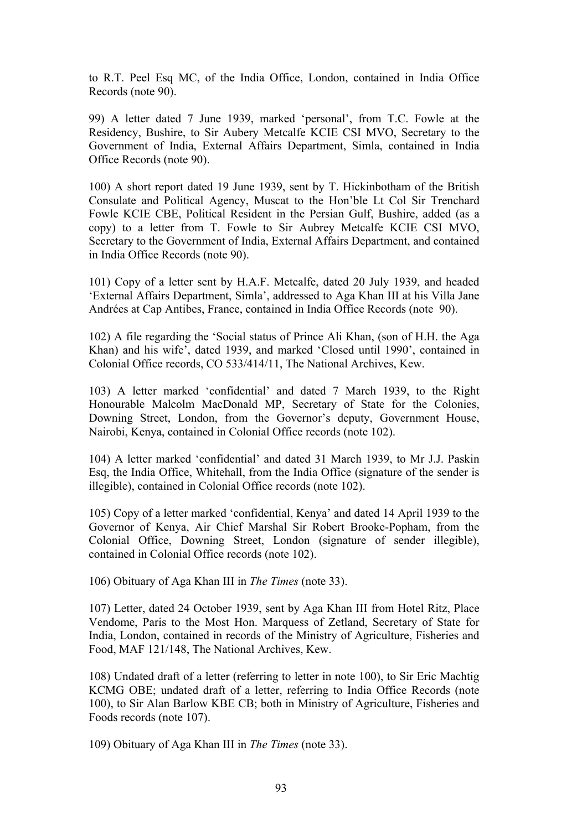to R.T. Peel Esq MC, of the India Office, London, contained in India Office Records (note 90).

99) A letter dated 7 June 1939, marked 'personal', from T.C. Fowle at the Residency, Bushire, to Sir Aubery Metcalfe KCIE CSI MVO, Secretary to the Government of India, External Affairs Department, Simla, contained in India Office Records (note 90).

100) A short report dated 19 June 1939, sent by T. Hickinbotham of the British Consulate and Political Agency, Muscat to the Hon'ble Lt Col Sir Trenchard Fowle KCIE CBE, Political Resident in the Persian Gulf, Bushire, added (as a copy) to a letter from T. Fowle to Sir Aubrey Metcalfe KCIE CSI MVO, Secretary to the Government of India, External Affairs Department, and contained in India Office Records (note 90).

101) Copy of a letter sent by H.A.F. Metcalfe, dated 20 July 1939, and headed 'External Affairs Department, Simla', addressed to Aga Khan III at his Villa Jane Andrées at Cap Antibes, France, contained in India Office Records (note 90).

102) A file regarding the 'Social status of Prince Ali Khan, (son of H.H. the Aga Khan) and his wife', dated 1939, and marked 'Closed until 1990', contained in Colonial Office records, CO 533/414/11, The National Archives, Kew.

103) A letter marked 'confidential' and dated 7 March 1939, to the Right Honourable Malcolm MacDonald MP, Secretary of State for the Colonies, Downing Street, London, from the Governor's deputy, Government House, Nairobi, Kenya, contained in Colonial Office records (note 102).

104) A letter marked 'confidential' and dated 31 March 1939, to Mr J.J. Paskin Esq, the India Office, Whitehall, from the India Office (signature of the sender is illegible), contained in Colonial Office records (note 102).

105) Copy of a letter marked 'confidential, Kenya' and dated 14 April 1939 to the Governor of Kenya, Air Chief Marshal Sir Robert Brooke-Popham, from the Colonial Office, Downing Street, London (signature of sender illegible), contained in Colonial Office records (note 102).

106) Obituary of Aga Khan III in *The Times* (note 33).

107) Letter, dated 24 October 1939, sent by Aga Khan III from Hotel Ritz, Place Vendome, Paris to the Most Hon. Marquess of Zetland, Secretary of State for India, London, contained in records of the Ministry of Agriculture, Fisheries and Food, MAF 121/148, The National Archives, Kew.

108) Undated draft of a letter (referring to letter in note 100), to Sir Eric Machtig KCMG OBE; undated draft of a letter, referring to India Office Records (note 100), to Sir Alan Barlow KBE CB; both in Ministry of Agriculture, Fisheries and Foods records (note 107).

109) Obituary of Aga Khan III in *The Times* (note 33).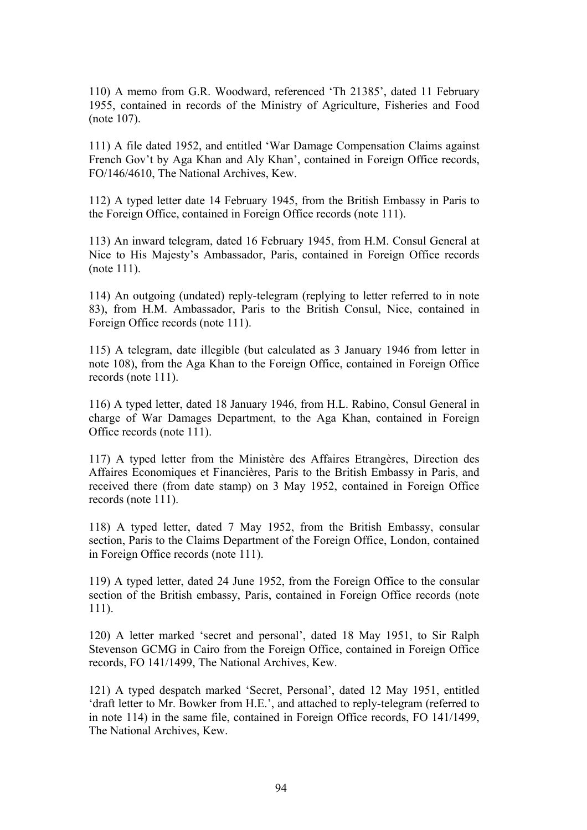110) A memo from G.R. Woodward, referenced 'Th 21385', dated 11 February 1955, contained in records of the Ministry of Agriculture, Fisheries and Food (note 107).

111) A file dated 1952, and entitled 'War Damage Compensation Claims against French Gov't by Aga Khan and Aly Khan', contained in Foreign Office records, FO/146/4610, The National Archives, Kew.

112) A typed letter date 14 February 1945, from the British Embassy in Paris to the Foreign Office, contained in Foreign Office records (note 111).

113) An inward telegram, dated 16 February 1945, from H.M. Consul General at Nice to His Majesty's Ambassador, Paris, contained in Foreign Office records (note 111).

114) An outgoing (undated) reply-telegram (replying to letter referred to in note 83), from H.M. Ambassador, Paris to the British Consul, Nice, contained in Foreign Office records (note 111).

115) A telegram, date illegible (but calculated as 3 January 1946 from letter in note 108), from the Aga Khan to the Foreign Office, contained in Foreign Office records (note 111).

116) A typed letter, dated 18 January 1946, from H.L. Rabino, Consul General in charge of War Damages Department, to the Aga Khan, contained in Foreign Office records (note 111).

117) A typed letter from the Ministère des Affaires Etrangères, Direction des Affaires Economiques et Financières, Paris to the British Embassy in Paris, and received there (from date stamp) on 3 May 1952, contained in Foreign Office records (note 111).

118) A typed letter, dated 7 May 1952, from the British Embassy, consular section, Paris to the Claims Department of the Foreign Office, London, contained in Foreign Office records (note 111).

119) A typed letter, dated 24 June 1952, from the Foreign Office to the consular section of the British embassy, Paris, contained in Foreign Office records (note 111).

120) A letter marked 'secret and personal', dated 18 May 1951, to Sir Ralph Stevenson GCMG in Cairo from the Foreign Office, contained in Foreign Office records, FO 141/1499, The National Archives, Kew.

121) A typed despatch marked 'Secret, Personal', dated 12 May 1951, entitled 'draft letter to Mr. Bowker from H.E.', and attached to reply-telegram (referred to in note 114) in the same file, contained in Foreign Office records, FO 141/1499, The National Archives, Kew.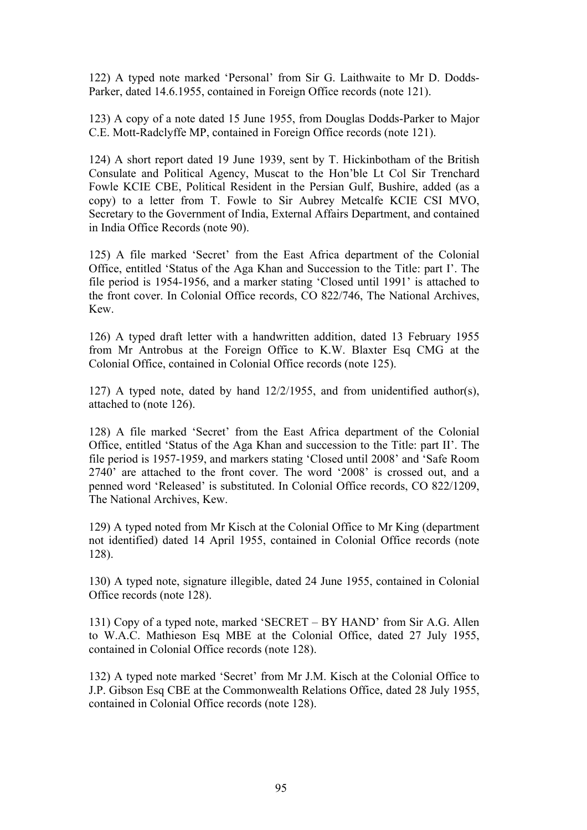122) A typed note marked 'Personal' from Sir G. Laithwaite to Mr D. Dodds-Parker, dated 14.6.1955, contained in Foreign Office records (note 121).

123) A copy of a note dated 15 June 1955, from Douglas Dodds-Parker to Major C.E. Mott-Radclyffe MP, contained in Foreign Office records (note 121).

124) A short report dated 19 June 1939, sent by T. Hickinbotham of the British Consulate and Political Agency, Muscat to the Hon'ble Lt Col Sir Trenchard Fowle KCIE CBE, Political Resident in the Persian Gulf, Bushire, added (as a copy) to a letter from T. Fowle to Sir Aubrey Metcalfe KCIE CSI MVO, Secretary to the Government of India, External Affairs Department, and contained in India Office Records (note 90).

125) A file marked 'Secret' from the East Africa department of the Colonial Office, entitled 'Status of the Aga Khan and Succession to the Title: part I'. The file period is 1954-1956, and a marker stating 'Closed until 1991' is attached to the front cover. In Colonial Office records, CO 822/746, The National Archives, Kew.

126) A typed draft letter with a handwritten addition, dated 13 February 1955 from Mr Antrobus at the Foreign Office to K.W. Blaxter Esq CMG at the Colonial Office, contained in Colonial Office records (note 125).

127) A typed note, dated by hand 12/2/1955, and from unidentified author(s), attached to (note 126).

128) A file marked 'Secret' from the East Africa department of the Colonial Office, entitled 'Status of the Aga Khan and succession to the Title: part II'. The file period is 1957-1959, and markers stating 'Closed until 2008' and 'Safe Room 2740' are attached to the front cover. The word '2008' is crossed out, and a penned word 'Released' is substituted. In Colonial Office records, CO 822/1209, The National Archives, Kew.

129) A typed noted from Mr Kisch at the Colonial Office to Mr King (department not identified) dated 14 April 1955, contained in Colonial Office records (note 128).

130) A typed note, signature illegible, dated 24 June 1955, contained in Colonial Office records (note 128).

131) Copy of a typed note, marked 'SECRET – BY HAND' from Sir A.G. Allen to W.A.C. Mathieson Esq MBE at the Colonial Office, dated 27 July 1955, contained in Colonial Office records (note 128).

132) A typed note marked 'Secret' from Mr J.M. Kisch at the Colonial Office to J.P. Gibson Esq CBE at the Commonwealth Relations Office, dated 28 July 1955, contained in Colonial Office records (note 128).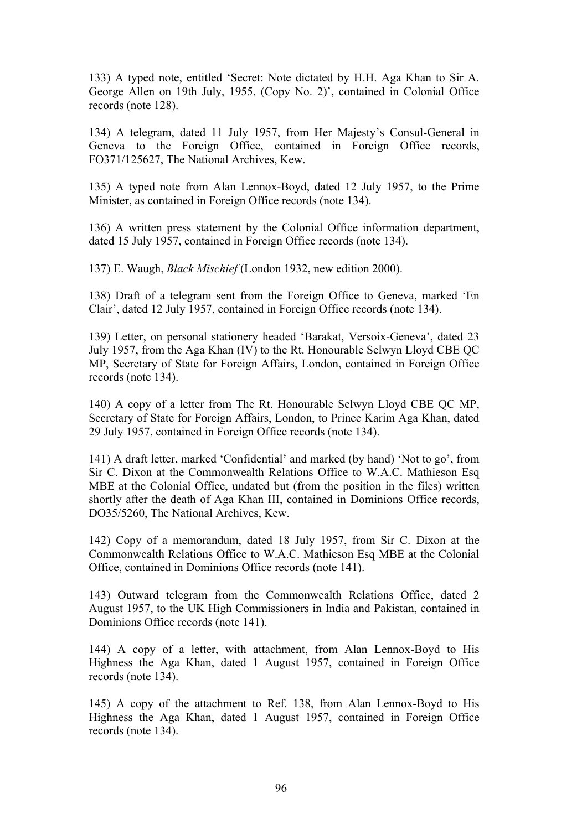133) A typed note, entitled 'Secret: Note dictated by H.H. Aga Khan to Sir A. George Allen on 19th July, 1955. (Copy No. 2)', contained in Colonial Office records (note 128).

134) A telegram, dated 11 July 1957, from Her Majesty's Consul-General in Geneva to the Foreign Office, contained in Foreign Office records, FO371/125627, The National Archives, Kew.

135) A typed note from Alan Lennox-Boyd, dated 12 July 1957, to the Prime Minister, as contained in Foreign Office records (note 134).

136) A written press statement by the Colonial Office information department, dated 15 July 1957, contained in Foreign Office records (note 134).

137) E. Waugh, *Black Mischief* (London 1932, new edition 2000).

138) Draft of a telegram sent from the Foreign Office to Geneva, marked 'En Clair', dated 12 July 1957, contained in Foreign Office records (note 134).

139) Letter, on personal stationery headed 'Barakat, Versoix-Geneva', dated 23 July 1957, from the Aga Khan (IV) to the Rt. Honourable Selwyn Lloyd CBE QC MP, Secretary of State for Foreign Affairs, London, contained in Foreign Office records (note 134).

140) A copy of a letter from The Rt. Honourable Selwyn Lloyd CBE QC MP, Secretary of State for Foreign Affairs, London, to Prince Karim Aga Khan, dated 29 July 1957, contained in Foreign Office records (note 134).

141) A draft letter, marked 'Confidential' and marked (by hand) 'Not to go', from Sir C. Dixon at the Commonwealth Relations Office to W.A.C. Mathieson Esq MBE at the Colonial Office, undated but (from the position in the files) written shortly after the death of Aga Khan III, contained in Dominions Office records, DO35/5260, The National Archives, Kew.

142) Copy of a memorandum, dated 18 July 1957, from Sir C. Dixon at the Commonwealth Relations Office to W.A.C. Mathieson Esq MBE at the Colonial Office, contained in Dominions Office records (note 141).

143) Outward telegram from the Commonwealth Relations Office, dated 2 August 1957, to the UK High Commissioners in India and Pakistan, contained in Dominions Office records (note 141).

144) A copy of a letter, with attachment, from Alan Lennox-Boyd to His Highness the Aga Khan, dated 1 August 1957, contained in Foreign Office records (note 134).

145) A copy of the attachment to Ref. 138, from Alan Lennox-Boyd to His Highness the Aga Khan, dated 1 August 1957, contained in Foreign Office records (note 134).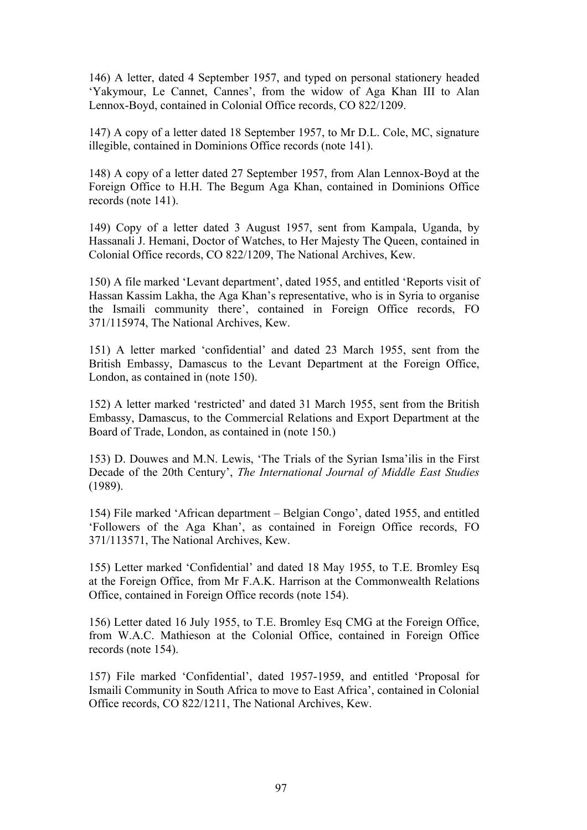146) A letter, dated 4 September 1957, and typed on personal stationery headed 'Yakymour, Le Cannet, Cannes', from the widow of Aga Khan III to Alan Lennox-Boyd, contained in Colonial Office records, CO 822/1209.

147) A copy of a letter dated 18 September 1957, to Mr D.L. Cole, MC, signature illegible, contained in Dominions Office records (note 141).

148) A copy of a letter dated 27 September 1957, from Alan Lennox-Boyd at the Foreign Office to H.H. The Begum Aga Khan, contained in Dominions Office records (note 141).

149) Copy of a letter dated 3 August 1957, sent from Kampala, Uganda, by Hassanali J. Hemani, Doctor of Watches, to Her Majesty The Queen, contained in Colonial Office records, CO 822/1209, The National Archives, Kew.

150) A file marked 'Levant department', dated 1955, and entitled 'Reports visit of Hassan Kassim Lakha, the Aga Khan's representative, who is in Syria to organise the Ismaili community there', contained in Foreign Office records, FO 371/115974, The National Archives, Kew.

151) A letter marked 'confidential' and dated 23 March 1955, sent from the British Embassy, Damascus to the Levant Department at the Foreign Office, London, as contained in (note 150).

152) A letter marked 'restricted' and dated 31 March 1955, sent from the British Embassy, Damascus, to the Commercial Relations and Export Department at the Board of Trade, London, as contained in (note 150.)

153) D. Douwes and M.N. Lewis, 'The Trials of the Syrian Isma'ilis in the First Decade of the 20th Century', *The International Journal of Middle East Studies*  (1989).

154) File marked 'African department – Belgian Congo', dated 1955, and entitled 'Followers of the Aga Khan', as contained in Foreign Office records, FO 371/113571, The National Archives, Kew.

155) Letter marked 'Confidential' and dated 18 May 1955, to T.E. Bromley Esq at the Foreign Office, from Mr F.A.K. Harrison at the Commonwealth Relations Office, contained in Foreign Office records (note 154).

156) Letter dated 16 July 1955, to T.E. Bromley Esq CMG at the Foreign Office, from W.A.C. Mathieson at the Colonial Office, contained in Foreign Office records (note 154).

157) File marked 'Confidential', dated 1957-1959, and entitled 'Proposal for Ismaili Community in South Africa to move to East Africa', contained in Colonial Office records, CO 822/1211, The National Archives, Kew.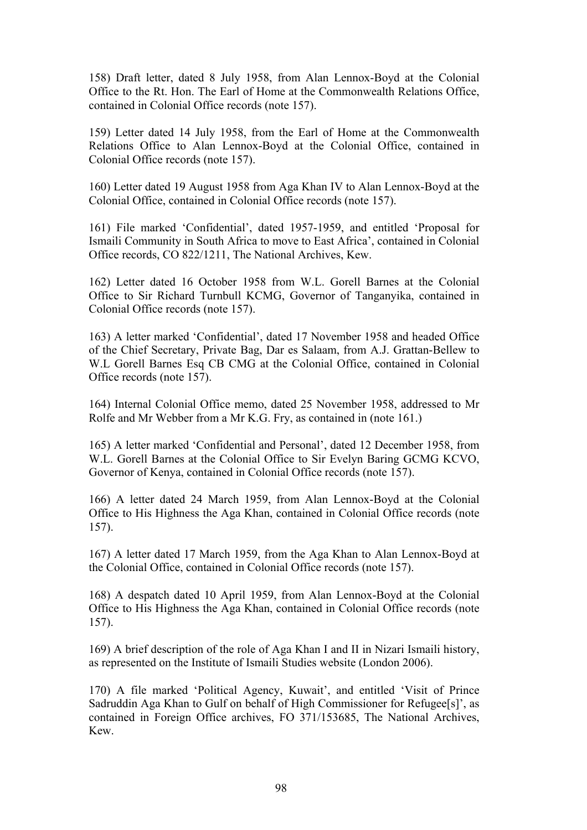158) Draft letter, dated 8 July 1958, from Alan Lennox-Boyd at the Colonial Office to the Rt. Hon. The Earl of Home at the Commonwealth Relations Office, contained in Colonial Office records (note 157).

159) Letter dated 14 July 1958, from the Earl of Home at the Commonwealth Relations Office to Alan Lennox-Boyd at the Colonial Office, contained in Colonial Office records (note 157).

160) Letter dated 19 August 1958 from Aga Khan IV to Alan Lennox-Boyd at the Colonial Office, contained in Colonial Office records (note 157).

161) File marked 'Confidential', dated 1957-1959, and entitled 'Proposal for Ismaili Community in South Africa to move to East Africa', contained in Colonial Office records, CO 822/1211, The National Archives, Kew.

162) Letter dated 16 October 1958 from W.L. Gorell Barnes at the Colonial Office to Sir Richard Turnbull KCMG, Governor of Tanganyika, contained in Colonial Office records (note 157).

163) A letter marked 'Confidential', dated 17 November 1958 and headed Office of the Chief Secretary, Private Bag, Dar es Salaam, from A.J. Grattan-Bellew to W.L Gorell Barnes Esq CB CMG at the Colonial Office, contained in Colonial Office records (note 157).

164) Internal Colonial Office memo, dated 25 November 1958, addressed to Mr Rolfe and Mr Webber from a Mr K.G. Fry, as contained in (note 161.)

165) A letter marked 'Confidential and Personal', dated 12 December 1958, from W.L. Gorell Barnes at the Colonial Office to Sir Evelyn Baring GCMG KCVO, Governor of Kenya, contained in Colonial Office records (note 157).

166) A letter dated 24 March 1959, from Alan Lennox-Boyd at the Colonial Office to His Highness the Aga Khan, contained in Colonial Office records (note 157).

167) A letter dated 17 March 1959, from the Aga Khan to Alan Lennox-Boyd at the Colonial Office, contained in Colonial Office records (note 157).

168) A despatch dated 10 April 1959, from Alan Lennox-Boyd at the Colonial Office to His Highness the Aga Khan, contained in Colonial Office records (note 157).

169) A brief description of the role of Aga Khan I and II in Nizari Ismaili history, as represented on the Institute of Ismaili Studies website (London 2006).

170) A file marked 'Political Agency, Kuwait', and entitled 'Visit of Prince Sadruddin Aga Khan to Gulf on behalf of High Commissioner for Refugee[s]', as contained in Foreign Office archives, FO 371/153685, The National Archives, Kew.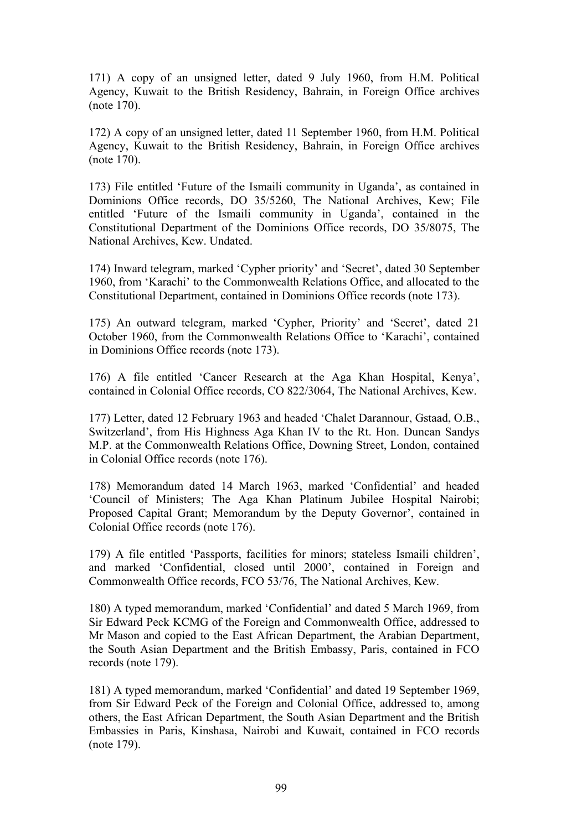171) A copy of an unsigned letter, dated 9 July 1960, from H.M. Political Agency, Kuwait to the British Residency, Bahrain, in Foreign Office archives (note 170).

172) A copy of an unsigned letter, dated 11 September 1960, from H.M. Political Agency, Kuwait to the British Residency, Bahrain, in Foreign Office archives (note 170).

173) File entitled 'Future of the Ismaili community in Uganda', as contained in Dominions Office records, DO 35/5260, The National Archives, Kew; File entitled 'Future of the Ismaili community in Uganda', contained in the Constitutional Department of the Dominions Office records, DO 35/8075, The National Archives, Kew. Undated.

174) Inward telegram, marked 'Cypher priority' and 'Secret', dated 30 September 1960, from 'Karachi' to the Commonwealth Relations Office, and allocated to the Constitutional Department, contained in Dominions Office records (note 173).

175) An outward telegram, marked 'Cypher, Priority' and 'Secret', dated 21 October 1960, from the Commonwealth Relations Office to 'Karachi', contained in Dominions Office records (note 173).

176) A file entitled 'Cancer Research at the Aga Khan Hospital, Kenya', contained in Colonial Office records, CO 822/3064, The National Archives, Kew.

177) Letter, dated 12 February 1963 and headed 'Chalet Darannour, Gstaad, O.B., Switzerland', from His Highness Aga Khan IV to the Rt. Hon. Duncan Sandys M.P. at the Commonwealth Relations Office, Downing Street, London, contained in Colonial Office records (note 176).

178) Memorandum dated 14 March 1963, marked 'Confidential' and headed 'Council of Ministers; The Aga Khan Platinum Jubilee Hospital Nairobi; Proposed Capital Grant; Memorandum by the Deputy Governor', contained in Colonial Office records (note 176).

179) A file entitled 'Passports, facilities for minors; stateless Ismaili children', and marked 'Confidential, closed until 2000', contained in Foreign and Commonwealth Office records, FCO 53/76, The National Archives, Kew.

180) A typed memorandum, marked 'Confidential' and dated 5 March 1969, from Sir Edward Peck KCMG of the Foreign and Commonwealth Office, addressed to Mr Mason and copied to the East African Department, the Arabian Department, the South Asian Department and the British Embassy, Paris, contained in FCO records (note 179).

181) A typed memorandum, marked 'Confidential' and dated 19 September 1969, from Sir Edward Peck of the Foreign and Colonial Office, addressed to, among others, the East African Department, the South Asian Department and the British Embassies in Paris, Kinshasa, Nairobi and Kuwait, contained in FCO records (note 179).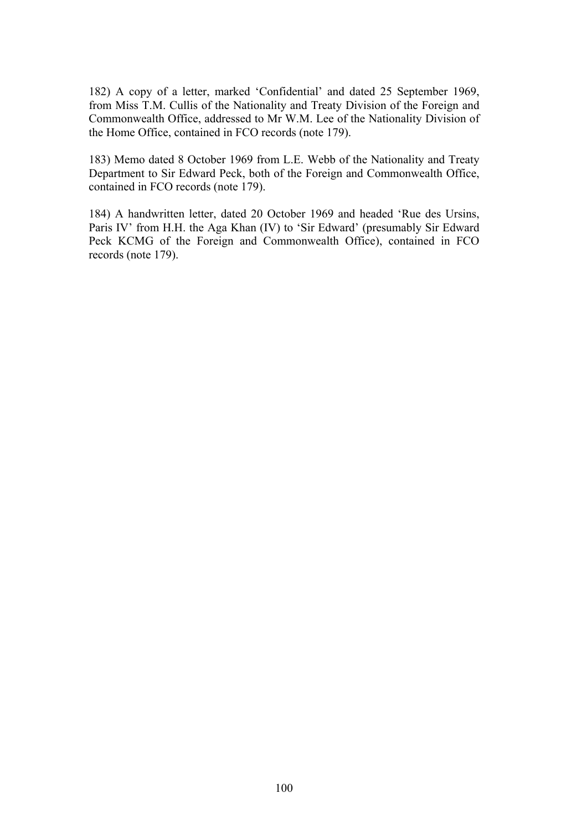182) A copy of a letter, marked 'Confidential' and dated 25 September 1969, from Miss T.M. Cullis of the Nationality and Treaty Division of the Foreign and Commonwealth Office, addressed to Mr W.M. Lee of the Nationality Division of the Home Office, contained in FCO records (note 179).

183) Memo dated 8 October 1969 from L.E. Webb of the Nationality and Treaty Department to Sir Edward Peck, both of the Foreign and Commonwealth Office, contained in FCO records (note 179).

184) A handwritten letter, dated 20 October 1969 and headed 'Rue des Ursins, Paris IV' from H.H. the Aga Khan (IV) to 'Sir Edward' (presumably Sir Edward Peck KCMG of the Foreign and Commonwealth Office), contained in FCO records (note 179).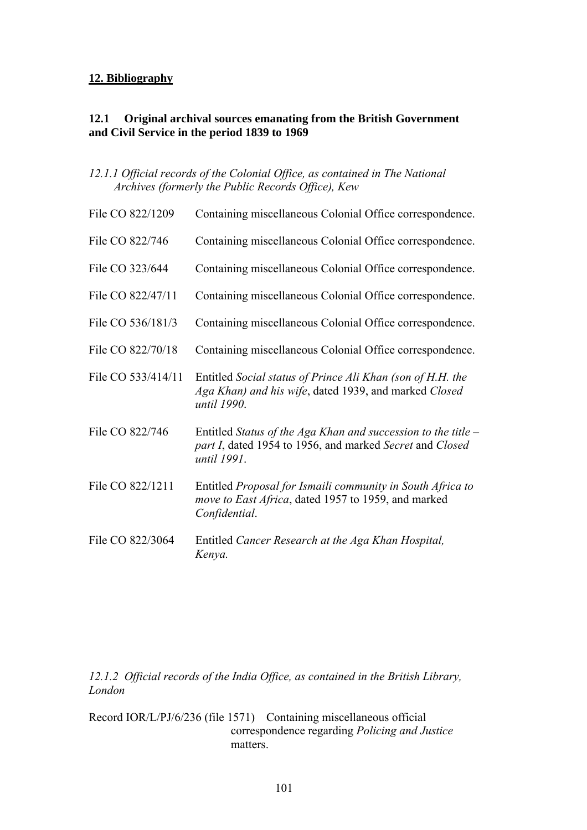# **12. Bibliography**

# **12.1 Original archival sources emanating from the British Government and Civil Service in the period 1839 to 1969**

*12.1.1 Official records of the Colonial Office, as contained in The National Archives (formerly the Public Records Office), Kew* 

| File CO 822/1209   | Containing miscellaneous Colonial Office correspondence.                                                                                   |
|--------------------|--------------------------------------------------------------------------------------------------------------------------------------------|
| File CO 822/746    | Containing miscellaneous Colonial Office correspondence.                                                                                   |
| File CO 323/644    | Containing miscellaneous Colonial Office correspondence.                                                                                   |
| File CO 822/47/11  | Containing miscellaneous Colonial Office correspondence.                                                                                   |
| File CO 536/181/3  | Containing miscellaneous Colonial Office correspondence.                                                                                   |
| File CO 822/70/18  | Containing miscellaneous Colonial Office correspondence.                                                                                   |
| File CO 533/414/11 | Entitled Social status of Prince Ali Khan (son of H.H. the<br>Aga Khan) and his wife, dated 1939, and marked Closed<br>until 1990.         |
| File CO 822/746    | Entitled Status of the Aga Khan and succession to the title $-$<br>part I, dated 1954 to 1956, and marked Secret and Closed<br>until 1991. |
| File CO 822/1211   | Entitled Proposal for Ismaili community in South Africa to<br>move to East Africa, dated 1957 to 1959, and marked<br>Confidential.         |
| File CO 822/3064   | Entitled Cancer Research at the Aga Khan Hospital,<br>Kenya.                                                                               |

*12.1.2 Official records of the India Office, as contained in the British Library, London* 

Record IOR/L/PJ/6/236 (file 1571) Containing miscellaneous official correspondence regarding *Policing and Justice* matters.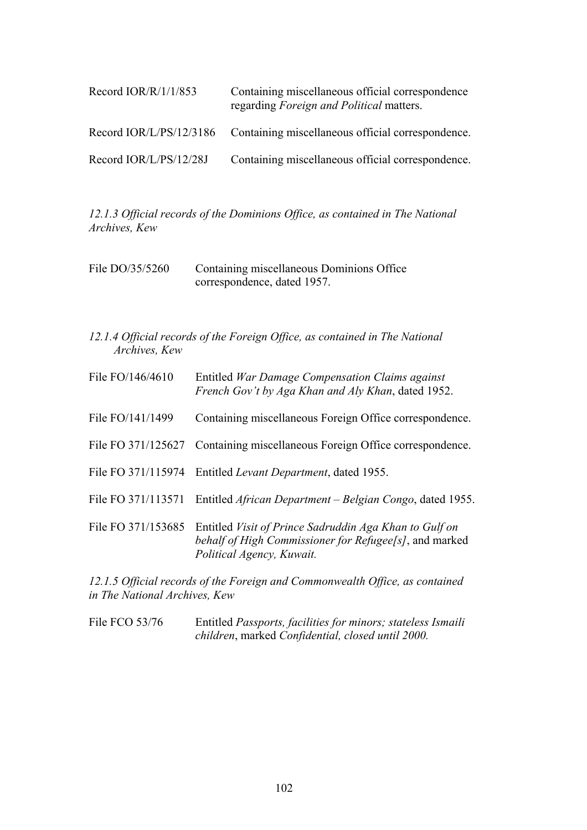| Record $IOR/R/1/1/853$    | Containing miscellaneous official correspondence<br>regarding Foreign and Political matters. |
|---------------------------|----------------------------------------------------------------------------------------------|
| Record $IOR/L/PS/12/3186$ | Containing miscellaneous official correspondence.                                            |
| Record IOR/L/PS/12/28J    | Containing miscellaneous official correspondence.                                            |

*12.1.3 Official records of the Dominions Office, as contained in The National Archives, Kew* 

| File DO/35/5260 | Containing miscellaneous Dominions Office |
|-----------------|-------------------------------------------|
|                 | correspondence, dated 1957.               |

*12.1.4 Official records of the Foreign Office, as contained in The National Archives, Kew* 

| File FO/146/4610   | Entitled War Damage Compensation Claims against<br>French Gov't by Aga Khan and Aly Khan, dated 1952.                                         |
|--------------------|-----------------------------------------------------------------------------------------------------------------------------------------------|
| File FO/141/1499   | Containing miscellaneous Foreign Office correspondence.                                                                                       |
| File FO 371/125627 | Containing miscellaneous Foreign Office correspondence.                                                                                       |
|                    | File FO 371/115974 Entitled Levant Department, dated 1955.                                                                                    |
| File FO 371/113571 | Entitled <i>African Department – Belgian Congo</i> , dated 1955.                                                                              |
| File FO 371/153685 | Entitled Visit of Prince Sadruddin Aga Khan to Gulf on<br>behalf of High Commissioner for Refugee[s], and marked<br>Political Agency, Kuwait. |

*12.1.5 Official records of the Foreign and Commonwealth Office, as contained in The National Archives, Kew* 

File FCO 53/76 Entitled *Passports, facilities for minors; stateless Ismaili children*, marked *Confidential, closed until 2000.*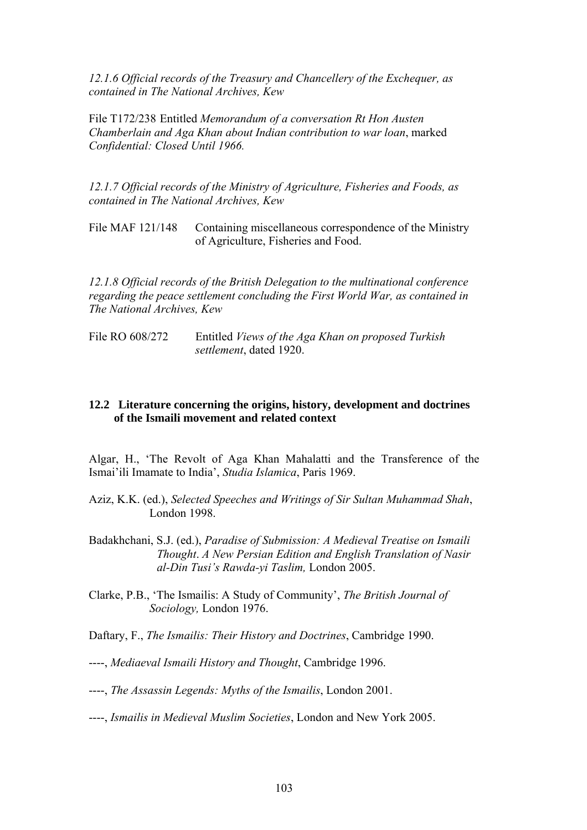*12.1.6 Official records of the Treasury and Chancellery of the Exchequer, as contained in The National Archives, Kew* 

File T172/238 Entitled *Memorandum of a conversation Rt Hon Austen Chamberlain and Aga Khan about Indian contribution to war loan*, marked *Confidential: Closed Until 1966.* 

*12.1.7 Official records of the Ministry of Agriculture, Fisheries and Foods, as contained in The National Archives, Kew* 

File MAF 121/148 Containing miscellaneous correspondence of the Ministry of Agriculture, Fisheries and Food.

*12.1.8 Official records of the British Delegation to the multinational conference regarding the peace settlement concluding the First World War, as contained in The National Archives, Kew* 

File RO 608/272 Entitled *Views of the Aga Khan on proposed Turkish settlement*, dated 1920.

### **12.2 Literature concerning the origins, history, development and doctrines of the Ismaili movement and related context**

Algar, H., 'The Revolt of Aga Khan Mahalatti and the Transference of the Ismai'ili Imamate to India', *Studia Islamica*, Paris 1969.

- Aziz, K.K. (ed.), *Selected Speeches and Writings of Sir Sultan Muhammad Shah*, London 1998.
- Badakhchani, S.J. (ed.), *Paradise of Submission: A Medieval Treatise on Ismaili Thought*. *A New Persian Edition and English Translation of Nasir al-Din Tusi's Rawda-yi Taslim,* London 2005.
- Clarke, P.B., 'The Ismailis: A Study of Community', *The British Journal of Sociology,* London 1976.
- Daftary, F., *The Ismailis: Their History and Doctrines*, Cambridge 1990.
- ----, *Mediaeval Ismaili History and Thought*, Cambridge 1996.
- ----, *The Assassin Legends: Myths of the Ismailis*, London 2001.
- ----, *Ismailis in Medieval Muslim Societies*, London and New York 2005.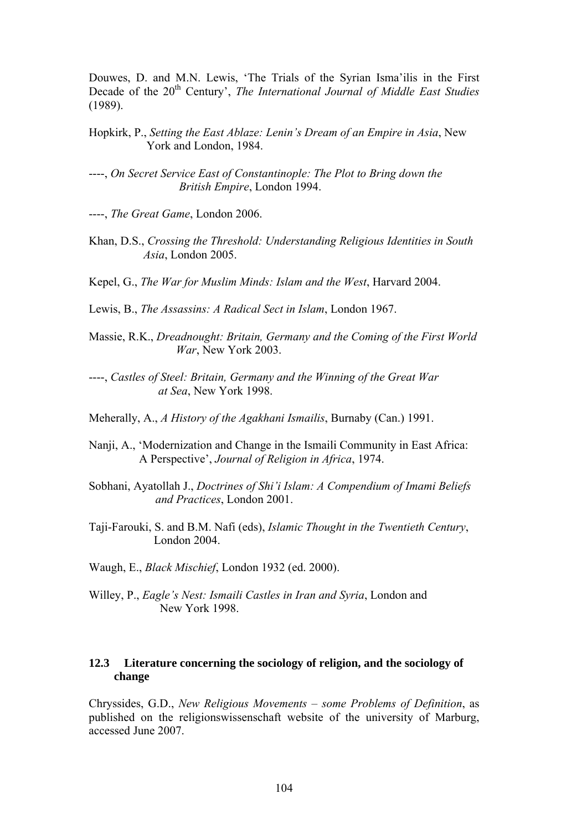Douwes, D. and M.N. Lewis, 'The Trials of the Syrian Isma'ilis in the First Decade of the 20<sup>th</sup> Century', *The International Journal of Middle East Studies* (1989).

- Hopkirk, P., *Setting the East Ablaze: Lenin's Dream of an Empire in Asia*, New York and London, 1984.
- ----, *On Secret Service East of Constantinople: The Plot to Bring down the British Empire*, London 1994.
- ----, *The Great Game*, London 2006.
- Khan, D.S., *Crossing the Threshold: Understanding Religious Identities in South Asia*, London 2005.
- Kepel, G., *The War for Muslim Minds: Islam and the West*, Harvard 2004.
- Lewis, B., *The Assassins: A Radical Sect in Islam*, London 1967.
- Massie, R.K., *Dreadnought: Britain, Germany and the Coming of the First World War*, New York 2003.
- ----, *Castles of Steel: Britain, Germany and the Winning of the Great War at Sea*, New York 1998.
- Meherally, A., *A History of the Agakhani Ismailis*, Burnaby (Can.) 1991.
- Nanji, A., 'Modernization and Change in the Ismaili Community in East Africa: A Perspective', *Journal of Religion in Africa*, 1974.
- Sobhani, Ayatollah J., *Doctrines of Shi'i Islam: A Compendium of Imami Beliefs and Practices*, London 2001.
- Taji-Farouki, S. and B.M. Nafi (eds), *Islamic Thought in the Twentieth Century*, London 2004.
- Waugh, E., *Black Mischief*, London 1932 (ed. 2000).
- Willey, P., *Eagle's Nest: Ismaili Castles in Iran and Syria*, London and New York 1998.

### **12.3 Literature concerning the sociology of religion, and the sociology of change**

Chryssides, G.D., *New Religious Movements – some Problems of Definition*, as published on the religionswissenschaft website of the university of Marburg, accessed June 2007.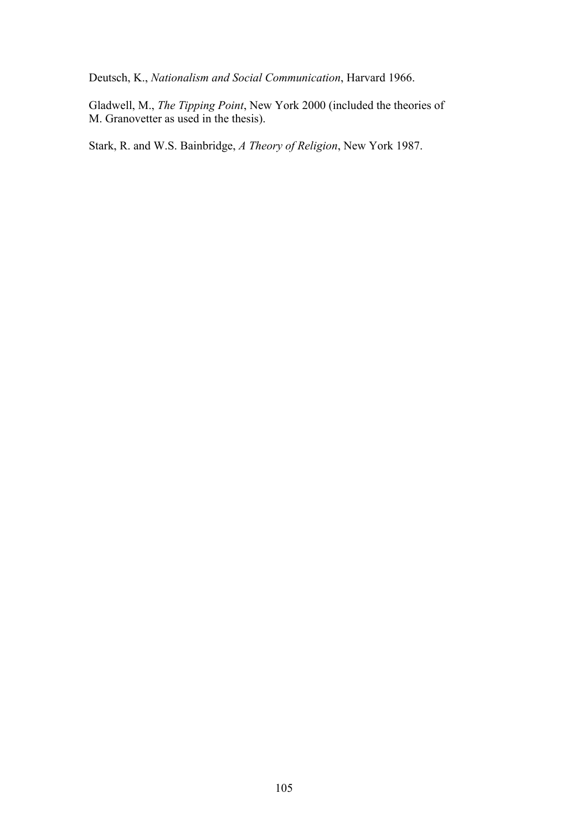Deutsch, K., *Nationalism and Social Communication*, Harvard 1966.

Gladwell, M., *The Tipping Point*, New York 2000 (included the theories of M. Granovetter as used in the thesis).

Stark, R. and W.S. Bainbridge, *A Theory of Religion*, New York 1987.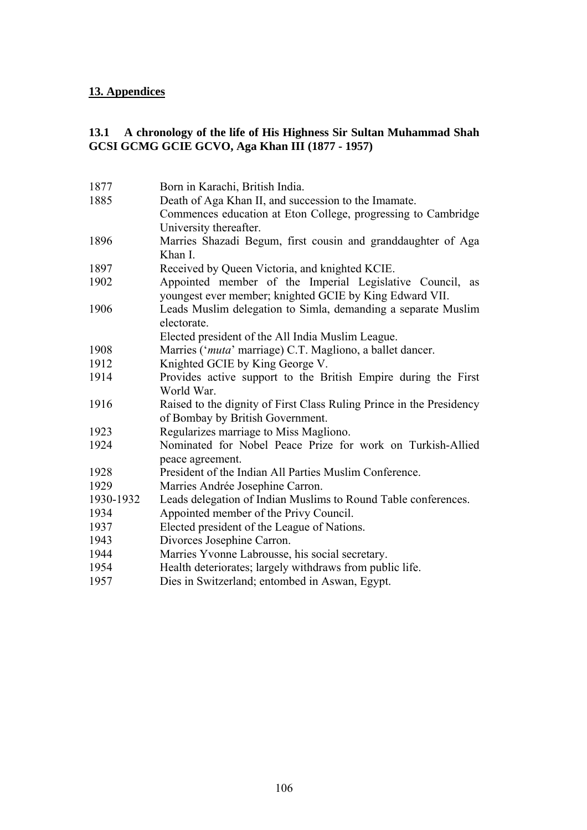### **13. Appendices**

# **13.1 A chronology of the life of His Highness Sir Sultan Muhammad Shah GCSI GCMG GCIE GCVO, Aga Khan III (1877 - 1957)**

| 1877      | Born in Karachi, British India.                                      |
|-----------|----------------------------------------------------------------------|
| 1885      | Death of Aga Khan II, and succession to the Imamate.                 |
|           | Commences education at Eton College, progressing to Cambridge        |
|           | University thereafter.                                               |
| 1896      | Marries Shazadi Begum, first cousin and granddaughter of Aga         |
|           | Khan I.                                                              |
| 1897      | Received by Queen Victoria, and knighted KCIE.                       |
| 1902      | Appointed member of the Imperial Legislative Council, as             |
|           | youngest ever member; knighted GCIE by King Edward VII.              |
| 1906      | Leads Muslim delegation to Simla, demanding a separate Muslim        |
|           | electorate.                                                          |
|           | Elected president of the All India Muslim League.                    |
| 1908      | Marries (' <i>muta'</i> marriage) C.T. Magliono, a ballet dancer.    |
| 1912      | Knighted GCIE by King George V.                                      |
| 1914      | Provides active support to the British Empire during the First       |
|           | World War.                                                           |
| 1916      | Raised to the dignity of First Class Ruling Prince in the Presidency |
|           | of Bombay by British Government.                                     |
| 1923      | Regularizes marriage to Miss Magliono.                               |
| 1924      | Nominated for Nobel Peace Prize for work on Turkish-Allied           |
|           | peace agreement.                                                     |
| 1928      | President of the Indian All Parties Muslim Conference.               |
| 1929      | Marries Andrée Josephine Carron.                                     |
| 1930-1932 | Leads delegation of Indian Muslims to Round Table conferences.       |
| 1934      | Appointed member of the Privy Council.                               |
| 1937      | Elected president of the League of Nations.                          |
| 1943      | Divorces Josephine Carron.                                           |
| 1944      | Marries Yvonne Labrousse, his social secretary.                      |
| 1954      | Health deteriorates; largely withdraws from public life.             |
| 1957      | Dies in Switzerland; entombed in Aswan, Egypt.                       |
|           |                                                                      |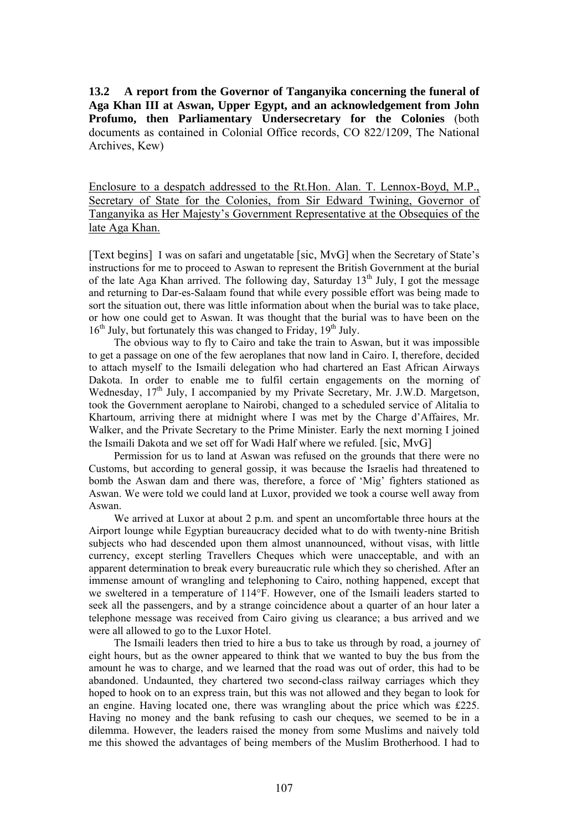**13.2 A report from the Governor of Tanganyika concerning the funeral of Aga Khan III at Aswan, Upper Egypt, and an acknowledgement from John Profumo, then Parliamentary Undersecretary for the Colonies** (both documents as contained in Colonial Office records, CO 822/1209, The National Archives, Kew)

Enclosure to a despatch addressed to the Rt.Hon. Alan. T. Lennox-Boyd, M.P., Secretary of State for the Colonies, from Sir Edward Twining, Governor of Tanganyika as Her Majesty's Government Representative at the Obsequies of the late Aga Khan.

[Text begins] I was on safari and ungetatable [sic, MvG] when the Secretary of State's instructions for me to proceed to Aswan to represent the British Government at the burial of the late Aga Khan arrived. The following day, Saturday  $13<sup>th</sup>$  July, I got the message and returning to Dar-es-Salaam found that while every possible effort was being made to sort the situation out, there was little information about when the burial was to take place, or how one could get to Aswan. It was thought that the burial was to have been on the  $16<sup>th</sup>$  July, but fortunately this was changed to Friday,  $19<sup>th</sup>$  July.

The obvious way to fly to Cairo and take the train to Aswan, but it was impossible to get a passage on one of the few aeroplanes that now land in Cairo. I, therefore, decided to attach myself to the Ismaili delegation who had chartered an East African Airways Dakota. In order to enable me to fulfil certain engagements on the morning of Wednesday, 17<sup>th</sup> July, I accompanied by my Private Secretary, Mr. J.W.D. Margetson, took the Government aeroplane to Nairobi, changed to a scheduled service of Alitalia to Khartoum, arriving there at midnight where I was met by the Charge d'Affaires, Mr. Walker, and the Private Secretary to the Prime Minister. Early the next morning I joined the Ismaili Dakota and we set off for Wadi Half where we refuled. [sic, MvG]

Permission for us to land at Aswan was refused on the grounds that there were no Customs, but according to general gossip, it was because the Israelis had threatened to bomb the Aswan dam and there was, therefore, a force of 'Mig' fighters stationed as Aswan. We were told we could land at Luxor, provided we took a course well away from Aswan.

We arrived at Luxor at about 2 p.m. and spent an uncomfortable three hours at the Airport lounge while Egyptian bureaucracy decided what to do with twenty-nine British subjects who had descended upon them almost unannounced, without visas, with little currency, except sterling Travellers Cheques which were unacceptable, and with an apparent determination to break every bureaucratic rule which they so cherished. After an immense amount of wrangling and telephoning to Cairo, nothing happened, except that we sweltered in a temperature of 114°F. However, one of the Ismaili leaders started to seek all the passengers, and by a strange coincidence about a quarter of an hour later a telephone message was received from Cairo giving us clearance; a bus arrived and we were all allowed to go to the Luxor Hotel.

The Ismaili leaders then tried to hire a bus to take us through by road, a journey of eight hours, but as the owner appeared to think that we wanted to buy the bus from the amount he was to charge, and we learned that the road was out of order, this had to be abandoned. Undaunted, they chartered two second-class railway carriages which they hoped to hook on to an express train, but this was not allowed and they began to look for an engine. Having located one, there was wrangling about the price which was £225. Having no money and the bank refusing to cash our cheques, we seemed to be in a dilemma. However, the leaders raised the money from some Muslims and naively told me this showed the advantages of being members of the Muslim Brotherhood. I had to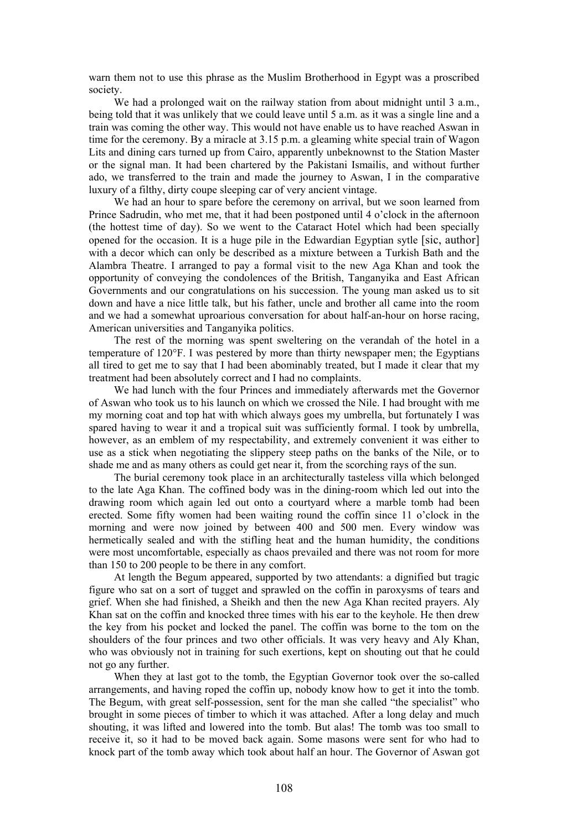warn them not to use this phrase as the Muslim Brotherhood in Egypt was a proscribed society.

We had a prolonged wait on the railway station from about midnight until 3 a.m., being told that it was unlikely that we could leave until 5 a.m. as it was a single line and a train was coming the other way. This would not have enable us to have reached Aswan in time for the ceremony. By a miracle at 3.15 p.m. a gleaming white special train of Wagon Lits and dining cars turned up from Cairo, apparently unbeknownst to the Station Master or the signal man. It had been chartered by the Pakistani Ismailis, and without further ado, we transferred to the train and made the journey to Aswan, I in the comparative luxury of a filthy, dirty coupe sleeping car of very ancient vintage.

We had an hour to spare before the ceremony on arrival, but we soon learned from Prince Sadrudin, who met me, that it had been postponed until 4 o'clock in the afternoon (the hottest time of day). So we went to the Cataract Hotel which had been specially opened for the occasion. It is a huge pile in the Edwardian Egyptian sytle [sic, author] with a decor which can only be described as a mixture between a Turkish Bath and the Alambra Theatre. I arranged to pay a formal visit to the new Aga Khan and took the opportunity of conveying the condolences of the British, Tanganyika and East African Governments and our congratulations on his succession. The young man asked us to sit down and have a nice little talk, but his father, uncle and brother all came into the room and we had a somewhat uproarious conversation for about half-an-hour on horse racing, American universities and Tanganyika politics.

The rest of the morning was spent sweltering on the verandah of the hotel in a temperature of 120°F. I was pestered by more than thirty newspaper men; the Egyptians all tired to get me to say that I had been abominably treated, but I made it clear that my treatment had been absolutely correct and I had no complaints.

We had lunch with the four Princes and immediately afterwards met the Governor of Aswan who took us to his launch on which we crossed the Nile. I had brought with me my morning coat and top hat with which always goes my umbrella, but fortunately I was spared having to wear it and a tropical suit was sufficiently formal. I took by umbrella, however, as an emblem of my respectability, and extremely convenient it was either to use as a stick when negotiating the slippery steep paths on the banks of the Nile, or to shade me and as many others as could get near it, from the scorching rays of the sun.

The burial ceremony took place in an architecturally tasteless villa which belonged to the late Aga Khan. The coffined body was in the dining-room which led out into the drawing room which again led out onto a courtyard where a marble tomb had been erected. Some fifty women had been waiting round the coffin since 11 o'clock in the morning and were now joined by between 400 and 500 men. Every window was hermetically sealed and with the stifling heat and the human humidity, the conditions were most uncomfortable, especially as chaos prevailed and there was not room for more than 150 to 200 people to be there in any comfort.

At length the Begum appeared, supported by two attendants: a dignified but tragic figure who sat on a sort of tugget and sprawled on the coffin in paroxysms of tears and grief. When she had finished, a Sheikh and then the new Aga Khan recited prayers. Aly Khan sat on the coffin and knocked three times with his ear to the keyhole. He then drew the key from his pocket and locked the panel. The coffin was borne to the tom on the shoulders of the four princes and two other officials. It was very heavy and Aly Khan, who was obviously not in training for such exertions, kept on shouting out that he could not go any further.

When they at last got to the tomb, the Egyptian Governor took over the so-called arrangements, and having roped the coffin up, nobody know how to get it into the tomb. The Begum, with great self-possession, sent for the man she called "the specialist" who brought in some pieces of timber to which it was attached. After a long delay and much shouting, it was lifted and lowered into the tomb. But alas! The tomb was too small to receive it, so it had to be moved back again. Some masons were sent for who had to knock part of the tomb away which took about half an hour. The Governor of Aswan got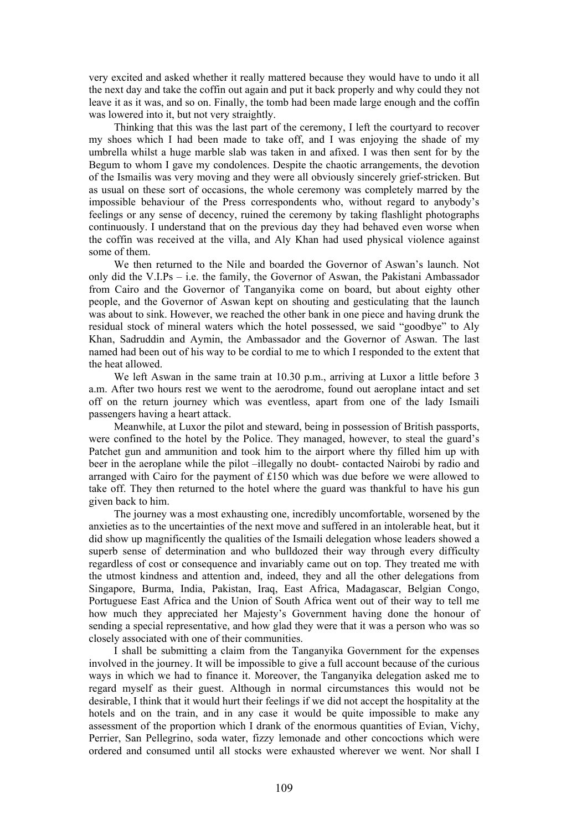very excited and asked whether it really mattered because they would have to undo it all the next day and take the coffin out again and put it back properly and why could they not leave it as it was, and so on. Finally, the tomb had been made large enough and the coffin was lowered into it, but not very straightly.

Thinking that this was the last part of the ceremony, I left the courtyard to recover my shoes which I had been made to take off, and I was enjoying the shade of my umbrella whilst a huge marble slab was taken in and afixed. I was then sent for by the Begum to whom I gave my condolences. Despite the chaotic arrangements, the devotion of the Ismailis was very moving and they were all obviously sincerely grief-stricken. But as usual on these sort of occasions, the whole ceremony was completely marred by the impossible behaviour of the Press correspondents who, without regard to anybody's feelings or any sense of decency, ruined the ceremony by taking flashlight photographs continuously. I understand that on the previous day they had behaved even worse when the coffin was received at the villa, and Aly Khan had used physical violence against some of them.

We then returned to the Nile and boarded the Governor of Aswan's launch. Not only did the V.I.Ps – i.e. the family, the Governor of Aswan, the Pakistani Ambassador from Cairo and the Governor of Tanganyika come on board, but about eighty other people, and the Governor of Aswan kept on shouting and gesticulating that the launch was about to sink. However, we reached the other bank in one piece and having drunk the residual stock of mineral waters which the hotel possessed, we said "goodbye" to Aly Khan, Sadruddin and Aymin, the Ambassador and the Governor of Aswan. The last named had been out of his way to be cordial to me to which I responded to the extent that the heat allowed.

We left Aswan in the same train at 10.30 p.m., arriving at Luxor a little before 3 a.m. After two hours rest we went to the aerodrome, found out aeroplane intact and set off on the return journey which was eventless, apart from one of the lady Ismaili passengers having a heart attack.

Meanwhile, at Luxor the pilot and steward, being in possession of British passports, were confined to the hotel by the Police. They managed, however, to steal the guard's Patchet gun and ammunition and took him to the airport where thy filled him up with beer in the aeroplane while the pilot –illegally no doubt- contacted Nairobi by radio and arranged with Cairo for the payment of £150 which was due before we were allowed to take off. They then returned to the hotel where the guard was thankful to have his gun given back to him.

The journey was a most exhausting one, incredibly uncomfortable, worsened by the anxieties as to the uncertainties of the next move and suffered in an intolerable heat, but it did show up magnificently the qualities of the Ismaili delegation whose leaders showed a superb sense of determination and who bulldozed their way through every difficulty regardless of cost or consequence and invariably came out on top. They treated me with the utmost kindness and attention and, indeed, they and all the other delegations from Singapore, Burma, India, Pakistan, Iraq, East Africa, Madagascar, Belgian Congo, Portuguese East Africa and the Union of South Africa went out of their way to tell me how much they appreciated her Majesty's Government having done the honour of sending a special representative, and how glad they were that it was a person who was so closely associated with one of their communities.

I shall be submitting a claim from the Tanganyika Government for the expenses involved in the journey. It will be impossible to give a full account because of the curious ways in which we had to finance it. Moreover, the Tanganyika delegation asked me to regard myself as their guest. Although in normal circumstances this would not be desirable, I think that it would hurt their feelings if we did not accept the hospitality at the hotels and on the train, and in any case it would be quite impossible to make any assessment of the proportion which I drank of the enormous quantities of Evian, Vichy, Perrier, San Pellegrino, soda water, fizzy lemonade and other concoctions which were ordered and consumed until all stocks were exhausted wherever we went. Nor shall I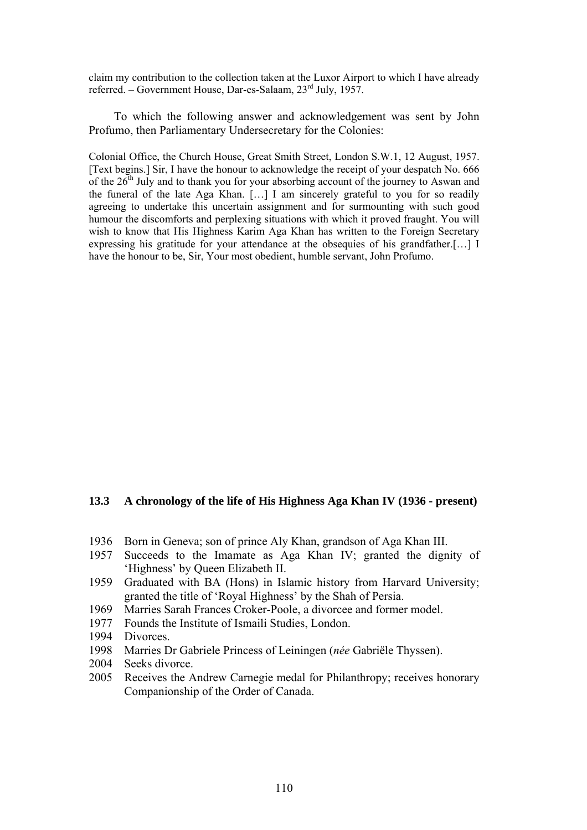claim my contribution to the collection taken at the Luxor Airport to which I have already referred. – Government House, Dar-es-Salaam, 23rd July, 1957.

To which the following answer and acknowledgement was sent by John Profumo, then Parliamentary Undersecretary for the Colonies:

Colonial Office, the Church House, Great Smith Street, London S.W.1, 12 August, 1957. [Text begins.] Sir, I have the honour to acknowledge the receipt of your despatch No. 666 of the  $26<sup>th</sup>$  July and to thank you for your absorbing account of the journey to Aswan and the funeral of the late Aga Khan. […] I am sincerely grateful to you for so readily agreeing to undertake this uncertain assignment and for surmounting with such good humour the discomforts and perplexing situations with which it proved fraught. You will wish to know that His Highness Karim Aga Khan has written to the Foreign Secretary expressing his gratitude for your attendance at the obsequies of his grandfather.[…] I have the honour to be, Sir, Your most obedient, humble servant, John Profumo.

#### **13.3 A chronology of the life of His Highness Aga Khan IV (1936 - present)**

- 1936 Born in Geneva; son of prince Aly Khan, grandson of Aga Khan III.
- 1957 Succeeds to the Imamate as Aga Khan IV; granted the dignity of 'Highness' by Queen Elizabeth II.
- 1959 Graduated with BA (Hons) in Islamic history from Harvard University; granted the title of 'Royal Highness' by the Shah of Persia.
- 1969 Marries Sarah Frances Croker-Poole, a divorcee and former model.
- 1977 Founds the Institute of Ismaili Studies, London.
- 1994 Divorces.
- 1998 Marries Dr Gabriele Princess of Leiningen (*née* Gabriële Thyssen).
- 2004 Seeks divorce.
- 2005 Receives the Andrew Carnegie medal for Philanthropy; receives honorary Companionship of the Order of Canada.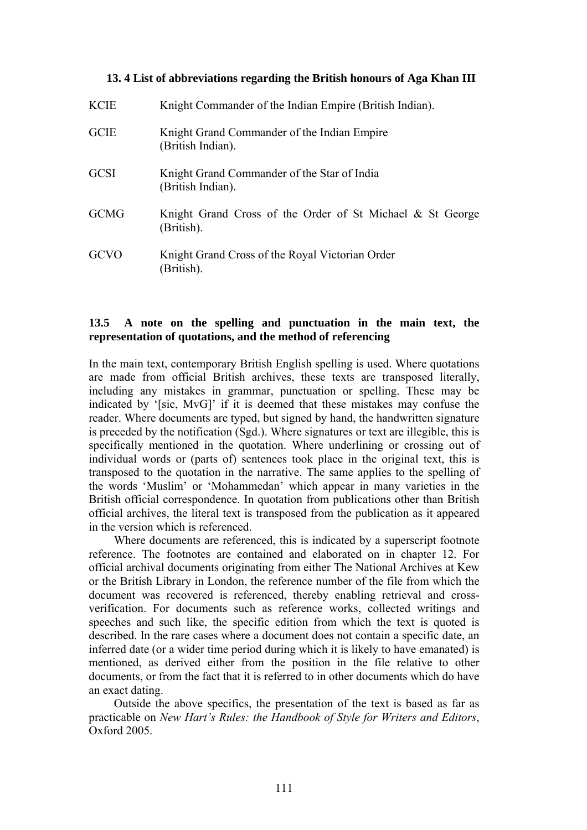## **13. 4 List of abbreviations regarding the British honours of Aga Khan III**

| <b>KCIE</b> | Knight Commander of the Indian Empire (British Indian).                 |
|-------------|-------------------------------------------------------------------------|
| <b>GCIE</b> | Knight Grand Commander of the Indian Empire<br>(British Indian).        |
| <b>GCSI</b> | Knight Grand Commander of the Star of India<br>(British Indian).        |
| <b>GCMG</b> | Knight Grand Cross of the Order of St Michael & St George<br>(British). |
| GCVO        | Knight Grand Cross of the Royal Victorian Order<br>(British).           |

# **13.5 A note on the spelling and punctuation in the main text, the representation of quotations, and the method of referencing**

In the main text, contemporary British English spelling is used. Where quotations are made from official British archives, these texts are transposed literally, including any mistakes in grammar, punctuation or spelling. These may be indicated by '[sic, MvG]' if it is deemed that these mistakes may confuse the reader. Where documents are typed, but signed by hand, the handwritten signature is preceded by the notification (Sgd.). Where signatures or text are illegible, this is specifically mentioned in the quotation. Where underlining or crossing out of individual words or (parts of) sentences took place in the original text, this is transposed to the quotation in the narrative. The same applies to the spelling of the words 'Muslim' or 'Mohammedan' which appear in many varieties in the British official correspondence. In quotation from publications other than British official archives, the literal text is transposed from the publication as it appeared in the version which is referenced.

Where documents are referenced, this is indicated by a superscript footnote reference. The footnotes are contained and elaborated on in chapter 12. For official archival documents originating from either The National Archives at Kew or the British Library in London, the reference number of the file from which the document was recovered is referenced, thereby enabling retrieval and crossverification. For documents such as reference works, collected writings and speeches and such like, the specific edition from which the text is quoted is described. In the rare cases where a document does not contain a specific date, an inferred date (or a wider time period during which it is likely to have emanated) is mentioned, as derived either from the position in the file relative to other documents, or from the fact that it is referred to in other documents which do have an exact dating.

Outside the above specifics, the presentation of the text is based as far as practicable on *New Hart's Rules: the Handbook of Style for Writers and Editors*, Oxford 2005.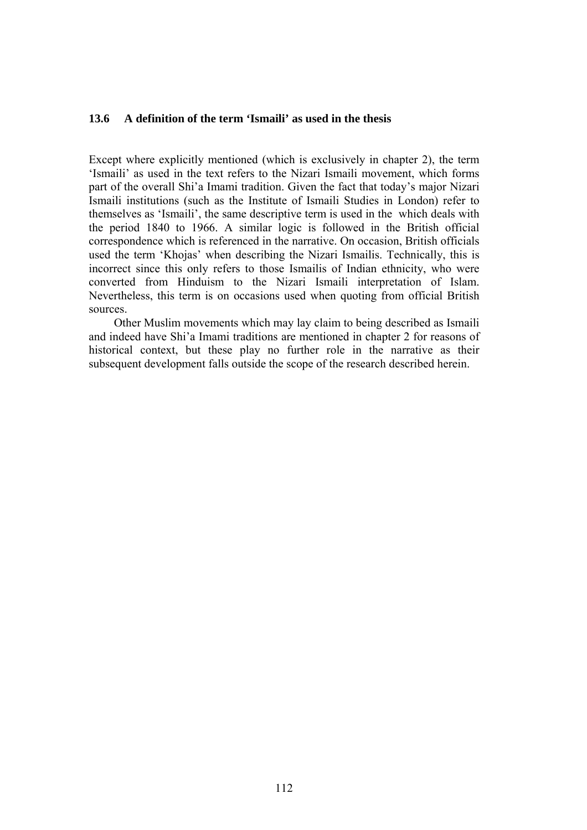## **13.6 A definition of the term 'Ismaili' as used in the thesis**

Except where explicitly mentioned (which is exclusively in chapter 2), the term 'Ismaili' as used in the text refers to the Nizari Ismaili movement, which forms part of the overall Shi'a Imami tradition. Given the fact that today's major Nizari Ismaili institutions (such as the Institute of Ismaili Studies in London) refer to themselves as 'Ismaili', the same descriptive term is used in the which deals with the period 1840 to 1966. A similar logic is followed in the British official correspondence which is referenced in the narrative. On occasion, British officials used the term 'Khojas' when describing the Nizari Ismailis. Technically, this is incorrect since this only refers to those Ismailis of Indian ethnicity, who were converted from Hinduism to the Nizari Ismaili interpretation of Islam. Nevertheless, this term is on occasions used when quoting from official British sources.

Other Muslim movements which may lay claim to being described as Ismaili and indeed have Shi'a Imami traditions are mentioned in chapter 2 for reasons of historical context, but these play no further role in the narrative as their subsequent development falls outside the scope of the research described herein.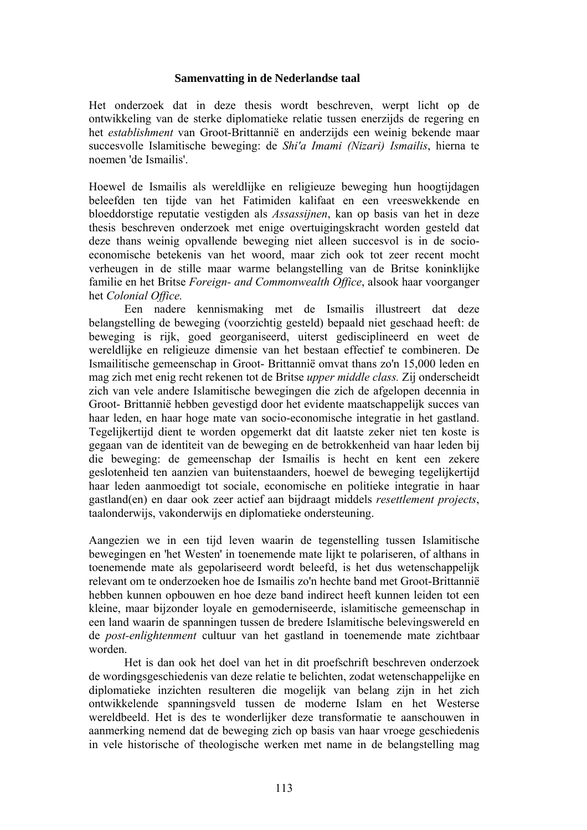## **Samenvatting in de Nederlandse taal**

Het onderzoek dat in deze thesis wordt beschreven, werpt licht op de ontwikkeling van de sterke diplomatieke relatie tussen enerzijds de regering en het *establishment* van Groot-Brittannië en anderzijds een weinig bekende maar succesvolle Islamitische beweging: de *Shi'a Imami (Nizari) Ismailis*, hierna te noemen 'de Ismailis'.

Hoewel de Ismailis als wereldlijke en religieuze beweging hun hoogtijdagen beleefden ten tijde van het Fatimiden kalifaat en een vreeswekkende en bloeddorstige reputatie vestigden als *Assassijnen*, kan op basis van het in deze thesis beschreven onderzoek met enige overtuigingskracht worden gesteld dat deze thans weinig opvallende beweging niet alleen succesvol is in de socioeconomische betekenis van het woord, maar zich ook tot zeer recent mocht verheugen in de stille maar warme belangstelling van de Britse koninklijke familie en het Britse *Foreign- and Commonwealth Office*, alsook haar voorganger het *Colonial Office.* 

Een nadere kennismaking met de Ismailis illustreert dat deze belangstelling de beweging (voorzichtig gesteld) bepaald niet geschaad heeft: de beweging is rijk, goed georganiseerd, uiterst gedisciplineerd en weet de wereldlijke en religieuze dimensie van het bestaan effectief te combineren. De Ismailitische gemeenschap in Groot- Brittannië omvat thans zo'n 15,000 leden en mag zich met enig recht rekenen tot de Britse *upper middle class.* Zij onderscheidt zich van vele andere Islamitische bewegingen die zich de afgelopen decennia in Groot- Brittannië hebben gevestigd door het evidente maatschappelijk succes van haar leden, en haar hoge mate van socio-economische integratie in het gastland. Tegelijkertijd dient te worden opgemerkt dat dit laatste zeker niet ten koste is gegaan van de identiteit van de beweging en de betrokkenheid van haar leden bij die beweging: de gemeenschap der Ismailis is hecht en kent een zekere geslotenheid ten aanzien van buitenstaanders, hoewel de beweging tegelijkertijd haar leden aanmoedigt tot sociale, economische en politieke integratie in haar gastland(en) en daar ook zeer actief aan bijdraagt middels *resettlement projects*, taalonderwijs, vakonderwijs en diplomatieke ondersteuning.

Aangezien we in een tijd leven waarin de tegenstelling tussen Islamitische bewegingen en 'het Westen' in toenemende mate lijkt te polariseren, of althans in toenemende mate als gepolariseerd wordt beleefd, is het dus wetenschappelijk relevant om te onderzoeken hoe de Ismailis zo'n hechte band met Groot-Brittannië hebben kunnen opbouwen en hoe deze band indirect heeft kunnen leiden tot een kleine, maar bijzonder loyale en gemoderniseerde, islamitische gemeenschap in een land waarin de spanningen tussen de bredere Islamitische belevingswereld en de *post-enlightenment* cultuur van het gastland in toenemende mate zichtbaar worden.

Het is dan ook het doel van het in dit proefschrift beschreven onderzoek de wordingsgeschiedenis van deze relatie te belichten, zodat wetenschappelijke en diplomatieke inzichten resulteren die mogelijk van belang zijn in het zich ontwikkelende spanningsveld tussen de moderne Islam en het Westerse wereldbeeld. Het is des te wonderlijker deze transformatie te aanschouwen in aanmerking nemend dat de beweging zich op basis van haar vroege geschiedenis in vele historische of theologische werken met name in de belangstelling mag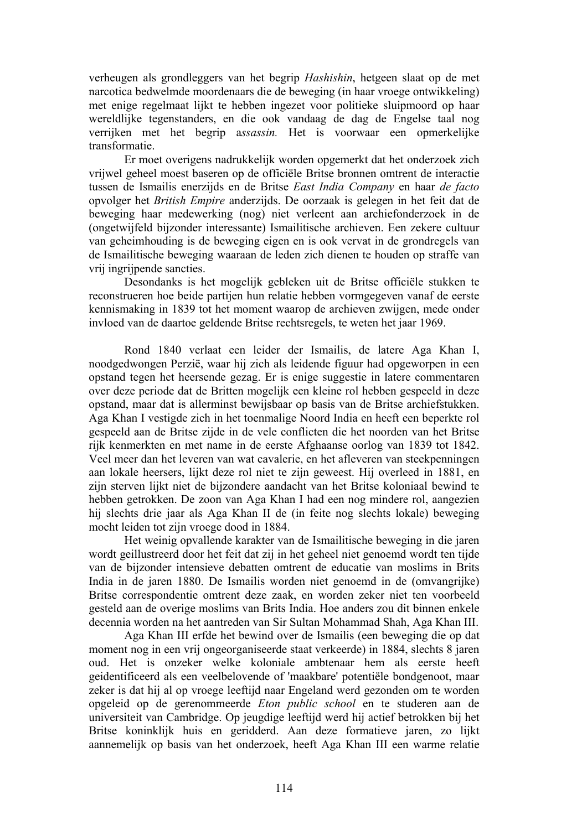verheugen als grondleggers van het begrip *Hashishin*, hetgeen slaat op de met narcotica bedwelmde moordenaars die de beweging (in haar vroege ontwikkeling) met enige regelmaat lijkt te hebben ingezet voor politieke sluipmoord op haar wereldlijke tegenstanders, en die ook vandaag de dag de Engelse taal nog verrijken met het begrip a*ssassin.* Het is voorwaar een opmerkelijke transformatie.

Er moet overigens nadrukkelijk worden opgemerkt dat het onderzoek zich vrijwel geheel moest baseren op de officiële Britse bronnen omtrent de interactie tussen de Ismailis enerzijds en de Britse *East India Company* en haar *de facto*  opvolger het *British Empire* anderzijds. De oorzaak is gelegen in het feit dat de beweging haar medewerking (nog) niet verleent aan archiefonderzoek in de (ongetwijfeld bijzonder interessante) Ismailitische archieven. Een zekere cultuur van geheimhouding is de beweging eigen en is ook vervat in de grondregels van de Ismailitische beweging waaraan de leden zich dienen te houden op straffe van vrij ingrijpende sancties.

Desondanks is het mogelijk gebleken uit de Britse officiële stukken te reconstrueren hoe beide partijen hun relatie hebben vormgegeven vanaf de eerste kennismaking in 1839 tot het moment waarop de archieven zwijgen, mede onder invloed van de daartoe geldende Britse rechtsregels, te weten het jaar 1969.

Rond 1840 verlaat een leider der Ismailis, de latere Aga Khan I, noodgedwongen Perzië, waar hij zich als leidende figuur had opgeworpen in een opstand tegen het heersende gezag. Er is enige suggestie in latere commentaren over deze periode dat de Britten mogelijk een kleine rol hebben gespeeld in deze opstand, maar dat is allerminst bewijsbaar op basis van de Britse archiefstukken. Aga Khan I vestigde zich in het toenmalige Noord India en heeft een beperkte rol gespeeld aan de Britse zijde in de vele conflicten die het noorden van het Britse rijk kenmerkten en met name in de eerste Afghaanse oorlog van 1839 tot 1842. Veel meer dan het leveren van wat cavalerie, en het afleveren van steekpenningen aan lokale heersers, lijkt deze rol niet te zijn geweest. Hij overleed in 1881, en zijn sterven lijkt niet de bijzondere aandacht van het Britse koloniaal bewind te hebben getrokken. De zoon van Aga Khan I had een nog mindere rol, aangezien hij slechts drie jaar als Aga Khan II de (in feite nog slechts lokale) beweging mocht leiden tot zijn vroege dood in 1884.

Het weinig opvallende karakter van de Ismailitische beweging in die jaren wordt geillustreerd door het feit dat zij in het geheel niet genoemd wordt ten tijde van de bijzonder intensieve debatten omtrent de educatie van moslims in Brits India in de jaren 1880. De Ismailis worden niet genoemd in de (omvangrijke) Britse correspondentie omtrent deze zaak, en worden zeker niet ten voorbeeld gesteld aan de overige moslims van Brits India. Hoe anders zou dit binnen enkele decennia worden na het aantreden van Sir Sultan Mohammad Shah, Aga Khan III.

Aga Khan III erfde het bewind over de Ismailis (een beweging die op dat moment nog in een vrij ongeorganiseerde staat verkeerde) in 1884, slechts 8 jaren oud. Het is onzeker welke koloniale ambtenaar hem als eerste heeft geidentificeerd als een veelbelovende of 'maakbare' potentiële bondgenoot, maar zeker is dat hij al op vroege leeftijd naar Engeland werd gezonden om te worden opgeleid op de gerenommeerde *Eton public school* en te studeren aan de universiteit van Cambridge. Op jeugdige leeftijd werd hij actief betrokken bij het Britse koninklijk huis en geridderd. Aan deze formatieve jaren, zo lijkt aannemelijk op basis van het onderzoek, heeft Aga Khan III een warme relatie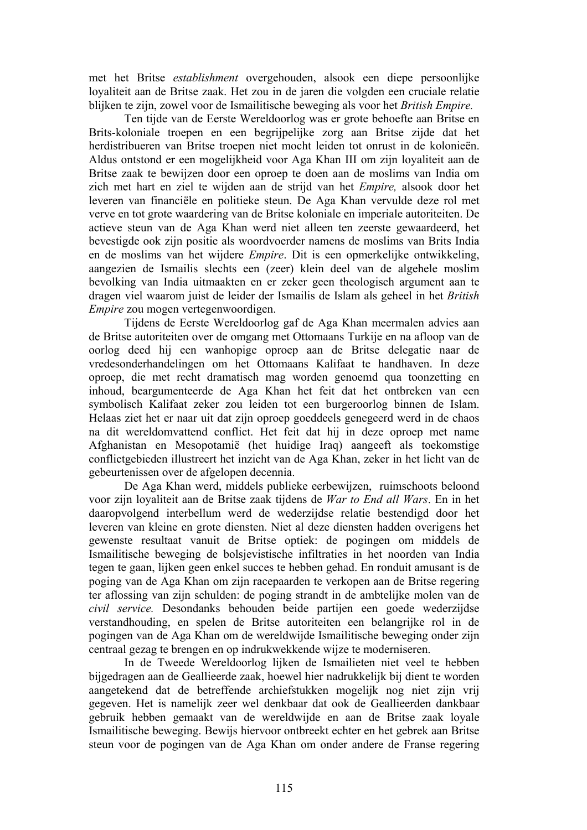met het Britse *establishment* overgehouden, alsook een diepe persoonlijke loyaliteit aan de Britse zaak. Het zou in de jaren die volgden een cruciale relatie blijken te zijn, zowel voor de Ismailitische beweging als voor het *British Empire.* 

Ten tijde van de Eerste Wereldoorlog was er grote behoefte aan Britse en Brits-koloniale troepen en een begrijpelijke zorg aan Britse zijde dat het herdistribueren van Britse troepen niet mocht leiden tot onrust in de kolonieën. Aldus ontstond er een mogelijkheid voor Aga Khan III om zijn loyaliteit aan de Britse zaak te bewijzen door een oproep te doen aan de moslims van India om zich met hart en ziel te wijden aan de strijd van het *Empire,* alsook door het leveren van financiële en politieke steun. De Aga Khan vervulde deze rol met verve en tot grote waardering van de Britse koloniale en imperiale autoriteiten. De actieve steun van de Aga Khan werd niet alleen ten zeerste gewaardeerd, het bevestigde ook zijn positie als woordvoerder namens de moslims van Brits India en de moslims van het wijdere *Empire*. Dit is een opmerkelijke ontwikkeling, aangezien de Ismailis slechts een (zeer) klein deel van de algehele moslim bevolking van India uitmaakten en er zeker geen theologisch argument aan te dragen viel waarom juist de leider der Ismailis de Islam als geheel in het *British Empire* zou mogen vertegenwoordigen.

Tijdens de Eerste Wereldoorlog gaf de Aga Khan meermalen advies aan de Britse autoriteiten over de omgang met Ottomaans Turkije en na afloop van de oorlog deed hij een wanhopige oproep aan de Britse delegatie naar de vredesonderhandelingen om het Ottomaans Kalifaat te handhaven. In deze oproep, die met recht dramatisch mag worden genoemd qua toonzetting en inhoud, beargumenteerde de Aga Khan het feit dat het ontbreken van een symbolisch Kalifaat zeker zou leiden tot een burgeroorlog binnen de Islam. Helaas ziet het er naar uit dat zijn oproep goeddeels genegeerd werd in de chaos na dit wereldomvattend conflict. Het feit dat hij in deze oproep met name Afghanistan en Mesopotamië (het huidige Iraq) aangeeft als toekomstige conflictgebieden illustreert het inzicht van de Aga Khan, zeker in het licht van de gebeurtenissen over de afgelopen decennia.

De Aga Khan werd, middels publieke eerbewijzen, ruimschoots beloond voor zijn loyaliteit aan de Britse zaak tijdens de *War to End all Wars*. En in het daaropvolgend interbellum werd de wederzijdse relatie bestendigd door het leveren van kleine en grote diensten. Niet al deze diensten hadden overigens het gewenste resultaat vanuit de Britse optiek: de pogingen om middels de Ismailitische beweging de bolsjevistische infiltraties in het noorden van India tegen te gaan, lijken geen enkel succes te hebben gehad. En ronduit amusant is de poging van de Aga Khan om zijn racepaarden te verkopen aan de Britse regering ter aflossing van zijn schulden: de poging strandt in de ambtelijke molen van de *civil service.* Desondanks behouden beide partijen een goede wederzijdse verstandhouding, en spelen de Britse autoriteiten een belangrijke rol in de pogingen van de Aga Khan om de wereldwijde Ismailitische beweging onder zijn centraal gezag te brengen en op indrukwekkende wijze te moderniseren.

In de Tweede Wereldoorlog lijken de Ismailieten niet veel te hebben bijgedragen aan de Geallieerde zaak, hoewel hier nadrukkelijk bij dient te worden aangetekend dat de betreffende archiefstukken mogelijk nog niet zijn vrij gegeven. Het is namelijk zeer wel denkbaar dat ook de Geallieerden dankbaar gebruik hebben gemaakt van de wereldwijde en aan de Britse zaak loyale Ismailitische beweging. Bewijs hiervoor ontbreekt echter en het gebrek aan Britse steun voor de pogingen van de Aga Khan om onder andere de Franse regering